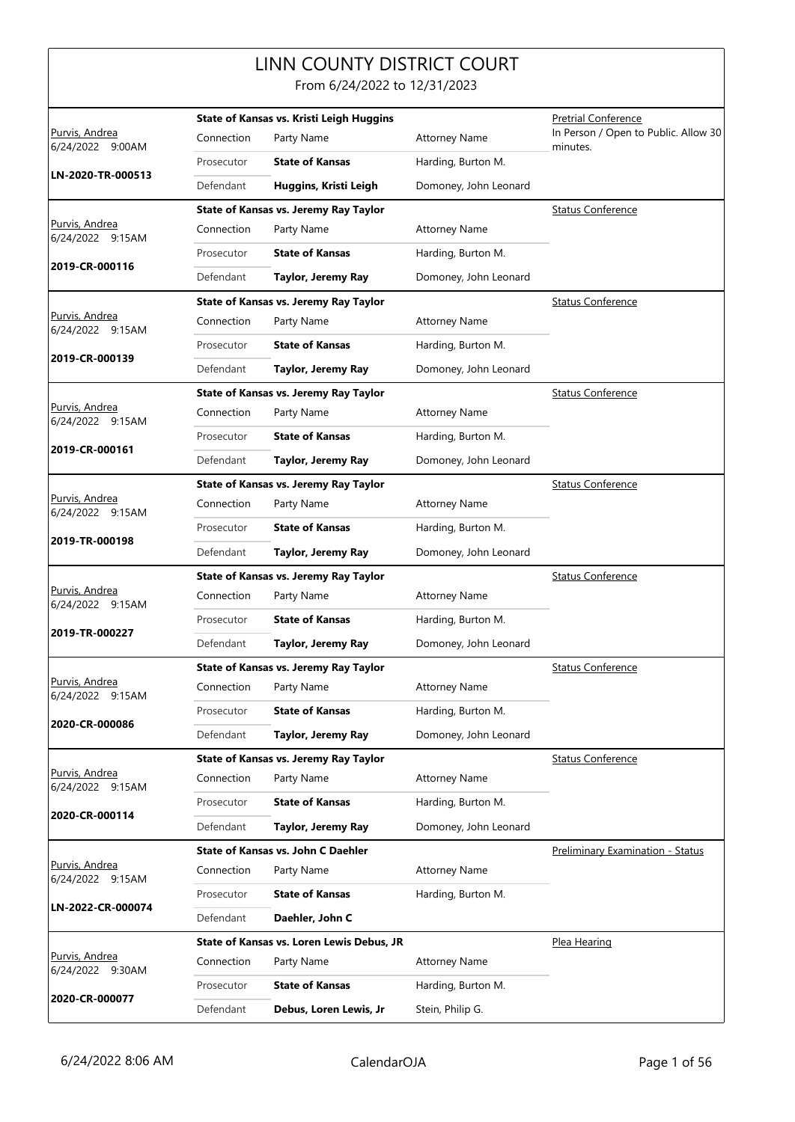## LINN COUNTY DISTRICT COURT

From 6/24/2022 to 12/31/2023

|                                            |            | <b>State of Kansas vs. Kristi Leigh Huggins</b> |                       | <b>Pretrial Conference</b>                       |
|--------------------------------------------|------------|-------------------------------------------------|-----------------------|--------------------------------------------------|
| <u> Purvis, Andrea</u><br>6/24/2022 9:00AM | Connection | Party Name                                      | <b>Attorney Name</b>  | In Person / Open to Public. Allow 30<br>minutes. |
| LN-2020-TR-000513                          | Prosecutor | <b>State of Kansas</b>                          | Harding, Burton M.    |                                                  |
|                                            | Defendant  | Huggins, Kristi Leigh                           | Domoney, John Leonard |                                                  |
|                                            |            | State of Kansas vs. Jeremy Ray Taylor           |                       | <b>Status Conference</b>                         |
| <u>Purvis, Andrea</u><br>6/24/2022 9:15AM  | Connection | Party Name                                      | <b>Attorney Name</b>  |                                                  |
| 2019-CR-000116                             | Prosecutor | <b>State of Kansas</b>                          | Harding, Burton M.    |                                                  |
|                                            | Defendant  | Taylor, Jeremy Ray                              | Domoney, John Leonard |                                                  |
|                                            |            | <b>State of Kansas vs. Jeremy Ray Taylor</b>    |                       | <b>Status Conference</b>                         |
| Purvis, Andrea<br>6/24/2022 9:15AM         | Connection | Party Name                                      | <b>Attorney Name</b>  |                                                  |
|                                            | Prosecutor | <b>State of Kansas</b>                          | Harding, Burton M.    |                                                  |
| 2019-CR-000139                             | Defendant  | <b>Taylor, Jeremy Ray</b>                       | Domoney, John Leonard |                                                  |
|                                            |            | State of Kansas vs. Jeremy Ray Taylor           |                       | <b>Status Conference</b>                         |
| Purvis, Andrea<br>6/24/2022 9:15AM         | Connection | Party Name                                      | <b>Attorney Name</b>  |                                                  |
|                                            | Prosecutor | <b>State of Kansas</b>                          | Harding, Burton M.    |                                                  |
| 2019-CR-000161                             | Defendant  | Taylor, Jeremy Ray                              | Domoney, John Leonard |                                                  |
|                                            |            | State of Kansas vs. Jeremy Ray Taylor           |                       | <b>Status Conference</b>                         |
| Purvis, Andrea<br>6/24/2022 9:15AM         | Connection | Party Name                                      | <b>Attorney Name</b>  |                                                  |
|                                            | Prosecutor | <b>State of Kansas</b>                          | Harding, Burton M.    |                                                  |
| 2019-TR-000198                             | Defendant  | Taylor, Jeremy Ray                              | Domoney, John Leonard |                                                  |
|                                            |            | State of Kansas vs. Jeremy Ray Taylor           |                       | <b>Status Conference</b>                         |
| Purvis, Andrea<br>6/24/2022 9:15AM         | Connection | Party Name                                      | <b>Attorney Name</b>  |                                                  |
| 2019-TR-000227                             | Prosecutor | <b>State of Kansas</b>                          | Harding, Burton M.    |                                                  |
|                                            | Defendant  | Taylor, Jeremy Ray                              | Domoney, John Leonard |                                                  |
|                                            |            | State of Kansas vs. Jeremy Ray Taylor           |                       | <b>Status Conference</b>                         |
| <u> Purvis, Andrea</u><br>6/24/2022 9:15AM | Connection | Party Name                                      | <b>Attorney Name</b>  |                                                  |
| 2020-CR-000086                             | Prosecutor | <b>State of Kansas</b>                          | Harding, Burton M.    |                                                  |
|                                            | Defendant  | Taylor, Jeremy Ray                              | Domoney, John Leonard |                                                  |
|                                            |            | State of Kansas vs. Jeremy Ray Taylor           |                       | <b>Status Conference</b>                         |
| Purvis, Andrea<br>6/24/2022 9:15AM         | Connection | Party Name                                      | <b>Attorney Name</b>  |                                                  |
| 2020-CR-000114                             | Prosecutor | <b>State of Kansas</b>                          | Harding, Burton M.    |                                                  |
|                                            | Defendant  | Taylor, Jeremy Ray                              | Domoney, John Leonard |                                                  |
|                                            |            | State of Kansas vs. John C Daehler              |                       | <b>Preliminary Examination - Status</b>          |
| Purvis, Andrea<br>6/24/2022 9:15AM         | Connection | Party Name                                      | <b>Attorney Name</b>  |                                                  |
| LN-2022-CR-000074                          | Prosecutor | <b>State of Kansas</b>                          | Harding, Burton M.    |                                                  |
|                                            | Defendant  | Daehler, John C                                 |                       |                                                  |
|                                            |            | State of Kansas vs. Loren Lewis Debus, JR       |                       | Plea Hearing                                     |
| Purvis, Andrea<br>6/24/2022 9:30AM         | Connection | Party Name                                      | <b>Attorney Name</b>  |                                                  |
| 2020-CR-000077                             | Prosecutor | <b>State of Kansas</b>                          | Harding, Burton M.    |                                                  |
|                                            | Defendant  | Debus, Loren Lewis, Jr                          | Stein, Philip G.      |                                                  |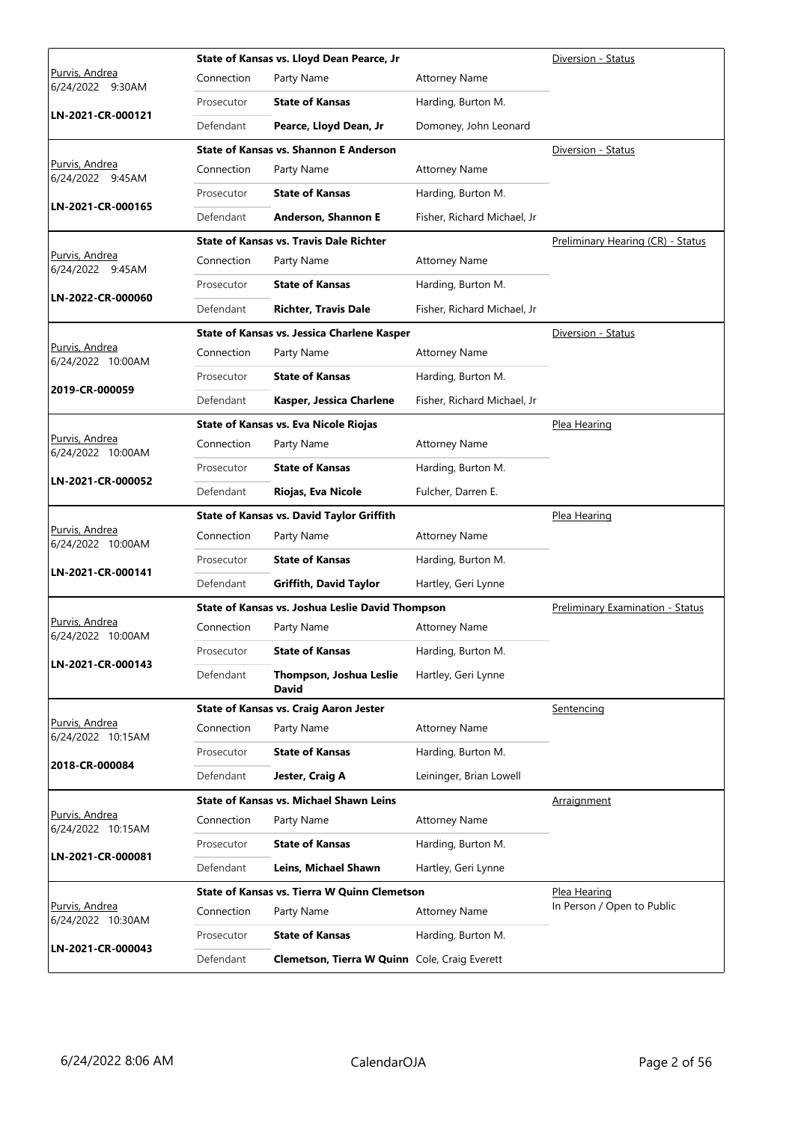|                                            | State of Kansas vs. Lloyd Dean Pearce, Jr |                                                     | Diversion - Status          |                                         |
|--------------------------------------------|-------------------------------------------|-----------------------------------------------------|-----------------------------|-----------------------------------------|
| <u>Purvis, Andrea</u><br>6/24/2022 9:30AM  | Connection                                | Party Name                                          | <b>Attorney Name</b>        |                                         |
|                                            | Prosecutor                                | <b>State of Kansas</b>                              | Harding, Burton M.          |                                         |
| LN-2021-CR-000121                          | Defendant                                 | Pearce, Lloyd Dean, Jr                              | Domoney, John Leonard       |                                         |
|                                            |                                           | <b>State of Kansas vs. Shannon E Anderson</b>       |                             | Diversion - Status                      |
| <u>Purvis, Andrea</u><br>6/24/2022 9:45AM  | Connection                                | Party Name                                          | <b>Attorney Name</b>        |                                         |
|                                            | Prosecutor                                | <b>State of Kansas</b>                              | Harding, Burton M.          |                                         |
| LN-2021-CR-000165                          | Defendant                                 | Anderson, Shannon E                                 | Fisher, Richard Michael, Jr |                                         |
|                                            |                                           | <b>State of Kansas vs. Travis Dale Richter</b>      |                             | Preliminary Hearing (CR) - Status       |
| Purvis, Andrea<br>6/24/2022 9:45AM         | Connection                                | Party Name                                          | <b>Attorney Name</b>        |                                         |
|                                            | Prosecutor                                | <b>State of Kansas</b>                              | Harding, Burton M.          |                                         |
| LN-2022-CR-000060                          | Defendant                                 | <b>Richter, Travis Dale</b>                         | Fisher, Richard Michael, Jr |                                         |
|                                            |                                           | State of Kansas vs. Jessica Charlene Kasper         |                             | Diversion - Status                      |
| Purvis, Andrea<br>6/24/2022 10:00AM        | Connection                                | Party Name                                          | <b>Attorney Name</b>        |                                         |
|                                            | Prosecutor                                | <b>State of Kansas</b>                              | Harding, Burton M.          |                                         |
| 2019-CR-000059                             | Defendant                                 | Kasper, Jessica Charlene                            | Fisher, Richard Michael, Jr |                                         |
|                                            |                                           | State of Kansas vs. Eva Nicole Riojas               |                             | Plea Hearing                            |
| Purvis, Andrea<br>6/24/2022 10:00AM        | Connection                                | Party Name                                          | <b>Attorney Name</b>        |                                         |
|                                            | Prosecutor                                | <b>State of Kansas</b>                              | Harding, Burton M.          |                                         |
| LN-2021-CR-000052                          | Defendant                                 | Riojas, Eva Nicole                                  | Fulcher, Darren E.          |                                         |
|                                            |                                           |                                                     |                             | Plea Hearing                            |
|                                            |                                           | <b>State of Kansas vs. David Taylor Griffith</b>    |                             |                                         |
| Purvis, Andrea<br>6/24/2022 10:00AM        | Connection                                | Party Name                                          | <b>Attorney Name</b>        |                                         |
|                                            | Prosecutor                                | <b>State of Kansas</b>                              | Harding, Burton M.          |                                         |
| LN-2021-CR-000141                          | Defendant                                 | <b>Griffith, David Taylor</b>                       | Hartley, Geri Lynne         |                                         |
|                                            |                                           | State of Kansas vs. Joshua Leslie David Thompson    |                             | <b>Preliminary Examination - Status</b> |
| <u>Purvis, Andrea</u><br>6/24/2022 10:00AM | Connection                                | Party Name                                          | <b>Attorney Name</b>        |                                         |
|                                            | Prosecutor                                | <b>State of Kansas</b>                              | Harding, Burton M.          |                                         |
| LN-2021-CR-000143                          | Defendant                                 | Thompson, Joshua Leslie<br><b>David</b>             | Hartley, Geri Lynne         |                                         |
|                                            |                                           | <b>State of Kansas vs. Craig Aaron Jester</b>       |                             | Sentencing                              |
| Purvis, Andrea                             | Connection                                | Party Name                                          | <b>Attorney Name</b>        |                                         |
| 6/24/2022 10:15AM                          | Prosecutor                                | <b>State of Kansas</b>                              | Harding, Burton M.          |                                         |
| 2018-CR-000084                             | Defendant                                 | Jester, Craig A                                     | Leininger, Brian Lowell     |                                         |
|                                            |                                           | <b>State of Kansas vs. Michael Shawn Leins</b>      |                             | Arraignment                             |
| Purvis, Andrea                             | Connection                                | Party Name                                          | <b>Attorney Name</b>        |                                         |
| 6/24/2022 10:15AM                          | Prosecutor                                | <b>State of Kansas</b>                              | Harding, Burton M.          |                                         |
| LN-2021-CR-000081                          | Defendant                                 | Leins, Michael Shawn                                | Hartley, Geri Lynne         |                                         |
|                                            |                                           | <b>State of Kansas vs. Tierra W Quinn Clemetson</b> |                             | <u>Plea Hearing</u>                     |
| Purvis, Andrea<br>6/24/2022 10:30AM        | Connection                                | Party Name                                          | <b>Attorney Name</b>        | In Person / Open to Public              |
| LN-2021-CR-000043                          | Prosecutor                                | <b>State of Kansas</b>                              | Harding, Burton M.          |                                         |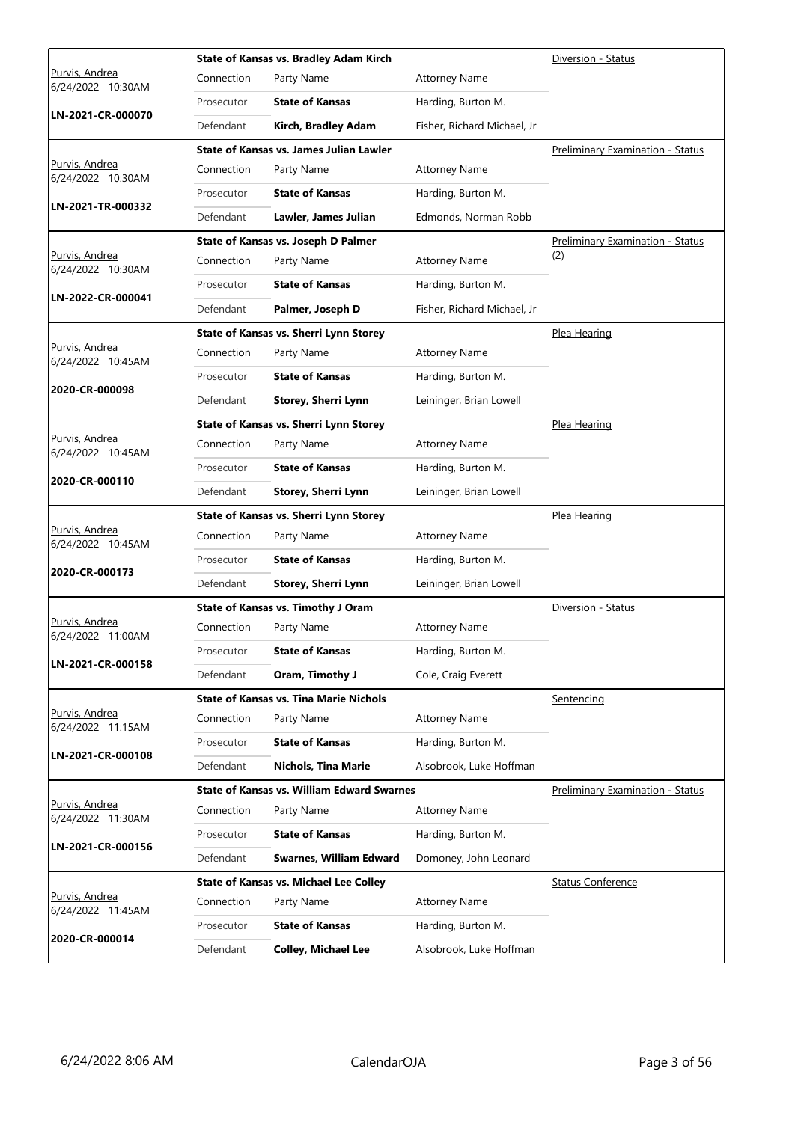|                                            | <b>State of Kansas vs. Bradley Adam Kirch</b> |                                                   | Diversion - Status          |                                         |
|--------------------------------------------|-----------------------------------------------|---------------------------------------------------|-----------------------------|-----------------------------------------|
| <u>Purvis, Andrea</u><br>6/24/2022 10:30AM | Connection                                    | Party Name                                        | <b>Attorney Name</b>        |                                         |
|                                            | Prosecutor                                    | <b>State of Kansas</b>                            | Harding, Burton M.          |                                         |
| LN-2021-CR-000070                          | Defendant                                     | Kirch, Bradley Adam                               | Fisher, Richard Michael, Jr |                                         |
|                                            |                                               | State of Kansas vs. James Julian Lawler           |                             | Preliminary Examination - Status        |
| Purvis, Andrea<br>6/24/2022 10:30AM        | Connection                                    | Party Name                                        | <b>Attorney Name</b>        |                                         |
|                                            | Prosecutor                                    | <b>State of Kansas</b>                            | Harding, Burton M.          |                                         |
| LN-2021-TR-000332                          | Defendant                                     | Lawler, James Julian                              | Edmonds, Norman Robb        |                                         |
|                                            |                                               | State of Kansas vs. Joseph D Palmer               |                             | Preliminary Examination - Status        |
| Purvis, Andrea<br>6/24/2022 10:30AM        | Connection                                    | Party Name                                        | <b>Attorney Name</b>        | (2)                                     |
| LN-2022-CR-000041                          | Prosecutor                                    | <b>State of Kansas</b>                            | Harding, Burton M.          |                                         |
|                                            | Defendant                                     | Palmer, Joseph D                                  | Fisher, Richard Michael, Jr |                                         |
|                                            |                                               | <b>State of Kansas vs. Sherri Lynn Storey</b>     |                             | Plea Hearing                            |
| Purvis, Andrea<br>6/24/2022 10:45AM        | Connection                                    | Party Name                                        | <b>Attorney Name</b>        |                                         |
| 2020-CR-000098                             | Prosecutor                                    | <b>State of Kansas</b>                            | Harding, Burton M.          |                                         |
|                                            | Defendant                                     | Storey, Sherri Lynn                               | Leininger, Brian Lowell     |                                         |
|                                            |                                               | State of Kansas vs. Sherri Lynn Storey            |                             | Plea Hearing                            |
| Purvis, Andrea<br>6/24/2022 10:45AM        | Connection                                    | Party Name                                        | <b>Attorney Name</b>        |                                         |
| 2020-CR-000110                             | Prosecutor                                    | <b>State of Kansas</b>                            | Harding, Burton M.          |                                         |
|                                            | Defendant                                     | Storey, Sherri Lynn                               | Leininger, Brian Lowell     |                                         |
|                                            |                                               |                                                   |                             |                                         |
|                                            |                                               | State of Kansas vs. Sherri Lynn Storey            |                             | Plea Hearing                            |
| Purvis, Andrea<br>6/24/2022 10:45AM        | Connection                                    | Party Name                                        | <b>Attorney Name</b>        |                                         |
|                                            | Prosecutor                                    | <b>State of Kansas</b>                            | Harding, Burton M.          |                                         |
| 2020-CR-000173                             | Defendant                                     | Storey, Sherri Lynn                               | Leininger, Brian Lowell     |                                         |
|                                            |                                               | State of Kansas vs. Timothy J Oram                |                             | Diversion - Status                      |
| Purvis, Andrea<br>6/24/2022 11:00AM        | Connection                                    | Party Name                                        | <b>Attorney Name</b>        |                                         |
|                                            | Prosecutor                                    | <b>State of Kansas</b>                            | Harding, Burton M.          |                                         |
| LN-2021-CR-000158                          | Defendant                                     | Oram, Timothy J                                   | Cole, Craig Everett         |                                         |
|                                            |                                               | <b>State of Kansas vs. Tina Marie Nichols</b>     |                             | Sentencing                              |
| <u>Purvis, Andrea</u><br>6/24/2022 11:15AM | Connection                                    | Party Name                                        | <b>Attorney Name</b>        |                                         |
|                                            | Prosecutor                                    | <b>State of Kansas</b>                            | Harding, Burton M.          |                                         |
| LN-2021-CR-000108                          | Defendant                                     | <b>Nichols, Tina Marie</b>                        | Alsobrook, Luke Hoffman     |                                         |
|                                            |                                               | <b>State of Kansas vs. William Edward Swarnes</b> |                             | <b>Preliminary Examination - Status</b> |
| Purvis, Andrea<br>6/24/2022 11:30AM        | Connection                                    | Party Name                                        | <b>Attorney Name</b>        |                                         |
|                                            | Prosecutor                                    | <b>State of Kansas</b>                            | Harding, Burton M.          |                                         |
| LN-2021-CR-000156                          | Defendant                                     | Swarnes, William Edward                           | Domoney, John Leonard       |                                         |
|                                            |                                               | <b>State of Kansas vs. Michael Lee Colley</b>     |                             | <b>Status Conference</b>                |
| Purvis, Andrea<br>6/24/2022 11:45AM        | Connection                                    | Party Name                                        | <b>Attorney Name</b>        |                                         |
| 2020-CR-000014                             | Prosecutor                                    | <b>State of Kansas</b>                            | Harding, Burton M.          |                                         |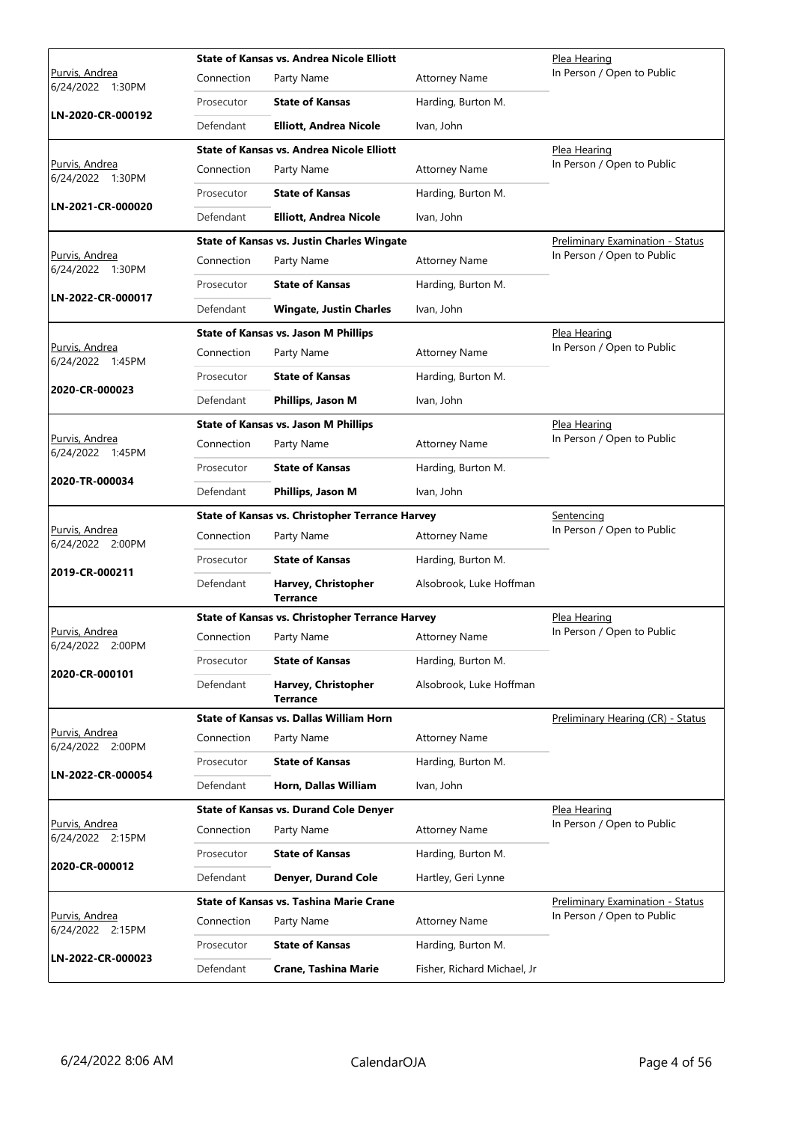|                                           | <b>State of Kansas vs. Andrea Nicole Elliott</b> |                                                        |                             | Plea Hearing                            |
|-------------------------------------------|--------------------------------------------------|--------------------------------------------------------|-----------------------------|-----------------------------------------|
| <u>Purvis, Andrea</u><br>6/24/2022 1:30PM | Connection                                       | Party Name                                             | <b>Attorney Name</b>        | In Person / Open to Public              |
|                                           | Prosecutor                                       | <b>State of Kansas</b>                                 | Harding, Burton M.          |                                         |
| LN-2020-CR-000192                         | Defendant                                        | <b>Elliott, Andrea Nicole</b>                          | Ivan, John                  |                                         |
|                                           |                                                  | <b>State of Kansas vs. Andrea Nicole Elliott</b>       |                             | Plea Hearing                            |
| <u>Purvis, Andrea</u><br>6/24/2022 1:30PM | Connection                                       | Party Name                                             | <b>Attorney Name</b>        | In Person / Open to Public              |
|                                           | Prosecutor                                       | <b>State of Kansas</b>                                 | Harding, Burton M.          |                                         |
| LN-2021-CR-000020                         | Defendant                                        | <b>Elliott, Andrea Nicole</b>                          | Ivan, John                  |                                         |
|                                           |                                                  | <b>State of Kansas vs. Justin Charles Wingate</b>      |                             | Preliminary Examination - Status        |
| Purvis, Andrea<br>6/24/2022 1:30PM        | Connection                                       | Party Name                                             | <b>Attorney Name</b>        | In Person / Open to Public              |
|                                           | Prosecutor                                       | <b>State of Kansas</b>                                 | Harding, Burton M.          |                                         |
| LN-2022-CR-000017                         | Defendant                                        | <b>Wingate, Justin Charles</b>                         | Ivan, John                  |                                         |
|                                           |                                                  | <b>State of Kansas vs. Jason M Phillips</b>            |                             | <u>Plea Hearing</u>                     |
| Purvis, Andrea<br>6/24/2022 1:45PM        | Connection                                       | Party Name                                             | <b>Attorney Name</b>        | In Person / Open to Public              |
|                                           | Prosecutor                                       | <b>State of Kansas</b>                                 | Harding, Burton M.          |                                         |
| 2020-CR-000023                            | Defendant                                        | Phillips, Jason M                                      | Ivan, John                  |                                         |
|                                           |                                                  | <b>State of Kansas vs. Jason M Phillips</b>            |                             | Plea Hearing                            |
| Purvis, Andrea<br>6/24/2022 1:45PM        | Connection                                       | Party Name                                             | <b>Attorney Name</b>        | In Person / Open to Public              |
|                                           | Prosecutor                                       | <b>State of Kansas</b>                                 | Harding, Burton M.          |                                         |
| 2020-TR-000034                            | Defendant                                        | Phillips, Jason M                                      | Ivan, John                  |                                         |
|                                           |                                                  | <b>State of Kansas vs. Christopher Terrance Harvey</b> |                             | Sentencing                              |
| Purvis, Andrea<br>6/24/2022 2:00PM        | Connection                                       | Party Name                                             | <b>Attorney Name</b>        | In Person / Open to Public              |
|                                           | Prosecutor                                       | <b>State of Kansas</b>                                 | Harding, Burton M.          |                                         |
| 2019-CR-000211                            | Defendant                                        | Harvey, Christopher<br><b>Terrance</b>                 | Alsobrook, Luke Hoffman     |                                         |
|                                           |                                                  | State of Kansas vs. Christopher Terrance Harvey        |                             | <u>Plea Hearing</u>                     |
| <u>Purvis, Andrea</u><br>6/24/2022 2:00PM | Connection                                       | Party Name                                             | <b>Attorney Name</b>        | In Person / Open to Public              |
|                                           | Prosecutor                                       | <b>State of Kansas</b>                                 | Harding, Burton M.          |                                         |
| 2020-CR-000101                            | Defendant                                        | Harvey, Christopher<br><b>Terrance</b>                 | Alsobrook, Luke Hoffman     |                                         |
|                                           |                                                  | <b>State of Kansas vs. Dallas William Horn</b>         |                             | Preliminary Hearing (CR) - Status       |
| <u>Purvis, Andrea</u><br>6/24/2022 2:00PM | Connection                                       | Party Name                                             | <b>Attorney Name</b>        |                                         |
|                                           | Prosecutor                                       | <b>State of Kansas</b>                                 | Harding, Burton M.          |                                         |
| LN-2022-CR-000054                         | Defendant                                        | Horn, Dallas William                                   | Ivan, John                  |                                         |
|                                           |                                                  | <b>State of Kansas vs. Durand Cole Denyer</b>          |                             | Plea Hearing                            |
| Purvis, Andrea<br>6/24/2022 2:15PM        | Connection                                       | Party Name                                             | <b>Attorney Name</b>        | In Person / Open to Public              |
| 2020-CR-000012                            | Prosecutor                                       | <b>State of Kansas</b>                                 | Harding, Burton M.          |                                         |
|                                           | Defendant                                        | <b>Denyer, Durand Cole</b>                             | Hartley, Geri Lynne         |                                         |
|                                           |                                                  | <b>State of Kansas vs. Tashina Marie Crane</b>         |                             | <b>Preliminary Examination - Status</b> |
| Purvis, Andrea<br>6/24/2022 2:15PM        | Connection                                       | Party Name                                             | <b>Attorney Name</b>        | In Person / Open to Public              |
| LN-2022-CR-000023                         | Prosecutor                                       | <b>State of Kansas</b>                                 | Harding, Burton M.          |                                         |
|                                           | Defendant                                        | Crane, Tashina Marie                                   | Fisher, Richard Michael, Jr |                                         |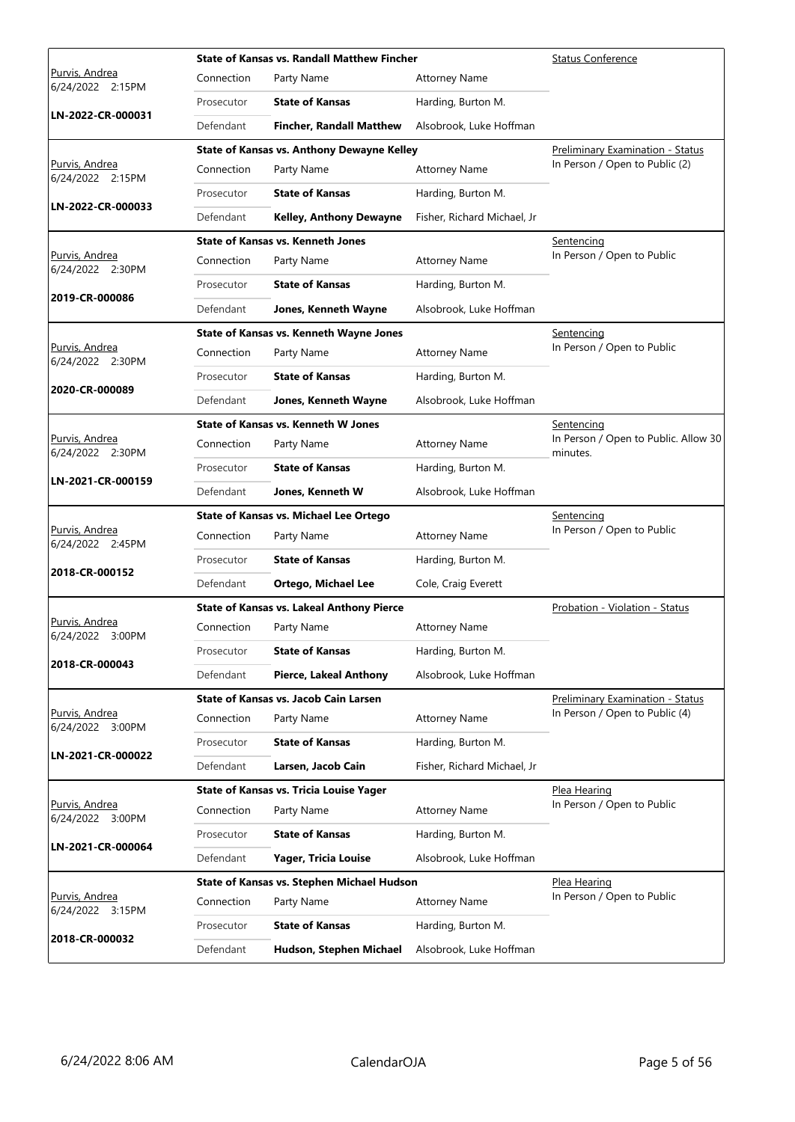|                                           |                                               | <b>State of Kansas vs. Randall Matthew Fincher</b> |                                         | <b>Status Conference</b>                         |
|-------------------------------------------|-----------------------------------------------|----------------------------------------------------|-----------------------------------------|--------------------------------------------------|
| <u>Purvis, Andrea</u><br>6/24/2022 2:15PM | Connection                                    | Party Name                                         | <b>Attorney Name</b>                    |                                                  |
|                                           | Prosecutor                                    | <b>State of Kansas</b>                             | Harding, Burton M.                      |                                                  |
| LN-2022-CR-000031                         | Defendant                                     | <b>Fincher, Randall Matthew</b>                    | Alsobrook, Luke Hoffman                 |                                                  |
|                                           |                                               | State of Kansas vs. Anthony Dewayne Kelley         | <b>Preliminary Examination - Status</b> |                                                  |
| <u>Purvis, Andrea</u><br>6/24/2022 2:15PM | Connection                                    | Party Name                                         | <b>Attorney Name</b>                    | In Person / Open to Public (2)                   |
|                                           | Prosecutor                                    | <b>State of Kansas</b>                             | Harding, Burton M.                      |                                                  |
| LN-2022-CR-000033                         | Defendant                                     | Kelley, Anthony Dewayne                            | Fisher, Richard Michael, Jr             |                                                  |
|                                           |                                               | <b>State of Kansas vs. Kenneth Jones</b>           |                                         | <u>Sentencing</u>                                |
| Purvis, Andrea<br>6/24/2022 2:30PM        | Connection                                    | Party Name                                         | <b>Attorney Name</b>                    | In Person / Open to Public                       |
|                                           | Prosecutor                                    | <b>State of Kansas</b>                             | Harding, Burton M.                      |                                                  |
| 2019-CR-000086                            | Defendant                                     | Jones, Kenneth Wayne                               | Alsobrook, Luke Hoffman                 |                                                  |
|                                           |                                               | <b>State of Kansas vs. Kenneth Wayne Jones</b>     |                                         | Sentencing                                       |
| Purvis, Andrea<br>6/24/2022 2:30PM        | Connection                                    | Party Name                                         | <b>Attorney Name</b>                    | In Person / Open to Public                       |
|                                           | Prosecutor                                    | <b>State of Kansas</b>                             | Harding, Burton M.                      |                                                  |
| 2020-CR-000089                            | Defendant                                     | Jones, Kenneth Wayne                               | Alsobrook, Luke Hoffman                 |                                                  |
|                                           |                                               | <b>State of Kansas vs. Kenneth W Jones</b>         |                                         | <u>Sentencing</u>                                |
| Purvis, Andrea<br>6/24/2022 2:30PM        | Connection                                    | Party Name                                         | <b>Attorney Name</b>                    | In Person / Open to Public. Allow 30<br>minutes. |
| LN-2021-CR-000159                         | Prosecutor                                    | <b>State of Kansas</b>                             | Harding, Burton M.                      |                                                  |
|                                           | Defendant                                     | Jones, Kenneth W                                   | Alsobrook, Luke Hoffman                 |                                                  |
| Purvis, Andrea                            | <b>State of Kansas vs. Michael Lee Ortego</b> |                                                    |                                         | <b>Sentencing</b>                                |
|                                           |                                               |                                                    |                                         | In Person / Open to Public                       |
| 6/24/2022 2:45PM                          | Connection                                    | Party Name                                         | <b>Attorney Name</b>                    |                                                  |
|                                           | Prosecutor                                    | <b>State of Kansas</b>                             | Harding, Burton M.                      |                                                  |
| 2018-CR-000152                            | Defendant                                     | <b>Ortego, Michael Lee</b>                         | Cole, Craig Everett                     |                                                  |
|                                           |                                               | <b>State of Kansas vs. Lakeal Anthony Pierce</b>   |                                         | Probation - Violation - Status                   |
| <u>Purvis, Andrea</u><br>6/24/2022 3:00PM | Connection                                    | Party Name                                         | <b>Attorney Name</b>                    |                                                  |
|                                           | Prosecutor                                    | <b>State of Kansas</b>                             | Harding, Burton M.                      |                                                  |
| 2018-CR-000043                            | Defendant                                     | <b>Pierce, Lakeal Anthony</b>                      | Alsobrook, Luke Hoffman                 |                                                  |
|                                           |                                               | <b>State of Kansas vs. Jacob Cain Larsen</b>       |                                         | <b>Preliminary Examination - Status</b>          |
| <u>Purvis, Andrea</u><br>6/24/2022 3:00PM | Connection                                    | Party Name                                         | <b>Attorney Name</b>                    | In Person / Open to Public (4)                   |
|                                           | Prosecutor                                    | <b>State of Kansas</b>                             | Harding, Burton M.                      |                                                  |
| LN-2021-CR-000022                         | Defendant                                     | Larsen, Jacob Cain                                 | Fisher, Richard Michael, Jr             |                                                  |
|                                           |                                               | <b>State of Kansas vs. Tricia Louise Yager</b>     |                                         | Plea Hearing                                     |
| Purvis, Andrea<br>6/24/2022 3:00PM        | Connection                                    | Party Name                                         | <b>Attorney Name</b>                    | In Person / Open to Public                       |
|                                           | Prosecutor                                    | <b>State of Kansas</b>                             | Harding, Burton M.                      |                                                  |
| LN-2021-CR-000064                         | Defendant                                     | Yager, Tricia Louise                               | Alsobrook, Luke Hoffman                 |                                                  |
|                                           |                                               | State of Kansas vs. Stephen Michael Hudson         |                                         | Plea Hearing                                     |
| Purvis, Andrea<br>6/24/2022 3:15PM        | Connection                                    | Party Name                                         | <b>Attorney Name</b>                    | In Person / Open to Public                       |
| 2018-CR-000032                            | Prosecutor                                    | <b>State of Kansas</b>                             | Harding, Burton M.                      |                                                  |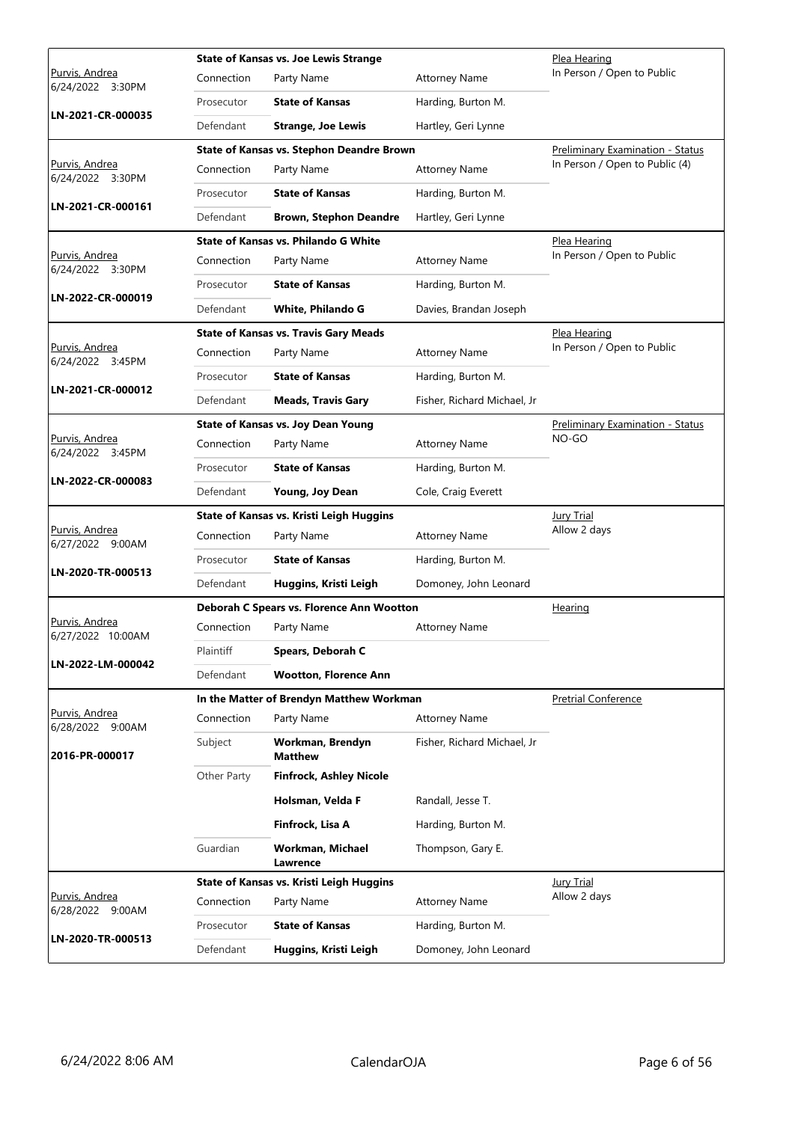|                                           | <b>State of Kansas vs. Joe Lewis Strange</b>    |                                                 |                                  | Plea Hearing                     |
|-------------------------------------------|-------------------------------------------------|-------------------------------------------------|----------------------------------|----------------------------------|
| <u>Purvis, Andrea</u><br>6/24/2022 3:30PM | Connection                                      | Party Name                                      | <b>Attorney Name</b>             | In Person / Open to Public       |
|                                           | Prosecutor                                      | <b>State of Kansas</b>                          | Harding, Burton M.               |                                  |
| LN-2021-CR-000035                         | Defendant                                       | <b>Strange, Joe Lewis</b>                       | Hartley, Geri Lynne              |                                  |
|                                           |                                                 | State of Kansas vs. Stephon Deandre Brown       | Preliminary Examination - Status |                                  |
| <u>Purvis, Andrea</u><br>6/24/2022 3:30PM | Connection                                      | Party Name                                      | <b>Attorney Name</b>             | In Person / Open to Public (4)   |
| LN-2021-CR-000161                         | Prosecutor                                      | <b>State of Kansas</b>                          | Harding, Burton M.               |                                  |
|                                           | Defendant                                       | <b>Brown, Stephon Deandre</b>                   | Hartley, Geri Lynne              |                                  |
|                                           |                                                 | State of Kansas vs. Philando G White            |                                  | Plea Hearing                     |
| Purvis, Andrea<br>6/24/2022 3:30PM        | Connection                                      | Party Name                                      | <b>Attorney Name</b>             | In Person / Open to Public       |
|                                           | Prosecutor                                      | <b>State of Kansas</b>                          | Harding, Burton M.               |                                  |
| LN-2022-CR-000019                         | Defendant                                       | White, Philando G                               | Davies, Brandan Joseph           |                                  |
|                                           |                                                 | <b>State of Kansas vs. Travis Gary Meads</b>    |                                  | Plea Hearing                     |
| Purvis, Andrea<br>6/24/2022 3:45PM        | Connection                                      | Party Name                                      | <b>Attorney Name</b>             | In Person / Open to Public       |
| LN-2021-CR-000012                         | Prosecutor                                      | <b>State of Kansas</b>                          | Harding, Burton M.               |                                  |
|                                           | Defendant                                       | <b>Meads, Travis Gary</b>                       | Fisher, Richard Michael, Jr      |                                  |
|                                           |                                                 | <b>State of Kansas vs. Joy Dean Young</b>       |                                  | Preliminary Examination - Status |
| Purvis, Andrea<br>6/24/2022 3:45PM        | Connection                                      | Party Name                                      | <b>Attorney Name</b>             | NO-GO                            |
| LN-2022-CR-000083                         | Prosecutor                                      | <b>State of Kansas</b>                          | Harding, Burton M.               |                                  |
|                                           | Defendant                                       | Young, Joy Dean                                 | Cole, Craig Everett              |                                  |
|                                           | <b>State of Kansas vs. Kristi Leigh Huggins</b> |                                                 |                                  | <b>Jury Trial</b>                |
|                                           |                                                 |                                                 |                                  |                                  |
| <u>Purvis, Andrea</u><br>6/27/2022 9:00AM | Connection                                      | Party Name                                      | <b>Attorney Name</b>             | Allow 2 days                     |
|                                           | Prosecutor                                      | <b>State of Kansas</b>                          | Harding, Burton M.               |                                  |
| LN-2020-TR-000513                         | Defendant                                       | Huggins, Kristi Leigh                           | Domoney, John Leonard            |                                  |
|                                           |                                                 | Deborah C Spears vs. Florence Ann Wootton       |                                  | Hearing                          |
| Purvis, Andrea<br>6/27/2022 10:00AM       | Connection                                      | Party Name                                      | <b>Attorney Name</b>             |                                  |
|                                           | Plaintiff                                       | Spears, Deborah C                               |                                  |                                  |
| LN-2022-LM-000042                         | Defendant                                       | <b>Wootton, Florence Ann</b>                    |                                  |                                  |
|                                           |                                                 | In the Matter of Brendyn Matthew Workman        |                                  | <b>Pretrial Conference</b>       |
| Purvis, Andrea<br>6/28/2022 9:00AM        | Connection                                      | Party Name                                      | <b>Attorney Name</b>             |                                  |
| 2016-PR-000017                            | Subject                                         | Workman, Brendyn<br><b>Matthew</b>              | Fisher, Richard Michael, Jr      |                                  |
|                                           | Other Party                                     | <b>Finfrock, Ashley Nicole</b>                  |                                  |                                  |
|                                           |                                                 | Holsman, Velda F                                | Randall, Jesse T.                |                                  |
|                                           |                                                 | Finfrock, Lisa A                                | Harding, Burton M.               |                                  |
|                                           | Guardian                                        | Workman, Michael<br><b>Lawrence</b>             | Thompson, Gary E.                |                                  |
|                                           |                                                 | <b>State of Kansas vs. Kristi Leigh Huggins</b> |                                  | <b>Jury Trial</b>                |
| <u>Purvis, Andrea</u>                     | Connection                                      | Party Name                                      | <b>Attorney Name</b>             | Allow 2 days                     |
| 6/28/2022 9:00AM<br>LN-2020-TR-000513     | Prosecutor                                      | <b>State of Kansas</b>                          | Harding, Burton M.               |                                  |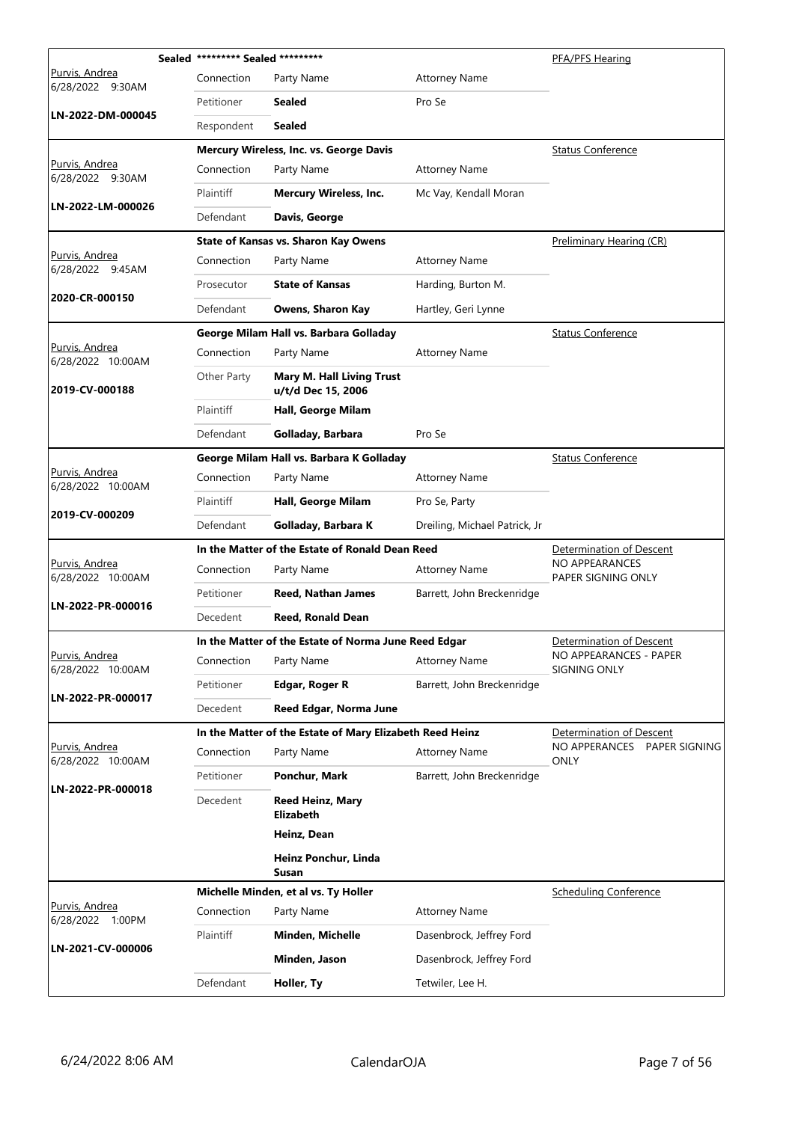|                                            | Sealed ********* Sealed ********* |                                                          |                               | PFA/PFS Hearing                            |
|--------------------------------------------|-----------------------------------|----------------------------------------------------------|-------------------------------|--------------------------------------------|
| Purvis, Andrea<br>6/28/2022 9:30AM         | Connection                        | Party Name                                               | <b>Attorney Name</b>          |                                            |
|                                            | Petitioner                        | Sealed                                                   | Pro Se                        |                                            |
| LN-2022-DM-000045                          | Respondent                        | Sealed                                                   |                               |                                            |
|                                            |                                   | Mercury Wireless, Inc. vs. George Davis                  |                               | <b>Status Conference</b>                   |
| <u>Purvis, Andrea</u><br>6/28/2022 9:30AM  | Connection                        | Party Name                                               | <b>Attorney Name</b>          |                                            |
|                                            | Plaintiff                         | <b>Mercury Wireless, Inc.</b>                            | Mc Vay, Kendall Moran         |                                            |
| LN-2022-LM-000026                          | Defendant                         | Davis, George                                            |                               |                                            |
|                                            |                                   | <b>State of Kansas vs. Sharon Kay Owens</b>              |                               | Preliminary Hearing (CR)                   |
| Purvis, Andrea<br>6/28/2022 9:45AM         | Connection                        | Party Name                                               | <b>Attorney Name</b>          |                                            |
|                                            | Prosecutor                        | <b>State of Kansas</b>                                   | Harding, Burton M.            |                                            |
| 2020-CR-000150                             | Defendant                         | <b>Owens, Sharon Kay</b>                                 | Hartley, Geri Lynne           |                                            |
|                                            |                                   | George Milam Hall vs. Barbara Golladay                   |                               | <b>Status Conference</b>                   |
| Purvis, Andrea<br>6/28/2022 10:00AM        | Connection                        | Party Name                                               | <b>Attorney Name</b>          |                                            |
| 2019-CV-000188                             | Other Party                       | <b>Mary M. Hall Living Trust</b><br>u/t/d Dec 15, 2006   |                               |                                            |
|                                            | Plaintiff                         | Hall, George Milam                                       |                               |                                            |
|                                            | Defendant                         | Golladay, Barbara                                        | Pro Se                        |                                            |
|                                            |                                   | George Milam Hall vs. Barbara K Golladay                 |                               | <b>Status Conference</b>                   |
| <u>Purvis, Andrea</u><br>6/28/2022 10:00AM | Connection                        | Party Name                                               | <b>Attorney Name</b>          |                                            |
| 2019-CV-000209                             | Plaintiff                         | Hall, George Milam                                       | Pro Se, Party                 |                                            |
|                                            | Defendant                         | Golladay, Barbara K                                      | Dreiling, Michael Patrick, Jr |                                            |
|                                            |                                   | In the Matter of the Estate of Ronald Dean Reed          | Determination of Descent      |                                            |
| Purvis, Andrea<br>6/28/2022 10:00AM        | Connection                        | Party Name                                               | <b>Attorney Name</b>          | NO APPEARANCES<br>PAPER SIGNING ONLY       |
| LN-2022-PR-000016                          | Petitioner                        | <b>Reed. Nathan James</b>                                | Barrett, John Breckenridge    |                                            |
|                                            | Decedent                          | Reed, Ronald Dean                                        |                               |                                            |
|                                            |                                   | In the Matter of the Estate of Norma June Reed Edgar     |                               | Determination of Descent                   |
| Purvis, Andrea<br>6/28/2022 10:00AM        | Connection                        | Party Name                                               | <b>Attorney Name</b>          | NO APPEARANCES - PAPER<br>SIGNING ONLY     |
| LN-2022-PR-000017                          | Petitioner                        | <b>Edgar, Roger R</b>                                    | Barrett, John Breckenridge    |                                            |
|                                            | Decedent                          | Reed Edgar, Norma June                                   |                               |                                            |
|                                            |                                   | In the Matter of the Estate of Mary Elizabeth Reed Heinz |                               | Determination of Descent                   |
| Purvis, Andrea<br>6/28/2022 10:00AM        | Connection                        | Party Name                                               | <b>Attorney Name</b>          | NO APPERANCES PAPER SIGNING<br><b>ONLY</b> |
| LN-2022-PR-000018                          | Petitioner                        | Ponchur, Mark                                            | Barrett, John Breckenridge    |                                            |
|                                            | Decedent                          | <b>Reed Heinz, Mary</b><br><b>Elizabeth</b>              |                               |                                            |
|                                            |                                   | Heinz, Dean                                              |                               |                                            |
|                                            |                                   | Heinz Ponchur, Linda<br>Susan                            |                               |                                            |
|                                            |                                   | Michelle Minden, et al vs. Ty Holler                     |                               | <b>Scheduling Conference</b>               |
| Purvis, Andrea<br>6/28/2022 1:00PM         | Connection                        | Party Name                                               | <b>Attorney Name</b>          |                                            |
| LN-2021-CV-000006                          | Plaintiff                         | <b>Minden, Michelle</b>                                  | Dasenbrock, Jeffrey Ford      |                                            |
|                                            |                                   | Minden, Jason                                            | Dasenbrock, Jeffrey Ford      |                                            |
|                                            | Defendant                         | Holler, Ty                                               | Tetwiler, Lee H.              |                                            |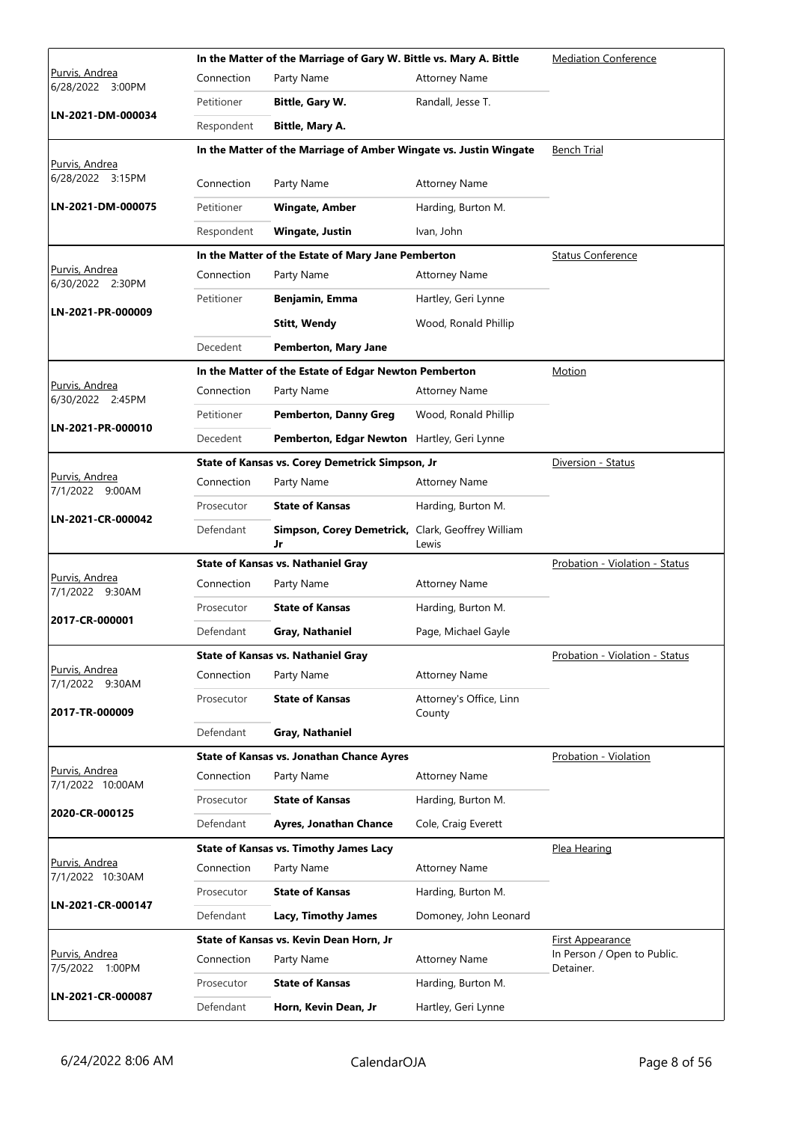|                                       | In the Matter of the Marriage of Gary W. Bittle vs. Mary A. Bittle |                                                                     |                                             |                                          |  |
|---------------------------------------|--------------------------------------------------------------------|---------------------------------------------------------------------|---------------------------------------------|------------------------------------------|--|
| Purvis, Andrea<br>6/28/2022<br>3:00PM | Connection                                                         | Party Name                                                          | <b>Attorney Name</b>                        |                                          |  |
|                                       | Petitioner                                                         | Bittle, Gary W.                                                     | Randall, Jesse T.                           |                                          |  |
| LN-2021-DM-000034                     | Respondent                                                         | Bittle, Mary A.                                                     |                                             |                                          |  |
|                                       |                                                                    | In the Matter of the Marriage of Amber Wingate vs. Justin Wingate   |                                             | <b>Bench Trial</b>                       |  |
| Purvis, Andrea<br>6/28/2022 3:15PM    | Connection                                                         |                                                                     |                                             |                                          |  |
| LN-2021-DM-000075                     | Petitioner                                                         | Party Name<br><b>Wingate, Amber</b>                                 | <b>Attorney Name</b>                        |                                          |  |
|                                       |                                                                    | <b>Wingate, Justin</b>                                              | Harding, Burton M.                          |                                          |  |
|                                       | Respondent                                                         |                                                                     | Ivan, John                                  |                                          |  |
| Purvis, Andrea                        | Connection                                                         | In the Matter of the Estate of Mary Jane Pemberton<br>Party Name    | <b>Status Conference</b>                    |                                          |  |
| 6/30/2022 2:30PM                      | Petitioner                                                         | Benjamin, Emma                                                      | <b>Attorney Name</b><br>Hartley, Geri Lynne |                                          |  |
| LN-2021-PR-000009                     |                                                                    | <b>Stitt, Wendy</b>                                                 | Wood, Ronald Phillip                        |                                          |  |
|                                       | Decedent                                                           | <b>Pemberton, Mary Jane</b>                                         |                                             |                                          |  |
|                                       |                                                                    |                                                                     |                                             | Motion                                   |  |
| Purvis, Andrea                        | Connection                                                         | In the Matter of the Estate of Edgar Newton Pemberton<br>Party Name | <b>Attorney Name</b>                        |                                          |  |
| 6/30/2022 2:45PM                      | Petitioner                                                         | <b>Pemberton, Danny Greg</b>                                        | Wood, Ronald Phillip                        |                                          |  |
| LN-2021-PR-000010                     | Decedent                                                           | Pemberton, Edgar Newton Hartley, Geri Lynne                         |                                             |                                          |  |
|                                       |                                                                    | State of Kansas vs. Corey Demetrick Simpson, Jr                     |                                             | Diversion - Status                       |  |
| Purvis, Andrea                        | Connection                                                         | Party Name                                                          | <b>Attorney Name</b>                        |                                          |  |
| 7/1/2022 9:00AM                       | Prosecutor                                                         | <b>State of Kansas</b>                                              | Harding, Burton M.                          |                                          |  |
| LN-2021-CR-000042                     | Defendant                                                          | Simpson, Corey Demetrick, Clark, Geoffrey William                   |                                             |                                          |  |
|                                       |                                                                    | Jr                                                                  | Lewis                                       |                                          |  |
| Purvis, Andrea                        |                                                                    | <b>State of Kansas vs. Nathaniel Gray</b>                           |                                             | Probation - Violation - Status           |  |
| 7/1/2022 9:30AM                       | Connection                                                         | Party Name                                                          | <b>Attorney Name</b>                        |                                          |  |
| 2017-CR-000001                        | Prosecutor                                                         | <b>State of Kansas</b>                                              | Harding, Burton M.                          |                                          |  |
|                                       | Defendant                                                          | Gray, Nathaniel                                                     | Page, Michael Gayle                         |                                          |  |
| Purvis, Andrea                        |                                                                    | <b>State of Kansas vs. Nathaniel Gray</b>                           |                                             | Probation - Violation - Status           |  |
| 7/1/2022 9:30AM                       | Connection                                                         | Party Name                                                          | <b>Attorney Name</b>                        |                                          |  |
| 2017-TR-000009                        | Prosecutor                                                         | <b>State of Kansas</b>                                              | Attorney's Office, Linn<br>County           |                                          |  |
|                                       | Defendant                                                          | <b>Gray, Nathaniel</b>                                              |                                             |                                          |  |
|                                       |                                                                    | <b>State of Kansas vs. Jonathan Chance Ayres</b>                    |                                             | Probation - Violation                    |  |
| Purvis, Andrea<br>7/1/2022 10:00AM    | Connection                                                         | Party Name                                                          | <b>Attorney Name</b>                        |                                          |  |
| 2020-CR-000125                        | Prosecutor                                                         | <b>State of Kansas</b>                                              | Harding, Burton M.                          |                                          |  |
|                                       | Defendant                                                          | Ayres, Jonathan Chance                                              | Cole, Craig Everett                         |                                          |  |
|                                       |                                                                    | <b>State of Kansas vs. Timothy James Lacy</b>                       |                                             | Plea Hearing                             |  |
| Purvis, Andrea<br>7/1/2022 10:30AM    | Connection                                                         | Party Name                                                          | <b>Attorney Name</b>                        |                                          |  |
| LN-2021-CR-000147                     | Prosecutor                                                         | <b>State of Kansas</b>                                              | Harding, Burton M.                          |                                          |  |
|                                       | Defendant                                                          | Lacy, Timothy James                                                 | Domoney, John Leonard                       |                                          |  |
|                                       |                                                                    | State of Kansas vs. Kevin Dean Horn, Jr                             |                                             | First Appearance                         |  |
| Purvis, Andrea<br>7/5/2022 1:00PM     | Connection                                                         | Party Name                                                          | <b>Attorney Name</b>                        | In Person / Open to Public.<br>Detainer. |  |
| LN-2021-CR-000087                     | Prosecutor                                                         | <b>State of Kansas</b>                                              | Harding, Burton M.                          |                                          |  |
|                                       | Defendant                                                          | Horn, Kevin Dean, Jr                                                | Hartley, Geri Lynne                         |                                          |  |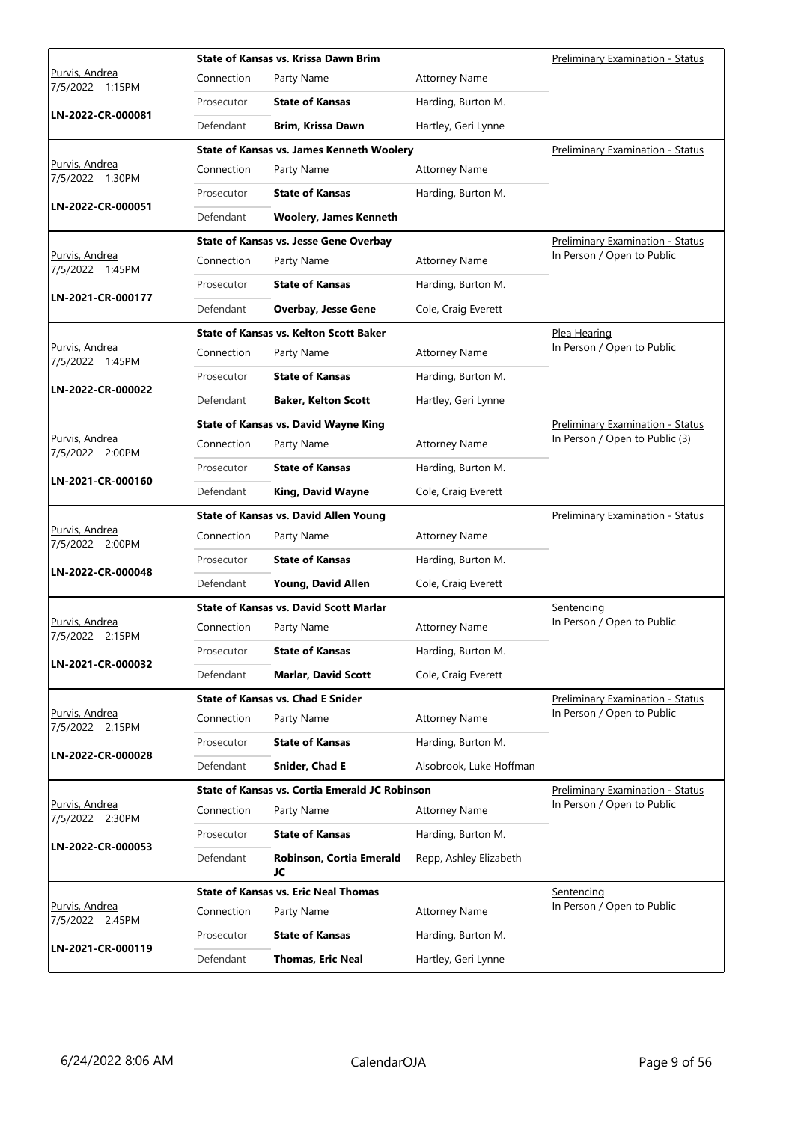|                                          |            | <b>State of Kansas vs. Krissa Dawn Brim</b>           | <b>Preliminary Examination - Status</b> |                                         |
|------------------------------------------|------------|-------------------------------------------------------|-----------------------------------------|-----------------------------------------|
| Purvis, Andrea<br>7/5/2022<br>1:15PM     | Connection | Party Name                                            | <b>Attorney Name</b>                    |                                         |
|                                          | Prosecutor | <b>State of Kansas</b>                                | Harding, Burton M.                      |                                         |
| LN-2022-CR-000081                        | Defendant  | Brim, Krissa Dawn                                     | Hartley, Geri Lynne                     |                                         |
|                                          |            | <b>State of Kansas vs. James Kenneth Woolery</b>      |                                         | Preliminary Examination - Status        |
| Purvis, Andrea<br>7/5/2022 1:30PM        | Connection | Party Name                                            | <b>Attorney Name</b>                    |                                         |
|                                          | Prosecutor | <b>State of Kansas</b>                                | Harding, Burton M.                      |                                         |
| LN-2022-CR-000051                        | Defendant  | <b>Woolery, James Kenneth</b>                         |                                         |                                         |
|                                          |            | State of Kansas vs. Jesse Gene Overbay                |                                         | Preliminary Examination - Status        |
| Purvis, Andrea<br>7/5/2022 1:45PM        | Connection | Party Name                                            | <b>Attorney Name</b>                    | In Person / Open to Public              |
|                                          | Prosecutor | <b>State of Kansas</b>                                | Harding, Burton M.                      |                                         |
| LN-2021-CR-000177                        | Defendant  | <b>Overbay, Jesse Gene</b>                            | Cole, Craig Everett                     |                                         |
|                                          |            | <b>State of Kansas vs. Kelton Scott Baker</b>         |                                         | Plea Hearing                            |
| Purvis, Andrea<br>7/5/2022 1:45PM        | Connection | Party Name                                            | <b>Attorney Name</b>                    | In Person / Open to Public              |
|                                          | Prosecutor | <b>State of Kansas</b>                                | Harding, Burton M.                      |                                         |
| LN-2022-CR-000022                        | Defendant  | <b>Baker, Kelton Scott</b>                            | Hartley, Geri Lynne                     |                                         |
|                                          |            | <b>State of Kansas vs. David Wayne King</b>           |                                         | <b>Preliminary Examination - Status</b> |
| Purvis, Andrea<br>7/5/2022 2:00PM        | Connection | Party Name                                            | <b>Attorney Name</b>                    | In Person / Open to Public (3)          |
|                                          | Prosecutor | <b>State of Kansas</b>                                | Harding, Burton M.                      |                                         |
| LN-2021-CR-000160                        | Defendant  | King, David Wayne                                     | Cole, Craig Everett                     |                                         |
|                                          |            | <b>State of Kansas vs. David Allen Young</b>          |                                         | <b>Preliminary Examination - Status</b> |
| Purvis, Andrea<br>7/5/2022 2:00PM        | Connection | Party Name                                            | <b>Attorney Name</b>                    |                                         |
|                                          | Prosecutor | <b>State of Kansas</b>                                | Harding, Burton M.                      |                                         |
| LN-2022-CR-000048                        | Defendant  | Young, David Allen                                    | Cole, Craig Everett                     |                                         |
|                                          |            | <b>State of Kansas vs. David Scott Marlar</b>         |                                         | Sentencing                              |
| Purvis, Andrea<br>7/5/2022 2:15PM        | Connection | Party Name                                            | <b>Attorney Name</b>                    | In Person / Open to Public              |
|                                          | Prosecutor | <b>State of Kansas</b>                                | Harding, Burton M.                      |                                         |
| LN-2021-CR-000032                        | Defendant  | <b>Marlar, David Scott</b>                            | Cole, Craig Everett                     |                                         |
|                                          |            |                                                       |                                         |                                         |
|                                          |            | <b>State of Kansas vs. Chad E Snider</b>              |                                         | Preliminary Examination - Status        |
| <u>Purvis, Andrea</u><br>7/5/2022 2:15PM | Connection | Party Name                                            | <b>Attorney Name</b>                    | In Person / Open to Public              |
|                                          | Prosecutor | <b>State of Kansas</b>                                | Harding, Burton M.                      |                                         |
| LN-2022-CR-000028                        | Defendant  | Snider, Chad E                                        | Alsobrook, Luke Hoffman                 |                                         |
|                                          |            | <b>State of Kansas vs. Cortia Emerald JC Robinson</b> |                                         | Preliminary Examination - Status        |
| <u>Purvis, Andrea</u>                    | Connection | Party Name                                            | <b>Attorney Name</b>                    | In Person / Open to Public              |
| 7/5/2022 2:30PM                          | Prosecutor | <b>State of Kansas</b>                                | Harding, Burton M.                      |                                         |
| LN-2022-CR-000053                        | Defendant  | Robinson, Cortia Emerald<br>JC                        | Repp, Ashley Elizabeth                  |                                         |
|                                          |            | <b>State of Kansas vs. Eric Neal Thomas</b>           |                                         | <u>Sentencing</u>                       |
| Purvis, Andrea                           | Connection | Party Name                                            | <b>Attorney Name</b>                    | In Person / Open to Public              |
| 7/5/2022 2:45PM<br>LN-2021-CR-000119     | Prosecutor | <b>State of Kansas</b>                                | Harding, Burton M.                      |                                         |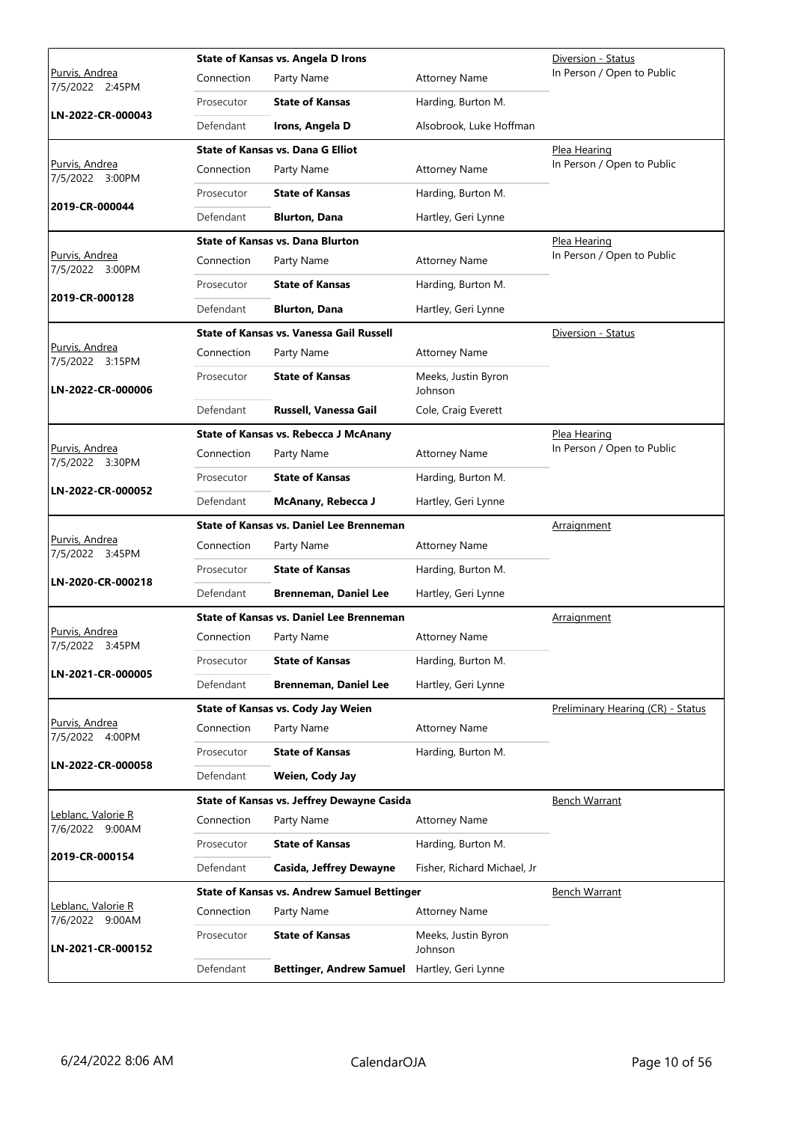|                                      | State of Kansas vs. Angela D Irons |                                                    |                                | Diversion - Status                |
|--------------------------------------|------------------------------------|----------------------------------------------------|--------------------------------|-----------------------------------|
| Purvis, Andrea<br>7/5/2022 2:45PM    | Connection                         | Party Name                                         | <b>Attorney Name</b>           | In Person / Open to Public        |
|                                      | Prosecutor                         | <b>State of Kansas</b>                             | Harding, Burton M.             |                                   |
| LN-2022-CR-000043                    | Defendant                          | Irons, Angela D                                    | Alsobrook, Luke Hoffman        |                                   |
|                                      |                                    | State of Kansas vs. Dana G Elliot                  |                                | Plea Hearing                      |
| Purvis, Andrea<br>7/5/2022 3:00PM    | Connection                         | Party Name                                         | <b>Attorney Name</b>           | In Person / Open to Public        |
|                                      | Prosecutor                         | <b>State of Kansas</b>                             | Harding, Burton M.             |                                   |
| 2019-CR-000044                       | Defendant                          | <b>Blurton, Dana</b>                               | Hartley, Geri Lynne            |                                   |
|                                      |                                    | <b>State of Kansas vs. Dana Blurton</b>            |                                | Plea Hearing                      |
| Purvis, Andrea<br>7/5/2022 3:00PM    | Connection                         | Party Name                                         | <b>Attorney Name</b>           | In Person / Open to Public        |
|                                      | Prosecutor                         | <b>State of Kansas</b>                             | Harding, Burton M.             |                                   |
| 2019-CR-000128                       | Defendant                          | <b>Blurton, Dana</b>                               | Hartley, Geri Lynne            |                                   |
|                                      |                                    | State of Kansas vs. Vanessa Gail Russell           |                                | Diversion - Status                |
| Purvis, Andrea<br>7/5/2022 3:15PM    | Connection                         | Party Name                                         | <b>Attorney Name</b>           |                                   |
| LN-2022-CR-000006                    | Prosecutor                         | <b>State of Kansas</b>                             | Meeks, Justin Byron<br>Johnson |                                   |
|                                      | Defendant                          | Russell, Vanessa Gail                              | Cole, Craig Everett            |                                   |
|                                      |                                    | <b>State of Kansas vs. Rebecca J McAnany</b>       |                                | Plea Hearing                      |
| Purvis, Andrea<br>7/5/2022 3:30PM    | Connection                         | Party Name                                         | <b>Attorney Name</b>           | In Person / Open to Public        |
|                                      | Prosecutor                         | <b>State of Kansas</b>                             | Harding, Burton M.             |                                   |
| LN-2022-CR-000052                    | Defendant                          | McAnany, Rebecca J                                 | Hartley, Geri Lynne            |                                   |
|                                      |                                    |                                                    |                                |                                   |
|                                      |                                    | <b>State of Kansas vs. Daniel Lee Brenneman</b>    |                                | Arraignment                       |
| Purvis, Andrea                       | Connection                         | Party Name                                         | <b>Attorney Name</b>           |                                   |
| 7/5/2022 3:45PM                      | Prosecutor                         | <b>State of Kansas</b>                             | Harding, Burton M.             |                                   |
| LN-2020-CR-000218                    | Defendant                          | <b>Brenneman, Daniel Lee</b>                       | Hartley, Geri Lynne            |                                   |
|                                      |                                    | <b>State of Kansas vs. Daniel Lee Brenneman</b>    |                                | <b>Arraignment</b>                |
| Purvis, Andrea                       | Connection                         | Party Name                                         | <b>Attorney Name</b>           |                                   |
| 7/5/2022 3:45PM                      | Prosecutor                         | <b>State of Kansas</b>                             | Harding, Burton M.             |                                   |
| LN-2021-CR-000005                    | Defendant                          | <b>Brenneman, Daniel Lee</b>                       | Hartley, Geri Lynne            |                                   |
|                                      |                                    | State of Kansas vs. Cody Jay Weien                 |                                | Preliminary Hearing (CR) - Status |
| Purvis, Andrea                       | Connection                         | Party Name                                         | <b>Attorney Name</b>           |                                   |
| 7/5/2022 4:00PM                      | Prosecutor                         | <b>State of Kansas</b>                             | Harding, Burton M.             |                                   |
| LN-2022-CR-000058                    | Defendant                          | Weien, Cody Jay                                    |                                |                                   |
|                                      |                                    | State of Kansas vs. Jeffrey Dewayne Casida         |                                | <b>Bench Warrant</b>              |
| Leblanc, Valorie R                   | Connection                         | Party Name                                         | <b>Attorney Name</b>           |                                   |
| 7/6/2022 9:00AM                      | Prosecutor                         | <b>State of Kansas</b>                             | Harding, Burton M.             |                                   |
| 2019-CR-000154                       | Defendant                          | Casida, Jeffrey Dewayne                            | Fisher, Richard Michael, Jr    |                                   |
|                                      |                                    | <b>State of Kansas vs. Andrew Samuel Bettinger</b> |                                | <b>Bench Warrant</b>              |
| Leblanc, Valorie R                   | Connection                         | Party Name                                         | <b>Attorney Name</b>           |                                   |
| 7/6/2022 9:00AM<br>LN-2021-CR-000152 | Prosecutor                         | <b>State of Kansas</b>                             | Meeks, Justin Byron<br>Johnson |                                   |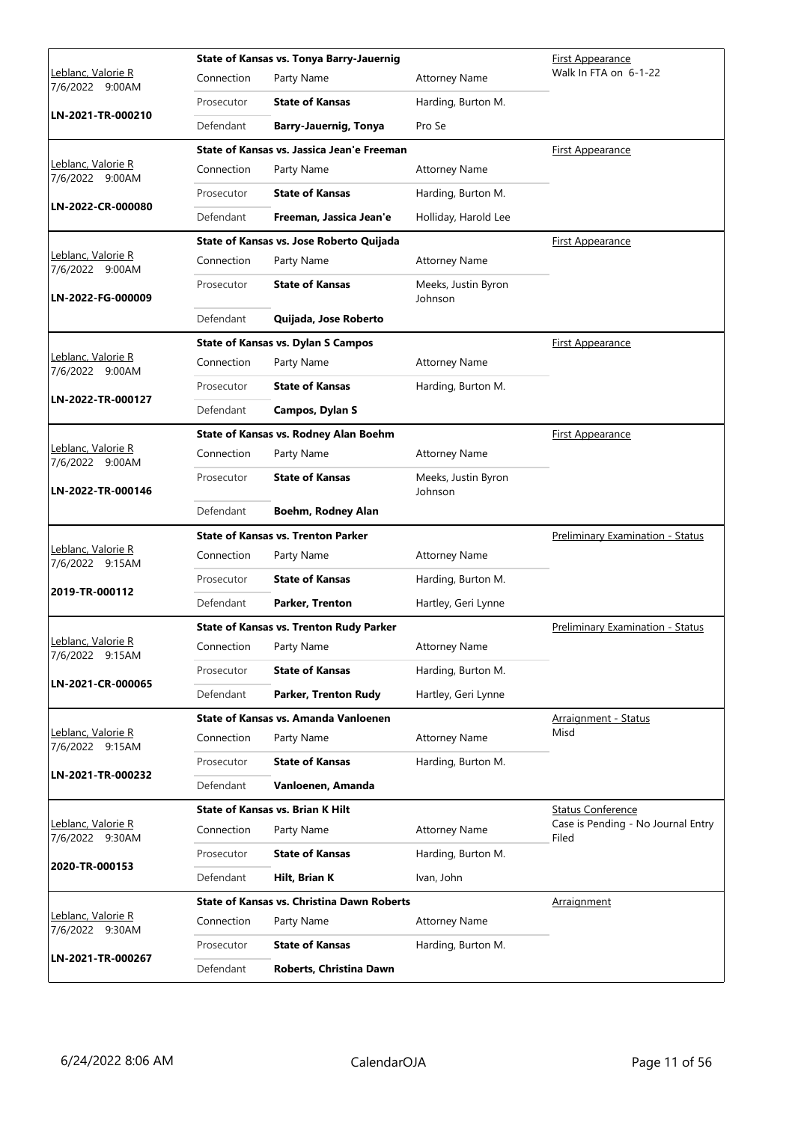|                                               | <b>State of Kansas vs. Tonya Barry-Jauernig</b> |                                                   |                                | <b>First Appearance</b>                     |
|-----------------------------------------------|-------------------------------------------------|---------------------------------------------------|--------------------------------|---------------------------------------------|
| <u> Leblanc, Valorie R</u><br>7/6/2022 9:00AM | Connection                                      | Party Name                                        | <b>Attorney Name</b>           | Walk In FTA on 6-1-22                       |
|                                               | Prosecutor                                      | <b>State of Kansas</b>                            | Harding, Burton M.             |                                             |
| LN-2021-TR-000210                             | Defendant                                       | <b>Barry-Jauernig, Tonya</b>                      | Pro Se                         |                                             |
|                                               |                                                 | State of Kansas vs. Jassica Jean'e Freeman        |                                | First Appearance                            |
| Leblanc, Valorie R<br>7/6/2022 9:00AM         | Connection                                      | Party Name                                        | <b>Attorney Name</b>           |                                             |
| LN-2022-CR-000080                             | Prosecutor                                      | <b>State of Kansas</b>                            | Harding, Burton M.             |                                             |
|                                               | Defendant                                       | Freeman, Jassica Jean'e                           | Holliday, Harold Lee           |                                             |
|                                               |                                                 | State of Kansas vs. Jose Roberto Quijada          |                                | First Appearance                            |
| Leblanc, Valorie R<br>7/6/2022 9:00AM         | Connection                                      | Party Name                                        | <b>Attorney Name</b>           |                                             |
| LN-2022-FG-000009                             | Prosecutor                                      | <b>State of Kansas</b>                            | Meeks, Justin Byron<br>Johnson |                                             |
|                                               | Defendant                                       | Quijada, Jose Roberto                             |                                |                                             |
|                                               |                                                 | <b>State of Kansas vs. Dylan S Campos</b>         |                                | <b>First Appearance</b>                     |
| Leblanc, Valorie R<br>7/6/2022 9:00AM         | Connection                                      | Party Name                                        | <b>Attorney Name</b>           |                                             |
| LN-2022-TR-000127                             | Prosecutor                                      | <b>State of Kansas</b>                            | Harding, Burton M.             |                                             |
|                                               | Defendant                                       | Campos, Dylan S                                   |                                |                                             |
|                                               |                                                 | State of Kansas vs. Rodney Alan Boehm             |                                | First Appearance                            |
| Leblanc, Valorie R<br>7/6/2022 9:00AM         | Connection                                      | Party Name                                        | <b>Attorney Name</b>           |                                             |
| LN-2022-TR-000146                             | Prosecutor                                      | <b>State of Kansas</b>                            | Meeks, Justin Byron<br>Johnson |                                             |
|                                               | Defendant                                       | Boehm, Rodney Alan                                |                                |                                             |
|                                               |                                                 | <b>State of Kansas vs. Trenton Parker</b>         |                                | <b>Preliminary Examination - Status</b>     |
| Leblanc, Valorie R<br>7/6/2022 9:15AM         | Connection                                      | Party Name                                        | <b>Attorney Name</b>           |                                             |
| 2019-TR-000112                                | Prosecutor                                      | <b>State of Kansas</b>                            | Harding, Burton M.             |                                             |
|                                               | Defendant                                       | Parker, Trenton                                   | Hartley, Geri Lynne            |                                             |
|                                               |                                                 | <b>State of Kansas vs. Trenton Rudy Parker</b>    |                                | Preliminary Examination - Status            |
| Leblanc, Valorie R<br>7/6/2022 9:15AM         |                                                 | Connection Party Name                             | <b>Attorney Name</b>           |                                             |
| LN-2021-CR-000065                             | Prosecutor                                      | <b>State of Kansas</b>                            | Harding, Burton M.             |                                             |
|                                               | Defendant                                       | Parker, Trenton Rudy                              | Hartley, Geri Lynne            |                                             |
|                                               |                                                 | State of Kansas vs. Amanda Vanloenen              |                                | <b>Arraignment - Status</b>                 |
| Leblanc, Valorie R<br>7/6/2022 9:15AM         | Connection                                      | Party Name                                        | <b>Attorney Name</b>           | Misd                                        |
| LN-2021-TR-000232                             | Prosecutor                                      | <b>State of Kansas</b>                            | Harding, Burton M.             |                                             |
|                                               | Defendant                                       | Vanloenen, Amanda                                 |                                |                                             |
|                                               |                                                 | State of Kansas vs. Brian K Hilt                  |                                | <b>Status Conference</b>                    |
| Leblanc, Valorie R<br>7/6/2022 9:30AM         | Connection                                      | Party Name                                        | <b>Attorney Name</b>           | Case is Pending - No Journal Entry<br>Filed |
| 2020-TR-000153                                | Prosecutor                                      | <b>State of Kansas</b>                            | Harding, Burton M.             |                                             |
|                                               | Defendant                                       | Hilt, Brian K                                     | Ivan, John                     |                                             |
|                                               |                                                 | <b>State of Kansas vs. Christina Dawn Roberts</b> |                                | Arraignment                                 |
| Leblanc, Valorie R<br>7/6/2022 9:30AM         | Connection                                      | Party Name                                        | <b>Attorney Name</b>           |                                             |
| LN-2021-TR-000267                             | Prosecutor                                      | <b>State of Kansas</b>                            | Harding, Burton M.             |                                             |
|                                               | Defendant                                       | Roberts, Christina Dawn                           |                                |                                             |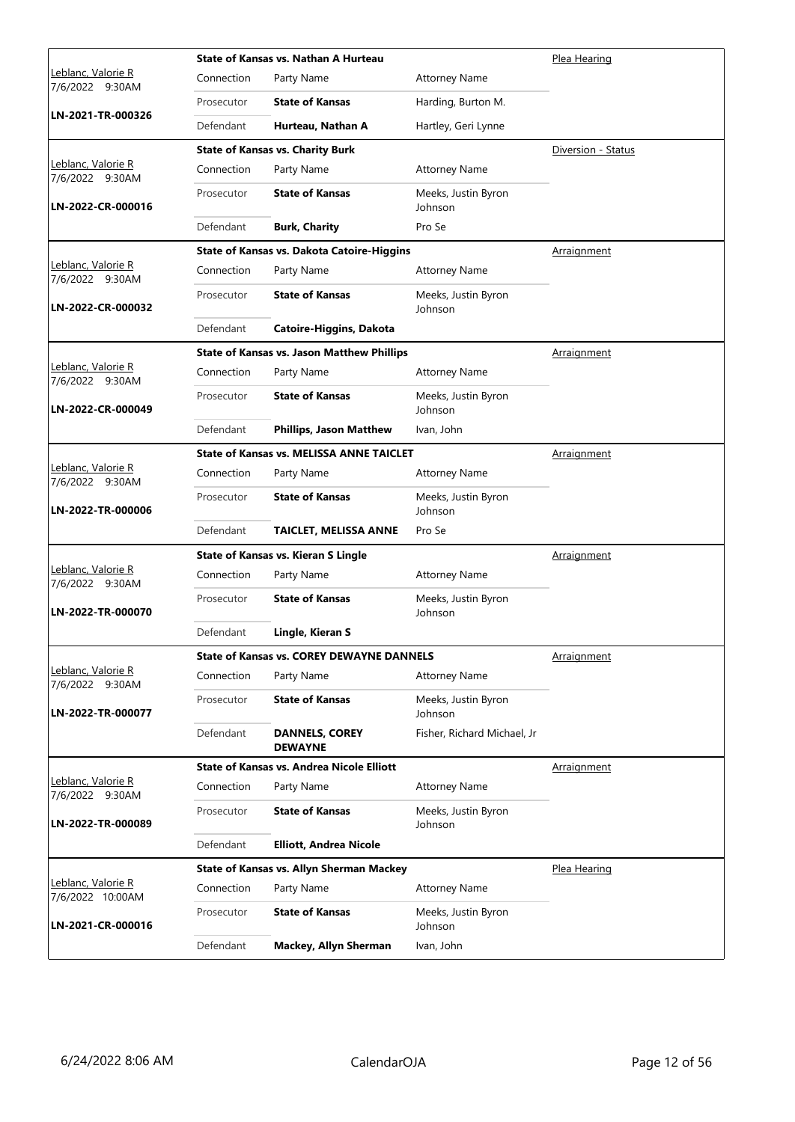|                                        |            | State of Kansas vs. Nathan A Hurteau              |                                | Plea Hearing       |
|----------------------------------------|------------|---------------------------------------------------|--------------------------------|--------------------|
| Leblanc, Valorie R<br>7/6/2022 9:30AM  | Connection | Party Name                                        | <b>Attorney Name</b>           |                    |
|                                        | Prosecutor | <b>State of Kansas</b>                            | Harding, Burton M.             |                    |
| LN-2021-TR-000326                      | Defendant  | Hurteau, Nathan A                                 | Hartley, Geri Lynne            |                    |
|                                        |            | <b>State of Kansas vs. Charity Burk</b>           |                                | Diversion - Status |
| Leblanc, Valorie R<br>7/6/2022 9:30AM  | Connection | Party Name                                        | <b>Attorney Name</b>           |                    |
| LN-2022-CR-000016                      | Prosecutor | <b>State of Kansas</b>                            | Meeks, Justin Byron<br>Johnson |                    |
|                                        | Defendant  | <b>Burk, Charity</b>                              | Pro Se                         |                    |
|                                        |            | <b>State of Kansas vs. Dakota Catoire-Higgins</b> |                                | <u>Arraignment</u> |
| Leblanc, Valorie R<br>7/6/2022 9:30AM  | Connection | Party Name                                        | <b>Attorney Name</b>           |                    |
| LN-2022-CR-000032                      | Prosecutor | <b>State of Kansas</b>                            | Meeks, Justin Byron<br>Johnson |                    |
|                                        | Defendant  | Catoire-Higgins, Dakota                           |                                |                    |
|                                        |            | <b>State of Kansas vs. Jason Matthew Phillips</b> |                                | Arraignment        |
| Leblanc, Valorie R<br>7/6/2022 9:30AM  | Connection | Party Name                                        | <b>Attorney Name</b>           |                    |
| LN-2022-CR-000049                      | Prosecutor | <b>State of Kansas</b>                            | Meeks, Justin Byron<br>Johnson |                    |
|                                        | Defendant  | <b>Phillips, Jason Matthew</b>                    | Ivan, John                     |                    |
|                                        |            | <b>State of Kansas vs. MELISSA ANNE TAICLET</b>   |                                | Arraignment        |
| Leblanc, Valorie R<br>7/6/2022 9:30AM  | Connection | Party Name                                        | <b>Attorney Name</b>           |                    |
| LN-2022-TR-000006                      | Prosecutor | <b>State of Kansas</b>                            | Meeks, Justin Byron<br>Johnson |                    |
|                                        | Defendant  | <b>TAICLET, MELISSA ANNE</b>                      | Pro Se                         |                    |
|                                        |            | <b>State of Kansas vs. Kieran S Lingle</b>        |                                | Arraignment        |
| Leblanc, Valorie R<br>7/6/2022 9:30AM  | Connection | Party Name                                        | <b>Attorney Name</b>           |                    |
| LN-2022-TR-000070                      | Prosecutor | <b>State of Kansas</b>                            | Meeks, Justin Byron<br>Johnson |                    |
|                                        | Defendant  | Lingle, Kieran S                                  |                                |                    |
|                                        |            | <b>State of Kansas vs. COREY DEWAYNE DANNELS</b>  |                                | Arraignment        |
| Leblanc, Valorie R<br>7/6/2022 9:30AM  | Connection | Party Name                                        | <b>Attorney Name</b>           |                    |
| LN-2022-TR-000077                      | Prosecutor | <b>State of Kansas</b>                            | Meeks, Justin Byron<br>Johnson |                    |
|                                        | Defendant  | <b>DANNELS, COREY</b><br><b>DEWAYNE</b>           | Fisher, Richard Michael, Jr    |                    |
|                                        |            | <b>State of Kansas vs. Andrea Nicole Elliott</b>  |                                | <b>Arraignment</b> |
| Leblanc, Valorie R<br>7/6/2022 9:30AM  | Connection | Party Name                                        | <b>Attorney Name</b>           |                    |
| LN-2022-TR-000089                      | Prosecutor | <b>State of Kansas</b>                            | Meeks, Justin Byron<br>Johnson |                    |
|                                        | Defendant  | <b>Elliott, Andrea Nicole</b>                     |                                |                    |
|                                        |            | <b>State of Kansas vs. Allyn Sherman Mackey</b>   |                                | Plea Hearing       |
| Leblanc, Valorie R<br>7/6/2022 10:00AM | Connection | Party Name                                        | <b>Attorney Name</b>           |                    |
| LN-2021-CR-000016                      | Prosecutor | <b>State of Kansas</b>                            | Meeks, Justin Byron<br>Johnson |                    |
|                                        | Defendant  | <b>Mackey, Allyn Sherman</b>                      | Ivan, John                     |                    |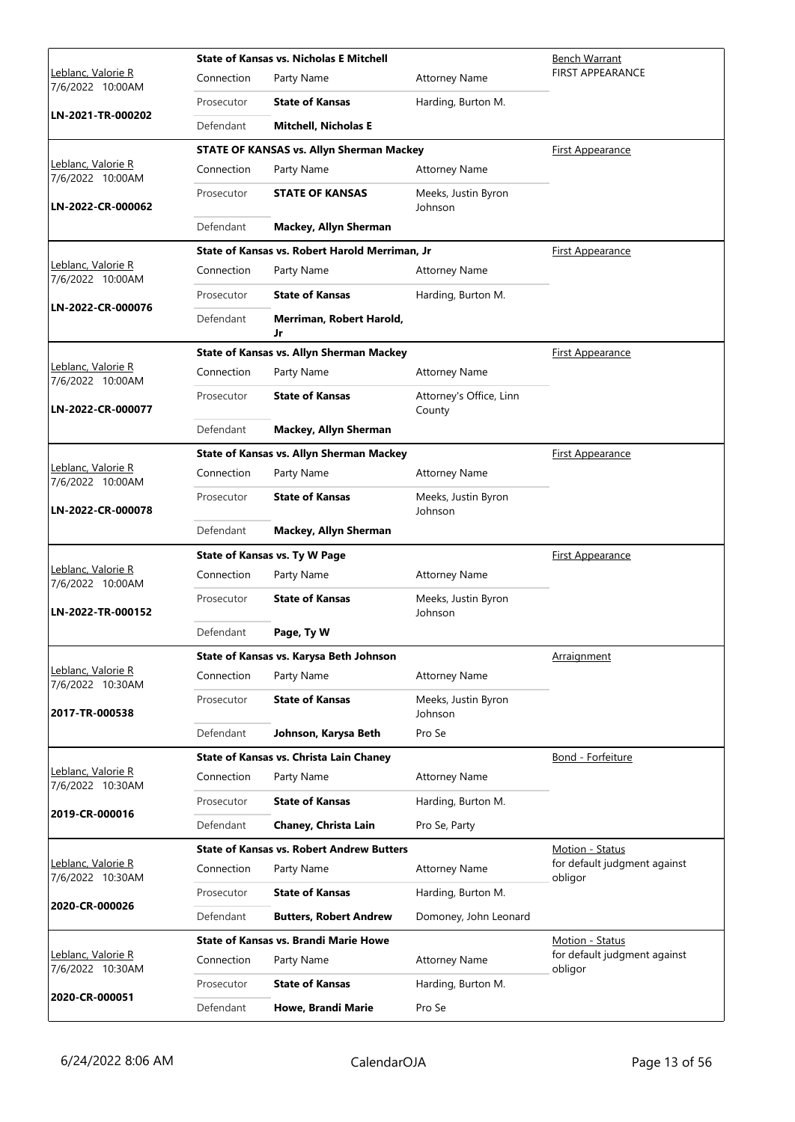|                                        | <b>State of Kansas vs. Nicholas E Mitchell</b> |                                                  |                                   | <b>Bench Warrant</b>                    |
|----------------------------------------|------------------------------------------------|--------------------------------------------------|-----------------------------------|-----------------------------------------|
| Leblanc, Valorie R<br>7/6/2022 10:00AM | Connection                                     | Party Name                                       | <b>Attorney Name</b>              | <b>FIRST APPEARANCE</b>                 |
|                                        | Prosecutor                                     | <b>State of Kansas</b>                           | Harding, Burton M.                |                                         |
| LN-2021-TR-000202                      | Defendant                                      | <b>Mitchell, Nicholas E</b>                      |                                   |                                         |
|                                        |                                                | <b>STATE OF KANSAS vs. Allyn Sherman Mackey</b>  |                                   | <b>First Appearance</b>                 |
| Leblanc, Valorie R<br>7/6/2022 10:00AM | Connection                                     | Party Name                                       | <b>Attorney Name</b>              |                                         |
| LN-2022-CR-000062                      | Prosecutor                                     | <b>STATE OF KANSAS</b>                           | Meeks, Justin Byron<br>Johnson    |                                         |
|                                        | Defendant                                      | Mackey, Allyn Sherman                            |                                   |                                         |
|                                        |                                                | State of Kansas vs. Robert Harold Merriman, Jr   |                                   | <b>First Appearance</b>                 |
| Leblanc, Valorie R<br>7/6/2022 10:00AM | Connection                                     | Party Name                                       | <b>Attorney Name</b>              |                                         |
|                                        | Prosecutor                                     | <b>State of Kansas</b>                           | Harding, Burton M.                |                                         |
| LN-2022-CR-000076                      | Defendant                                      | Merriman, Robert Harold,<br>Jr                   |                                   |                                         |
|                                        |                                                | <b>State of Kansas vs. Allyn Sherman Mackey</b>  |                                   | <b>First Appearance</b>                 |
| Leblanc, Valorie R                     | Connection                                     | Party Name                                       | <b>Attorney Name</b>              |                                         |
| 7/6/2022 10:00AM<br>LN-2022-CR-000077  | Prosecutor                                     | <b>State of Kansas</b>                           | Attorney's Office, Linn<br>County |                                         |
|                                        | Defendant                                      | Mackey, Allyn Sherman                            |                                   |                                         |
|                                        |                                                | <b>State of Kansas vs. Allyn Sherman Mackey</b>  |                                   | <b>First Appearance</b>                 |
| Leblanc, Valorie R<br>7/6/2022 10:00AM | Connection                                     | Party Name                                       | <b>Attorney Name</b>              |                                         |
| LN-2022-CR-000078                      | Prosecutor                                     | <b>State of Kansas</b>                           | Meeks, Justin Byron<br>Johnson    |                                         |
|                                        | Defendant                                      | <b>Mackey, Allyn Sherman</b>                     |                                   |                                         |
|                                        |                                                | <b>State of Kansas vs. Ty W Page</b>             |                                   | <b>First Appearance</b>                 |
| Leblanc, Valorie R<br>7/6/2022 10:00AM | Connection                                     | Party Name                                       | <b>Attorney Name</b>              |                                         |
| LN-2022-TR-000152                      | Prosecutor                                     | <b>State of Kansas</b>                           | Meeks, Justin Byron<br>Johnson    |                                         |
|                                        | Defendant                                      | Page, Ty W                                       |                                   |                                         |
|                                        |                                                | State of Kansas vs. Karysa Beth Johnson          |                                   | Arraignment                             |
| Leblanc, Valorie R<br>7/6/2022 10:30AM | Connection                                     | Party Name                                       | <b>Attorney Name</b>              |                                         |
| 2017-TR-000538                         | Prosecutor                                     | <b>State of Kansas</b>                           | Meeks, Justin Byron<br>Johnson    |                                         |
|                                        | Defendant                                      | Johnson, Karysa Beth                             | Pro Se                            |                                         |
| Leblanc, Valorie R                     |                                                | State of Kansas vs. Christa Lain Chaney          |                                   | Bond - Forfeiture                       |
| 7/6/2022 10:30AM                       | Connection                                     | Party Name                                       | <b>Attorney Name</b>              |                                         |
| 2019-CR-000016                         | Prosecutor                                     | <b>State of Kansas</b>                           | Harding, Burton M.                |                                         |
|                                        | Defendant                                      | Chaney, Christa Lain                             | Pro Se, Party                     |                                         |
|                                        |                                                | <b>State of Kansas vs. Robert Andrew Butters</b> |                                   | Motion - Status                         |
| Leblanc, Valorie R<br>7/6/2022 10:30AM | Connection                                     | Party Name                                       | <b>Attorney Name</b>              | for default judgment against<br>obligor |
| 2020-CR-000026                         | Prosecutor                                     | <b>State of Kansas</b>                           | Harding, Burton M.                |                                         |
|                                        | Defendant                                      | <b>Butters, Robert Andrew</b>                    | Domoney, John Leonard             |                                         |
|                                        |                                                | State of Kansas vs. Brandi Marie Howe            |                                   | Motion - Status                         |
| Leblanc, Valorie R<br>7/6/2022 10:30AM | Connection                                     | Party Name                                       | <b>Attorney Name</b>              | for default judgment against<br>obligor |
| 2020-CR-000051                         | Prosecutor                                     | <b>State of Kansas</b>                           | Harding, Burton M.                |                                         |
|                                        | Defendant                                      | Howe, Brandi Marie                               | Pro Se                            |                                         |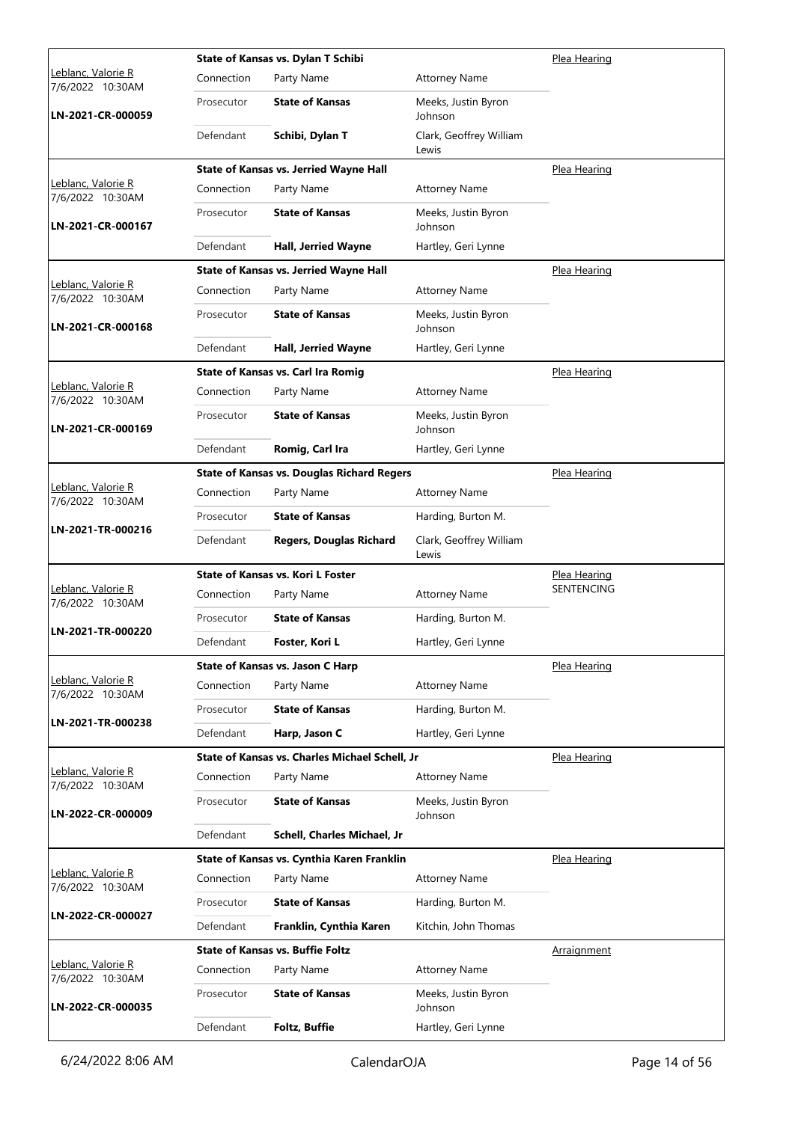|                                               | State of Kansas vs. Dylan T Schibi | Plea Hearing                                      |                                  |              |
|-----------------------------------------------|------------------------------------|---------------------------------------------------|----------------------------------|--------------|
| <u>Leblanc, Valorie R</u><br>7/6/2022 10:30AM | Connection                         | Party Name                                        | <b>Attorney Name</b>             |              |
| LN-2021-CR-000059                             | Prosecutor                         | <b>State of Kansas</b>                            | Meeks, Justin Byron<br>Johnson   |              |
|                                               | Defendant                          | Schibi, Dylan T                                   | Clark, Geoffrey William<br>Lewis |              |
|                                               |                                    | <b>State of Kansas vs. Jerried Wayne Hall</b>     |                                  | Plea Hearing |
| Leblanc, Valorie R<br>7/6/2022 10:30AM        | Connection                         | Party Name                                        | <b>Attorney Name</b>             |              |
| LN-2021-CR-000167                             | Prosecutor                         | <b>State of Kansas</b>                            | Meeks, Justin Byron<br>Johnson   |              |
|                                               | Defendant                          | Hall, Jerried Wayne                               | Hartley, Geri Lynne              |              |
|                                               |                                    | <b>State of Kansas vs. Jerried Wayne Hall</b>     |                                  | Plea Hearing |
| Leblanc, Valorie R<br>7/6/2022 10:30AM        | Connection                         | Party Name                                        | <b>Attorney Name</b>             |              |
| LN-2021-CR-000168                             | Prosecutor                         | <b>State of Kansas</b>                            | Meeks, Justin Byron<br>Johnson   |              |
|                                               | Defendant                          | Hall, Jerried Wayne                               | Hartley, Geri Lynne              |              |
|                                               |                                    | <b>State of Kansas vs. Carl Ira Romig</b>         |                                  | Plea Hearing |
| Leblanc, Valorie R<br>7/6/2022 10:30AM        | Connection                         | Party Name                                        | <b>Attorney Name</b>             |              |
| LN-2021-CR-000169                             | Prosecutor                         | <b>State of Kansas</b>                            | Meeks, Justin Byron<br>Johnson   |              |
|                                               | Defendant                          | Romig, Carl Ira                                   | Hartley, Geri Lynne              |              |
|                                               |                                    | <b>State of Kansas vs. Douglas Richard Regers</b> |                                  | Plea Hearing |
| Leblanc, Valorie R<br>7/6/2022 10:30AM        | Connection                         | Party Name                                        | <b>Attorney Name</b>             |              |
| LN-2021-TR-000216                             | Prosecutor                         | <b>State of Kansas</b>                            | Harding, Burton M.               |              |
|                                               | Defendant                          | Regers, Douglas Richard                           | Clark, Geoffrey William<br>Lewis |              |
|                                               |                                    | State of Kansas vs. Kori L Foster                 |                                  | Plea Hearing |
| Leblanc, Valorie R<br>7/6/2022 10:30AM        | Connection                         | Party Name                                        | <b>Attorney Name</b>             | SENTENCING   |
| LN-2021-TR-000220                             | Prosecutor                         | <b>State of Kansas</b>                            | Harding, Burton M.               |              |
|                                               | Defendant                          | Foster, Kori L                                    | Hartley, Geri Lynne              |              |
|                                               |                                    | <b>State of Kansas vs. Jason C Harp</b>           |                                  | Plea Hearing |
| Leblanc, Valorie R<br>7/6/2022 10:30AM        | Connection                         | Party Name                                        | <b>Attorney Name</b>             |              |
|                                               | Prosecutor                         | <b>State of Kansas</b>                            | Harding, Burton M.               |              |
| LN-2021-TR-000238                             | Defendant                          | Harp, Jason C                                     | Hartley, Geri Lynne              |              |
|                                               |                                    | State of Kansas vs. Charles Michael Schell, Jr    |                                  | Plea Hearing |
| Leblanc, Valorie R<br>7/6/2022 10:30AM        | Connection                         | Party Name                                        | <b>Attorney Name</b>             |              |
| LN-2022-CR-000009                             | Prosecutor                         | <b>State of Kansas</b>                            | Meeks, Justin Byron<br>Johnson   |              |
|                                               | Defendant                          | Schell, Charles Michael, Jr                       |                                  |              |
|                                               |                                    | State of Kansas vs. Cynthia Karen Franklin        |                                  | Plea Hearing |
| Leblanc, Valorie R<br>7/6/2022 10:30AM        | Connection                         | Party Name                                        | <b>Attorney Name</b>             |              |
|                                               | Prosecutor                         | <b>State of Kansas</b>                            | Harding, Burton M.               |              |
| LN-2022-CR-000027                             | Defendant                          | Franklin, Cynthia Karen                           | Kitchin, John Thomas             |              |
|                                               |                                    | State of Kansas vs. Buffie Foltz                  |                                  | Arraignment  |
| Leblanc, Valorie R<br>7/6/2022 10:30AM        | Connection                         | Party Name                                        | <b>Attorney Name</b>             |              |
| LN-2022-CR-000035                             | Prosecutor                         | <b>State of Kansas</b>                            | Meeks, Justin Byron<br>Johnson   |              |
|                                               | Defendant                          | <b>Foltz, Buffie</b>                              | Hartley, Geri Lynne              |              |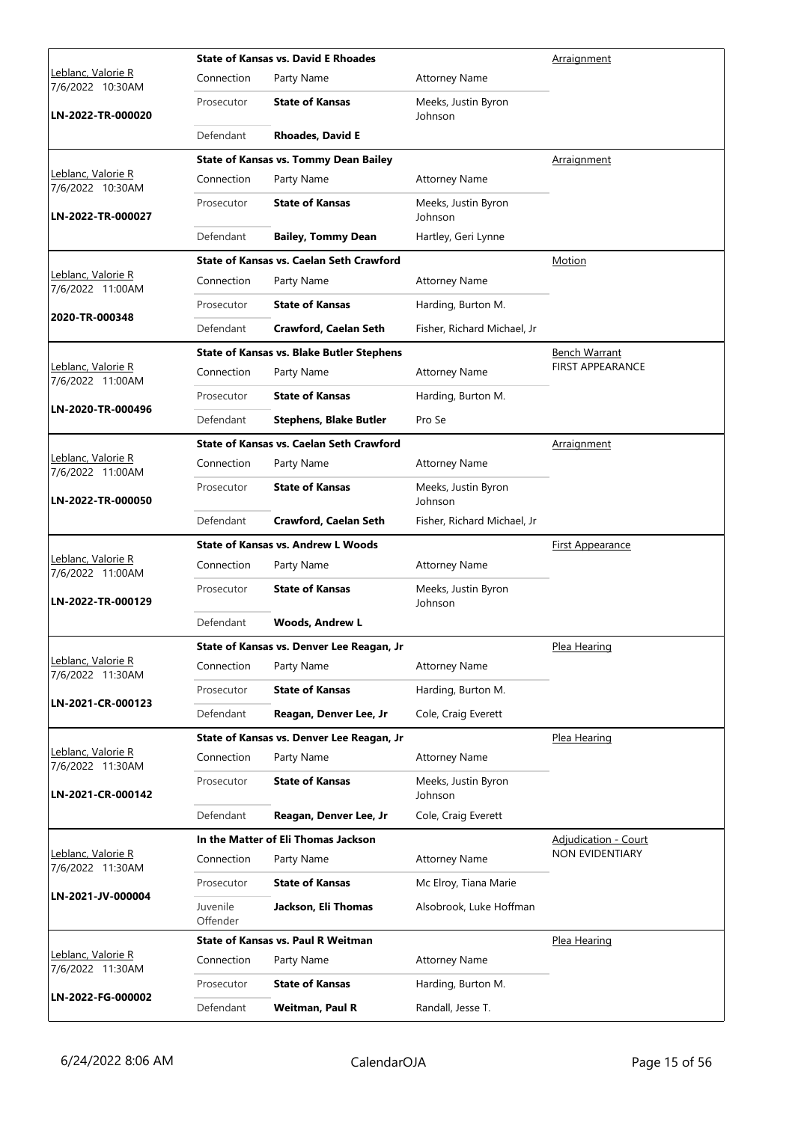|                                                | <b>State of Kansas vs. David E Rhoades</b> |                                                  |                                |                             |
|------------------------------------------------|--------------------------------------------|--------------------------------------------------|--------------------------------|-----------------------------|
| <u> Leblanc, Valorie R</u><br>7/6/2022 10:30AM | Connection                                 | Party Name                                       | <b>Attorney Name</b>           |                             |
| LN-2022-TR-000020                              | Prosecutor                                 | <b>State of Kansas</b>                           | Meeks, Justin Byron<br>Johnson |                             |
|                                                | Defendant                                  | <b>Rhoades, David E</b>                          |                                |                             |
|                                                |                                            | <b>State of Kansas vs. Tommy Dean Bailey</b>     |                                | Arraignment                 |
| Leblanc, Valorie R<br>7/6/2022 10:30AM         | Connection                                 | Party Name                                       | <b>Attorney Name</b>           |                             |
| LN-2022-TR-000027                              | Prosecutor                                 | <b>State of Kansas</b>                           | Meeks, Justin Byron<br>Johnson |                             |
|                                                | Defendant                                  | <b>Bailey, Tommy Dean</b>                        | Hartley, Geri Lynne            |                             |
|                                                |                                            | <b>State of Kansas vs. Caelan Seth Crawford</b>  |                                | Motion                      |
| Leblanc, Valorie R<br>7/6/2022 11:00AM         | Connection                                 | Party Name                                       | <b>Attorney Name</b>           |                             |
|                                                | Prosecutor                                 | <b>State of Kansas</b>                           | Harding, Burton M.             |                             |
| 2020-TR-000348                                 | Defendant                                  | <b>Crawford, Caelan Seth</b>                     | Fisher, Richard Michael, Jr    |                             |
|                                                |                                            | <b>State of Kansas vs. Blake Butler Stephens</b> |                                | <b>Bench Warrant</b>        |
| Leblanc, Valorie R<br>7/6/2022 11:00AM         | Connection                                 | Party Name                                       | <b>Attorney Name</b>           | <b>FIRST APPEARANCE</b>     |
|                                                | Prosecutor                                 | <b>State of Kansas</b>                           | Harding, Burton M.             |                             |
| LN-2020-TR-000496                              | Defendant                                  | <b>Stephens, Blake Butler</b>                    | Pro Se                         |                             |
|                                                |                                            | <b>State of Kansas vs. Caelan Seth Crawford</b>  |                                | Arraignment                 |
| Leblanc, Valorie R<br>7/6/2022 11:00AM         | Connection                                 | Party Name                                       | <b>Attorney Name</b>           |                             |
| LN-2022-TR-000050                              | Prosecutor                                 | <b>State of Kansas</b>                           | Meeks, Justin Byron<br>Johnson |                             |
|                                                | Defendant                                  | <b>Crawford, Caelan Seth</b>                     | Fisher, Richard Michael, Jr    |                             |
|                                                |                                            |                                                  |                                |                             |
|                                                |                                            | <b>State of Kansas vs. Andrew L Woods</b>        |                                | <u>First Appearance</u>     |
| Leblanc, Valorie R<br>7/6/2022 11:00AM         | Connection                                 | Party Name                                       | <b>Attorney Name</b>           |                             |
| LN-2022-TR-000129                              | Prosecutor                                 | <b>State of Kansas</b>                           | Meeks, Justin Byron<br>Johnson |                             |
|                                                | Defendant                                  | <b>Woods, Andrew L</b>                           |                                |                             |
|                                                |                                            | State of Kansas vs. Denver Lee Reagan, Jr        |                                | Plea Hearing                |
| Leblanc, Valorie R<br>7/6/2022 11:30AM         | Connection                                 | Party Name                                       | <b>Attorney Name</b>           |                             |
|                                                | Prosecutor                                 | <b>State of Kansas</b>                           | Harding, Burton M.             |                             |
| LN-2021-CR-000123                              | Defendant                                  | Reagan, Denver Lee, Jr                           | Cole, Craig Everett            |                             |
|                                                |                                            | State of Kansas vs. Denver Lee Reagan, Jr        |                                | Plea Hearing                |
| Leblanc, Valorie R<br>7/6/2022 11:30AM         | Connection                                 | Party Name                                       | <b>Attorney Name</b>           |                             |
| LN-2021-CR-000142                              | Prosecutor                                 | <b>State of Kansas</b>                           | Meeks, Justin Byron<br>Johnson |                             |
|                                                | Defendant                                  | Reagan, Denver Lee, Jr                           | Cole, Craig Everett            |                             |
|                                                |                                            | In the Matter of Eli Thomas Jackson              |                                | <b>Adjudication - Court</b> |
| Leblanc, Valorie R<br>7/6/2022 11:30AM         | Connection                                 | Party Name                                       | <b>Attorney Name</b>           | NON EVIDENTIARY             |
|                                                | Prosecutor                                 | <b>State of Kansas</b>                           | Mc Elroy, Tiana Marie          |                             |
| LN-2021-JV-000004                              | Juvenile<br>Offender                       | Jackson, Eli Thomas                              | Alsobrook, Luke Hoffman        |                             |
|                                                |                                            | State of Kansas vs. Paul R Weitman               |                                | Plea Hearing                |
| Leblanc, Valorie R<br>7/6/2022 11:30AM         | Connection                                 | Party Name                                       | <b>Attorney Name</b>           |                             |
| LN-2022-FG-000002                              | Prosecutor                                 | <b>State of Kansas</b>                           | Harding, Burton M.             |                             |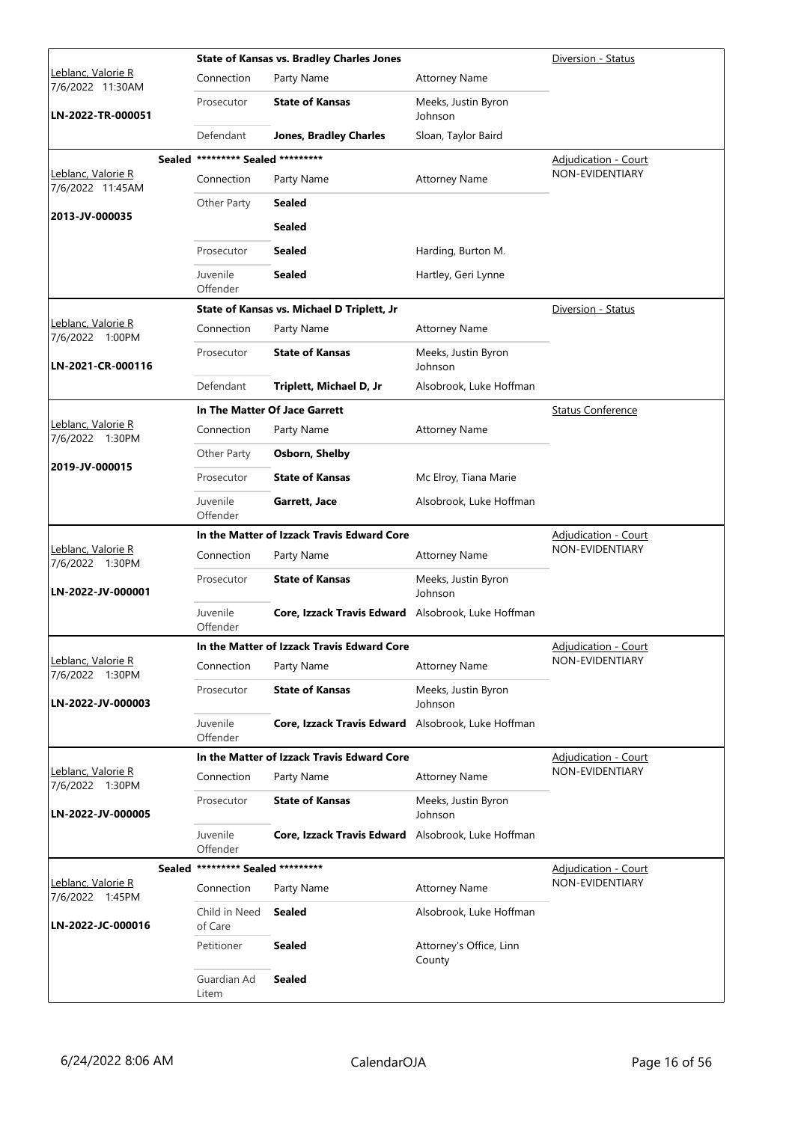|                                        | <b>State of Kansas vs. Bradley Charles Jones</b> |                                                    |                                   |                             |  |  |
|----------------------------------------|--------------------------------------------------|----------------------------------------------------|-----------------------------------|-----------------------------|--|--|
| Leblanc, Valorie R<br>7/6/2022 11:30AM | Connection                                       | Party Name                                         | <b>Attorney Name</b>              |                             |  |  |
| LN-2022-TR-000051                      | Prosecutor                                       | <b>State of Kansas</b>                             | Meeks, Justin Byron<br>Johnson    |                             |  |  |
|                                        | Defendant                                        | <b>Jones, Bradley Charles</b>                      | Sloan, Taylor Baird               |                             |  |  |
|                                        | Sealed ********* Sealed *********                |                                                    |                                   | Adjudication - Court        |  |  |
| Leblanc, Valorie R<br>7/6/2022 11:45AM | Connection                                       | Party Name                                         | <b>Attorney Name</b>              | NON-EVIDENTIARY             |  |  |
| 2013-JV-000035                         | Other Party                                      | <b>Sealed</b>                                      |                                   |                             |  |  |
|                                        |                                                  | <b>Sealed</b>                                      |                                   |                             |  |  |
|                                        | Prosecutor                                       | <b>Sealed</b>                                      | Harding, Burton M.                |                             |  |  |
|                                        | Juvenile<br>Offender                             | <b>Sealed</b>                                      | Hartley, Geri Lynne               |                             |  |  |
|                                        |                                                  | State of Kansas vs. Michael D Triplett, Jr         |                                   | Diversion - Status          |  |  |
| Leblanc, Valorie R<br>7/6/2022 1:00PM  | Connection                                       | Party Name                                         | <b>Attorney Name</b>              |                             |  |  |
| LN-2021-CR-000116                      | Prosecutor                                       | <b>State of Kansas</b>                             | Meeks, Justin Byron<br>Johnson    |                             |  |  |
|                                        | Defendant                                        | Triplett, Michael D, Jr                            | Alsobrook, Luke Hoffman           |                             |  |  |
|                                        |                                                  | In The Matter Of Jace Garrett                      |                                   | <b>Status Conference</b>    |  |  |
| Leblanc, Valorie R<br>7/6/2022 1:30PM  | Connection                                       | Party Name                                         | <b>Attorney Name</b>              |                             |  |  |
| 2019-JV-000015                         | Other Party                                      | Osborn, Shelby                                     |                                   |                             |  |  |
|                                        | Prosecutor                                       | <b>State of Kansas</b>                             | Mc Elroy, Tiana Marie             |                             |  |  |
|                                        | Juvenile<br>Offender                             | Garrett, Jace                                      | Alsobrook, Luke Hoffman           |                             |  |  |
|                                        |                                                  | In the Matter of Izzack Travis Edward Core         |                                   | <b>Adjudication - Court</b> |  |  |
| Leblanc, Valorie R<br>7/6/2022 1:30PM  | Connection                                       | Party Name                                         | <b>Attorney Name</b>              | NON-EVIDENTIARY             |  |  |
| LN-2022-JV-000001                      | Prosecutor                                       | <b>State of Kansas</b>                             | Meeks, Justin Byron<br>Johnson    |                             |  |  |
|                                        | Juvenile<br>Offender                             | Core, Izzack Travis Edward Alsobrook, Luke Hoffman |                                   |                             |  |  |
|                                        |                                                  | In the Matter of Izzack Travis Edward Core         |                                   | Adjudication - Court        |  |  |
| Leblanc, Valorie R<br>7/6/2022 1:30PM  | Connection                                       | Party Name                                         | <b>Attorney Name</b>              | NON-EVIDENTIARY             |  |  |
| LN-2022-JV-000003                      | Prosecutor                                       | <b>State of Kansas</b>                             | Meeks, Justin Byron<br>Johnson    |                             |  |  |
|                                        | Juvenile<br>Offender                             | Core, Izzack Travis Edward Alsobrook, Luke Hoffman |                                   |                             |  |  |
|                                        |                                                  | In the Matter of Izzack Travis Edward Core         |                                   | Adjudication - Court        |  |  |
| Leblanc, Valorie R<br>7/6/2022 1:30PM  | Connection                                       | Party Name                                         | <b>Attorney Name</b>              | NON-EVIDENTIARY             |  |  |
| LN-2022-JV-000005                      | Prosecutor                                       | <b>State of Kansas</b>                             | Meeks, Justin Byron<br>Johnson    |                             |  |  |
|                                        | Juvenile<br>Offender                             | Core, Izzack Travis Edward Alsobrook, Luke Hoffman |                                   |                             |  |  |
| <b>Sealed</b>                          | ********* Sealed *********                       |                                                    |                                   | <b>Adjudication - Court</b> |  |  |
| Leblanc, Valorie R<br>7/6/2022 1:45PM  | Connection                                       | Party Name                                         | <b>Attorney Name</b>              | NON-EVIDENTIARY             |  |  |
| LN-2022-JC-000016                      | Child in Need<br>of Care                         | <b>Sealed</b>                                      | Alsobrook, Luke Hoffman           |                             |  |  |
|                                        | Petitioner                                       | <b>Sealed</b>                                      | Attorney's Office, Linn<br>County |                             |  |  |
|                                        | Guardian Ad<br>Litem                             | <b>Sealed</b>                                      |                                   |                             |  |  |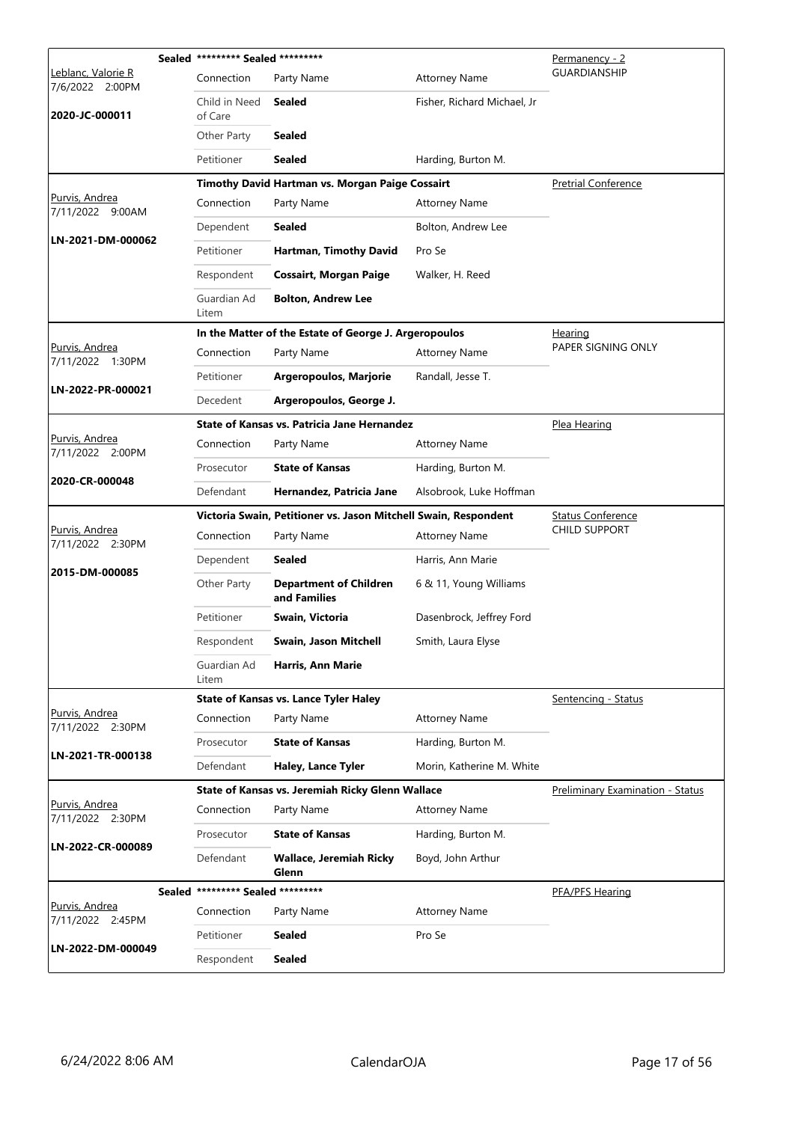|                                               | Sealed ********* Sealed ********* |                                                                 |                             | <u>Permanency - 2</u>                   |
|-----------------------------------------------|-----------------------------------|-----------------------------------------------------------------|-----------------------------|-----------------------------------------|
| <u> Leblanc, Valorie R</u><br>7/6/2022 2:00PM | Connection                        | Party Name                                                      | <b>Attorney Name</b>        | <b>GUARDIANSHIP</b>                     |
| 2020-JC-000011                                | Child in Need<br>of Care          | Sealed                                                          | Fisher, Richard Michael, Jr |                                         |
|                                               | Other Party                       | <b>Sealed</b>                                                   |                             |                                         |
|                                               | Petitioner                        | <b>Sealed</b>                                                   | Harding, Burton M.          |                                         |
|                                               |                                   | Timothy David Hartman vs. Morgan Paige Cossairt                 |                             | <b>Pretrial Conference</b>              |
| Purvis, Andrea<br>7/11/2022 9:00AM            | Connection                        | Party Name                                                      | <b>Attorney Name</b>        |                                         |
| LN-2021-DM-000062                             | Dependent                         | <b>Sealed</b>                                                   | Bolton, Andrew Lee          |                                         |
|                                               | Petitioner                        | Hartman, Timothy David                                          | Pro Se                      |                                         |
|                                               | Respondent                        | <b>Cossairt, Morgan Paige</b>                                   | Walker, H. Reed             |                                         |
|                                               | Guardian Ad<br>Litem              | <b>Bolton, Andrew Lee</b>                                       |                             |                                         |
|                                               |                                   | In the Matter of the Estate of George J. Argeropoulos           |                             | <b>Hearing</b>                          |
| Purvis, Andrea<br>7/11/2022 1:30PM            | Connection                        | Party Name                                                      | <b>Attorney Name</b>        | PAPER SIGNING ONLY                      |
|                                               | Petitioner                        | Argeropoulos, Marjorie                                          | Randall, Jesse T.           |                                         |
| LN-2022-PR-000021                             | Decedent                          | Argeropoulos, George J.                                         |                             |                                         |
|                                               |                                   | State of Kansas vs. Patricia Jane Hernandez                     |                             | Plea Hearing                            |
| Purvis, Andrea<br>7/11/2022 2:00PM            | Connection                        | Party Name                                                      | <b>Attorney Name</b>        |                                         |
|                                               | Prosecutor                        | <b>State of Kansas</b>                                          | Harding, Burton M.          |                                         |
| 2020-CR-000048                                | Defendant                         | Hernandez, Patricia Jane                                        | Alsobrook, Luke Hoffman     |                                         |
|                                               |                                   | Victoria Swain, Petitioner vs. Jason Mitchell Swain, Respondent |                             | <b>Status Conference</b>                |
| Purvis, Andrea<br>7/11/2022 2:30PM            | Connection                        | Party Name                                                      | <b>Attorney Name</b>        | <b>CHILD SUPPORT</b>                    |
| 2015-DM-000085                                | Dependent                         | <b>Sealed</b>                                                   | Harris, Ann Marie           |                                         |
|                                               | Other Party                       | <b>Department of Children</b><br>and Families                   | 6 & 11, Young Williams      |                                         |
|                                               | Petitioner                        | Swain, Victoria                                                 | Dasenbrock, Jeffrey Ford    |                                         |
|                                               | Respondent                        | Swain, Jason Mitchell                                           | Smith, Laura Elyse          |                                         |
|                                               | Guardian Ad<br>Litem              | Harris, Ann Marie                                               |                             |                                         |
|                                               |                                   | <b>State of Kansas vs. Lance Tyler Haley</b>                    |                             | Sentencing - Status                     |
| Purvis, Andrea<br>7/11/2022 2:30PM            | Connection                        | Party Name                                                      | <b>Attorney Name</b>        |                                         |
| LN-2021-TR-000138                             | Prosecutor                        | <b>State of Kansas</b>                                          | Harding, Burton M.          |                                         |
|                                               | Defendant                         | Haley, Lance Tyler                                              | Morin, Katherine M. White   |                                         |
|                                               |                                   | State of Kansas vs. Jeremiah Ricky Glenn Wallace                |                             | <b>Preliminary Examination - Status</b> |
| Purvis, Andrea<br>7/11/2022 2:30PM            | Connection                        | Party Name                                                      | <b>Attorney Name</b>        |                                         |
|                                               |                                   |                                                                 |                             |                                         |
|                                               | Prosecutor                        | <b>State of Kansas</b>                                          | Harding, Burton M.          |                                         |
| LN-2022-CR-000089                             | Defendant                         | <b>Wallace, Jeremiah Ricky</b><br>Glenn                         | Boyd, John Arthur           |                                         |
|                                               | Sealed ********* Sealed ********* |                                                                 |                             | PFA/PFS Hearing                         |
| Purvis, Andrea<br>7/11/2022 2:45PM            | Connection                        | Party Name                                                      | <b>Attorney Name</b>        |                                         |
| LN-2022-DM-000049                             | Petitioner                        | <b>Sealed</b>                                                   | Pro Se                      |                                         |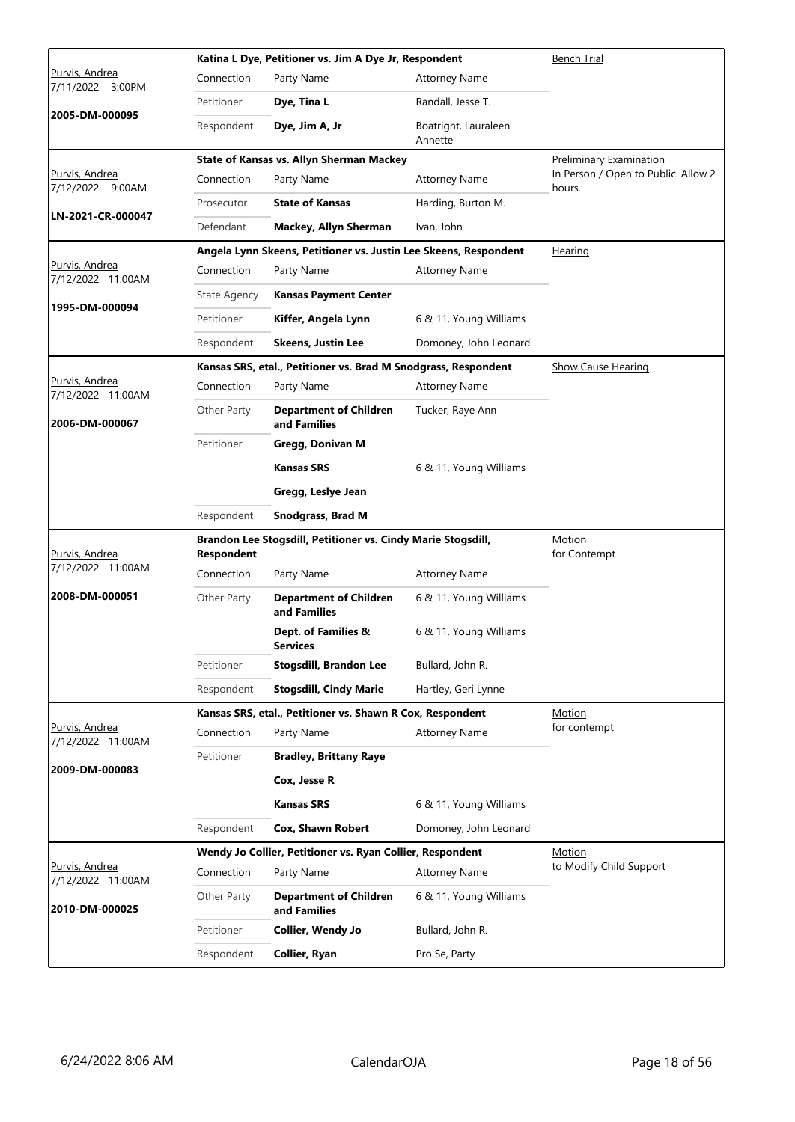|                                              |              | Katina L Dye, Petitioner vs. Jim A Dye Jr, Respondent            | <b>Bench Trial</b>              |                                               |
|----------------------------------------------|--------------|------------------------------------------------------------------|---------------------------------|-----------------------------------------------|
| <u>Purvis, Andrea</u><br>7/11/2022<br>3:00PM | Connection   | Party Name                                                       | <b>Attorney Name</b>            |                                               |
|                                              | Petitioner   | Dye, Tina L                                                      | Randall, Jesse T.               |                                               |
| 2005-DM-000095                               | Respondent   | Dye, Jim A, Jr                                                   | Boatright, Lauraleen<br>Annette |                                               |
|                                              |              | <b>State of Kansas vs. Allyn Sherman Mackey</b>                  |                                 | <b>Preliminary Examination</b>                |
| Purvis, Andrea<br>7/12/2022 9:00AM           | Connection   | Party Name                                                       | <b>Attorney Name</b>            | In Person / Open to Public. Allow 2<br>hours. |
|                                              | Prosecutor   | <b>State of Kansas</b>                                           | Harding, Burton M.              |                                               |
| LN-2021-CR-000047                            | Defendant    | <b>Mackey, Allyn Sherman</b>                                     | Ivan, John                      |                                               |
|                                              |              | Angela Lynn Skeens, Petitioner vs. Justin Lee Skeens, Respondent |                                 | <b>Hearing</b>                                |
| Purvis, Andrea<br>7/12/2022 11:00AM          | Connection   | Party Name                                                       | <b>Attorney Name</b>            |                                               |
|                                              | State Agency | <b>Kansas Payment Center</b>                                     |                                 |                                               |
| 1995-DM-000094                               | Petitioner   | Kiffer, Angela Lynn                                              | 6 & 11, Young Williams          |                                               |
|                                              | Respondent   | <b>Skeens, Justin Lee</b>                                        | Domoney, John Leonard           |                                               |
|                                              |              | Kansas SRS, etal., Petitioner vs. Brad M Snodgrass, Respondent   |                                 | <b>Show Cause Hearing</b>                     |
| Purvis, Andrea<br>7/12/2022 11:00AM          | Connection   | Party Name                                                       | <b>Attorney Name</b>            |                                               |
| 2006-DM-000067                               | Other Party  | <b>Department of Children</b><br>and Families                    | Tucker, Raye Ann                |                                               |
|                                              | Petitioner   | Gregg, Donivan M                                                 |                                 |                                               |
|                                              |              | <b>Kansas SRS</b>                                                | 6 & 11, Young Williams          |                                               |
|                                              |              | Gregg, Leslye Jean                                               |                                 |                                               |
|                                              | Respondent   | Snodgrass, Brad M                                                |                                 |                                               |
| Purvis, Andrea                               | Respondent   | Brandon Lee Stogsdill, Petitioner vs. Cindy Marie Stogsdill,     |                                 | <b>Motion</b><br>for Contempt                 |
| 7/12/2022 11:00AM                            | Connection   | Party Name                                                       | <b>Attorney Name</b>            |                                               |
| 2008-DM-000051                               | Other Party  | <b>Department of Children</b><br>and Families                    | 6 & 11, Young Williams          |                                               |
|                                              |              | Dept. of Families &<br>Services                                  | 6 & 11, Young Williams          |                                               |
|                                              | Petitioner   | <b>Stogsdill, Brandon Lee</b>                                    | Bullard, John R.                |                                               |
|                                              | Respondent   | <b>Stogsdill, Cindy Marie</b>                                    | Hartley, Geri Lynne             |                                               |
|                                              |              | Kansas SRS, etal., Petitioner vs. Shawn R Cox, Respondent        |                                 | Motion                                        |
| Purvis, Andrea<br>7/12/2022 11:00AM          | Connection   | Party Name                                                       | <b>Attorney Name</b>            | for contempt                                  |
|                                              | Petitioner   | <b>Bradley, Brittany Raye</b>                                    |                                 |                                               |
| 2009-DM-000083                               |              | Cox, Jesse R                                                     |                                 |                                               |
|                                              |              | <b>Kansas SRS</b>                                                | 6 & 11, Young Williams          |                                               |
|                                              | Respondent   | <b>Cox, Shawn Robert</b>                                         | Domoney, John Leonard           |                                               |
|                                              |              | Wendy Jo Collier, Petitioner vs. Ryan Collier, Respondent        |                                 | <b>Motion</b>                                 |
| Purvis, Andrea<br>7/12/2022 11:00AM          | Connection   | Party Name                                                       | <b>Attorney Name</b>            | to Modify Child Support                       |
| 2010-DM-000025                               | Other Party  | <b>Department of Children</b><br>and Families                    | 6 & 11, Young Williams          |                                               |
|                                              | Petitioner   | Collier, Wendy Jo                                                | Bullard, John R.                |                                               |
|                                              | Respondent   | Collier, Ryan                                                    | Pro Se, Party                   |                                               |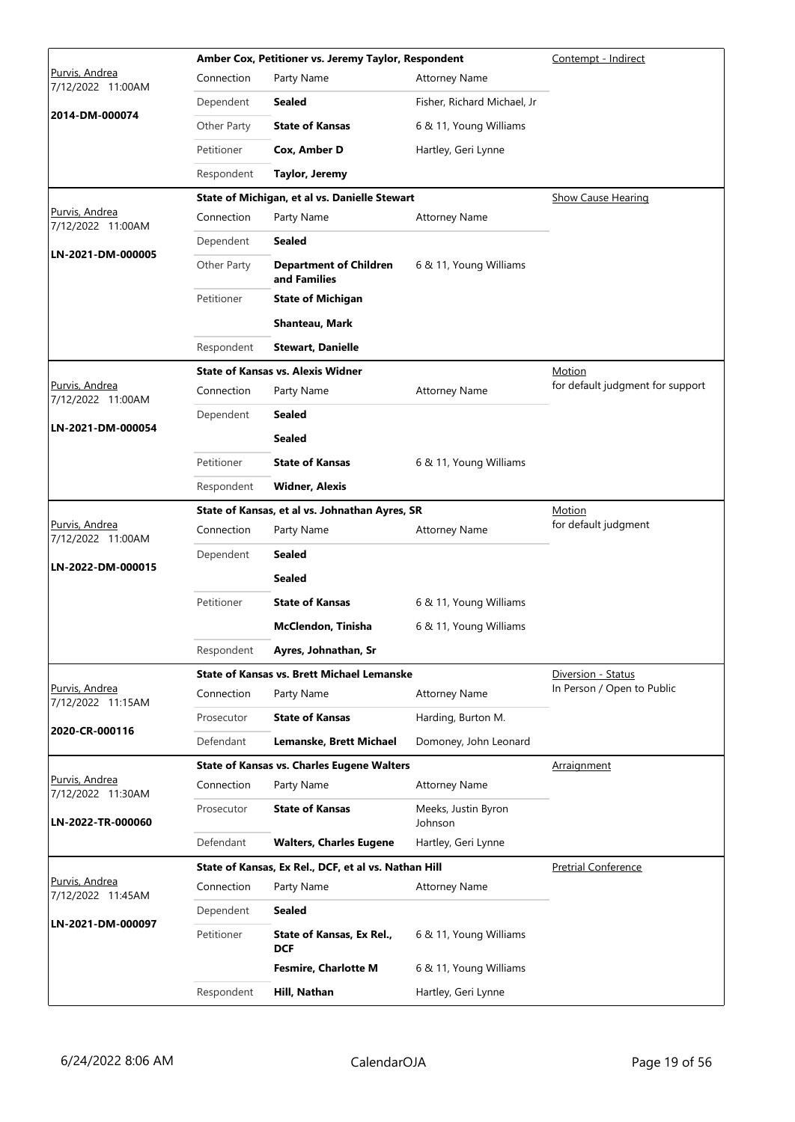|                                     |                                                | Amber Cox, Petitioner vs. Jeremy Taylor, Respondent  | Contempt - Indirect            |                                  |
|-------------------------------------|------------------------------------------------|------------------------------------------------------|--------------------------------|----------------------------------|
| Purvis, Andrea<br>7/12/2022 11:00AM | Connection                                     | Party Name                                           | <b>Attorney Name</b>           |                                  |
|                                     | Dependent                                      | <b>Sealed</b>                                        | Fisher, Richard Michael, Jr    |                                  |
| 2014-DM-000074                      | Other Party                                    | <b>State of Kansas</b>                               | 6 & 11, Young Williams         |                                  |
|                                     | Petitioner                                     | Cox, Amber D                                         | Hartley, Geri Lynne            |                                  |
|                                     | Respondent                                     | <b>Taylor, Jeremy</b>                                |                                |                                  |
|                                     |                                                | State of Michigan, et al vs. Danielle Stewart        |                                | Show Cause Hearing               |
| Purvis, Andrea<br>7/12/2022 11:00AM | Connection                                     | Party Name                                           | <b>Attorney Name</b>           |                                  |
|                                     | Dependent                                      | <b>Sealed</b>                                        |                                |                                  |
| LN-2021-DM-000005                   | Other Party                                    | <b>Department of Children</b><br>and Families        | 6 & 11, Young Williams         |                                  |
|                                     | Petitioner                                     | <b>State of Michigan</b>                             |                                |                                  |
|                                     |                                                | Shanteau, Mark                                       |                                |                                  |
|                                     | Respondent                                     | <b>Stewart, Danielle</b>                             |                                |                                  |
|                                     |                                                | <b>State of Kansas vs. Alexis Widner</b>             |                                | Motion                           |
| Purvis, Andrea<br>7/12/2022 11:00AM | Connection                                     | Party Name                                           | <b>Attorney Name</b>           | for default judgment for support |
| LN-2021-DM-000054                   | Dependent                                      | <b>Sealed</b>                                        |                                |                                  |
|                                     |                                                | <b>Sealed</b>                                        |                                |                                  |
|                                     | Petitioner                                     | <b>State of Kansas</b>                               | 6 & 11, Young Williams         |                                  |
|                                     | Respondent                                     | <b>Widner, Alexis</b>                                |                                |                                  |
|                                     | State of Kansas, et al vs. Johnathan Ayres, SR |                                                      |                                | Motion                           |
| Purvis, Andrea<br>7/12/2022 11:00AM | Connection                                     | Party Name                                           | <b>Attorney Name</b>           | for default judgment             |
| LN-2022-DM-000015                   | Dependent                                      | <b>Sealed</b>                                        |                                |                                  |
|                                     |                                                | <b>Sealed</b>                                        |                                |                                  |
|                                     | Petitioner                                     | <b>State of Kansas</b>                               | 6 & 11, Young Williams         |                                  |
|                                     |                                                | McClendon, Tinisha                                   | 6 & 11, Young Williams         |                                  |
|                                     | Respondent                                     | Ayres, Johnathan, Sr                                 |                                |                                  |
|                                     |                                                | <b>State of Kansas vs. Brett Michael Lemanske</b>    |                                | Diversion - Status               |
| Purvis, Andrea<br>7/12/2022 11:15AM | Connection                                     | Party Name                                           | <b>Attorney Name</b>           | In Person / Open to Public       |
| 2020-CR-000116                      | Prosecutor                                     | <b>State of Kansas</b>                               | Harding, Burton M.             |                                  |
|                                     | Defendant                                      | Lemanske, Brett Michael                              | Domoney, John Leonard          |                                  |
|                                     |                                                | <b>State of Kansas vs. Charles Eugene Walters</b>    |                                | Arraignment                      |
| Purvis, Andrea<br>7/12/2022 11:30AM | Connection                                     | Party Name                                           | <b>Attorney Name</b>           |                                  |
| LN-2022-TR-000060                   | Prosecutor                                     | <b>State of Kansas</b>                               | Meeks, Justin Byron<br>Johnson |                                  |
|                                     | Defendant                                      | <b>Walters, Charles Eugene</b>                       | Hartley, Geri Lynne            |                                  |
| Purvis, Andrea                      |                                                | State of Kansas, Ex Rel., DCF, et al vs. Nathan Hill |                                | <b>Pretrial Conference</b>       |
| 7/12/2022 11:45AM                   | Connection                                     | Party Name                                           | <b>Attorney Name</b>           |                                  |
| LN-2021-DM-000097                   | Dependent                                      | Sealed                                               |                                |                                  |
|                                     | Petitioner                                     | State of Kansas, Ex Rel.,<br><b>DCF</b>              | 6 & 11, Young Williams         |                                  |
|                                     |                                                | <b>Fesmire, Charlotte M</b>                          | 6 & 11, Young Williams         |                                  |
|                                     | Respondent                                     | Hill, Nathan                                         | Hartley, Geri Lynne            |                                  |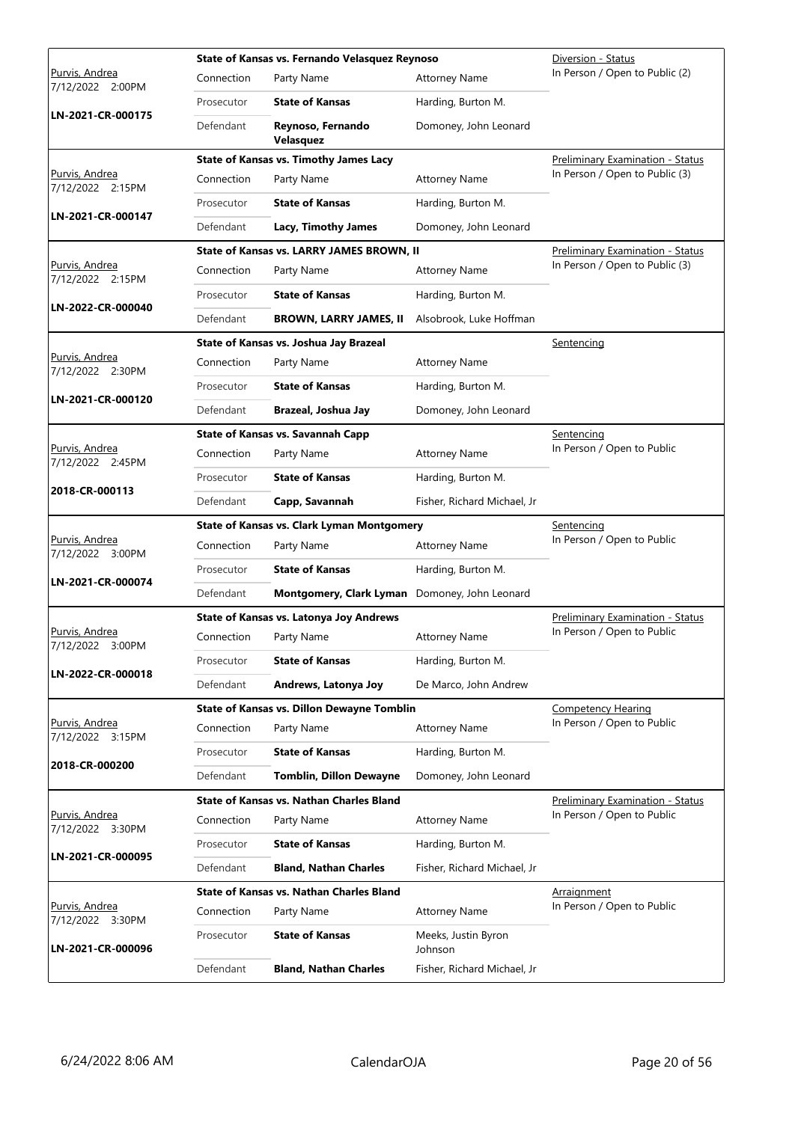|                                              |            | State of Kansas vs. Fernando Velasquez Reynoso    | Diversion - Status             |                                         |
|----------------------------------------------|------------|---------------------------------------------------|--------------------------------|-----------------------------------------|
| <u>Purvis, Andrea</u><br>7/12/2022<br>2:00PM | Connection | Party Name                                        | <b>Attorney Name</b>           | In Person / Open to Public (2)          |
|                                              | Prosecutor | <b>State of Kansas</b>                            | Harding, Burton M.             |                                         |
| LN-2021-CR-000175                            | Defendant  | Reynoso, Fernando<br>Velasquez                    | Domoney, John Leonard          |                                         |
|                                              |            | <b>State of Kansas vs. Timothy James Lacy</b>     |                                | <b>Preliminary Examination - Status</b> |
| Purvis, Andrea<br>7/12/2022 2:15PM           | Connection | Party Name                                        | <b>Attorney Name</b>           | In Person / Open to Public (3)          |
| LN-2021-CR-000147                            | Prosecutor | <b>State of Kansas</b>                            | Harding, Burton M.             |                                         |
|                                              | Defendant  | Lacy, Timothy James                               | Domoney, John Leonard          |                                         |
|                                              |            | State of Kansas vs. LARRY JAMES BROWN, II         |                                | Preliminary Examination - Status        |
| Purvis, Andrea<br>7/12/2022 2:15PM           | Connection | Party Name                                        | <b>Attorney Name</b>           | In Person / Open to Public (3)          |
|                                              | Prosecutor | <b>State of Kansas</b>                            | Harding, Burton M.             |                                         |
| LN-2022-CR-000040                            | Defendant  | <b>BROWN, LARRY JAMES, II</b>                     | Alsobrook, Luke Hoffman        |                                         |
|                                              |            | State of Kansas vs. Joshua Jay Brazeal            |                                | Sentencing                              |
| <u>Purvis, Andrea</u><br>7/12/2022 2:30PM    | Connection | Party Name                                        | <b>Attorney Name</b>           |                                         |
|                                              | Prosecutor | <b>State of Kansas</b>                            | Harding, Burton M.             |                                         |
| LN-2021-CR-000120                            | Defendant  | Brazeal, Joshua Jay                               | Domoney, John Leonard          |                                         |
|                                              |            | <b>State of Kansas vs. Savannah Capp</b>          |                                | Sentencing                              |
| Purvis, Andrea<br>7/12/2022 2:45PM           | Connection | Party Name                                        | <b>Attorney Name</b>           | In Person / Open to Public              |
| 2018-CR-000113                               | Prosecutor | <b>State of Kansas</b>                            | Harding, Burton M.             |                                         |
|                                              | Defendant  | Capp, Savannah                                    | Fisher, Richard Michael, Jr    |                                         |
|                                              |            |                                                   | Sentencing                     |                                         |
|                                              |            | <b>State of Kansas vs. Clark Lyman Montgomery</b> |                                |                                         |
| Purvis, Andrea                               | Connection | Party Name                                        | <b>Attorney Name</b>           | In Person / Open to Public              |
| 7/12/2022 3:00PM                             | Prosecutor | <b>State of Kansas</b>                            | Harding, Burton M.             |                                         |
| LN-2021-CR-000074                            | Defendant  | Montgomery, Clark Lyman                           | Domoney, John Leonard          |                                         |
|                                              |            | State of Kansas vs. Latonya Joy Andrews           |                                | Preliminary Examination - Status        |
| <u>Purvis, Andrea</u>                        | Connection | Party Name                                        | <b>Attorney Name</b>           | In Person / Open to Public              |
| 7/12/2022 3:00PM                             | Prosecutor | <b>State of Kansas</b>                            | Harding, Burton M.             |                                         |
| LN-2022-CR-000018                            | Defendant  | Andrews, Latonya Joy                              | De Marco, John Andrew          |                                         |
|                                              |            | <b>State of Kansas vs. Dillon Dewayne Tomblin</b> |                                | Competency Hearing                      |
| Purvis, Andrea<br>7/12/2022 3:15PM           | Connection | Party Name                                        | <b>Attorney Name</b>           | In Person / Open to Public              |
|                                              | Prosecutor | <b>State of Kansas</b>                            | Harding, Burton M.             |                                         |
| 2018-CR-000200                               | Defendant  | <b>Tomblin, Dillon Dewayne</b>                    | Domoney, John Leonard          |                                         |
|                                              |            | <b>State of Kansas vs. Nathan Charles Bland</b>   |                                | <b>Preliminary Examination - Status</b> |
| Purvis, Andrea                               | Connection | Party Name                                        | <b>Attorney Name</b>           | In Person / Open to Public              |
| 7/12/2022 3:30PM                             | Prosecutor | <b>State of Kansas</b>                            | Harding, Burton M.             |                                         |
| LN-2021-CR-000095                            | Defendant  | <b>Bland, Nathan Charles</b>                      | Fisher, Richard Michael, Jr    |                                         |
|                                              |            | <b>State of Kansas vs. Nathan Charles Bland</b>   |                                | <b>Arraignment</b>                      |
| Purvis, Andrea<br>7/12/2022 3:30PM           | Connection | Party Name                                        | <b>Attorney Name</b>           | In Person / Open to Public              |
| LN-2021-CR-000096                            | Prosecutor | <b>State of Kansas</b>                            | Meeks, Justin Byron<br>Johnson |                                         |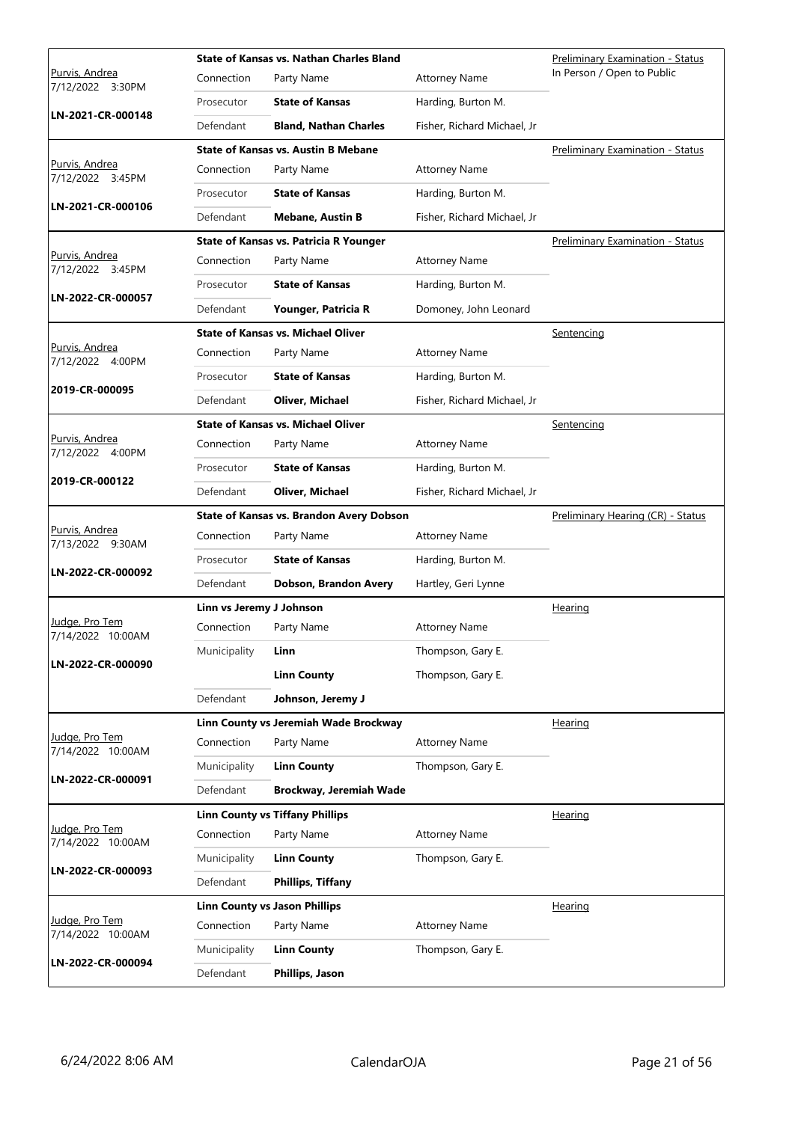|                                           | <b>State of Kansas vs. Nathan Charles Bland</b> |                                               |                             | <b>Preliminary Examination - Status</b> |
|-------------------------------------------|-------------------------------------------------|-----------------------------------------------|-----------------------------|-----------------------------------------|
| Purvis, Andrea<br>7/12/2022 3:30PM        | Connection                                      | Party Name                                    | <b>Attorney Name</b>        | In Person / Open to Public              |
|                                           | Prosecutor                                      | <b>State of Kansas</b>                        | Harding, Burton M.          |                                         |
| LN-2021-CR-000148                         | Defendant                                       | <b>Bland, Nathan Charles</b>                  | Fisher, Richard Michael, Jr |                                         |
|                                           |                                                 | <b>State of Kansas vs. Austin B Mebane</b>    |                             | Preliminary Examination - Status        |
| <u>Purvis, Andrea</u><br>7/12/2022 3:45PM | Connection                                      | Party Name                                    | <b>Attorney Name</b>        |                                         |
| LN-2021-CR-000106                         | Prosecutor                                      | <b>State of Kansas</b>                        | Harding, Burton M.          |                                         |
|                                           | Defendant                                       | <b>Mebane, Austin B</b>                       | Fisher, Richard Michael, Jr |                                         |
|                                           |                                                 | <b>State of Kansas vs. Patricia R Younger</b> |                             | Preliminary Examination - Status        |
| Purvis, Andrea<br>7/12/2022 3:45PM        | Connection                                      | Party Name                                    | <b>Attorney Name</b>        |                                         |
| LN-2022-CR-000057                         | Prosecutor                                      | <b>State of Kansas</b>                        | Harding, Burton M.          |                                         |
|                                           | Defendant                                       | Younger, Patricia R                           | Domoney, John Leonard       |                                         |
|                                           |                                                 | <b>State of Kansas vs. Michael Oliver</b>     |                             | Sentencing                              |
| Purvis, Andrea<br>7/12/2022 4:00PM        | Connection                                      | Party Name                                    | <b>Attorney Name</b>        |                                         |
|                                           | Prosecutor                                      | <b>State of Kansas</b>                        | Harding, Burton M.          |                                         |
| 2019-CR-000095                            | Defendant                                       | <b>Oliver, Michael</b>                        | Fisher, Richard Michael, Jr |                                         |
|                                           |                                                 | <b>State of Kansas vs. Michael Oliver</b>     |                             | Sentencing                              |
| Purvis, Andrea<br>7/12/2022 4:00PM        | Connection                                      | Party Name                                    | <b>Attorney Name</b>        |                                         |
|                                           | Prosecutor                                      | <b>State of Kansas</b>                        | Harding, Burton M.          |                                         |
| 2019-CR-000122                            | Defendant                                       | Oliver, Michael                               | Fisher, Richard Michael, Jr |                                         |
|                                           |                                                 | State of Kansas vs. Brandon Avery Dobson      |                             | Preliminary Hearing (CR) - Status       |
| Purvis, Andrea<br>7/13/2022 9:30AM        | Connection                                      | Party Name                                    | <b>Attorney Name</b>        |                                         |
|                                           | Prosecutor                                      | <b>State of Kansas</b>                        | Harding, Burton M.          |                                         |
| LN-2022-CR-000092                         | Defendant                                       | Dobson, Brandon Avery                         | Hartley, Geri Lynne         |                                         |
|                                           | Linn vs Jeremy J Johnson                        |                                               |                             | <b>Hearing</b>                          |
| Judge, Pro Tem<br>7/14/2022 10:00AM       | Connection                                      | Party Name                                    | <b>Attorney Name</b>        |                                         |
| LN-2022-CR-000090                         | Municipality                                    | Linn                                          | Thompson, Gary E.           |                                         |
|                                           |                                                 | <b>Linn County</b>                            | Thompson, Gary E.           |                                         |
|                                           | Defendant                                       | Johnson, Jeremy J                             |                             |                                         |
|                                           |                                                 | Linn County vs Jeremiah Wade Brockway         |                             | Hearing                                 |
| Judge, Pro Tem<br>7/14/2022 10:00AM       | Connection                                      | Party Name                                    | <b>Attorney Name</b>        |                                         |
| LN-2022-CR-000091                         | Municipality                                    | <b>Linn County</b>                            | Thompson, Gary E.           |                                         |
|                                           | Defendant                                       | Brockway, Jeremiah Wade                       |                             |                                         |
|                                           |                                                 | <b>Linn County vs Tiffany Phillips</b>        |                             | Hearing                                 |
| Judge, Pro Tem<br>7/14/2022 10:00AM       | Connection                                      | Party Name                                    | <b>Attorney Name</b>        |                                         |
| LN-2022-CR-000093                         | Municipality                                    | <b>Linn County</b>                            | Thompson, Gary E.           |                                         |
|                                           | Defendant                                       | Phillips, Tiffany                             |                             |                                         |
|                                           |                                                 | <b>Linn County vs Jason Phillips</b>          |                             | Hearing                                 |
| Judge, Pro Tem<br>7/14/2022 10:00AM       | Connection                                      | Party Name                                    | Attorney Name               |                                         |
| LN-2022-CR-000094                         | Municipality                                    | <b>Linn County</b>                            | Thompson, Gary E.           |                                         |
|                                           | Defendant                                       | Phillips, Jason                               |                             |                                         |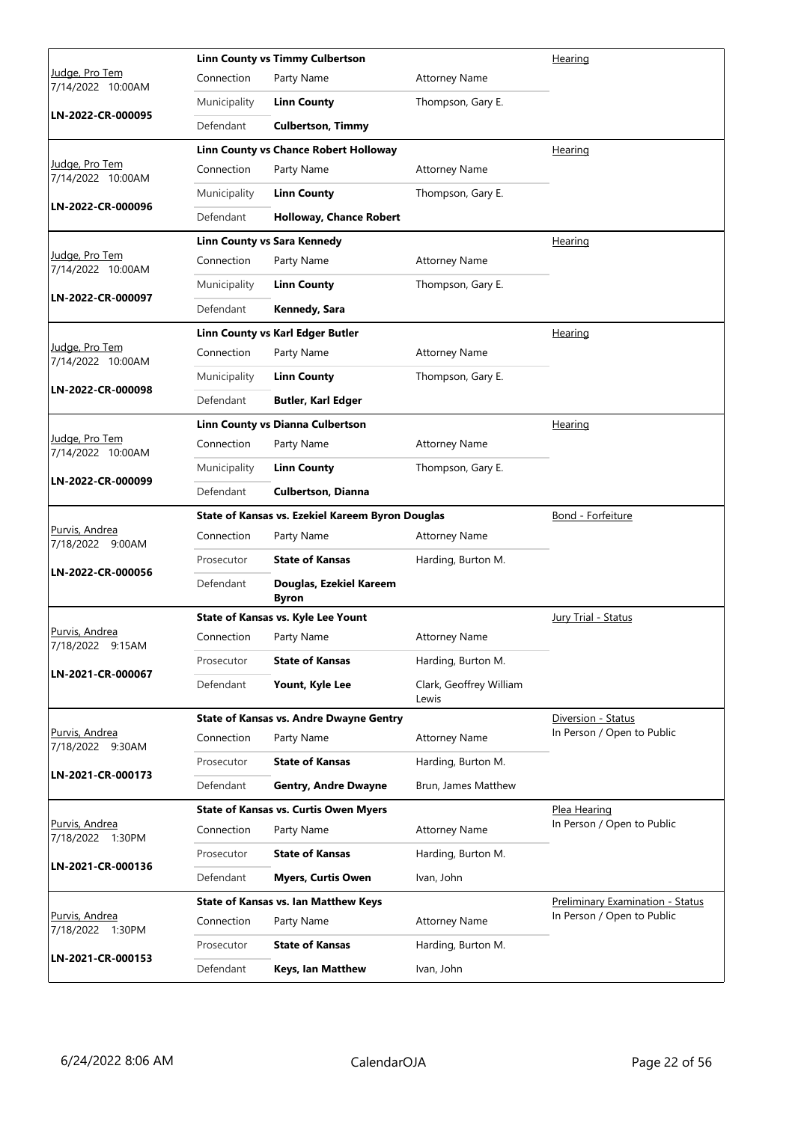|                                           | <b>Linn County vs Timmy Culbertson</b> |                                                  |                                  | Hearing                                 |
|-------------------------------------------|----------------------------------------|--------------------------------------------------|----------------------------------|-----------------------------------------|
| Judge, Pro Tem<br>7/14/2022 10:00AM       | Connection                             | Party Name                                       | <b>Attorney Name</b>             |                                         |
|                                           | Municipality                           | <b>Linn County</b>                               | Thompson, Gary E.                |                                         |
| LN-2022-CR-000095                         | Defendant                              | <b>Culbertson, Timmy</b>                         |                                  |                                         |
|                                           |                                        | <b>Linn County vs Chance Robert Holloway</b>     |                                  | Hearing                                 |
| Judge, Pro Tem<br>7/14/2022 10:00AM       | Connection                             | Party Name                                       | <b>Attorney Name</b>             |                                         |
|                                           | Municipality                           | <b>Linn County</b>                               | Thompson, Gary E.                |                                         |
| LN-2022-CR-000096                         | Defendant                              | <b>Holloway, Chance Robert</b>                   |                                  |                                         |
|                                           |                                        | <b>Linn County vs Sara Kennedy</b>               |                                  | Hearing                                 |
| Judge, Pro Tem<br>7/14/2022 10:00AM       | Connection                             | Party Name                                       | <b>Attorney Name</b>             |                                         |
|                                           | Municipality                           | <b>Linn County</b>                               | Thompson, Gary E.                |                                         |
| LN-2022-CR-000097                         | Defendant                              | Kennedy, Sara                                    |                                  |                                         |
|                                           |                                        | Linn County vs Karl Edger Butler                 |                                  | Hearing                                 |
| Judge, Pro Tem<br>7/14/2022 10:00AM       | Connection                             | Party Name                                       | <b>Attorney Name</b>             |                                         |
|                                           | Municipality                           | <b>Linn County</b>                               | Thompson, Gary E.                |                                         |
| LN-2022-CR-000098                         | Defendant                              | <b>Butler, Karl Edger</b>                        |                                  |                                         |
|                                           |                                        | Linn County vs Dianna Culbertson                 |                                  | Hearing                                 |
| Judge, Pro Tem<br>7/14/2022 10:00AM       | Connection                             | Party Name                                       | <b>Attorney Name</b>             |                                         |
|                                           | Municipality                           | <b>Linn County</b>                               | Thompson, Gary E.                |                                         |
| LN-2022-CR-000099                         | Defendant                              | <b>Culbertson, Dianna</b>                        |                                  |                                         |
|                                           |                                        | State of Kansas vs. Ezekiel Kareem Byron Douglas |                                  | <b>Bond - Forfeiture</b>                |
| Purvis, Andrea<br>7/18/2022 9:00AM        | Connection                             | Party Name                                       | <b>Attorney Name</b>             |                                         |
|                                           | Prosecutor                             | <b>State of Kansas</b>                           | Harding, Burton M.               |                                         |
| LN-2022-CR-000056                         | Defendant                              | Douglas, Ezekiel Kareem<br><b>Byron</b>          |                                  |                                         |
|                                           |                                        | State of Kansas vs. Kyle Lee Yount               |                                  | Jury Trial - Status                     |
| <u>Purvis, Andrea</u><br>7/18/2022 9:15AM | Connection                             | Party Name                                       | <b>Attorney Name</b>             |                                         |
|                                           | Prosecutor                             | <b>State of Kansas</b>                           | Harding, Burton M.               |                                         |
| LN-2021-CR-000067                         | Defendant                              | Yount, Kyle Lee                                  | Clark, Geoffrey William<br>Lewis |                                         |
|                                           |                                        | <b>State of Kansas vs. Andre Dwayne Gentry</b>   |                                  | Diversion - Status                      |
| Purvis, Andrea<br>7/18/2022 9:30AM        | Connection                             | Party Name                                       | <b>Attorney Name</b>             | In Person / Open to Public              |
|                                           | Prosecutor                             | <b>State of Kansas</b>                           | Harding, Burton M.               |                                         |
| LN-2021-CR-000173                         | Defendant                              | <b>Gentry, Andre Dwayne</b>                      | Brun, James Matthew              |                                         |
|                                           |                                        | <b>State of Kansas vs. Curtis Owen Myers</b>     |                                  | Plea Hearing                            |
| <u>Purvis, Andrea</u><br>7/18/2022 1:30PM | Connection                             | Party Name                                       | <b>Attorney Name</b>             | In Person / Open to Public              |
|                                           | Prosecutor                             | <b>State of Kansas</b>                           | Harding, Burton M.               |                                         |
| LN-2021-CR-000136                         | Defendant                              | <b>Myers, Curtis Owen</b>                        | Ivan, John                       |                                         |
|                                           |                                        | <b>State of Kansas vs. Ian Matthew Keys</b>      |                                  | <b>Preliminary Examination - Status</b> |
| Purvis, Andrea<br>7/18/2022 1:30PM        | Connection                             | Party Name                                       | <b>Attorney Name</b>             | In Person / Open to Public              |
| LN-2021-CR-000153                         | Prosecutor                             | <b>State of Kansas</b>                           | Harding, Burton M.               |                                         |
|                                           |                                        |                                                  |                                  |                                         |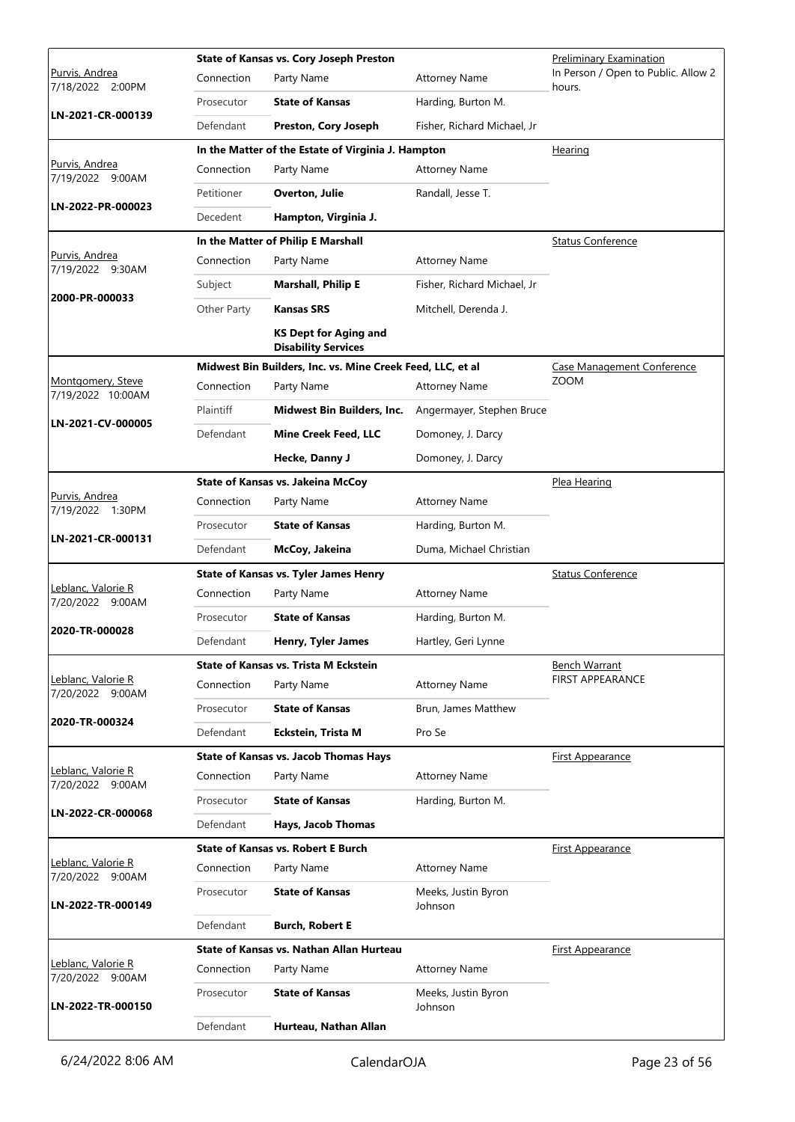|                                        | <b>State of Kansas vs. Cory Joseph Preston</b> |                                                            |                                |                                               |
|----------------------------------------|------------------------------------------------|------------------------------------------------------------|--------------------------------|-----------------------------------------------|
| Purvis, Andrea<br>7/18/2022 2:00PM     | Connection                                     | Party Name                                                 | <b>Attorney Name</b>           | In Person / Open to Public. Allow 2<br>hours. |
|                                        | Prosecutor                                     | <b>State of Kansas</b>                                     | Harding, Burton M.             |                                               |
| LN-2021-CR-000139                      | Defendant                                      | Preston, Cory Joseph                                       | Fisher, Richard Michael, Jr    |                                               |
|                                        |                                                | In the Matter of the Estate of Virginia J. Hampton         |                                | <b>Hearing</b>                                |
| Purvis, Andrea<br>7/19/2022 9:00AM     | Connection                                     | Party Name                                                 | <b>Attorney Name</b>           |                                               |
| LN-2022-PR-000023                      | Petitioner                                     | Overton, Julie                                             | Randall, Jesse T.              |                                               |
|                                        | Decedent                                       | Hampton, Virginia J.                                       |                                |                                               |
|                                        |                                                | In the Matter of Philip E Marshall                         |                                | <b>Status Conference</b>                      |
| Purvis, Andrea<br>7/19/2022 9:30AM     | Connection                                     | Party Name                                                 | <b>Attorney Name</b>           |                                               |
| 2000-PR-000033                         | Subject                                        | <b>Marshall, Philip E</b>                                  | Fisher, Richard Michael, Jr    |                                               |
|                                        | Other Party                                    | <b>Kansas SRS</b>                                          | Mitchell, Derenda J.           |                                               |
|                                        |                                                | <b>KS Dept for Aging and</b><br><b>Disability Services</b> |                                |                                               |
|                                        |                                                | Midwest Bin Builders, Inc. vs. Mine Creek Feed, LLC, et al |                                | Case Management Conference                    |
| Montgomery, Steve<br>7/19/2022 10:00AM | Connection                                     | Party Name                                                 | <b>Attorney Name</b>           | <b>ZOOM</b>                                   |
|                                        | Plaintiff                                      | <b>Midwest Bin Builders, Inc.</b>                          | Angermayer, Stephen Bruce      |                                               |
| LN-2021-CV-000005                      | Defendant                                      | <b>Mine Creek Feed, LLC</b>                                | Domoney, J. Darcy              |                                               |
|                                        |                                                | Hecke, Danny J                                             | Domoney, J. Darcy              |                                               |
|                                        |                                                | State of Kansas vs. Jakeina McCoy                          |                                | Plea Hearing                                  |
| Purvis, Andrea<br>7/19/2022 1:30PM     | Connection                                     | Party Name                                                 | <b>Attorney Name</b>           |                                               |
|                                        | Prosecutor                                     | <b>State of Kansas</b>                                     | Harding, Burton M.             |                                               |
| LN-2021-CR-000131                      | Defendant                                      | McCoy, Jakeina                                             | Duma, Michael Christian        |                                               |
|                                        |                                                | <b>State of Kansas vs. Tyler James Henry</b>               |                                | <b>Status Conference</b>                      |
| Leblanc, Valorie R<br>7/20/2022 9:00AM | Connection                                     | Party Name                                                 | <b>Attorney Name</b>           |                                               |
| 2020-TR-000028                         | Prosecutor                                     | <b>State of Kansas</b>                                     | Harding, Burton M.             |                                               |
|                                        | Defendant                                      | <b>Henry, Tyler James</b>                                  | Hartley, Geri Lynne            |                                               |
|                                        |                                                | State of Kansas vs. Trista M Eckstein                      |                                | <b>Bench Warrant</b>                          |
| Leblanc, Valorie R<br>7/20/2022 9:00AM | Connection                                     | Party Name                                                 | <b>Attorney Name</b>           | <b>FIRST APPEARANCE</b>                       |
| 2020-TR-000324                         | Prosecutor                                     | <b>State of Kansas</b>                                     | Brun, James Matthew            |                                               |
|                                        | Defendant                                      | Eckstein, Trista M                                         | Pro Se                         |                                               |
|                                        |                                                | <b>State of Kansas vs. Jacob Thomas Hays</b>               |                                | <b>First Appearance</b>                       |
| Leblanc, Valorie R<br>7/20/2022 9:00AM | Connection                                     | Party Name                                                 | Attorney Name                  |                                               |
| LN-2022-CR-000068                      | Prosecutor                                     | <b>State of Kansas</b>                                     | Harding, Burton M.             |                                               |
|                                        | Defendant                                      | Hays, Jacob Thomas                                         |                                |                                               |
|                                        |                                                | <b>State of Kansas vs. Robert E Burch</b>                  |                                | <b>First Appearance</b>                       |
| Leblanc, Valorie R<br>7/20/2022 9:00AM | Connection                                     | Party Name                                                 | <b>Attorney Name</b>           |                                               |
| LN-2022-TR-000149                      | Prosecutor                                     | <b>State of Kansas</b>                                     | Meeks, Justin Byron<br>Johnson |                                               |
|                                        | Defendant                                      | <b>Burch, Robert E</b>                                     |                                |                                               |
|                                        |                                                | State of Kansas vs. Nathan Allan Hurteau                   |                                | <b>First Appearance</b>                       |
| Leblanc, Valorie R<br>7/20/2022 9:00AM | Connection                                     | Party Name                                                 | <b>Attorney Name</b>           |                                               |
| LN-2022-TR-000150                      | Prosecutor                                     | <b>State of Kansas</b>                                     | Meeks, Justin Byron<br>Johnson |                                               |
|                                        | Defendant                                      | Hurteau, Nathan Allan                                      |                                |                                               |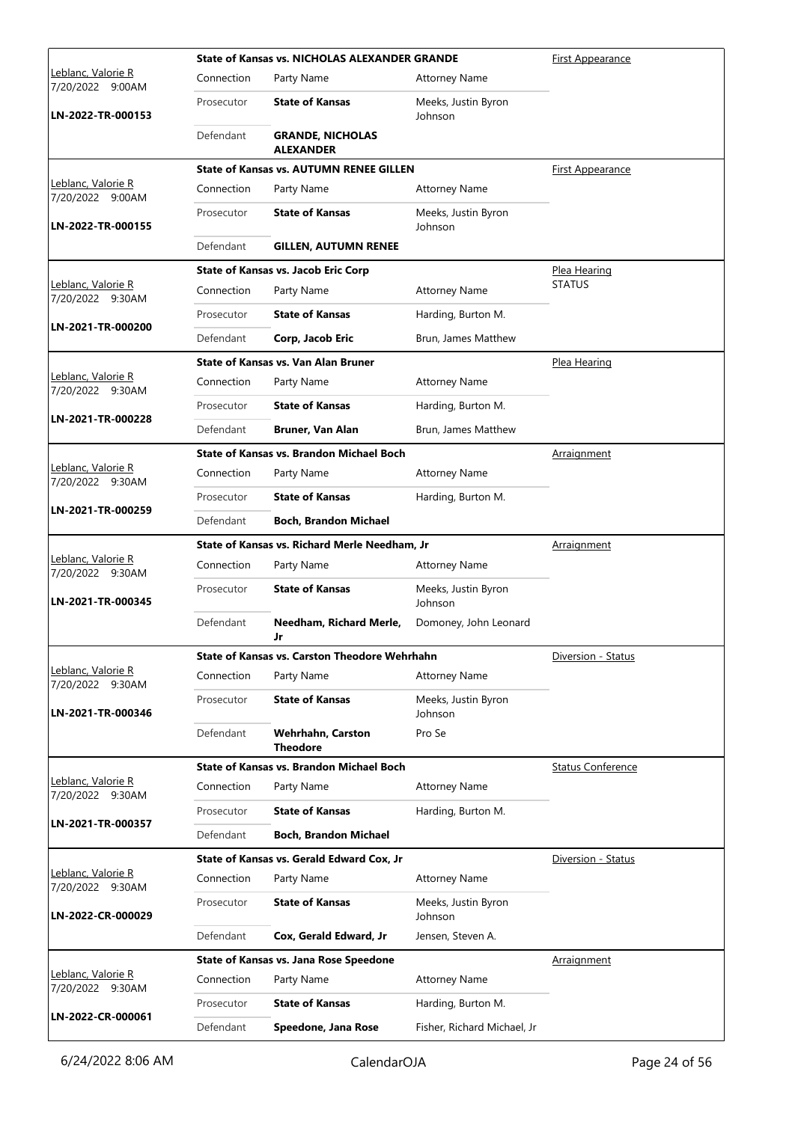|                                        |            | <b>State of Kansas vs. NICHOLAS ALEXANDER GRANDE</b> | First Appearance               |                          |
|----------------------------------------|------------|------------------------------------------------------|--------------------------------|--------------------------|
| Leblanc, Valorie R<br>7/20/2022 9:00AM | Connection | Party Name                                           | <b>Attorney Name</b>           |                          |
| LN-2022-TR-000153                      | Prosecutor | <b>State of Kansas</b>                               | Meeks, Justin Byron<br>Johnson |                          |
|                                        | Defendant  | <b>GRANDE, NICHOLAS</b><br><b>ALEXANDER</b>          |                                |                          |
|                                        |            | <b>State of Kansas vs. AUTUMN RENEE GILLEN</b>       |                                | <b>First Appearance</b>  |
| Leblanc, Valorie R<br>7/20/2022 9:00AM | Connection | Party Name                                           | <b>Attorney Name</b>           |                          |
| LN-2022-TR-000155                      | Prosecutor | <b>State of Kansas</b>                               | Meeks, Justin Byron<br>Johnson |                          |
|                                        | Defendant  | <b>GILLEN, AUTUMN RENEE</b>                          |                                |                          |
|                                        |            | <b>State of Kansas vs. Jacob Eric Corp</b>           |                                | Plea Hearing             |
| Leblanc, Valorie R<br>7/20/2022 9:30AM | Connection | Party Name                                           | <b>Attorney Name</b>           | <b>STATUS</b>            |
|                                        | Prosecutor | <b>State of Kansas</b>                               | Harding, Burton M.             |                          |
| LN-2021-TR-000200                      | Defendant  | Corp, Jacob Eric                                     | Brun, James Matthew            |                          |
|                                        |            | <b>State of Kansas vs. Van Alan Bruner</b>           |                                | Plea Hearing             |
| Leblanc, Valorie R<br>7/20/2022 9:30AM | Connection | Party Name                                           | <b>Attorney Name</b>           |                          |
|                                        | Prosecutor | <b>State of Kansas</b>                               | Harding, Burton M.             |                          |
| LN-2021-TR-000228                      | Defendant  | Bruner, Van Alan                                     | Brun, James Matthew            |                          |
|                                        |            | <b>State of Kansas vs. Brandon Michael Boch</b>      |                                | <u>Arraignment</u>       |
| Leblanc, Valorie R<br>7/20/2022 9:30AM | Connection | Party Name                                           | <b>Attorney Name</b>           |                          |
| LN-2021-TR-000259                      | Prosecutor | <b>State of Kansas</b>                               | Harding, Burton M.             |                          |
|                                        | Defendant  | <b>Boch, Brandon Michael</b>                         |                                |                          |
|                                        |            | State of Kansas vs. Richard Merle Needham, Jr        |                                | Arraignment              |
| Leblanc, Valorie R<br>7/20/2022 9:30AM | Connection | Party Name                                           | <b>Attorney Name</b>           |                          |
| LN-2021-TR-000345                      | Prosecutor | <b>State of Kansas</b>                               | Meeks, Justin Byron<br>Johnson |                          |
|                                        | Defendant  | Needham, Richard Merle,<br>Jr                        | Domoney, John Leonard          |                          |
|                                        |            | State of Kansas vs. Carston Theodore Wehrhahn        |                                | Diversion - Status       |
| Leblanc, Valorie R<br>7/20/2022 9:30AM | Connection | Party Name                                           | <b>Attorney Name</b>           |                          |
| LN-2021-TR-000346                      | Prosecutor | <b>State of Kansas</b>                               | Meeks, Justin Byron<br>Johnson |                          |
|                                        | Defendant  | Wehrhahn, Carston<br><b>Theodore</b>                 | Pro Se                         |                          |
|                                        |            | <b>State of Kansas vs. Brandon Michael Boch</b>      |                                | <b>Status Conference</b> |
| Leblanc, Valorie R<br>7/20/2022 9:30AM | Connection | Party Name                                           | <b>Attorney Name</b>           |                          |
| LN-2021-TR-000357                      | Prosecutor | <b>State of Kansas</b>                               | Harding, Burton M.             |                          |
|                                        | Defendant  | <b>Boch, Brandon Michael</b>                         |                                |                          |
|                                        |            | State of Kansas vs. Gerald Edward Cox, Jr            |                                | Diversion - Status       |
| Leblanc, Valorie R<br>7/20/2022 9:30AM | Connection | Party Name                                           | <b>Attorney Name</b>           |                          |
| LN-2022-CR-000029                      | Prosecutor | <b>State of Kansas</b>                               | Meeks, Justin Byron<br>Johnson |                          |
|                                        | Defendant  | Cox, Gerald Edward, Jr                               | Jensen, Steven A.              |                          |
|                                        |            | State of Kansas vs. Jana Rose Speedone               |                                | Arraignment              |
| Leblanc, Valorie R<br>7/20/2022 9:30AM | Connection | Party Name                                           | <b>Attorney Name</b>           |                          |
|                                        | Prosecutor | <b>State of Kansas</b>                               | Harding, Burton M.             |                          |
| LN-2022-CR-000061                      | Defendant  | Speedone, Jana Rose                                  | Fisher, Richard Michael, Jr    |                          |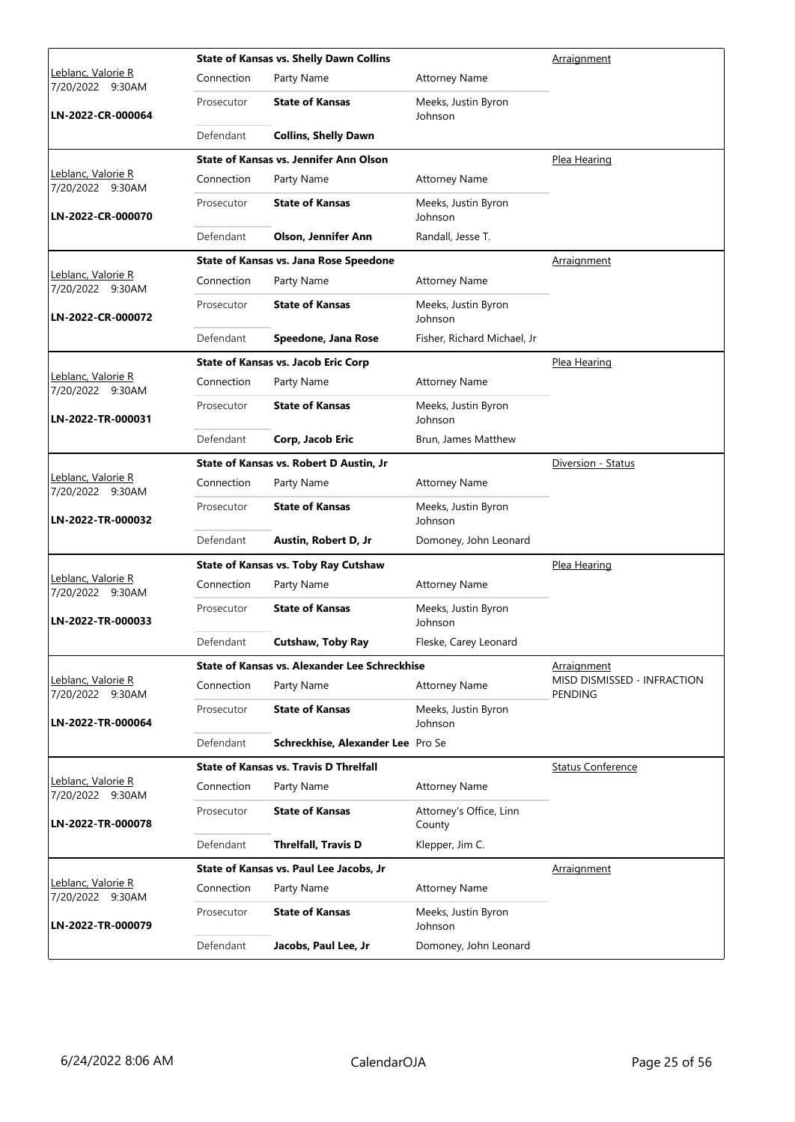|                                                |            | <b>State of Kansas vs. Shelly Dawn Collins</b> | Arraignment                       |                                        |  |
|------------------------------------------------|------------|------------------------------------------------|-----------------------------------|----------------------------------------|--|
| <u> Leblanc, Valorie R</u><br>7/20/2022 9:30AM | Connection | Party Name                                     | <b>Attorney Name</b>              |                                        |  |
| LN-2022-CR-000064                              | Prosecutor | <b>State of Kansas</b>                         | Meeks, Justin Byron<br>Johnson    |                                        |  |
|                                                | Defendant  | <b>Collins, Shelly Dawn</b>                    |                                   |                                        |  |
|                                                |            | <b>State of Kansas vs. Jennifer Ann Olson</b>  |                                   | Plea Hearing                           |  |
| Leblanc, Valorie R<br>7/20/2022 9:30AM         | Connection | Party Name                                     | <b>Attorney Name</b>              |                                        |  |
| LN-2022-CR-000070                              | Prosecutor | <b>State of Kansas</b>                         | Meeks, Justin Byron<br>Johnson    |                                        |  |
|                                                | Defendant  | <b>Olson, Jennifer Ann</b>                     | Randall, Jesse T.                 |                                        |  |
|                                                |            | State of Kansas vs. Jana Rose Speedone         |                                   | <b>Arraignment</b>                     |  |
| Leblanc, Valorie R<br>7/20/2022 9:30AM         | Connection | Party Name                                     | <b>Attorney Name</b>              |                                        |  |
| LN-2022-CR-000072                              | Prosecutor | <b>State of Kansas</b>                         | Meeks, Justin Byron<br>Johnson    |                                        |  |
|                                                | Defendant  | Speedone, Jana Rose                            | Fisher, Richard Michael, Jr       |                                        |  |
|                                                |            | <b>State of Kansas vs. Jacob Eric Corp</b>     |                                   | Plea Hearing                           |  |
| <u> Leblanc, Valorie R</u><br>7/20/2022 9:30AM | Connection | Party Name                                     | <b>Attorney Name</b>              |                                        |  |
| LN-2022-TR-000031                              | Prosecutor | <b>State of Kansas</b>                         | Meeks, Justin Byron<br>Johnson    |                                        |  |
|                                                | Defendant  | Corp, Jacob Eric                               | Brun, James Matthew               |                                        |  |
|                                                |            | State of Kansas vs. Robert D Austin, Jr        |                                   | Diversion - Status                     |  |
| Leblanc, Valorie R<br>7/20/2022 9:30AM         | Connection | Party Name                                     | <b>Attorney Name</b>              |                                        |  |
| LN-2022-TR-000032                              | Prosecutor | <b>State of Kansas</b>                         | Meeks, Justin Byron<br>Johnson    |                                        |  |
|                                                | Defendant  | Austin, Robert D, Jr                           | Domoney, John Leonard             |                                        |  |
|                                                |            | <b>State of Kansas vs. Toby Ray Cutshaw</b>    |                                   | Plea Hearing                           |  |
| Leblanc, Valorie R<br>7/20/2022 9:30AM         | Connection | Party Name                                     | <b>Attorney Name</b>              |                                        |  |
| LN-2022-TR-000033                              | Prosecutor | <b>State of Kansas</b>                         | Meeks, Justin Byron<br>Johnson    |                                        |  |
|                                                | Defendant  | Cutshaw, Toby Ray                              | Fleske, Carey Leonard             |                                        |  |
|                                                |            | State of Kansas vs. Alexander Lee Schreckhise  |                                   | Arraignment                            |  |
| Leblanc, Valorie R<br>7/20/2022 9:30AM         | Connection | Party Name                                     | <b>Attorney Name</b>              | MISD DISMISSED - INFRACTION<br>PENDING |  |
| LN-2022-TR-000064                              | Prosecutor | <b>State of Kansas</b>                         | Meeks, Justin Byron<br>Johnson    |                                        |  |
|                                                | Defendant  | Schreckhise, Alexander Lee Pro Se              |                                   |                                        |  |
|                                                |            | <b>State of Kansas vs. Travis D Threlfall</b>  |                                   | <b>Status Conference</b>               |  |
| Leblanc, Valorie R<br>7/20/2022 9:30AM         | Connection | Party Name                                     | <b>Attorney Name</b>              |                                        |  |
| LN-2022-TR-000078                              | Prosecutor | <b>State of Kansas</b>                         | Attorney's Office, Linn<br>County |                                        |  |
|                                                | Defendant  | <b>Threlfall, Travis D</b>                     | Klepper, Jim C.                   |                                        |  |
|                                                |            | State of Kansas vs. Paul Lee Jacobs, Jr        |                                   | Arraignment                            |  |
| Leblanc, Valorie R<br>7/20/2022 9:30AM         | Connection | Party Name                                     | <b>Attorney Name</b>              |                                        |  |
| LN-2022-TR-000079                              | Prosecutor | <b>State of Kansas</b>                         | Meeks, Justin Byron<br>Johnson    |                                        |  |
|                                                | Defendant  | Jacobs, Paul Lee, Jr                           | Domoney, John Leonard             |                                        |  |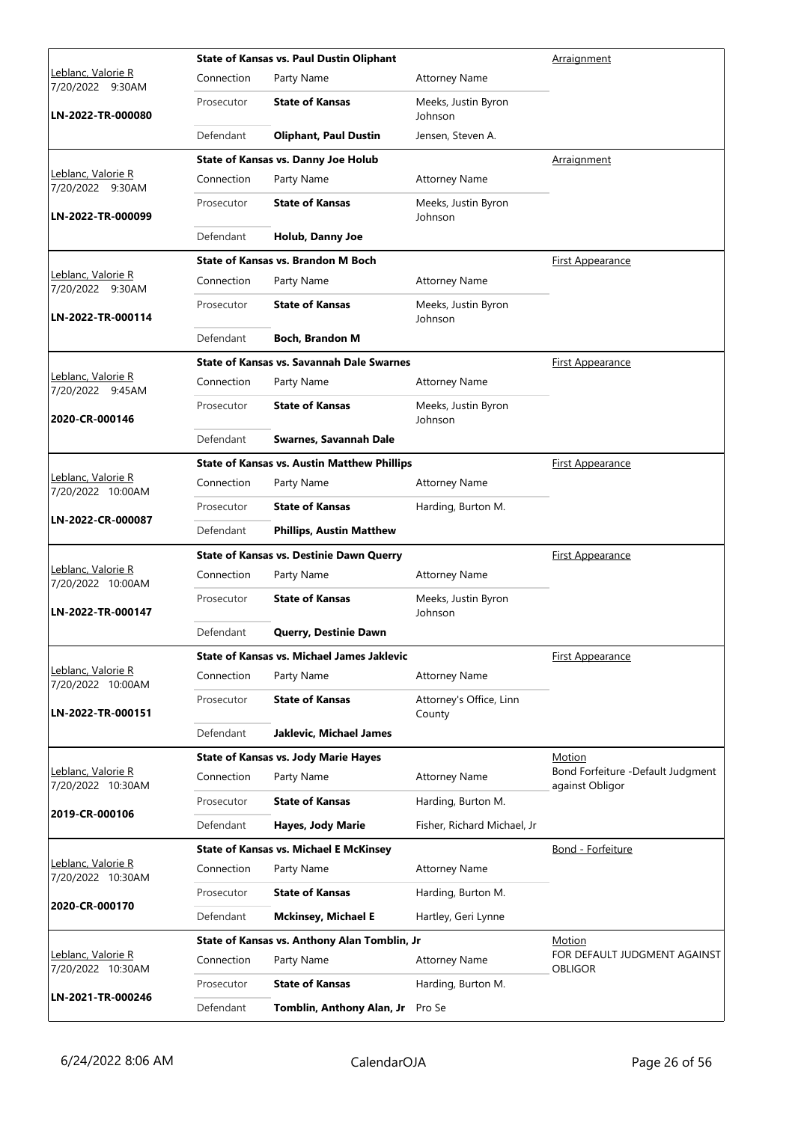|                                                 |            | <b>State of Kansas vs. Paul Dustin Oliphant</b>    |                                   | Arraignment                                           |
|-------------------------------------------------|------------|----------------------------------------------------|-----------------------------------|-------------------------------------------------------|
| Leblanc, Valorie R<br>7/20/2022 9:30AM          | Connection | Party Name                                         | <b>Attorney Name</b>              |                                                       |
| LN-2022-TR-000080                               | Prosecutor | <b>State of Kansas</b>                             | Meeks, Justin Byron<br>Johnson    |                                                       |
|                                                 | Defendant  | <b>Oliphant, Paul Dustin</b>                       | Jensen, Steven A.                 |                                                       |
|                                                 |            | State of Kansas vs. Danny Joe Holub                |                                   | Arraignment                                           |
| Leblanc, Valorie R<br>7/20/2022 9:30AM          | Connection | Party Name                                         | <b>Attorney Name</b>              |                                                       |
| LN-2022-TR-000099                               | Prosecutor | <b>State of Kansas</b>                             | Meeks, Justin Byron<br>Johnson    |                                                       |
|                                                 | Defendant  | Holub, Danny Joe                                   |                                   |                                                       |
|                                                 |            | <b>State of Kansas vs. Brandon M Boch</b>          |                                   | <b>First Appearance</b>                               |
| Leblanc, Valorie R<br>7/20/2022 9:30AM          | Connection | Party Name                                         | <b>Attorney Name</b>              |                                                       |
| LN-2022-TR-000114                               | Prosecutor | <b>State of Kansas</b>                             | Meeks, Justin Byron<br>Johnson    |                                                       |
|                                                 | Defendant  | Boch, Brandon M                                    |                                   |                                                       |
|                                                 |            | <b>State of Kansas vs. Savannah Dale Swarnes</b>   |                                   | <b>First Appearance</b>                               |
| Leblanc, Valorie R<br>7/20/2022 9:45AM          | Connection | Party Name                                         | <b>Attorney Name</b>              |                                                       |
| 2020-CR-000146                                  | Prosecutor | <b>State of Kansas</b>                             | Meeks, Justin Byron<br>Johnson    |                                                       |
|                                                 | Defendant  | Swarnes, Savannah Dale                             |                                   |                                                       |
|                                                 |            | <b>State of Kansas vs. Austin Matthew Phillips</b> |                                   | <b>First Appearance</b>                               |
| Leblanc, Valorie R<br>7/20/2022 10:00AM         | Connection | Party Name                                         | <b>Attorney Name</b>              |                                                       |
|                                                 | Prosecutor | <b>State of Kansas</b>                             | Harding, Burton M.                |                                                       |
| LN-2022-CR-000087                               | Defendant  | <b>Phillips, Austin Matthew</b>                    |                                   |                                                       |
|                                                 |            | <b>State of Kansas vs. Destinie Dawn Querry</b>    |                                   | <u>First Appearance</u>                               |
| <u> Leblanc, Valorie R</u><br>7/20/2022 10:00AM | Connection | Party Name                                         | <b>Attorney Name</b>              |                                                       |
| LN-2022-TR-000147                               | Prosecutor | <b>State of Kansas</b>                             | Meeks, Justin Byron<br>Johnson    |                                                       |
|                                                 | Defendant  | Querry, Destinie Dawn                              |                                   |                                                       |
|                                                 |            | <b>State of Kansas vs. Michael James Jaklevic</b>  |                                   | <b>First Appearance</b>                               |
| Leblanc, Valorie R<br>7/20/2022 10:00AM         | Connection | Party Name                                         | <b>Attorney Name</b>              |                                                       |
| LN-2022-TR-000151                               | Prosecutor | <b>State of Kansas</b>                             | Attorney's Office, Linn<br>County |                                                       |
|                                                 | Defendant  | Jaklevic, Michael James                            |                                   |                                                       |
|                                                 |            | <b>State of Kansas vs. Jody Marie Hayes</b>        |                                   | Motion                                                |
| Leblanc, Valorie R<br>7/20/2022 10:30AM         | Connection | Party Name                                         | <b>Attorney Name</b>              | Bond Forfeiture - Default Judgment<br>against Obligor |
| 2019-CR-000106                                  | Prosecutor | <b>State of Kansas</b>                             | Harding, Burton M.                |                                                       |
|                                                 | Defendant  | Hayes, Jody Marie                                  | Fisher, Richard Michael, Jr       |                                                       |
|                                                 |            | <b>State of Kansas vs. Michael E McKinsey</b>      |                                   | <b>Bond - Forfeiture</b>                              |
| Leblanc, Valorie R<br>7/20/2022 10:30AM         | Connection | Party Name                                         | <b>Attorney Name</b>              |                                                       |
|                                                 | Prosecutor | <b>State of Kansas</b>                             | Harding, Burton M.                |                                                       |
| 2020-CR-000170                                  | Defendant  | <b>Mckinsey, Michael E</b>                         | Hartley, Geri Lynne               |                                                       |
|                                                 |            | State of Kansas vs. Anthony Alan Tomblin, Jr       |                                   | Motion                                                |
| Leblanc, Valorie R<br>7/20/2022 10:30AM         | Connection | Party Name                                         | <b>Attorney Name</b>              | FOR DEFAULT JUDGMENT AGAINST<br><b>OBLIGOR</b>        |
|                                                 | Prosecutor | <b>State of Kansas</b>                             | Harding, Burton M.                |                                                       |
| LN-2021-TR-000246                               | Defendant  | Tomblin, Anthony Alan, Jr Pro Se                   |                                   |                                                       |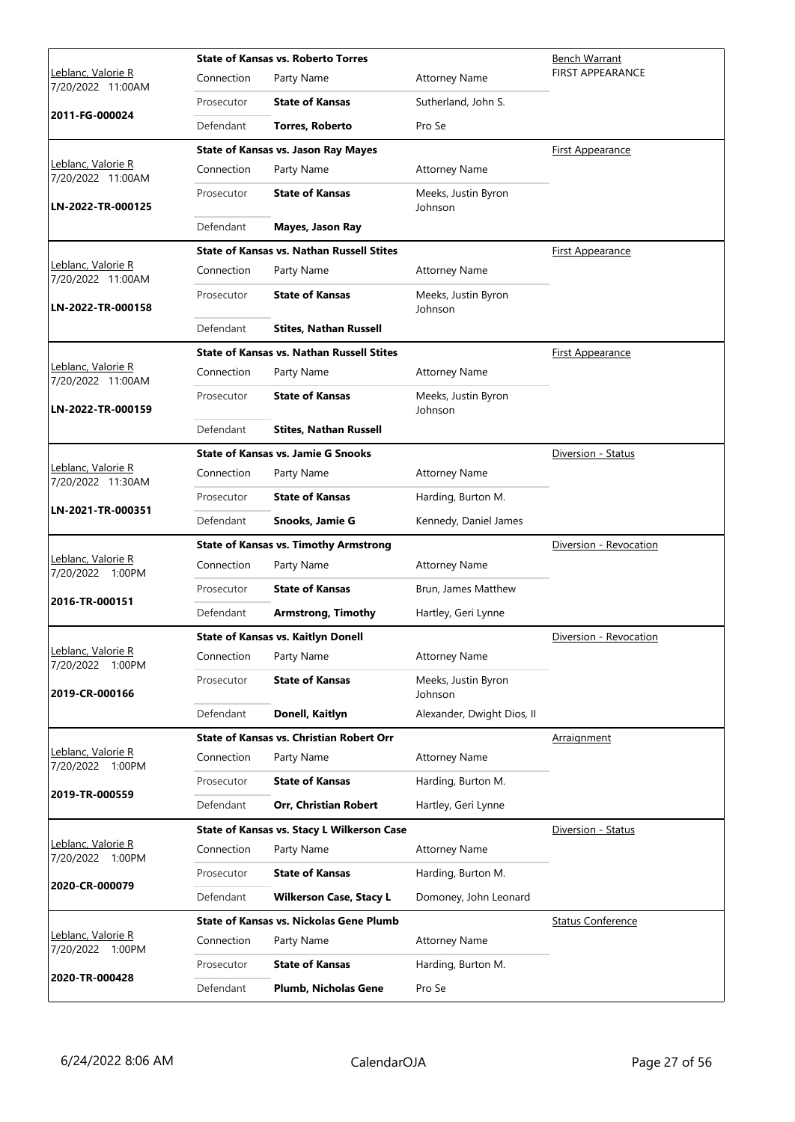|                                         |            | <b>State of Kansas vs. Roberto Torres</b>        |                                | <b>Bench Warrant</b>     |  |  |
|-----------------------------------------|------------|--------------------------------------------------|--------------------------------|--------------------------|--|--|
| Leblanc, Valorie R<br>7/20/2022 11:00AM | Connection | Party Name                                       | <b>Attorney Name</b>           | <b>FIRST APPEARANCE</b>  |  |  |
|                                         | Prosecutor | <b>State of Kansas</b>                           | Sutherland, John S.            |                          |  |  |
| 2011-FG-000024                          | Defendant  | <b>Torres, Roberto</b>                           | Pro Se                         |                          |  |  |
|                                         |            | <b>State of Kansas vs. Jason Ray Mayes</b>       |                                | First Appearance         |  |  |
| Leblanc, Valorie R<br>7/20/2022 11:00AM | Connection | Party Name                                       | <b>Attorney Name</b>           |                          |  |  |
| LN-2022-TR-000125                       | Prosecutor | <b>State of Kansas</b>                           | Meeks, Justin Byron<br>Johnson |                          |  |  |
|                                         | Defendant  | Mayes, Jason Ray                                 |                                |                          |  |  |
|                                         |            | <b>State of Kansas vs. Nathan Russell Stites</b> |                                | <u>First Appearance</u>  |  |  |
| Leblanc, Valorie R<br>7/20/2022 11:00AM | Connection | Party Name                                       | <b>Attorney Name</b>           |                          |  |  |
| LN-2022-TR-000158                       | Prosecutor | <b>State of Kansas</b>                           | Meeks, Justin Byron<br>Johnson |                          |  |  |
|                                         | Defendant  | <b>Stites, Nathan Russell</b>                    |                                |                          |  |  |
|                                         |            | <b>State of Kansas vs. Nathan Russell Stites</b> |                                | <b>First Appearance</b>  |  |  |
| Leblanc, Valorie R<br>7/20/2022 11:00AM | Connection | Party Name                                       | <b>Attorney Name</b>           |                          |  |  |
| LN-2022-TR-000159                       | Prosecutor | <b>State of Kansas</b>                           | Meeks, Justin Byron<br>Johnson |                          |  |  |
|                                         | Defendant  | <b>Stites, Nathan Russell</b>                    |                                |                          |  |  |
|                                         |            | <b>State of Kansas vs. Jamie G Snooks</b>        |                                | Diversion - Status       |  |  |
| Leblanc, Valorie R<br>7/20/2022 11:30AM | Connection | Party Name                                       | <b>Attorney Name</b>           |                          |  |  |
| LN-2021-TR-000351                       | Prosecutor | <b>State of Kansas</b>                           | Harding, Burton M.             |                          |  |  |
|                                         | Defendant  | Snooks, Jamie G                                  | Kennedy, Daniel James          |                          |  |  |
|                                         |            | <b>State of Kansas vs. Timothy Armstrong</b>     |                                | Diversion - Revocation   |  |  |
| Leblanc, Valorie R<br>7/20/2022 1:00PM  | Connection | Party Name                                       | <b>Attorney Name</b>           |                          |  |  |
| 2016-TR-000151                          | Prosecutor | <b>State of Kansas</b>                           | Brun, James Matthew            |                          |  |  |
|                                         | Defendant  | <b>Armstrong, Timothy</b>                        | Hartley, Geri Lynne            |                          |  |  |
|                                         |            | <b>State of Kansas vs. Kaitlyn Donell</b>        |                                | Diversion - Revocation   |  |  |
| Leblanc, Valorie R<br>7/20/2022 1:00PM  | Connection | Party Name                                       | <b>Attorney Name</b>           |                          |  |  |
| 2019-CR-000166                          | Prosecutor | <b>State of Kansas</b>                           | Meeks, Justin Byron<br>Johnson |                          |  |  |
|                                         | Defendant  | Donell, Kaitlyn                                  | Alexander, Dwight Dios, II     |                          |  |  |
|                                         |            | State of Kansas vs. Christian Robert Orr         |                                | <u>Arraignment</u>       |  |  |
| Leblanc, Valorie R<br>7/20/2022 1:00PM  | Connection | Party Name                                       | <b>Attorney Name</b>           |                          |  |  |
| 2019-TR-000559                          | Prosecutor | <b>State of Kansas</b>                           | Harding, Burton M.             |                          |  |  |
|                                         | Defendant  | <b>Orr, Christian Robert</b>                     | Hartley, Geri Lynne            |                          |  |  |
|                                         |            | State of Kansas vs. Stacy L Wilkerson Case       |                                | Diversion - Status       |  |  |
| Leblanc, Valorie R<br>7/20/2022 1:00PM  | Connection | Party Name                                       | <b>Attorney Name</b>           |                          |  |  |
| 2020-CR-000079                          | Prosecutor | <b>State of Kansas</b>                           | Harding, Burton M.             |                          |  |  |
|                                         | Defendant  | <b>Wilkerson Case, Stacy L</b>                   | Domoney, John Leonard          |                          |  |  |
|                                         |            | State of Kansas vs. Nickolas Gene Plumb          |                                | <b>Status Conference</b> |  |  |
| Leblanc, Valorie R<br>7/20/2022 1:00PM  | Connection | Party Name                                       | <b>Attorney Name</b>           |                          |  |  |
| 2020-TR-000428                          | Prosecutor | <b>State of Kansas</b>                           | Harding, Burton M.             |                          |  |  |
|                                         |            |                                                  |                                |                          |  |  |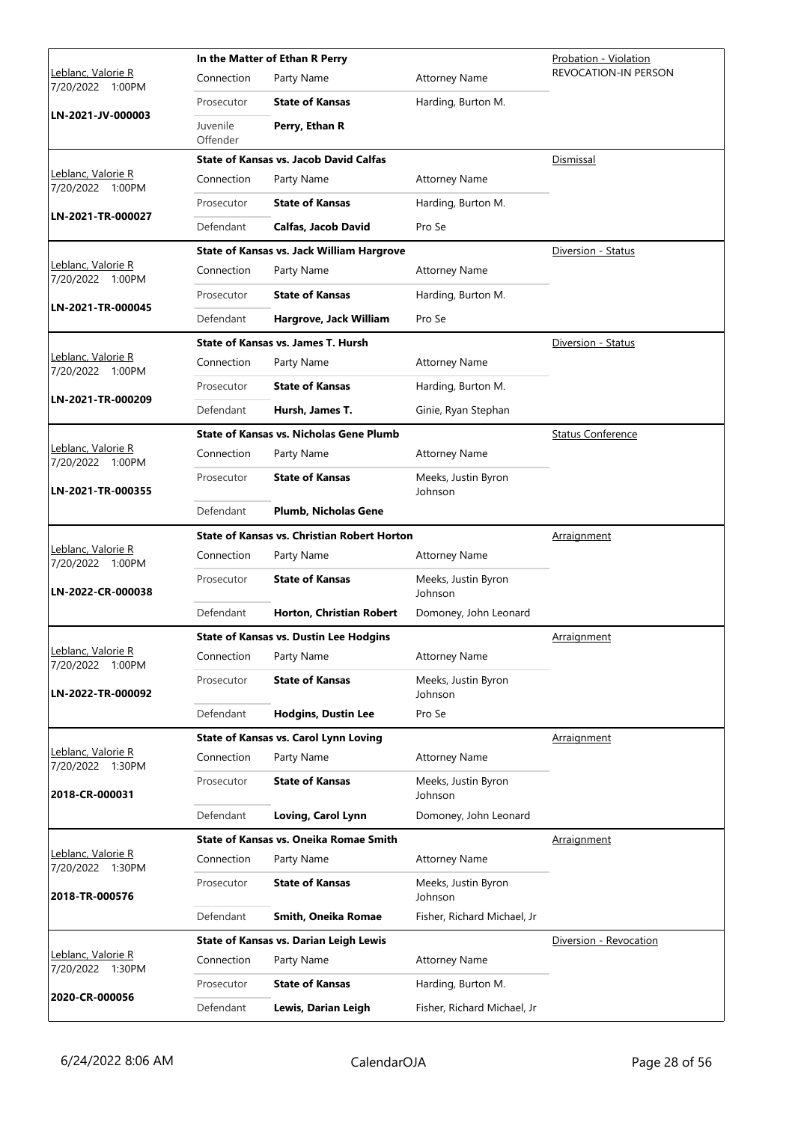|                                               | In the Matter of Ethan R Perry |                                                    |                                | Probation - Violation       |
|-----------------------------------------------|--------------------------------|----------------------------------------------------|--------------------------------|-----------------------------|
| <u>Leblanc, Valorie R</u><br>7/20/2022 1:00PM | Connection                     | Party Name                                         | <b>Attorney Name</b>           | <b>REVOCATION-IN PERSON</b> |
| LN-2021-JV-000003                             | Prosecutor                     | <b>State of Kansas</b>                             | Harding, Burton M.             |                             |
|                                               | Juvenile<br>Offender           | Perry, Ethan R                                     |                                |                             |
|                                               |                                | <b>State of Kansas vs. Jacob David Calfas</b>      |                                | Dismissal                   |
| Leblanc, Valorie R<br>7/20/2022 1:00PM        | Connection                     | Party Name                                         | <b>Attorney Name</b>           |                             |
| LN-2021-TR-000027                             | Prosecutor                     | <b>State of Kansas</b>                             | Harding, Burton M.             |                             |
|                                               | Defendant                      | Calfas, Jacob David                                | Pro Se                         |                             |
|                                               |                                | <b>State of Kansas vs. Jack William Hargrove</b>   |                                | Diversion - Status          |
| Leblanc, Valorie R<br>7/20/2022 1:00PM        | Connection                     | Party Name                                         | <b>Attorney Name</b>           |                             |
| LN-2021-TR-000045                             | Prosecutor                     | <b>State of Kansas</b>                             | Harding, Burton M.             |                             |
|                                               | Defendant                      | Hargrove, Jack William                             | Pro Se                         |                             |
|                                               |                                | <b>State of Kansas vs. James T. Hursh</b>          |                                | Diversion - Status          |
| Leblanc, Valorie R<br>7/20/2022 1:00PM        | Connection                     | Party Name                                         | <b>Attorney Name</b>           |                             |
| LN-2021-TR-000209                             | Prosecutor                     | <b>State of Kansas</b>                             | Harding, Burton M.             |                             |
|                                               | Defendant                      | Hursh, James T.                                    | Ginie, Ryan Stephan            |                             |
|                                               |                                | <b>State of Kansas vs. Nicholas Gene Plumb</b>     |                                | <b>Status Conference</b>    |
| Leblanc, Valorie R<br>7/20/2022 1:00PM        | Connection                     | Party Name                                         | <b>Attorney Name</b>           |                             |
| LN-2021-TR-000355                             | Prosecutor                     | <b>State of Kansas</b>                             | Meeks, Justin Byron<br>Johnson |                             |
|                                               | Defendant                      | <b>Plumb, Nicholas Gene</b>                        |                                |                             |
|                                               |                                | <b>State of Kansas vs. Christian Robert Horton</b> |                                | Arraignment                 |
| Leblanc, Valorie R<br>7/20/2022 1:00PM        | Connection                     | Party Name                                         | <b>Attorney Name</b>           |                             |
| LN-2022-CR-000038                             | Prosecutor                     | <b>State of Kansas</b>                             | Meeks, Justin Byron<br>Johnson |                             |
|                                               | Defendant                      | Horton, Christian Robert                           | Domoney, John Leonard          |                             |
|                                               |                                | <b>State of Kansas vs. Dustin Lee Hodgins</b>      |                                | <b>Arraignment</b>          |
| Leblanc, Valorie R<br>7/20/2022<br>1:00PM     | Connection                     | Party Name                                         | <b>Attorney Name</b>           |                             |
| LN-2022-TR-000092                             | Prosecutor                     | <b>State of Kansas</b>                             | Meeks, Justin Byron<br>Johnson |                             |
|                                               | Defendant                      | <b>Hodgins, Dustin Lee</b>                         | Pro Se                         |                             |
|                                               |                                | <b>State of Kansas vs. Carol Lynn Loving</b>       |                                | Arraignment                 |
| <u> Leblanc, Valorie R</u>                    | Connection                     | Party Name                                         | <b>Attorney Name</b>           |                             |
| 7/20/2022 1:30PM<br>2018-CR-000031            | Prosecutor                     | <b>State of Kansas</b>                             | Meeks, Justin Byron<br>Johnson |                             |
|                                               | Defendant                      | Loving, Carol Lynn                                 | Domoney, John Leonard          |                             |
|                                               |                                | <b>State of Kansas vs. Oneika Romae Smith</b>      |                                | Arraignment                 |
| Leblanc, Valorie R<br>7/20/2022 1:30PM        | Connection                     | Party Name                                         | <b>Attorney Name</b>           |                             |
| 2018-TR-000576                                | Prosecutor                     | <b>State of Kansas</b>                             | Meeks, Justin Byron<br>Johnson |                             |
|                                               | Defendant                      | Smith, Oneika Romae                                | Fisher, Richard Michael, Jr    |                             |
|                                               |                                | <b>State of Kansas vs. Darian Leigh Lewis</b>      |                                | Diversion - Revocation      |
| Leblanc, Valorie R<br>7/20/2022 1:30PM        | Connection                     | Party Name                                         | <b>Attorney Name</b>           |                             |
|                                               | Prosecutor                     | <b>State of Kansas</b>                             | Harding, Burton M.             |                             |
| 2020-CR-000056                                | Defendant                      | Lewis, Darian Leigh                                | Fisher, Richard Michael, Jr    |                             |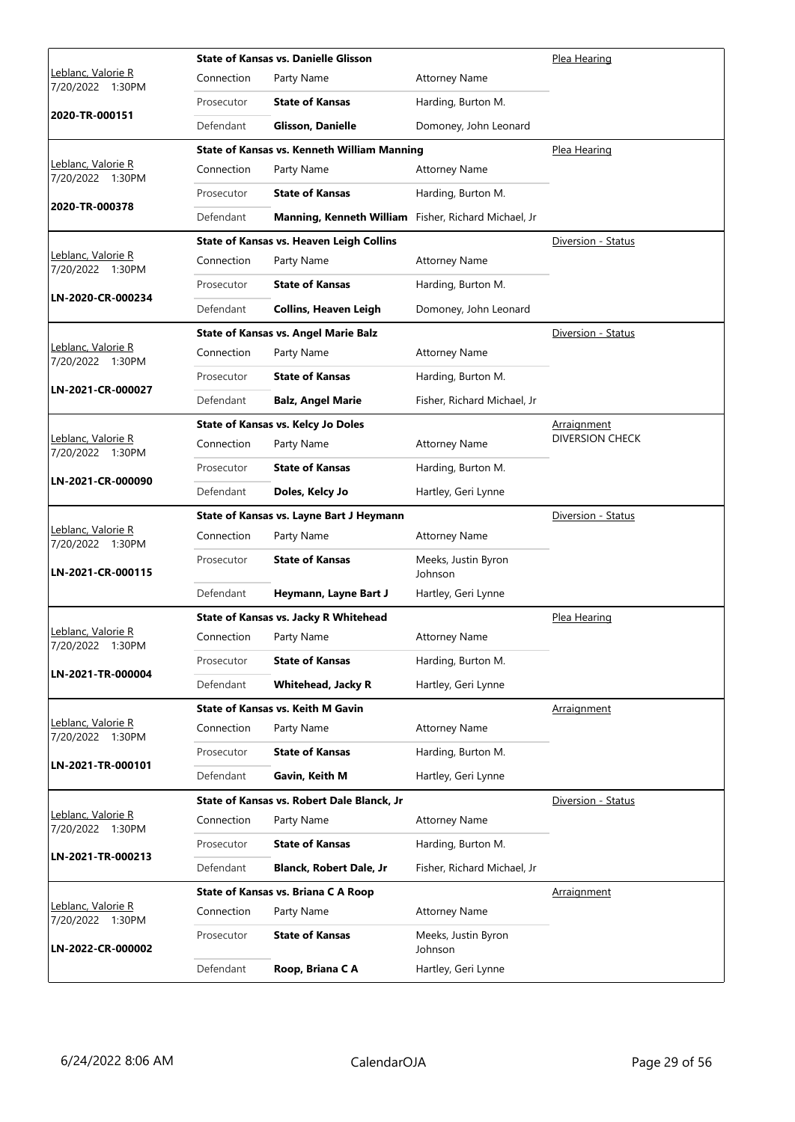|                                        |            | <b>State of Kansas vs. Danielle Glisson</b>          | Plea Hearing                   |                        |
|----------------------------------------|------------|------------------------------------------------------|--------------------------------|------------------------|
| Leblanc, Valorie R<br>7/20/2022 1:30PM | Connection | Party Name                                           | <b>Attorney Name</b>           |                        |
|                                        | Prosecutor | <b>State of Kansas</b>                               | Harding, Burton M.             |                        |
| 2020-TR-000151                         | Defendant  | <b>Glisson, Danielle</b>                             | Domoney, John Leonard          |                        |
|                                        |            | State of Kansas vs. Kenneth William Manning          |                                | Plea Hearing           |
| Leblanc, Valorie R<br>7/20/2022 1:30PM | Connection | Party Name                                           | <b>Attorney Name</b>           |                        |
|                                        | Prosecutor | <b>State of Kansas</b>                               | Harding, Burton M.             |                        |
| 2020-TR-000378                         | Defendant  | Manning, Kenneth William Fisher, Richard Michael, Jr |                                |                        |
|                                        |            | <b>State of Kansas vs. Heaven Leigh Collins</b>      |                                | Diversion - Status     |
| Leblanc, Valorie R<br>7/20/2022 1:30PM | Connection | Party Name                                           | <b>Attorney Name</b>           |                        |
|                                        | Prosecutor | <b>State of Kansas</b>                               | Harding, Burton M.             |                        |
| LN-2020-CR-000234                      | Defendant  | <b>Collins, Heaven Leigh</b>                         | Domoney, John Leonard          |                        |
|                                        |            | <b>State of Kansas vs. Angel Marie Balz</b>          |                                | Diversion - Status     |
| Leblanc, Valorie R<br>7/20/2022 1:30PM | Connection | Party Name                                           | <b>Attorney Name</b>           |                        |
|                                        | Prosecutor | <b>State of Kansas</b>                               | Harding, Burton M.             |                        |
| LN-2021-CR-000027                      | Defendant  | <b>Balz, Angel Marie</b>                             | Fisher, Richard Michael, Jr    |                        |
|                                        |            | State of Kansas vs. Kelcy Jo Doles                   |                                | <u>Arraignment</u>     |
| Leblanc, Valorie R                     | Connection | Party Name                                           | <b>Attorney Name</b>           | <b>DIVERSION CHECK</b> |
| 7/20/2022 1:30PM                       | Prosecutor | <b>State of Kansas</b>                               | Harding, Burton M.             |                        |
| LN-2021-CR-000090                      | Defendant  | Doles, Kelcy Jo                                      | Hartley, Geri Lynne            |                        |
|                                        |            | State of Kansas vs. Layne Bart J Heymann             |                                | Diversion - Status     |
| Leblanc, Valorie R                     | Connection | Party Name                                           | <b>Attorney Name</b>           |                        |
| 7/20/2022 1:30PM                       | Prosecutor | <b>State of Kansas</b>                               | Meeks, Justin Byron            |                        |
| LN-2021-CR-000115                      |            |                                                      | Johnson                        |                        |
|                                        | Defendant  | Heymann, Layne Bart J                                | Hartley, Geri Lynne            |                        |
| <u> Leblanc, Valorie R</u>             |            | State of Kansas vs. Jacky R Whitehead                | Plea Hearing                   |                        |
| 7/20/2022 1:30PM                       | Connection | Party Name                                           | <b>Attorney Name</b>           |                        |
| LN-2021-TR-000004                      | Prosecutor | <b>State of Kansas</b>                               | Harding, Burton M.             |                        |
|                                        | Defendant  | <b>Whitehead, Jacky R</b>                            | Hartley, Geri Lynne            |                        |
|                                        |            | <b>State of Kansas vs. Keith M Gavin</b>             |                                | Arraignment            |
| Leblanc, Valorie R<br>7/20/2022 1:30PM | Connection | Party Name                                           | <b>Attorney Name</b>           |                        |
| LN-2021-TR-000101                      | Prosecutor | <b>State of Kansas</b>                               | Harding, Burton M.             |                        |
|                                        | Defendant  | Gavin, Keith M                                       | Hartley, Geri Lynne            |                        |
|                                        |            | State of Kansas vs. Robert Dale Blanck, Jr           |                                | Diversion - Status     |
| Leblanc, Valorie R<br>7/20/2022 1:30PM | Connection | Party Name                                           | <b>Attorney Name</b>           |                        |
|                                        | Prosecutor | <b>State of Kansas</b>                               | Harding, Burton M.             |                        |
| LN-2021-TR-000213                      | Defendant  | Blanck, Robert Dale, Jr                              | Fisher, Richard Michael, Jr    |                        |
|                                        |            | State of Kansas vs. Briana C A Roop                  |                                | <u>Arraignment</u>     |
| Leblanc, Valorie R<br>7/20/2022 1:30PM | Connection | Party Name                                           | <b>Attorney Name</b>           |                        |
| LN-2022-CR-000002                      | Prosecutor | <b>State of Kansas</b>                               | Meeks, Justin Byron<br>Johnson |                        |
|                                        | Defendant  | Roop, Briana C A                                     | Hartley, Geri Lynne            |                        |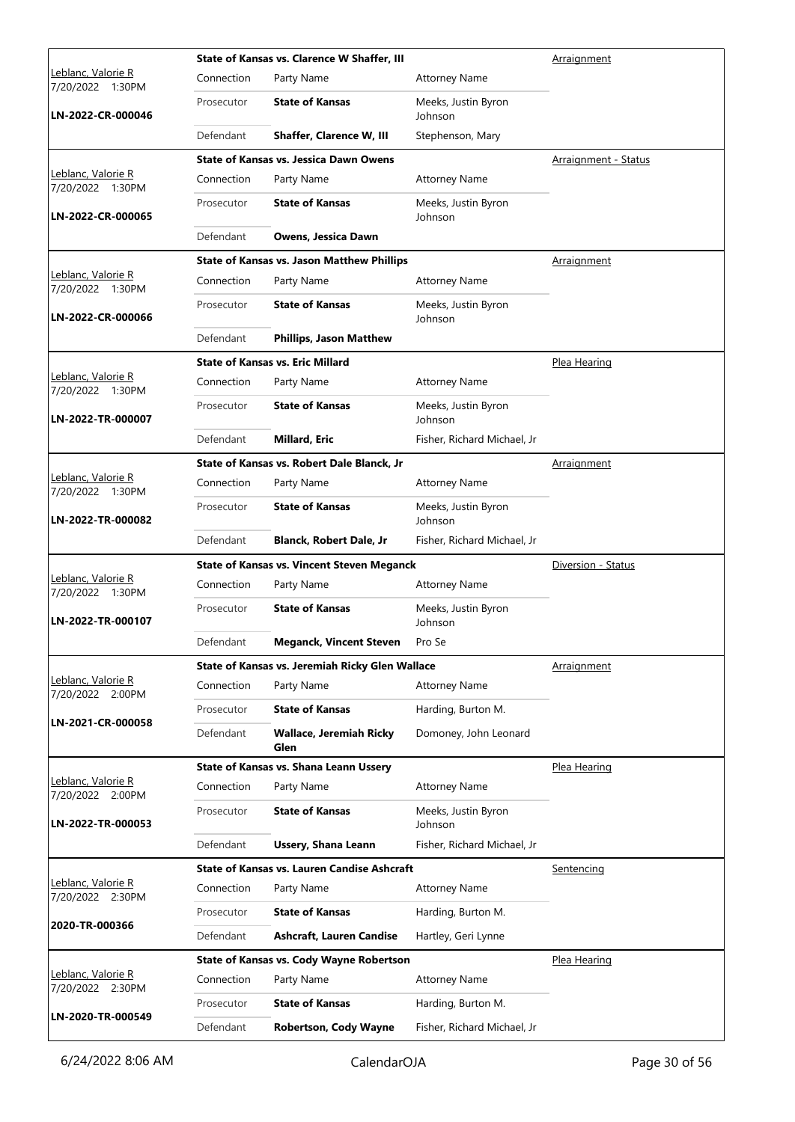|                                        |            | <b>State of Kansas vs. Clarence W Shaffer, III</b> |                                | Arraignment                 |
|----------------------------------------|------------|----------------------------------------------------|--------------------------------|-----------------------------|
| Leblanc, Valorie R<br>7/20/2022 1:30PM | Connection | Party Name                                         | <b>Attorney Name</b>           |                             |
| LN-2022-CR-000046                      | Prosecutor | <b>State of Kansas</b>                             | Meeks, Justin Byron<br>Johnson |                             |
|                                        | Defendant  | Shaffer, Clarence W, III                           | Stephenson, Mary               |                             |
|                                        |            | <b>State of Kansas vs. Jessica Dawn Owens</b>      |                                | <b>Arraignment - Status</b> |
| Leblanc, Valorie R<br>7/20/2022 1:30PM | Connection | Party Name                                         | <b>Attorney Name</b>           |                             |
| LN-2022-CR-000065                      | Prosecutor | <b>State of Kansas</b>                             | Meeks, Justin Byron<br>Johnson |                             |
|                                        | Defendant  | <b>Owens, Jessica Dawn</b>                         |                                |                             |
|                                        |            | <b>State of Kansas vs. Jason Matthew Phillips</b>  |                                | <u>Arraignment</u>          |
| Leblanc, Valorie R<br>7/20/2022 1:30PM | Connection | Party Name                                         | <b>Attorney Name</b>           |                             |
| LN-2022-CR-000066                      | Prosecutor | <b>State of Kansas</b>                             | Meeks, Justin Byron<br>Johnson |                             |
|                                        | Defendant  | <b>Phillips, Jason Matthew</b>                     |                                |                             |
|                                        |            | <b>State of Kansas vs. Eric Millard</b>            |                                | Plea Hearing                |
| Leblanc, Valorie R<br>7/20/2022 1:30PM | Connection | Party Name                                         | <b>Attorney Name</b>           |                             |
| LN-2022-TR-000007                      | Prosecutor | <b>State of Kansas</b>                             | Meeks, Justin Byron<br>Johnson |                             |
|                                        | Defendant  | Millard, Eric                                      | Fisher, Richard Michael, Jr    |                             |
|                                        |            | State of Kansas vs. Robert Dale Blanck, Jr         |                                | <b>Arraignment</b>          |
| Leblanc, Valorie R<br>7/20/2022 1:30PM | Connection | Party Name                                         | <b>Attorney Name</b>           |                             |
| LN-2022-TR-000082                      | Prosecutor | <b>State of Kansas</b>                             | Meeks, Justin Byron<br>Johnson |                             |
|                                        | Defendant  | <b>Blanck, Robert Dale, Jr</b>                     | Fisher, Richard Michael, Jr    |                             |
|                                        |            |                                                    |                                |                             |
|                                        |            | <b>State of Kansas vs. Vincent Steven Meganck</b>  |                                | Diversion - Status          |
| Leblanc, Valorie R<br>7/20/2022 1:30PM | Connection | Party Name                                         | <b>Attorney Name</b>           |                             |
| LN-2022-TR-000107                      | Prosecutor | <b>State of Kansas</b>                             | Meeks, Justin Byron<br>Johnson |                             |
|                                        | Defendant  | <b>Meganck, Vincent Steven</b>                     | Pro Se                         |                             |
|                                        |            | State of Kansas vs. Jeremiah Ricky Glen Wallace    |                                | Arraignment                 |
| Leblanc, Valorie R<br>7/20/2022 2:00PM | Connection | Party Name                                         | <b>Attorney Name</b>           |                             |
|                                        | Prosecutor | <b>State of Kansas</b>                             | Harding, Burton M.             |                             |
| LN-2021-CR-000058                      | Defendant  | <b>Wallace, Jeremiah Ricky</b><br>Glen             | Domoney, John Leonard          |                             |
|                                        |            | <b>State of Kansas vs. Shana Leann Ussery</b>      |                                | Plea Hearing                |
| Leblanc, Valorie R<br>7/20/2022 2:00PM | Connection | Party Name                                         | <b>Attorney Name</b>           |                             |
| LN-2022-TR-000053                      | Prosecutor | <b>State of Kansas</b>                             | Meeks, Justin Byron<br>Johnson |                             |
|                                        | Defendant  | <b>Ussery, Shana Leann</b>                         | Fisher, Richard Michael, Jr    |                             |
|                                        |            | <b>State of Kansas vs. Lauren Candise Ashcraft</b> |                                | Sentencing                  |
| Leblanc, Valorie R<br>7/20/2022 2:30PM | Connection | Party Name                                         | <b>Attorney Name</b>           |                             |
|                                        | Prosecutor | <b>State of Kansas</b>                             | Harding, Burton M.             |                             |
| 2020-TR-000366                         | Defendant  | Ashcraft, Lauren Candise                           | Hartley, Geri Lynne            |                             |
|                                        |            | State of Kansas vs. Cody Wayne Robertson           |                                | Plea Hearing                |
| Leblanc, Valorie R                     | Connection | Party Name                                         | <b>Attorney Name</b>           |                             |
| 7/20/2022 2:30PM<br>LN-2020-TR-000549  | Prosecutor | <b>State of Kansas</b>                             | Harding, Burton M.             |                             |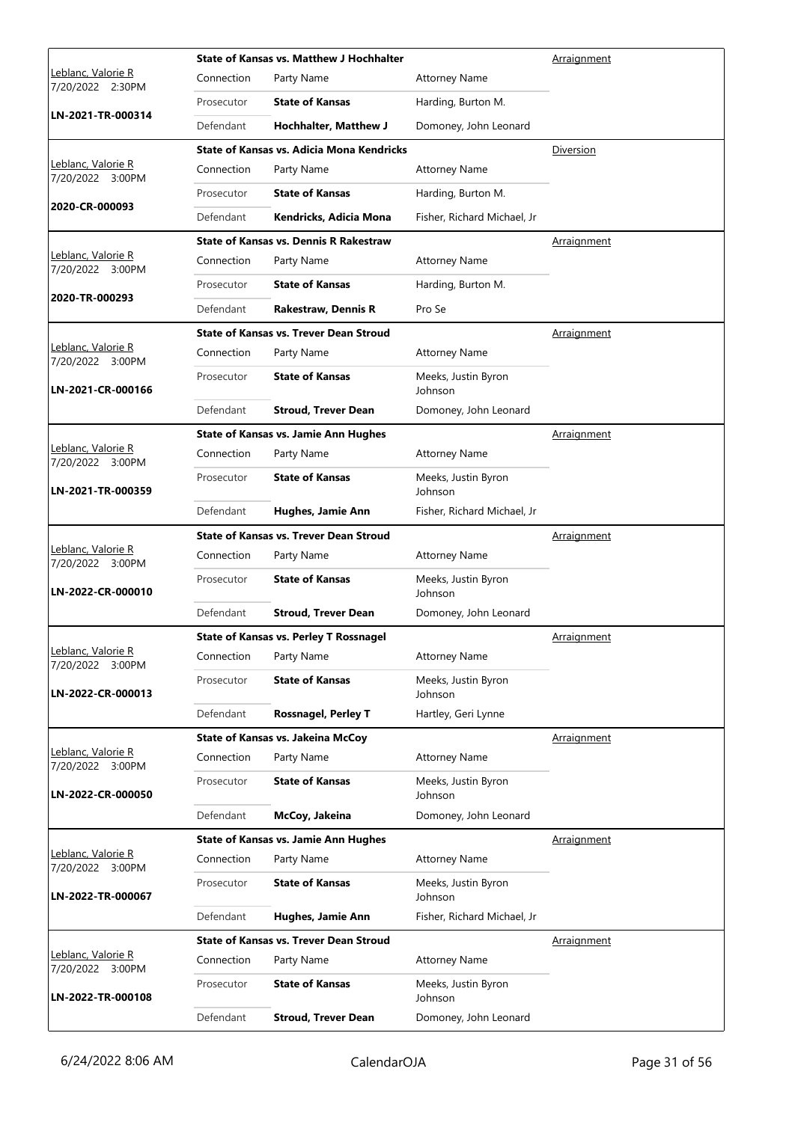|                                        |            | State of Kansas vs. Matthew J Hochhalter      |                                | Arraignment        |
|----------------------------------------|------------|-----------------------------------------------|--------------------------------|--------------------|
| Leblanc, Valorie R<br>7/20/2022 2:30PM | Connection | Party Name                                    | <b>Attorney Name</b>           |                    |
|                                        | Prosecutor | <b>State of Kansas</b>                        | Harding, Burton M.             |                    |
| LN-2021-TR-000314                      | Defendant  | <b>Hochhalter, Matthew J</b>                  | Domoney, John Leonard          |                    |
|                                        |            | State of Kansas vs. Adicia Mona Kendricks     |                                | Diversion          |
| Leblanc, Valorie R<br>7/20/2022 3:00PM | Connection | Party Name                                    | <b>Attorney Name</b>           |                    |
| 2020-CR-000093                         | Prosecutor | <b>State of Kansas</b>                        | Harding, Burton M.             |                    |
|                                        | Defendant  | Kendricks, Adicia Mona                        | Fisher, Richard Michael, Jr    |                    |
|                                        |            | <b>State of Kansas vs. Dennis R Rakestraw</b> |                                | <b>Arraignment</b> |
| Leblanc, Valorie R<br>7/20/2022 3:00PM | Connection | Party Name                                    | <b>Attorney Name</b>           |                    |
| 2020-TR-000293                         | Prosecutor | <b>State of Kansas</b>                        | Harding, Burton M.             |                    |
|                                        | Defendant  | <b>Rakestraw, Dennis R</b>                    | Pro Se                         |                    |
|                                        |            | <b>State of Kansas vs. Trever Dean Stroud</b> |                                | <b>Arraignment</b> |
| Leblanc, Valorie R<br>7/20/2022 3:00PM | Connection | Party Name                                    | <b>Attorney Name</b>           |                    |
| LN-2021-CR-000166                      | Prosecutor | <b>State of Kansas</b>                        | Meeks, Justin Byron<br>Johnson |                    |
|                                        | Defendant  | <b>Stroud, Trever Dean</b>                    | Domoney, John Leonard          |                    |
|                                        |            | <b>State of Kansas vs. Jamie Ann Hughes</b>   |                                | Arraignment        |
| Leblanc, Valorie R<br>7/20/2022 3:00PM | Connection | Party Name                                    | <b>Attorney Name</b>           |                    |
| LN-2021-TR-000359                      | Prosecutor | <b>State of Kansas</b>                        | Meeks, Justin Byron<br>Johnson |                    |
|                                        | Defendant  | Hughes, Jamie Ann                             | Fisher, Richard Michael, Jr    |                    |
|                                        |            | <b>State of Kansas vs. Trever Dean Stroud</b> |                                | Arraignment        |
| Leblanc, Valorie R<br>7/20/2022 3:00PM | Connection | Party Name                                    | <b>Attorney Name</b>           |                    |
| LN-2022-CR-000010                      | Prosecutor | <b>State of Kansas</b>                        | Meeks, Justin Byron<br>Johnson |                    |
|                                        | Defendant  | <b>Stroud, Trever Dean</b>                    | Domoney, John Leonard          |                    |
| Leblanc, Valorie R                     |            | <b>State of Kansas vs. Perley T Rossnagel</b> |                                | <b>Arraignment</b> |
| 7/20/2022 3:00PM                       | Connection | Party Name                                    | <b>Attorney Name</b>           |                    |
| LN-2022-CR-000013                      | Prosecutor | <b>State of Kansas</b>                        | Meeks, Justin Byron<br>Johnson |                    |
|                                        | Defendant  | <b>Rossnagel, Perley T</b>                    | Hartley, Geri Lynne            |                    |
| <u> Leblanc, Valorie R</u>             |            | <b>State of Kansas vs. Jakeina McCoy</b>      |                                | <b>Arraignment</b> |
| 7/20/2022 3:00PM                       | Connection | Party Name                                    | <b>Attorney Name</b>           |                    |
| LN-2022-CR-000050                      | Prosecutor | <b>State of Kansas</b>                        | Meeks, Justin Byron<br>Johnson |                    |
|                                        | Defendant  | McCoy, Jakeina                                | Domoney, John Leonard          |                    |
| Leblanc, Valorie R                     |            | <b>State of Kansas vs. Jamie Ann Hughes</b>   |                                | Arraignment        |
| 7/20/2022 3:00PM                       | Connection | Party Name                                    | <b>Attorney Name</b>           |                    |
| LN-2022-TR-000067                      | Prosecutor | <b>State of Kansas</b>                        | Meeks, Justin Byron<br>Johnson |                    |
|                                        | Defendant  | Hughes, Jamie Ann                             | Fisher, Richard Michael, Jr    |                    |
| Leblanc, Valorie R                     |            | <b>State of Kansas vs. Trever Dean Stroud</b> |                                | Arraignment        |
| 7/20/2022 3:00PM                       | Connection | Party Name                                    | <b>Attorney Name</b>           |                    |
| LN-2022-TR-000108                      | Prosecutor | <b>State of Kansas</b>                        | Meeks, Justin Byron<br>Johnson |                    |
|                                        | Defendant  | <b>Stroud, Trever Dean</b>                    | Domoney, John Leonard          |                    |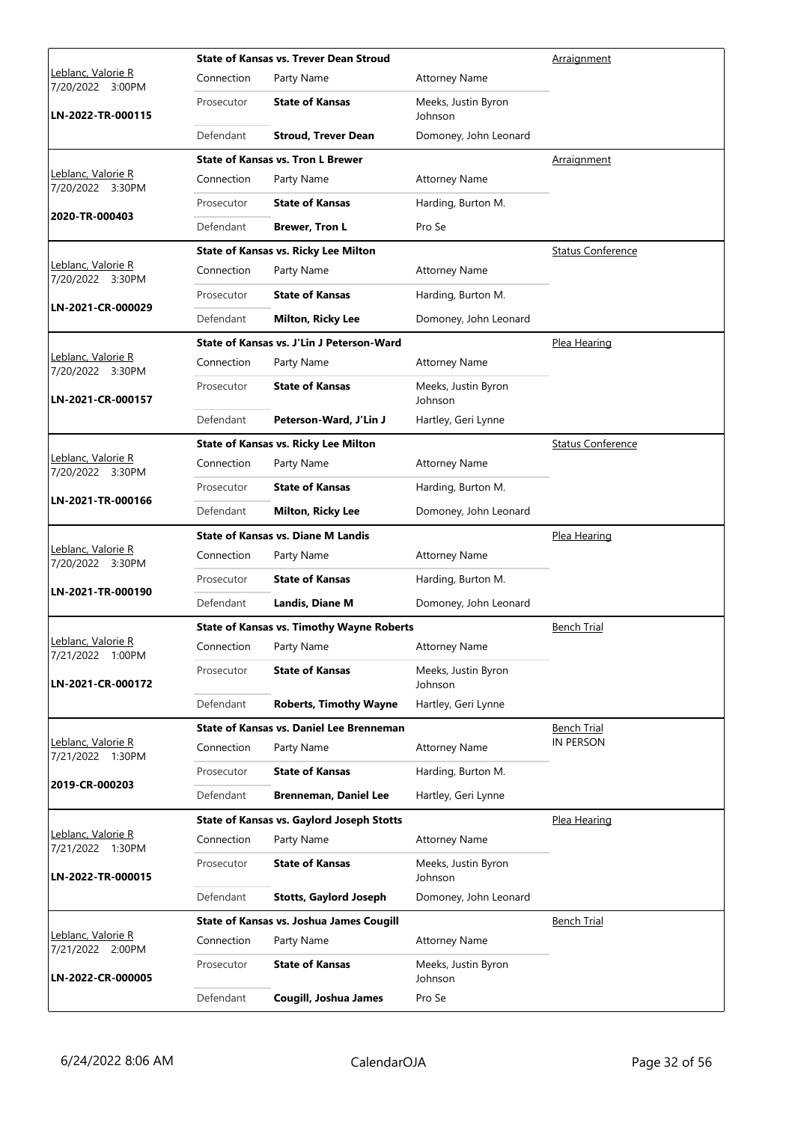|                                                | <b>State of Kansas vs. Trever Dean Stroud</b> |                                                  |                                |                          |
|------------------------------------------------|-----------------------------------------------|--------------------------------------------------|--------------------------------|--------------------------|
| <u> Leblanc, Valorie R</u><br>7/20/2022 3:00PM | Connection                                    | Party Name                                       | <b>Attorney Name</b>           |                          |
| LN-2022-TR-000115                              | Prosecutor                                    | <b>State of Kansas</b>                           | Meeks, Justin Byron<br>Johnson |                          |
|                                                | Defendant                                     | <b>Stroud, Trever Dean</b>                       | Domoney, John Leonard          |                          |
|                                                |                                               | <b>State of Kansas vs. Tron L Brewer</b>         |                                | Arraignment              |
| Leblanc, Valorie R<br>7/20/2022 3:30PM         | Connection                                    | Party Name                                       | <b>Attorney Name</b>           |                          |
|                                                | Prosecutor                                    | <b>State of Kansas</b>                           | Harding, Burton M.             |                          |
| 2020-TR-000403                                 | Defendant                                     | <b>Brewer, Tron L</b>                            | Pro Se                         |                          |
|                                                |                                               | <b>State of Kansas vs. Ricky Lee Milton</b>      |                                | <b>Status Conference</b> |
| Leblanc, Valorie R<br>7/20/2022 3:30PM         | Connection                                    | Party Name                                       | <b>Attorney Name</b>           |                          |
|                                                | Prosecutor                                    | <b>State of Kansas</b>                           | Harding, Burton M.             |                          |
| LN-2021-CR-000029                              | Defendant                                     | <b>Milton, Ricky Lee</b>                         | Domoney, John Leonard          |                          |
|                                                |                                               | State of Kansas vs. J'Lin J Peterson-Ward        |                                | Plea Hearing             |
| Leblanc, Valorie R<br>7/20/2022 3:30PM         | Connection                                    | Party Name                                       | <b>Attorney Name</b>           |                          |
| LN-2021-CR-000157                              | Prosecutor                                    | <b>State of Kansas</b>                           | Meeks, Justin Byron<br>Johnson |                          |
|                                                | Defendant                                     | Peterson-Ward, J'Lin J                           | Hartley, Geri Lynne            |                          |
|                                                |                                               | <b>State of Kansas vs. Ricky Lee Milton</b>      |                                | <b>Status Conference</b> |
| Leblanc, Valorie R<br>7/20/2022 3:30PM         | Connection                                    | Party Name                                       | <b>Attorney Name</b>           |                          |
|                                                | Prosecutor                                    | <b>State of Kansas</b>                           | Harding, Burton M.             |                          |
| LN-2021-TR-000166                              | Defendant                                     | <b>Milton, Ricky Lee</b>                         | Domoney, John Leonard          |                          |
|                                                |                                               | <b>State of Kansas vs. Diane M Landis</b>        |                                | Plea Hearing             |
| Leblanc, Valorie R<br>7/20/2022 3:30PM         | Connection                                    | Party Name                                       | <b>Attorney Name</b>           |                          |
|                                                | Prosecutor                                    | <b>State of Kansas</b>                           | Harding, Burton M.             |                          |
| LN-2021-TR-000190                              | Defendant                                     | Landis, Diane M                                  | Domoney, John Leonard          |                          |
|                                                |                                               | <b>State of Kansas vs. Timothy Wayne Roberts</b> |                                | Bench Trial              |
| Leblanc, Valorie R<br>7/21/2022 1:00PM         |                                               | Connection Party Name                            | <b>Attorney Name</b>           |                          |
| LN-2021-CR-000172                              | Prosecutor                                    | <b>State of Kansas</b>                           | Meeks, Justin Byron<br>Johnson |                          |
|                                                | Defendant                                     | <b>Roberts, Timothy Wayne</b>                    | Hartley, Geri Lynne            |                          |
|                                                |                                               | <b>State of Kansas vs. Daniel Lee Brenneman</b>  |                                | <b>Bench Trial</b>       |
| Leblanc, Valorie R<br>7/21/2022 1:30PM         | Connection                                    | Party Name                                       | <b>Attorney Name</b>           | <b>IN PERSON</b>         |
| 2019-CR-000203                                 | Prosecutor                                    | <b>State of Kansas</b>                           | Harding, Burton M.             |                          |
|                                                | Defendant                                     | <b>Brenneman, Daniel Lee</b>                     | Hartley, Geri Lynne            |                          |
|                                                |                                               | <b>State of Kansas vs. Gaylord Joseph Stotts</b> |                                | Plea Hearing             |
| Leblanc, Valorie R<br>7/21/2022 1:30PM         | Connection                                    | Party Name                                       | <b>Attorney Name</b>           |                          |
| LN-2022-TR-000015                              | Prosecutor                                    | <b>State of Kansas</b>                           | Meeks, Justin Byron<br>Johnson |                          |
|                                                | Defendant                                     | <b>Stotts, Gaylord Joseph</b>                    | Domoney, John Leonard          |                          |
|                                                |                                               | State of Kansas vs. Joshua James Cougill         |                                | <b>Bench Trial</b>       |
| Leblanc, Valorie R<br>7/21/2022 2:00PM         | Connection                                    | Party Name                                       | <b>Attorney Name</b>           |                          |
|                                                | Prosecutor                                    | <b>State of Kansas</b>                           | Meeks, Justin Byron            |                          |
| LN-2022-CR-000005                              |                                               |                                                  | Johnson                        |                          |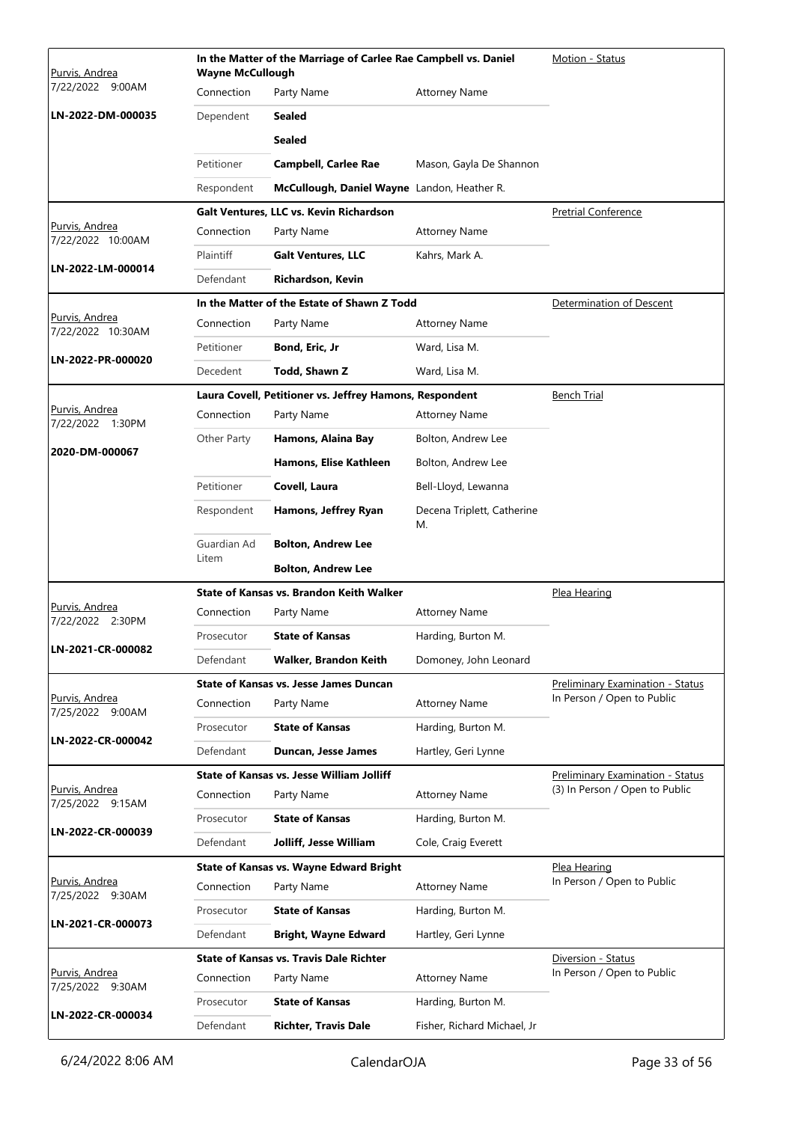| <u>Purvis, Andrea</u>                      | In the Matter of the Marriage of Carlee Rae Campbell vs. Daniel<br><b>Wayne McCullough</b> |                                                         |                                  | Motion - Status                         |
|--------------------------------------------|--------------------------------------------------------------------------------------------|---------------------------------------------------------|----------------------------------|-----------------------------------------|
| 7/22/2022 9:00AM                           | Connection                                                                                 | Party Name                                              | <b>Attorney Name</b>             |                                         |
| LN-2022-DM-000035                          | Dependent                                                                                  | Sealed                                                  |                                  |                                         |
|                                            |                                                                                            | Sealed                                                  |                                  |                                         |
|                                            | Petitioner                                                                                 | <b>Campbell, Carlee Rae</b>                             | Mason, Gayla De Shannon          |                                         |
|                                            | Respondent                                                                                 | McCullough, Daniel Wayne Landon, Heather R.             |                                  |                                         |
|                                            |                                                                                            | <b>Galt Ventures, LLC vs. Kevin Richardson</b>          |                                  | <b>Pretrial Conference</b>              |
| Purvis, Andrea<br>7/22/2022 10:00AM        | Connection                                                                                 | Party Name                                              | <b>Attorney Name</b>             |                                         |
|                                            | Plaintiff                                                                                  | <b>Galt Ventures, LLC</b>                               | Kahrs, Mark A.                   |                                         |
| LN-2022-LM-000014                          | Defendant                                                                                  | Richardson, Kevin                                       |                                  |                                         |
|                                            |                                                                                            | In the Matter of the Estate of Shawn Z Todd             |                                  | Determination of Descent                |
| <u>Purvis, Andrea</u><br>7/22/2022 10:30AM | Connection                                                                                 | Party Name                                              | <b>Attorney Name</b>             |                                         |
|                                            | Petitioner                                                                                 | Bond, Eric, Jr                                          | Ward, Lisa M.                    |                                         |
| LN-2022-PR-000020                          | Decedent                                                                                   | Todd, Shawn Z                                           | Ward, Lisa M.                    |                                         |
|                                            |                                                                                            | Laura Covell, Petitioner vs. Jeffrey Hamons, Respondent |                                  | <b>Bench Trial</b>                      |
| <u>Purvis, Andrea</u><br>7/22/2022 1:30PM  | Connection                                                                                 | Party Name                                              | <b>Attorney Name</b>             |                                         |
|                                            | Other Party                                                                                | Hamons, Alaina Bay                                      | Bolton, Andrew Lee               |                                         |
| 2020-DM-000067                             |                                                                                            | Hamons, Elise Kathleen                                  | Bolton, Andrew Lee               |                                         |
|                                            | Petitioner                                                                                 | Covell, Laura                                           | Bell-Lloyd, Lewanna              |                                         |
|                                            | Respondent                                                                                 | Hamons, Jeffrey Ryan                                    | Decena Triplett, Catherine<br>М. |                                         |
|                                            | Guardian Ad                                                                                | <b>Bolton, Andrew Lee</b>                               |                                  |                                         |
|                                            | Litem                                                                                      | <b>Bolton, Andrew Lee</b>                               |                                  |                                         |
|                                            |                                                                                            | State of Kansas vs. Brandon Keith Walker                |                                  | Plea Hearing                            |
| Purvis, Andrea<br>7/22/2022 2:30PM         | Connection                                                                                 | Party Name                                              | <b>Attorney Name</b>             |                                         |
|                                            | Prosecutor                                                                                 | <b>State of Kansas</b>                                  | Harding, Burton M.               |                                         |
| LN-2021-CR-000082                          | Defendant                                                                                  | Walker, Brandon Keith                                   | Domoney, John Leonard            |                                         |
|                                            |                                                                                            | State of Kansas vs. Jesse James Duncan                  |                                  | <b>Preliminary Examination - Status</b> |
| Purvis, Andrea<br>7/25/2022 9:00AM         | Connection                                                                                 | Party Name                                              | <b>Attorney Name</b>             | In Person / Open to Public              |
|                                            | Prosecutor                                                                                 | <b>State of Kansas</b>                                  | Harding, Burton M.               |                                         |
| LN-2022-CR-000042                          | Defendant                                                                                  | Duncan, Jesse James                                     | Hartley, Geri Lynne              |                                         |
|                                            |                                                                                            | <b>State of Kansas vs. Jesse William Jolliff</b>        |                                  | <b>Preliminary Examination - Status</b> |
| Purvis, Andrea<br>7/25/2022 9:15AM         | Connection                                                                                 | Party Name                                              | <b>Attorney Name</b>             | (3) In Person / Open to Public          |
|                                            | Prosecutor                                                                                 | <b>State of Kansas</b>                                  | Harding, Burton M.               |                                         |
| LN-2022-CR-000039                          | Defendant                                                                                  | Jolliff, Jesse William                                  | Cole, Craig Everett              |                                         |
|                                            |                                                                                            | <b>State of Kansas vs. Wayne Edward Bright</b>          |                                  | <u>Plea Hearing</u>                     |
| Purvis, Andrea<br>7/25/2022 9:30AM         | Connection                                                                                 | Party Name                                              | <b>Attorney Name</b>             | In Person / Open to Public              |
|                                            | Prosecutor                                                                                 | <b>State of Kansas</b>                                  | Harding, Burton M.               |                                         |
| LN-2021-CR-000073                          | Defendant                                                                                  | <b>Bright, Wayne Edward</b>                             | Hartley, Geri Lynne              |                                         |
|                                            |                                                                                            | <b>State of Kansas vs. Travis Dale Richter</b>          |                                  | Diversion - Status                      |
| <u>Purvis, Andrea</u><br>7/25/2022 9:30AM  | Connection                                                                                 | Party Name                                              | <b>Attorney Name</b>             | In Person / Open to Public              |
|                                            | Prosecutor                                                                                 | <b>State of Kansas</b>                                  | Harding, Burton M.               |                                         |
| LN-2022-CR-000034                          | Defendant                                                                                  | <b>Richter, Travis Dale</b>                             | Fisher, Richard Michael, Jr      |                                         |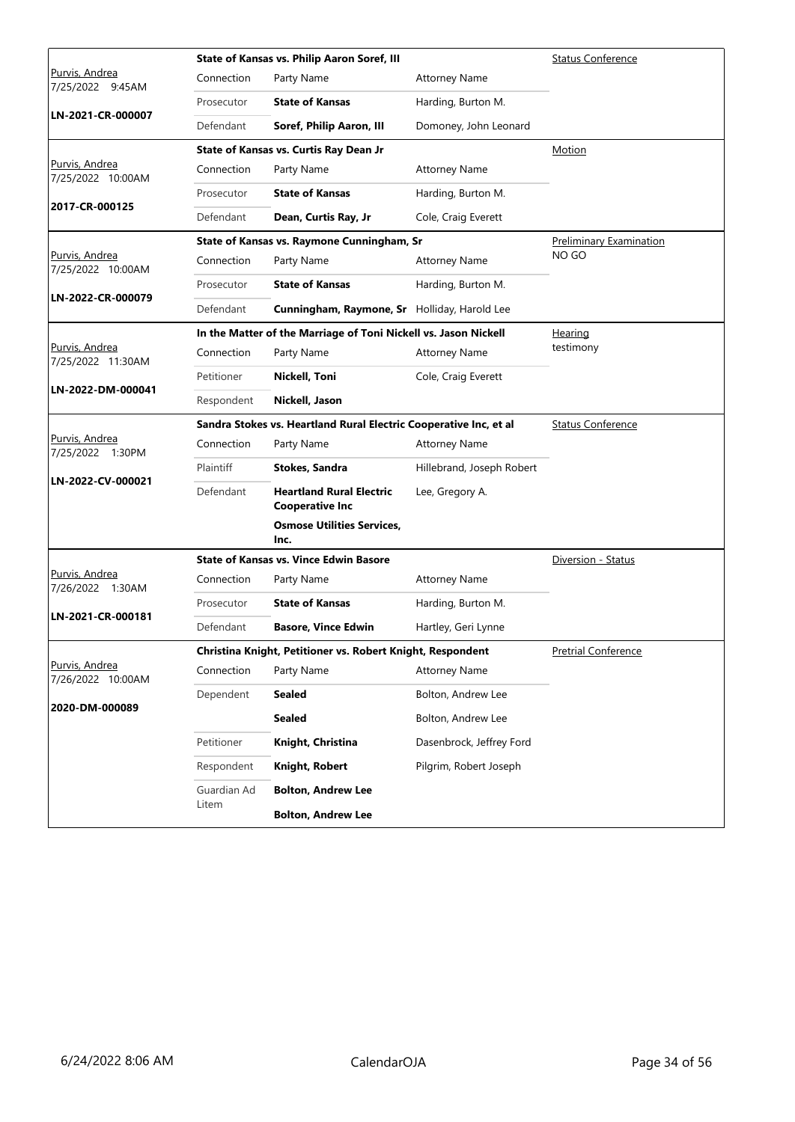|                                     |                  | State of Kansas vs. Philip Aaron Soref, III                       |                           | <b>Status Conference</b>       |
|-------------------------------------|------------------|-------------------------------------------------------------------|---------------------------|--------------------------------|
| Purvis, Andrea<br>7/25/2022 9:45AM  | Connection       | Party Name                                                        | <b>Attorney Name</b>      |                                |
| LN-2021-CR-000007                   | Prosecutor       | <b>State of Kansas</b>                                            | Harding, Burton M.        |                                |
|                                     | Defendant        | Soref, Philip Aaron, III                                          | Domoney, John Leonard     |                                |
|                                     |                  | State of Kansas vs. Curtis Ray Dean Jr                            |                           | Motion                         |
| Purvis, Andrea<br>7/25/2022 10:00AM | Connection       | Party Name                                                        | <b>Attorney Name</b>      |                                |
| 2017-CR-000125                      | Prosecutor       | <b>State of Kansas</b>                                            | Harding, Burton M.        |                                |
|                                     | Defendant        | Dean, Curtis Ray, Jr                                              | Cole, Craig Everett       |                                |
|                                     |                  | State of Kansas vs. Raymone Cunningham, Sr                        |                           | <b>Preliminary Examination</b> |
| Purvis, Andrea<br>7/25/2022 10:00AM | Connection       | Party Name                                                        | Attorney Name             | NO GO                          |
|                                     | Prosecutor       | <b>State of Kansas</b>                                            | Harding, Burton M.        |                                |
| LN-2022-CR-000079                   | Defendant        | Cunningham, Raymone, Sr Holliday, Harold Lee                      |                           |                                |
|                                     |                  | In the Matter of the Marriage of Toni Nickell vs. Jason Nickell   |                           | Hearing                        |
| Purvis, Andrea<br>7/25/2022 11:30AM | Connection       | Party Name                                                        | <b>Attorney Name</b>      | testimony                      |
|                                     | Petitioner       | Nickell, Toni                                                     | Cole, Craig Everett       |                                |
| LN-2022-DM-000041                   | Respondent       | Nickell, Jason                                                    |                           |                                |
|                                     |                  | Sandra Stokes vs. Heartland Rural Electric Cooperative Inc, et al |                           | <b>Status Conference</b>       |
| Purvis, Andrea<br>7/25/2022 1:30PM  | Connection       | Party Name                                                        | <b>Attorney Name</b>      |                                |
| LN-2022-CV-000021                   | <b>Plaintiff</b> | Stokes, Sandra                                                    | Hillebrand, Joseph Robert |                                |
|                                     | Defendant        | <b>Heartland Rural Electric</b><br><b>Cooperative Inc</b>         | Lee, Gregory A.           |                                |
|                                     |                  | <b>Osmose Utilities Services,</b><br>Inc.                         |                           |                                |
|                                     |                  | <b>State of Kansas vs. Vince Edwin Basore</b>                     |                           | Diversion - Status             |
| Purvis, Andrea<br>7/26/2022 1:30AM  | Connection       | Party Name                                                        | <b>Attorney Name</b>      |                                |
|                                     | Prosecutor       | <b>State of Kansas</b>                                            | Harding, Burton M.        |                                |
| LN-2021-CR-000181                   | Defendant        | <b>Basore, Vince Edwin</b>                                        | Hartley, Geri Lynne       |                                |
|                                     |                  | Christina Knight, Petitioner vs. Robert Knight, Respondent        |                           | <b>Pretrial Conference</b>     |
| Purvis, Andrea<br>7/26/2022 10:00AM | Connection       | Party Name                                                        | <b>Attorney Name</b>      |                                |
|                                     | Dependent        | <b>Sealed</b>                                                     | Bolton, Andrew Lee        |                                |
| 2020-DM-000089                      |                  | <b>Sealed</b>                                                     | Bolton, Andrew Lee        |                                |
|                                     | Petitioner       | Knight, Christina                                                 | Dasenbrock, Jeffrey Ford  |                                |
|                                     | Respondent       | Knight, Robert                                                    | Pilgrim, Robert Joseph    |                                |
|                                     | Guardian Ad      | <b>Bolton, Andrew Lee</b>                                         |                           |                                |
|                                     | Litem            | <b>Bolton, Andrew Lee</b>                                         |                           |                                |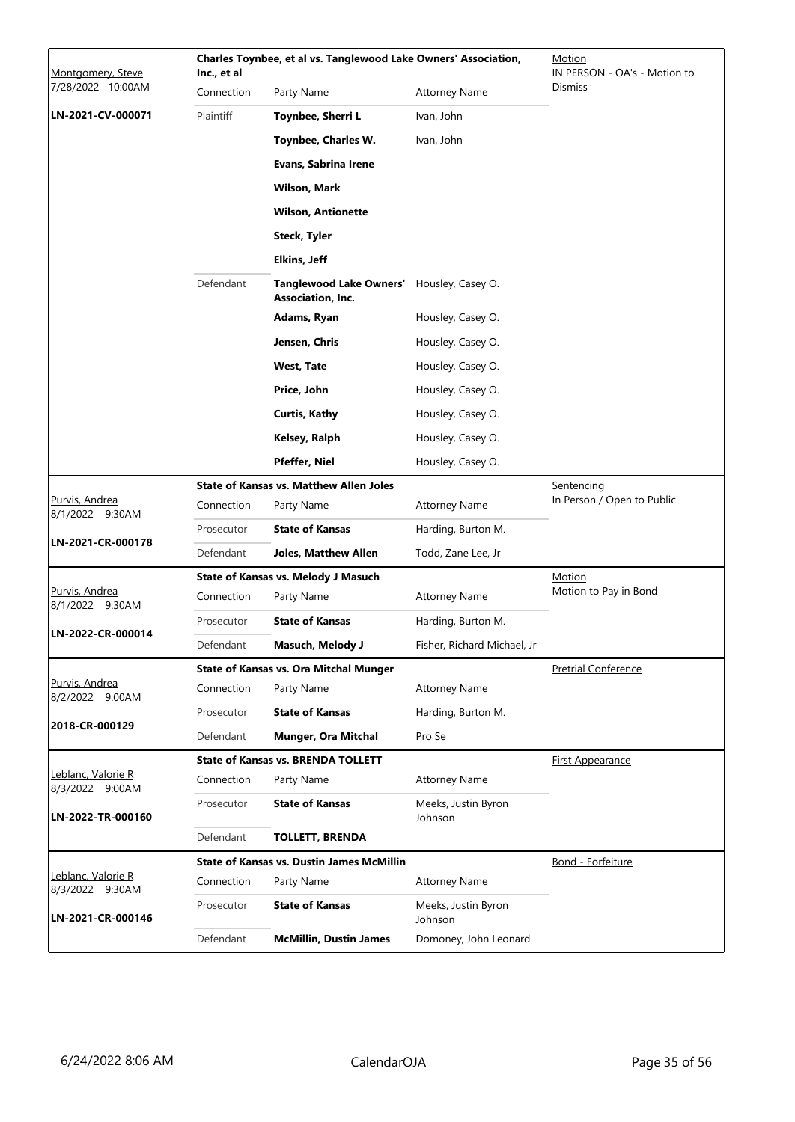| Montgomery, Steve                     | Inc., et al | Charles Toynbee, et al vs. Tanglewood Lake Owners' Association, |                                | <u>Motion</u><br>IN PERSON - OA's - Motion to |  |  |
|---------------------------------------|-------------|-----------------------------------------------------------------|--------------------------------|-----------------------------------------------|--|--|
| 7/28/2022 10:00AM                     | Connection  | Party Name                                                      | <b>Attorney Name</b>           | <b>Dismiss</b>                                |  |  |
| LN-2021-CV-000071                     | Plaintiff   | Toynbee, Sherri L                                               | Ivan, John                     |                                               |  |  |
|                                       |             | Toynbee, Charles W.                                             | Ivan, John                     |                                               |  |  |
|                                       |             | Evans, Sabrina Irene                                            |                                |                                               |  |  |
|                                       |             | Wilson, Mark                                                    |                                |                                               |  |  |
|                                       |             | <b>Wilson, Antionette</b>                                       |                                |                                               |  |  |
|                                       |             | Steck, Tyler                                                    |                                |                                               |  |  |
|                                       |             | <b>Elkins, Jeff</b>                                             |                                |                                               |  |  |
|                                       | Defendant   | <b>Tanglewood Lake Owners'</b><br><b>Association, Inc.</b>      | Housley, Casey O.              |                                               |  |  |
|                                       |             | Adams, Ryan                                                     | Housley, Casey O.              |                                               |  |  |
|                                       |             | Jensen, Chris                                                   | Housley, Casey O.              |                                               |  |  |
|                                       |             | West, Tate                                                      | Housley, Casey O.              |                                               |  |  |
|                                       |             | Price, John                                                     | Housley, Casey O.              |                                               |  |  |
|                                       |             | <b>Curtis, Kathy</b>                                            | Housley, Casey O.              |                                               |  |  |
|                                       |             | Kelsey, Ralph                                                   | Housley, Casey O.              |                                               |  |  |
|                                       |             | <b>Pfeffer, Niel</b>                                            | Housley, Casey O.              |                                               |  |  |
|                                       |             | <b>State of Kansas vs. Matthew Allen Joles</b>                  |                                | Sentencing                                    |  |  |
| Purvis, Andrea<br>8/1/2022 9:30AM     | Connection  | Party Name                                                      | <b>Attorney Name</b>           | In Person / Open to Public                    |  |  |
| LN-2021-CR-000178                     | Prosecutor  | <b>State of Kansas</b>                                          | Harding, Burton M.             |                                               |  |  |
|                                       | Defendant   | <b>Joles, Matthew Allen</b>                                     | Todd, Zane Lee, Jr             |                                               |  |  |
| Purvis, Andrea                        |             | <b>State of Kansas vs. Melody J Masuch</b>                      |                                | <b>Motion</b><br>Motion to Pay in Bond        |  |  |
| 8/1/2022 9:30AM                       | Connection  | Party Name                                                      | <b>Attorney Name</b>           |                                               |  |  |
| LN-2022-CR-000014                     | Prosecutor  | <b>State of Kansas</b>                                          | Harding, Burton M.             |                                               |  |  |
|                                       | Defendant   | Masuch, Melody J                                                | Fisher, Richard Michael, Jr    |                                               |  |  |
| Purvis, Andrea                        |             | <b>State of Kansas vs. Ora Mitchal Munger</b>                   |                                | <b>Pretrial Conference</b>                    |  |  |
| 8/2/2022 9:00AM                       | Connection  | Party Name                                                      | <b>Attorney Name</b>           |                                               |  |  |
| 2018-CR-000129                        | Prosecutor  | <b>State of Kansas</b>                                          | Harding, Burton M.             |                                               |  |  |
|                                       | Defendant   | <b>Munger, Ora Mitchal</b>                                      | Pro Se                         |                                               |  |  |
| Leblanc, Valorie R                    | Connection  | <b>State of Kansas vs. BRENDA TOLLETT</b><br>Party Name         | <b>Attorney Name</b>           | First Appearance                              |  |  |
| 8/3/2022 9:00AM                       | Prosecutor  | <b>State of Kansas</b>                                          | Meeks, Justin Byron            |                                               |  |  |
| LN-2022-TR-000160                     |             |                                                                 | Johnson                        |                                               |  |  |
|                                       | Defendant   | <b>TOLLETT, BRENDA</b>                                          |                                |                                               |  |  |
|                                       |             | <b>State of Kansas vs. Dustin James McMillin</b>                |                                | Bond - Forfeiture                             |  |  |
| Leblanc, Valorie R<br>8/3/2022 9:30AM | Connection  | Party Name                                                      | <b>Attorney Name</b>           |                                               |  |  |
| LN-2021-CR-000146                     | Prosecutor  | <b>State of Kansas</b>                                          | Meeks, Justin Byron<br>Johnson |                                               |  |  |
|                                       | Defendant   | <b>McMillin, Dustin James</b>                                   | Domoney, John Leonard          |                                               |  |  |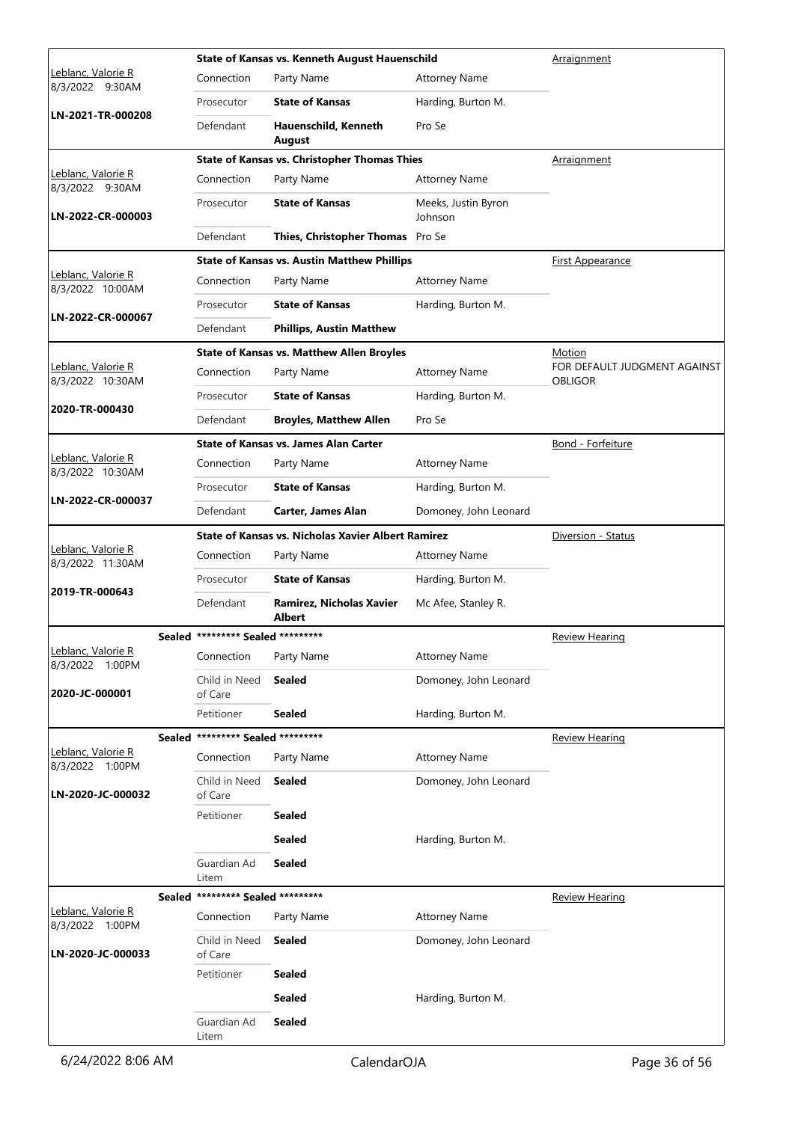|                                          |                                   | State of Kansas vs. Kenneth August Hauenschild            |                                | Arraignment                                    |
|------------------------------------------|-----------------------------------|-----------------------------------------------------------|--------------------------------|------------------------------------------------|
| Leblanc, Valorie R<br>8/3/2022 9:30AM    | Connection                        | Party Name                                                | <b>Attorney Name</b>           |                                                |
|                                          | Prosecutor                        | <b>State of Kansas</b>                                    | Harding, Burton M.             |                                                |
| LN-2021-TR-000208                        | Defendant                         | Hauenschild, Kenneth                                      | Pro Se                         |                                                |
|                                          |                                   | <b>August</b>                                             |                                |                                                |
| Leblanc, Valorie R                       |                                   | <b>State of Kansas vs. Christopher Thomas Thies</b>       |                                | Arraignment                                    |
| 8/3/2022 9:30AM                          | Connection                        | Party Name                                                | <b>Attorney Name</b>           |                                                |
| LN-2022-CR-000003                        | Prosecutor                        | <b>State of Kansas</b>                                    | Meeks, Justin Byron<br>Johnson |                                                |
|                                          | Defendant                         | Thies, Christopher Thomas Pro Se                          |                                |                                                |
|                                          |                                   | <b>State of Kansas vs. Austin Matthew Phillips</b>        |                                | <b>First Appearance</b>                        |
| Leblanc, Valorie R<br>8/3/2022 10:00AM   | Connection                        | Party Name                                                | <b>Attorney Name</b>           |                                                |
|                                          | Prosecutor                        | <b>State of Kansas</b>                                    | Harding, Burton M.             |                                                |
| LN-2022-CR-000067                        | Defendant                         | <b>Phillips, Austin Matthew</b>                           |                                |                                                |
|                                          |                                   | <b>State of Kansas vs. Matthew Allen Broyles</b>          |                                | Motion                                         |
| Leblanc, Valorie R<br>8/3/2022 10:30AM   | Connection                        | Party Name                                                | <b>Attorney Name</b>           | FOR DEFAULT JUDGMENT AGAINST<br><b>OBLIGOR</b> |
|                                          | Prosecutor                        | <b>State of Kansas</b>                                    | Harding, Burton M.             |                                                |
| 2020-TR-000430                           | Defendant                         | <b>Broyles, Matthew Allen</b>                             | Pro Se                         |                                                |
|                                          |                                   | <b>State of Kansas vs. James Alan Carter</b>              |                                | <b>Bond - Forfeiture</b>                       |
| Leblanc, Valorie R<br>8/3/2022 10:30AM   | Connection                        | Party Name                                                | <b>Attorney Name</b>           |                                                |
|                                          | Prosecutor                        | <b>State of Kansas</b>                                    | Harding, Burton M.             |                                                |
| LN-2022-CR-000037                        | Defendant                         | <b>Carter, James Alan</b>                                 | Domoney, John Leonard          |                                                |
|                                          |                                   | <b>State of Kansas vs. Nicholas Xavier Albert Ramirez</b> |                                | Diversion - Status                             |
| Leblanc, Valorie R<br>8/3/2022 11:30AM   | Connection                        | Party Name                                                | <b>Attorney Name</b>           |                                                |
|                                          | Prosecutor                        | <b>State of Kansas</b>                                    | Harding, Burton M.             |                                                |
| 2019-TR-000643                           | Defendant                         | Ramirez, Nicholas Xavier<br>Albert                        | Mc Afee, Stanley R.            |                                                |
|                                          | Sealed ********* Sealed ********* |                                                           |                                | <b>Review Hearing</b>                          |
| Leblanc, Valorie R<br>8/3/2022<br>1:00PM | Connection                        | Party Name                                                | <b>Attorney Name</b>           |                                                |
| 2020-JC-000001                           | Child in Need<br>of Care          | <b>Sealed</b>                                             | Domoney, John Leonard          |                                                |
|                                          | Petitioner                        | <b>Sealed</b>                                             | Harding, Burton M.             |                                                |
|                                          | Sealed ********* Sealed ********* |                                                           |                                | Review Hearing                                 |
| Leblanc, Valorie R<br>8/3/2022 1:00PM    | Connection                        | Party Name                                                | <b>Attorney Name</b>           |                                                |
| LN-2020-JC-000032                        | Child in Need<br>of Care          | Sealed                                                    | Domoney, John Leonard          |                                                |
|                                          | Petitioner                        | <b>Sealed</b>                                             |                                |                                                |
|                                          |                                   | <b>Sealed</b>                                             | Harding, Burton M.             |                                                |
|                                          | Guardian Ad<br>Litem              | <b>Sealed</b>                                             |                                |                                                |
|                                          | Sealed ********* Sealed ********* |                                                           |                                | <b>Review Hearing</b>                          |
| Leblanc, Valorie R<br>8/3/2022 1:00PM    | Connection                        | Party Name                                                | <b>Attorney Name</b>           |                                                |
| LN-2020-JC-000033                        | Child in Need<br>of Care          | <b>Sealed</b>                                             | Domoney, John Leonard          |                                                |
|                                          | Petitioner                        | <b>Sealed</b>                                             |                                |                                                |
|                                          |                                   | <b>Sealed</b>                                             | Harding, Burton M.             |                                                |
|                                          | Guardian Ad<br>Litem              | <b>Sealed</b>                                             |                                |                                                |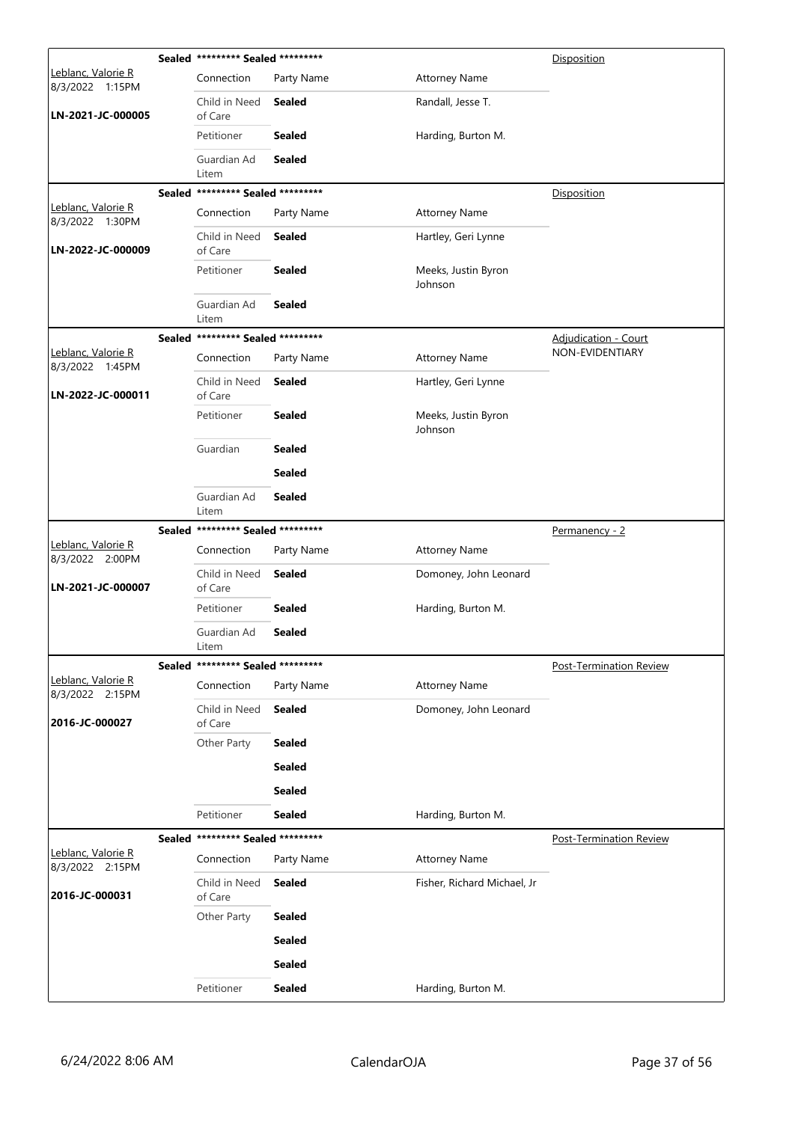|                                       | Sealed ********* Sealed ********* |               |                                | Disposition                    |
|---------------------------------------|-----------------------------------|---------------|--------------------------------|--------------------------------|
| Leblanc, Valorie R<br>8/3/2022 1:15PM | Connection                        | Party Name    | <b>Attorney Name</b>           |                                |
| LN-2021-JC-000005                     | Child in Need<br>of Care          | Sealed        | Randall, Jesse T.              |                                |
|                                       | Petitioner                        | <b>Sealed</b> | Harding, Burton M.             |                                |
|                                       | Guardian Ad<br>Litem              | <b>Sealed</b> |                                |                                |
|                                       | Sealed ********* Sealed ********* |               |                                | Disposition                    |
| Leblanc, Valorie R<br>8/3/2022 1:30PM | Connection                        | Party Name    | <b>Attorney Name</b>           |                                |
| LN-2022-JC-000009                     | Child in Need<br>of Care          | <b>Sealed</b> | Hartley, Geri Lynne            |                                |
|                                       | Petitioner                        | <b>Sealed</b> | Meeks, Justin Byron<br>Johnson |                                |
|                                       | Guardian Ad<br>Litem              | <b>Sealed</b> |                                |                                |
|                                       | Sealed ********* Sealed ********* |               |                                | <b>Adjudication - Court</b>    |
| Leblanc, Valorie R<br>8/3/2022 1:45PM | Connection                        | Party Name    | <b>Attorney Name</b>           | NON-EVIDENTIARY                |
| LN-2022-JC-000011                     | Child in Need<br>of Care          | <b>Sealed</b> | Hartley, Geri Lynne            |                                |
|                                       | Petitioner                        | <b>Sealed</b> | Meeks, Justin Byron<br>Johnson |                                |
|                                       | Guardian                          | <b>Sealed</b> |                                |                                |
|                                       |                                   | <b>Sealed</b> |                                |                                |
|                                       | Guardian Ad<br>Litem              | <b>Sealed</b> |                                |                                |
|                                       | Sealed ********* Sealed ********* |               |                                | Permanency - 2                 |
| Leblanc, Valorie R<br>8/3/2022 2:00PM | Connection                        | Party Name    | <b>Attorney Name</b>           |                                |
| LN-2021-JC-000007                     | Child in Need<br>of Care          | Sealed        | Domoney, John Leonard          |                                |
|                                       | Petitioner                        | <b>Sealed</b> | Harding, Burton M.             |                                |
|                                       | Guardian Ad<br>Litem              | <b>Sealed</b> |                                |                                |
|                                       | Sealed ********* Sealed ********* |               |                                | Post-Termination Review        |
| Leblanc, Valorie R<br>8/3/2022 2:15PM | Connection                        | Party Name    | <b>Attorney Name</b>           |                                |
| 2016-JC-000027                        | Child in Need<br>of Care          | <b>Sealed</b> | Domoney, John Leonard          |                                |
|                                       | Other Party                       | <b>Sealed</b> |                                |                                |
|                                       |                                   | <b>Sealed</b> |                                |                                |
|                                       |                                   | <b>Sealed</b> |                                |                                |
|                                       | Petitioner                        | <b>Sealed</b> | Harding, Burton M.             |                                |
|                                       | Sealed ********* Sealed ********* |               |                                | <b>Post-Termination Review</b> |
| Leblanc, Valorie R<br>8/3/2022 2:15PM | Connection                        | Party Name    | <b>Attorney Name</b>           |                                |
| 2016-JC-000031                        | Child in Need<br>of Care          | <b>Sealed</b> | Fisher, Richard Michael, Jr    |                                |
|                                       | Other Party                       | <b>Sealed</b> |                                |                                |
|                                       |                                   | <b>Sealed</b> |                                |                                |
|                                       |                                   | <b>Sealed</b> |                                |                                |
|                                       | Petitioner                        | <b>Sealed</b> | Harding, Burton M.             |                                |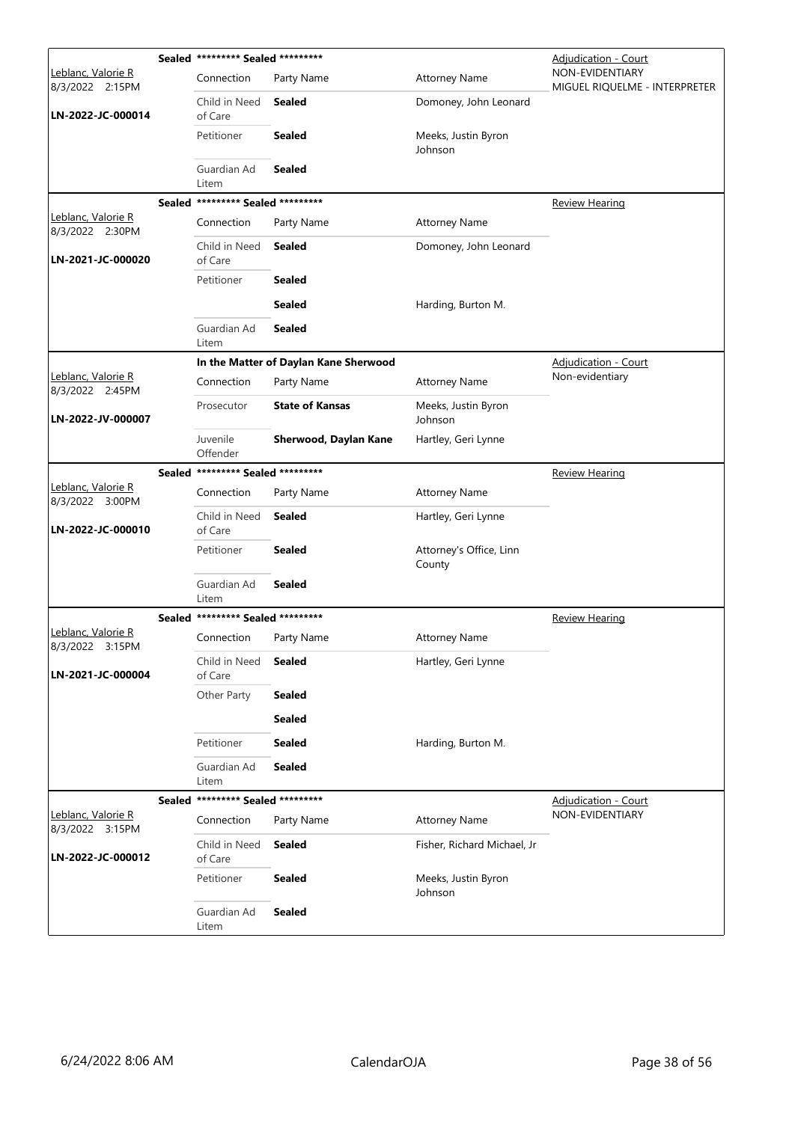|                                               |               | Sealed ********* Sealed ********* |                                       |                                   | Adjudication - Court                             |
|-----------------------------------------------|---------------|-----------------------------------|---------------------------------------|-----------------------------------|--------------------------------------------------|
| Leblanc, Valorie R<br>8/3/2022 2:15PM         |               | Connection                        | Party Name                            | <b>Attorney Name</b>              | NON-EVIDENTIARY<br>MIGUEL RIQUELME - INTERPRETER |
| LN-2022-JC-000014                             |               | Child in Need<br>of Care          | <b>Sealed</b>                         | Domoney, John Leonard             |                                                  |
|                                               |               | Petitioner                        | <b>Sealed</b>                         | Meeks, Justin Byron<br>Johnson    |                                                  |
|                                               |               | Guardian Ad<br>Litem              | <b>Sealed</b>                         |                                   |                                                  |
|                                               | <b>Sealed</b> | ********* Sealed *********        |                                       |                                   | <b>Review Hearing</b>                            |
| Leblanc, Valorie R<br>8/3/2022 2:30PM         |               | Connection                        | Party Name                            | <b>Attorney Name</b>              |                                                  |
| LN-2021-JC-000020                             |               | Child in Need<br>of Care          | <b>Sealed</b>                         | Domoney, John Leonard             |                                                  |
|                                               |               | Petitioner                        | <b>Sealed</b>                         |                                   |                                                  |
|                                               |               |                                   | <b>Sealed</b>                         | Harding, Burton M.                |                                                  |
|                                               |               | Guardian Ad<br>Litem              | <b>Sealed</b>                         |                                   |                                                  |
|                                               |               |                                   | In the Matter of Daylan Kane Sherwood |                                   | Adjudication - Court                             |
| Leblanc, Valorie R<br>8/3/2022 2:45PM         |               | Connection                        | Party Name                            | <b>Attorney Name</b>              | Non-evidentiary                                  |
| LN-2022-JV-000007                             |               | Prosecutor                        | <b>State of Kansas</b>                | Meeks, Justin Byron<br>Johnson    |                                                  |
|                                               |               | Juvenile<br>Offender              | Sherwood, Daylan Kane                 | Hartley, Geri Lynne               |                                                  |
|                                               |               | Sealed ********* Sealed ********* |                                       |                                   | <b>Review Hearing</b>                            |
| Leblanc, Valorie R<br>8/3/2022 3:00PM         |               | Connection                        | Party Name                            | <b>Attorney Name</b>              |                                                  |
| LN-2022-JC-000010                             |               | Child in Need<br>of Care          | <b>Sealed</b>                         | Hartley, Geri Lynne               |                                                  |
|                                               |               | Petitioner                        | <b>Sealed</b>                         | Attorney's Office, Linn<br>County |                                                  |
|                                               |               | Guardian Ad<br>Litem              | <b>Sealed</b>                         |                                   |                                                  |
|                                               |               | Sealed ********* Sealed ********* |                                       |                                   | Review Hearing                                   |
| <u> Leblanc, Valorie R</u><br>8/3/2022 3:15PM |               | Connection                        | Party Name                            | <b>Attorney Name</b>              |                                                  |
| LN-2021-JC-000004                             |               | Child in Need<br>of Care          | <b>Sealed</b>                         | Hartley, Geri Lynne               |                                                  |
|                                               |               | Other Party                       | <b>Sealed</b>                         |                                   |                                                  |
|                                               |               |                                   | <b>Sealed</b>                         |                                   |                                                  |
|                                               |               | Petitioner                        | <b>Sealed</b>                         | Harding, Burton M.                |                                                  |
|                                               |               | Guardian Ad<br>Litem              | <b>Sealed</b>                         |                                   |                                                  |
|                                               |               | Sealed ********* Sealed ********* |                                       |                                   | Adjudication - Court                             |
| Leblanc, Valorie R<br>8/3/2022 3:15PM         |               | Connection                        | Party Name                            | <b>Attorney Name</b>              | NON-EVIDENTIARY                                  |
| LN-2022-JC-000012                             |               | Child in Need<br>of Care          | <b>Sealed</b>                         | Fisher, Richard Michael, Jr       |                                                  |
|                                               |               | Petitioner                        | <b>Sealed</b>                         | Meeks, Justin Byron<br>Johnson    |                                                  |
|                                               |               | Guardian Ad<br>Litem              | <b>Sealed</b>                         |                                   |                                                  |
|                                               |               |                                   |                                       |                                   |                                                  |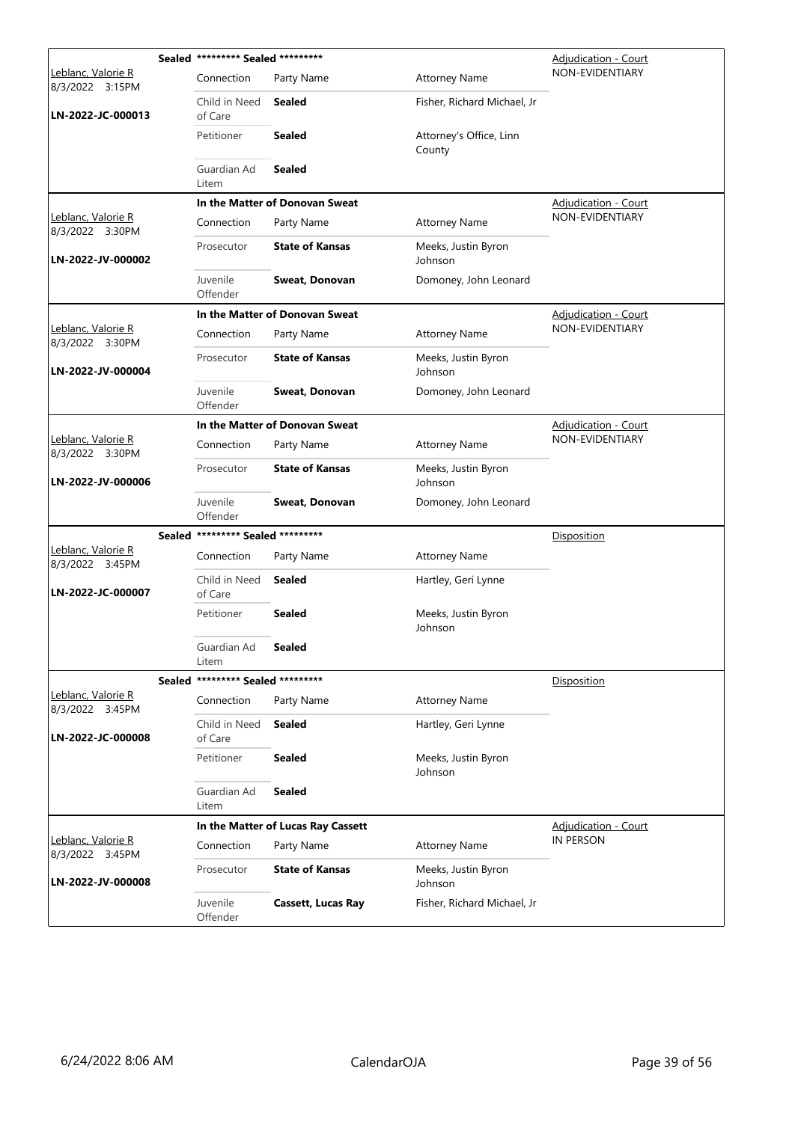|                                       | Sealed ********* Sealed ********* |                                    |                                   | Adjudication - Court        |
|---------------------------------------|-----------------------------------|------------------------------------|-----------------------------------|-----------------------------|
| Leblanc, Valorie R<br>8/3/2022 3:15PM | Connection                        | Party Name                         | <b>Attorney Name</b>              | NON-EVIDENTIARY             |
| LN-2022-JC-000013                     | Child in Need<br>of Care          | Sealed                             | Fisher, Richard Michael, Jr       |                             |
|                                       | Petitioner                        | <b>Sealed</b>                      | Attorney's Office, Linn<br>County |                             |
|                                       | Guardian Ad<br>Litem              | <b>Sealed</b>                      |                                   |                             |
|                                       |                                   | In the Matter of Donovan Sweat     |                                   | <b>Adjudication - Court</b> |
| Leblanc, Valorie R<br>8/3/2022 3:30PM | Connection                        | Party Name                         | <b>Attorney Name</b>              | NON-EVIDENTIARY             |
| LN-2022-JV-000002                     | Prosecutor                        | <b>State of Kansas</b>             | Meeks, Justin Byron<br>Johnson    |                             |
|                                       | Juvenile<br>Offender              | Sweat, Donovan                     | Domoney, John Leonard             |                             |
|                                       |                                   | In the Matter of Donovan Sweat     |                                   | Adjudication - Court        |
| Leblanc, Valorie R<br>8/3/2022 3:30PM | Connection                        | Party Name                         | <b>Attorney Name</b>              | NON-EVIDENTIARY             |
| LN-2022-JV-000004                     | Prosecutor                        | <b>State of Kansas</b>             | Meeks, Justin Byron<br>Johnson    |                             |
|                                       | Juvenile<br>Offender              | Sweat, Donovan                     | Domoney, John Leonard             |                             |
|                                       |                                   | In the Matter of Donovan Sweat     |                                   | <b>Adjudication - Court</b> |
| Leblanc, Valorie R<br>8/3/2022 3:30PM | Connection                        | Party Name                         | <b>Attorney Name</b>              | NON-EVIDENTIARY             |
| LN-2022-JV-000006                     | Prosecutor                        | <b>State of Kansas</b>             | Meeks, Justin Byron<br>Johnson    |                             |
|                                       | Juvenile<br>Offender              | Sweat, Donovan                     | Domoney, John Leonard             |                             |
|                                       | Sealed ********* Sealed ********* |                                    |                                   | Disposition                 |
| Leblanc, Valorie R<br>8/3/2022 3:45PM | Connection                        | Party Name                         | <b>Attorney Name</b>              |                             |
| LN-2022-JC-000007                     | Child in Need<br>of Care          | Sealed                             | Hartley, Geri Lynne               |                             |
|                                       | Petitioner                        | Sealed                             | Meeks, Justin Byron<br>Johnson    |                             |
|                                       | Guardian Ad<br>Litem              | <b>Sealed</b>                      |                                   |                             |
|                                       | Sealed ********* Sealed ********* |                                    |                                   | Disposition                 |
| Leblanc, Valorie R<br>8/3/2022 3:45PM | Connection                        | Party Name                         | <b>Attorney Name</b>              |                             |
| LN-2022-JC-000008                     | Child in Need<br>of Care          | Sealed                             | Hartley, Geri Lynne               |                             |
|                                       | Petitioner                        | Sealed                             | Meeks, Justin Byron<br>Johnson    |                             |
|                                       | Guardian Ad<br>Litem              | Sealed                             |                                   |                             |
|                                       |                                   | In the Matter of Lucas Ray Cassett |                                   | <b>Adjudication - Court</b> |
| Leblanc, Valorie R<br>8/3/2022 3:45PM | Connection                        | Party Name                         | <b>Attorney Name</b>              | IN PERSON                   |
| LN-2022-JV-000008                     | Prosecutor                        | <b>State of Kansas</b>             | Meeks, Justin Byron<br>Johnson    |                             |
|                                       | Juvenile<br>Offender              | <b>Cassett, Lucas Ray</b>          | Fisher, Richard Michael, Jr       |                             |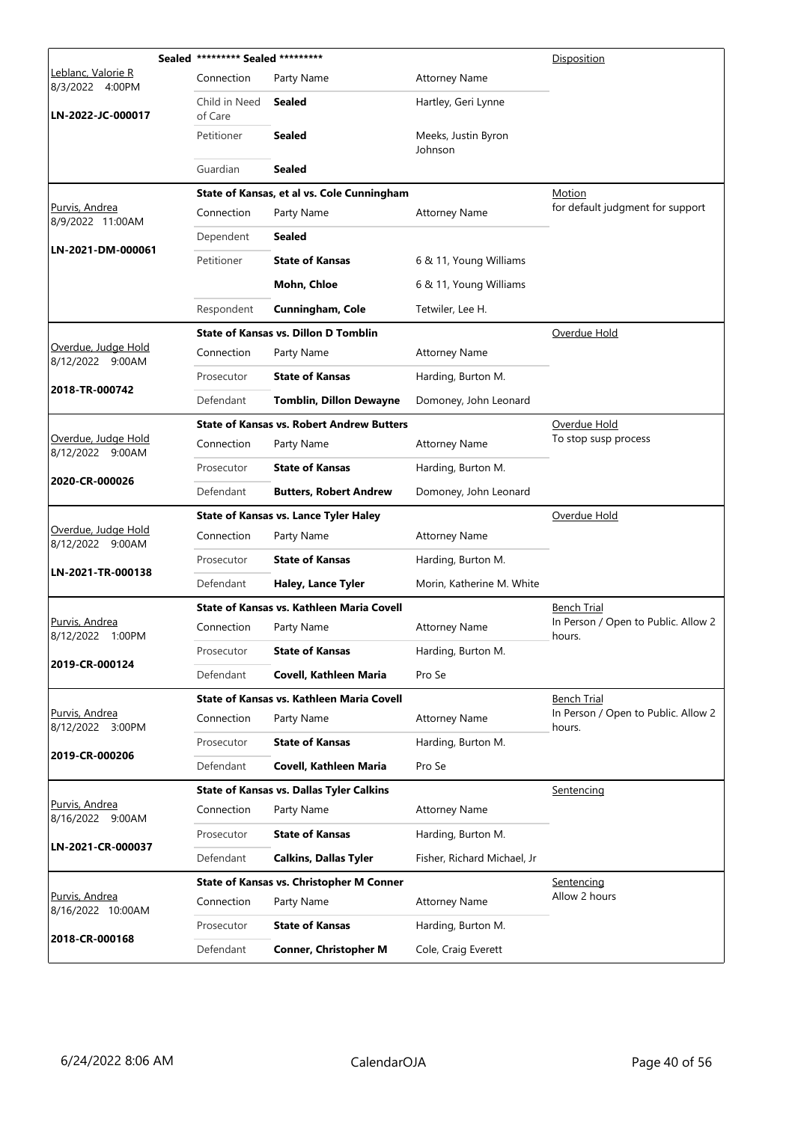|                                           | Sealed ********* Sealed ********* |                                                  |                                | Disposition                                   |
|-------------------------------------------|-----------------------------------|--------------------------------------------------|--------------------------------|-----------------------------------------------|
| Leblanc, Valorie R<br>8/3/2022 4:00PM     | Connection                        | Party Name                                       | <b>Attorney Name</b>           |                                               |
| LN-2022-JC-000017                         | Child in Need<br>of Care          | <b>Sealed</b>                                    | Hartley, Geri Lynne            |                                               |
|                                           | Petitioner                        | <b>Sealed</b>                                    | Meeks, Justin Byron<br>Johnson |                                               |
|                                           | Guardian                          | <b>Sealed</b>                                    |                                |                                               |
|                                           |                                   | State of Kansas, et al vs. Cole Cunningham       |                                | Motion                                        |
| Purvis, Andrea<br>8/9/2022 11:00AM        | Connection                        | Party Name                                       | <b>Attorney Name</b>           | for default judgment for support              |
| LN-2021-DM-000061                         | Dependent                         | <b>Sealed</b>                                    |                                |                                               |
|                                           | Petitioner                        | <b>State of Kansas</b>                           | 6 & 11, Young Williams         |                                               |
|                                           |                                   | Mohn, Chloe                                      | 6 & 11, Young Williams         |                                               |
|                                           | Respondent                        | Cunningham, Cole                                 | Tetwiler, Lee H.               |                                               |
|                                           |                                   | <b>State of Kansas vs. Dillon D Tomblin</b>      |                                | Overdue Hold                                  |
| Overdue, Judge Hold<br>8/12/2022 9:00AM   | Connection                        | Party Name                                       | <b>Attorney Name</b>           |                                               |
| 2018-TR-000742                            | Prosecutor                        | <b>State of Kansas</b>                           | Harding, Burton M.             |                                               |
|                                           | Defendant                         | <b>Tomblin, Dillon Dewayne</b>                   | Domoney, John Leonard          |                                               |
|                                           |                                   | <b>State of Kansas vs. Robert Andrew Butters</b> |                                | <u>Overdue Hold</u>                           |
| Overdue, Judge Hold<br>8/12/2022 9:00AM   | Connection                        | Party Name                                       | <b>Attorney Name</b>           | To stop susp process                          |
| 2020-CR-000026                            | Prosecutor                        | <b>State of Kansas</b>                           | Harding, Burton M.             |                                               |
|                                           | Defendant                         | <b>Butters, Robert Andrew</b>                    | Domoney, John Leonard          |                                               |
|                                           |                                   | <b>State of Kansas vs. Lance Tyler Haley</b>     |                                | Overdue Hold                                  |
| Overdue, Judge Hold<br>8/12/2022 9:00AM   | Connection                        | Party Name                                       | <b>Attorney Name</b>           |                                               |
| LN-2021-TR-000138                         | Prosecutor                        | <b>State of Kansas</b>                           | Harding, Burton M.             |                                               |
|                                           | Defendant                         | Haley, Lance Tyler                               | Morin, Katherine M. White      |                                               |
|                                           |                                   | State of Kansas vs. Kathleen Maria Covell        | Bench Trial                    |                                               |
| <u>Purvis, Andrea</u><br>8/12/2022 1:00PM | Connection                        | Party Name                                       | <b>Attorney Name</b>           | In Person / Open to Public. Allow 2<br>hours. |
| 2019-CR-000124                            | Prosecutor                        | <b>State of Kansas</b>                           | Harding, Burton M.             |                                               |
|                                           | Defendant                         | Covell, Kathleen Maria                           | Pro Se                         |                                               |
|                                           |                                   | State of Kansas vs. Kathleen Maria Covell        |                                | <b>Bench Trial</b>                            |
| <u>Purvis, Andrea</u><br>8/12/2022 3:00PM | Connection                        | Party Name                                       | <b>Attorney Name</b>           | In Person / Open to Public. Allow 2<br>hours. |
| 2019-CR-000206                            | Prosecutor                        | <b>State of Kansas</b>                           | Harding, Burton M.             |                                               |
|                                           | Defendant                         | Covell, Kathleen Maria                           | Pro Se                         |                                               |
|                                           |                                   | <b>State of Kansas vs. Dallas Tyler Calkins</b>  |                                | Sentencing                                    |
| Purvis, Andrea<br>8/16/2022 9:00AM        | Connection                        | Party Name                                       | <b>Attorney Name</b>           |                                               |
| LN-2021-CR-000037                         | Prosecutor                        | <b>State of Kansas</b>                           | Harding, Burton M.             |                                               |
|                                           | Defendant                         | <b>Calkins, Dallas Tyler</b>                     | Fisher, Richard Michael, Jr    |                                               |
|                                           |                                   | <b>State of Kansas vs. Christopher M Conner</b>  |                                | Sentencing                                    |
|                                           |                                   |                                                  |                                |                                               |
| Purvis, Andrea<br>8/16/2022 10:00AM       | Connection                        | Party Name                                       | <b>Attorney Name</b>           | Allow 2 hours                                 |
| 2018-CR-000168                            | Prosecutor                        | <b>State of Kansas</b>                           | Harding, Burton M.             |                                               |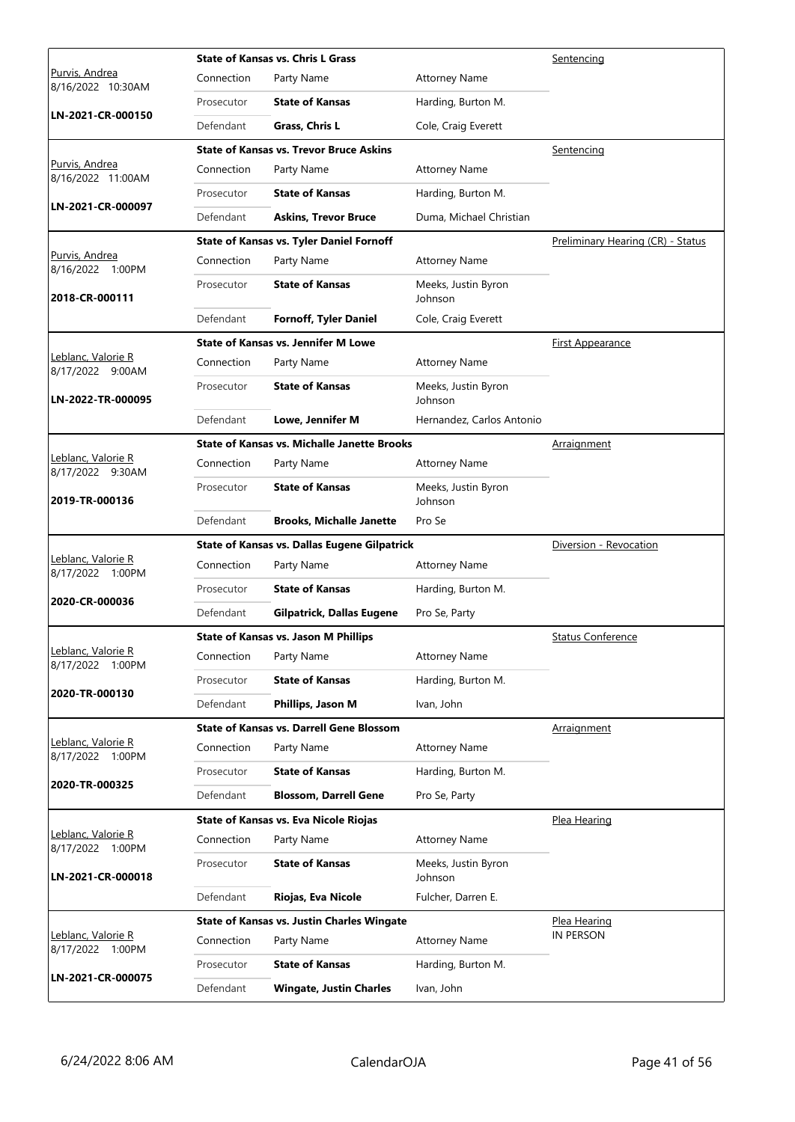|                                            |            | <b>State of Kansas vs. Chris L Grass</b>            |                                | Sentencing                        |
|--------------------------------------------|------------|-----------------------------------------------------|--------------------------------|-----------------------------------|
| <u>Purvis, Andrea</u><br>8/16/2022 10:30AM | Connection | Party Name                                          | <b>Attorney Name</b>           |                                   |
|                                            | Prosecutor | <b>State of Kansas</b>                              | Harding, Burton M.             |                                   |
| LN-2021-CR-000150                          | Defendant  | Grass, Chris L                                      | Cole, Craig Everett            |                                   |
|                                            |            | <b>State of Kansas vs. Trevor Bruce Askins</b>      |                                | Sentencing                        |
| Purvis, Andrea<br>8/16/2022 11:00AM        | Connection | Party Name                                          | <b>Attorney Name</b>           |                                   |
|                                            | Prosecutor | <b>State of Kansas</b>                              | Harding, Burton M.             |                                   |
| LN-2021-CR-000097                          | Defendant  | <b>Askins, Trevor Bruce</b>                         | Duma, Michael Christian        |                                   |
|                                            |            | <b>State of Kansas vs. Tyler Daniel Fornoff</b>     |                                | Preliminary Hearing (CR) - Status |
| Purvis, Andrea<br>8/16/2022 1:00PM         | Connection | Party Name                                          | <b>Attorney Name</b>           |                                   |
| 2018-CR-000111                             | Prosecutor | <b>State of Kansas</b>                              | Meeks, Justin Byron<br>Johnson |                                   |
|                                            | Defendant  | <b>Fornoff, Tyler Daniel</b>                        | Cole, Craig Everett            |                                   |
|                                            |            | <b>State of Kansas vs. Jennifer M Lowe</b>          |                                | First Appearance                  |
| Leblanc, Valorie R<br>8/17/2022 9:00AM     | Connection | Party Name                                          | <b>Attorney Name</b>           |                                   |
| LN-2022-TR-000095                          | Prosecutor | <b>State of Kansas</b>                              | Meeks, Justin Byron<br>Johnson |                                   |
|                                            | Defendant  | Lowe, Jennifer M                                    | Hernandez, Carlos Antonio      |                                   |
|                                            |            | <b>State of Kansas vs. Michalle Janette Brooks</b>  |                                | Arraignment                       |
| Leblanc, Valorie R<br>8/17/2022 9:30AM     | Connection | Party Name                                          | <b>Attorney Name</b>           |                                   |
| 2019-TR-000136                             | Prosecutor | <b>State of Kansas</b>                              | Meeks, Justin Byron<br>Johnson |                                   |
|                                            | Defendant  | <b>Brooks, Michalle Janette</b>                     | Pro Se                         |                                   |
|                                            |            | <b>State of Kansas vs. Dallas Eugene Gilpatrick</b> |                                | Diversion - Revocation            |
| Leblanc, Valorie R<br>8/17/2022 1:00PM     | Connection | Party Name                                          | <b>Attorney Name</b>           |                                   |
| 2020-CR-000036                             | Prosecutor | <b>State of Kansas</b>                              | Harding, Burton M.             |                                   |
|                                            | Defendant  | <b>Gilpatrick, Dallas Eugene</b>                    | Pro Se, Party                  |                                   |
|                                            |            | State of Kansas vs. Jason M Phillips                |                                | <b>Status Conference</b>          |
| Leblanc, Valorie R<br>8/17/2022<br>1:00PM  | Connection | Party Name                                          | <b>Attorney Name</b>           |                                   |
| 2020-TR-000130                             | Prosecutor | <b>State of Kansas</b>                              | Harding, Burton M.             |                                   |
|                                            | Defendant  | Phillips, Jason M                                   | Ivan, John                     |                                   |
|                                            |            | <b>State of Kansas vs. Darrell Gene Blossom</b>     |                                | <u>Arraignment</u>                |
| Leblanc, Valorie R<br>8/17/2022 1:00PM     | Connection | Party Name                                          | <b>Attorney Name</b>           |                                   |
| 2020-TR-000325                             | Prosecutor | <b>State of Kansas</b>                              | Harding, Burton M.             |                                   |
|                                            |            |                                                     |                                |                                   |
|                                            | Defendant  | <b>Blossom, Darrell Gene</b>                        | Pro Se, Party                  |                                   |
|                                            |            | State of Kansas vs. Eva Nicole Riojas               |                                | Plea Hearing                      |
| Leblanc, Valorie R                         | Connection | Party Name                                          | <b>Attorney Name</b>           |                                   |
| 8/17/2022 1:00PM<br>LN-2021-CR-000018      | Prosecutor | <b>State of Kansas</b>                              | Meeks, Justin Byron<br>Johnson |                                   |
|                                            | Defendant  | Riojas, Eva Nicole                                  | Fulcher, Darren E.             |                                   |
|                                            |            | <b>State of Kansas vs. Justin Charles Wingate</b>   |                                | Plea Hearing                      |
| Leblanc, Valorie R<br>8/17/2022 1:00PM     | Connection | Party Name                                          | <b>Attorney Name</b>           | IN PERSON                         |
| LN-2021-CR-000075                          | Prosecutor | <b>State of Kansas</b>                              | Harding, Burton M.             |                                   |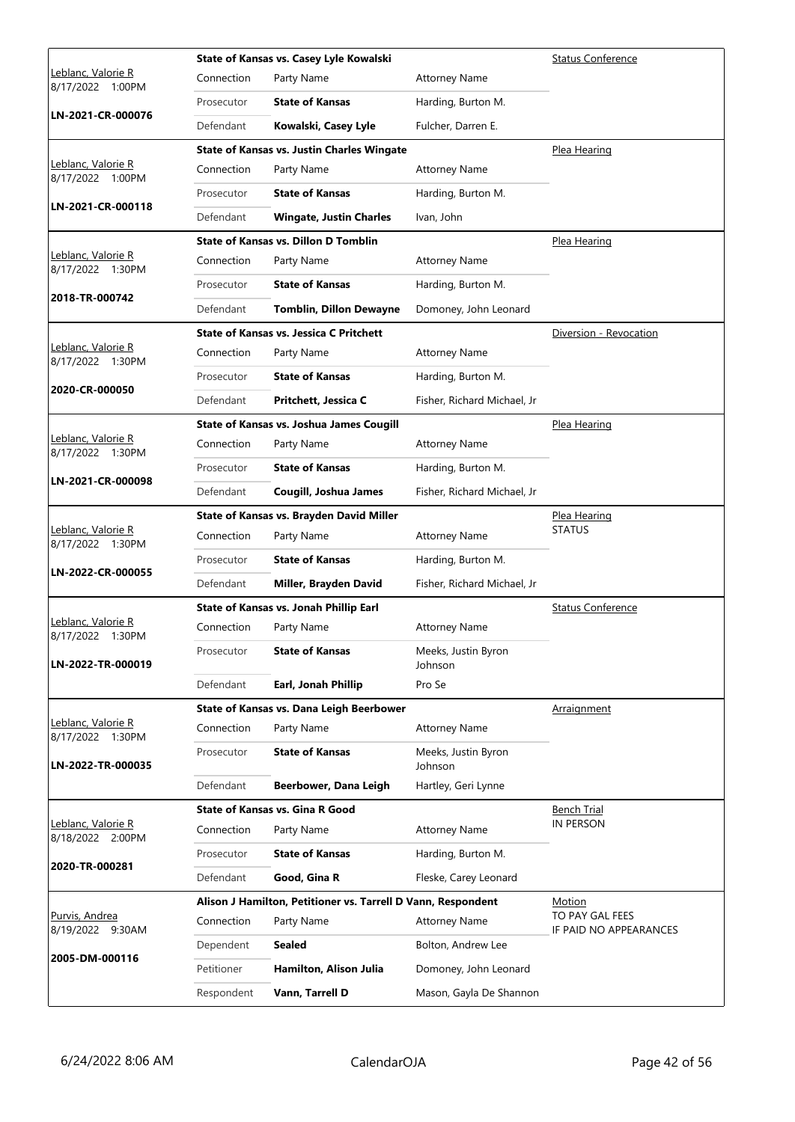|                                        |            | State of Kansas vs. Casey Lyle Kowalski                      |                                | <b>Status Conference</b>                  |
|----------------------------------------|------------|--------------------------------------------------------------|--------------------------------|-------------------------------------------|
| Leblanc, Valorie R<br>8/17/2022 1:00PM | Connection | Party Name                                                   | <b>Attorney Name</b>           |                                           |
|                                        | Prosecutor | <b>State of Kansas</b>                                       | Harding, Burton M.             |                                           |
| LN-2021-CR-000076                      | Defendant  | Kowalski, Casey Lyle                                         | Fulcher, Darren E.             |                                           |
|                                        |            | <b>State of Kansas vs. Justin Charles Wingate</b>            |                                | Plea Hearing                              |
| Leblanc, Valorie R<br>8/17/2022 1:00PM | Connection | Party Name                                                   | <b>Attorney Name</b>           |                                           |
| LN-2021-CR-000118                      | Prosecutor | <b>State of Kansas</b>                                       | Harding, Burton M.             |                                           |
|                                        | Defendant  | <b>Wingate, Justin Charles</b>                               | Ivan, John                     |                                           |
|                                        |            | <b>State of Kansas vs. Dillon D Tomblin</b>                  |                                | Plea Hearing                              |
| Leblanc, Valorie R<br>8/17/2022 1:30PM | Connection | Party Name                                                   | <b>Attorney Name</b>           |                                           |
| 2018-TR-000742                         | Prosecutor | <b>State of Kansas</b>                                       | Harding, Burton M.             |                                           |
|                                        | Defendant  | <b>Tomblin, Dillon Dewayne</b>                               | Domoney, John Leonard          |                                           |
|                                        |            | <b>State of Kansas vs. Jessica C Pritchett</b>               |                                | Diversion - Revocation                    |
| Leblanc, Valorie R<br>8/17/2022 1:30PM | Connection | Party Name                                                   | <b>Attorney Name</b>           |                                           |
| 2020-CR-000050                         | Prosecutor | <b>State of Kansas</b>                                       | Harding, Burton M.             |                                           |
|                                        | Defendant  | Pritchett, Jessica C                                         | Fisher, Richard Michael, Jr    |                                           |
|                                        |            | State of Kansas vs. Joshua James Cougill                     |                                | <u>Plea Hearing</u>                       |
| Leblanc, Valorie R<br>8/17/2022 1:30PM | Connection | Party Name                                                   | <b>Attorney Name</b>           |                                           |
|                                        | Prosecutor | <b>State of Kansas</b>                                       | Harding, Burton M.             |                                           |
| LN-2021-CR-000098                      | Defendant  | Cougill, Joshua James                                        | Fisher, Richard Michael, Jr    |                                           |
|                                        |            | State of Kansas vs. Brayden David Miller                     |                                | Plea Hearing                              |
| Leblanc, Valorie R<br>8/17/2022 1:30PM | Connection | Party Name                                                   | <b>Attorney Name</b>           | <b>STATUS</b>                             |
| LN-2022-CR-000055                      | Prosecutor | <b>State of Kansas</b>                                       | Harding, Burton M.             |                                           |
|                                        | Defendant  | Miller, Brayden David                                        | Fisher, Richard Michael, Jr    |                                           |
|                                        |            | State of Kansas vs. Jonah Phillip Earl                       |                                | <b>Status Conference</b>                  |
| Leblanc, Valorie R<br>8/17/2022 1:30PM | Connection | Party Name                                                   | <b>Attorney Name</b>           |                                           |
| LN-2022-TR-000019                      | Prosecutor | <b>State of Kansas</b>                                       | Meeks, Justin Byron<br>Johnson |                                           |
|                                        | Defendant  | Earl, Jonah Phillip                                          | Pro Se                         |                                           |
|                                        |            | State of Kansas vs. Dana Leigh Beerbower                     |                                | Arraignment                               |
| Leblanc, Valorie R<br>8/17/2022 1:30PM | Connection | Party Name                                                   | <b>Attorney Name</b>           |                                           |
| LN-2022-TR-000035                      | Prosecutor | <b>State of Kansas</b>                                       | Meeks, Justin Byron<br>Johnson |                                           |
|                                        | Defendant  | Beerbower, Dana Leigh                                        | Hartley, Geri Lynne            |                                           |
|                                        |            | <b>State of Kansas vs. Gina R Good</b>                       |                                | <b>Bench Trial</b>                        |
| Leblanc, Valorie R<br>8/18/2022 2:00PM | Connection | Party Name                                                   | <b>Attorney Name</b>           | IN PERSON                                 |
| 2020-TR-000281                         | Prosecutor | <b>State of Kansas</b>                                       | Harding, Burton M.             |                                           |
|                                        | Defendant  | Good, Gina R                                                 | Fleske, Carey Leonard          |                                           |
|                                        |            | Alison J Hamilton, Petitioner vs. Tarrell D Vann, Respondent |                                | <b>Motion</b>                             |
| Purvis, Andrea<br>8/19/2022 9:30AM     | Connection | Party Name                                                   | <b>Attorney Name</b>           | TO PAY GAL FEES<br>IF PAID NO APPEARANCES |
| 2005-DM-000116                         | Dependent  | <b>Sealed</b>                                                | Bolton, Andrew Lee             |                                           |
|                                        | Petitioner | Hamilton, Alison Julia                                       | Domoney, John Leonard          |                                           |
|                                        | Respondent | Vann, Tarrell D                                              | Mason, Gayla De Shannon        |                                           |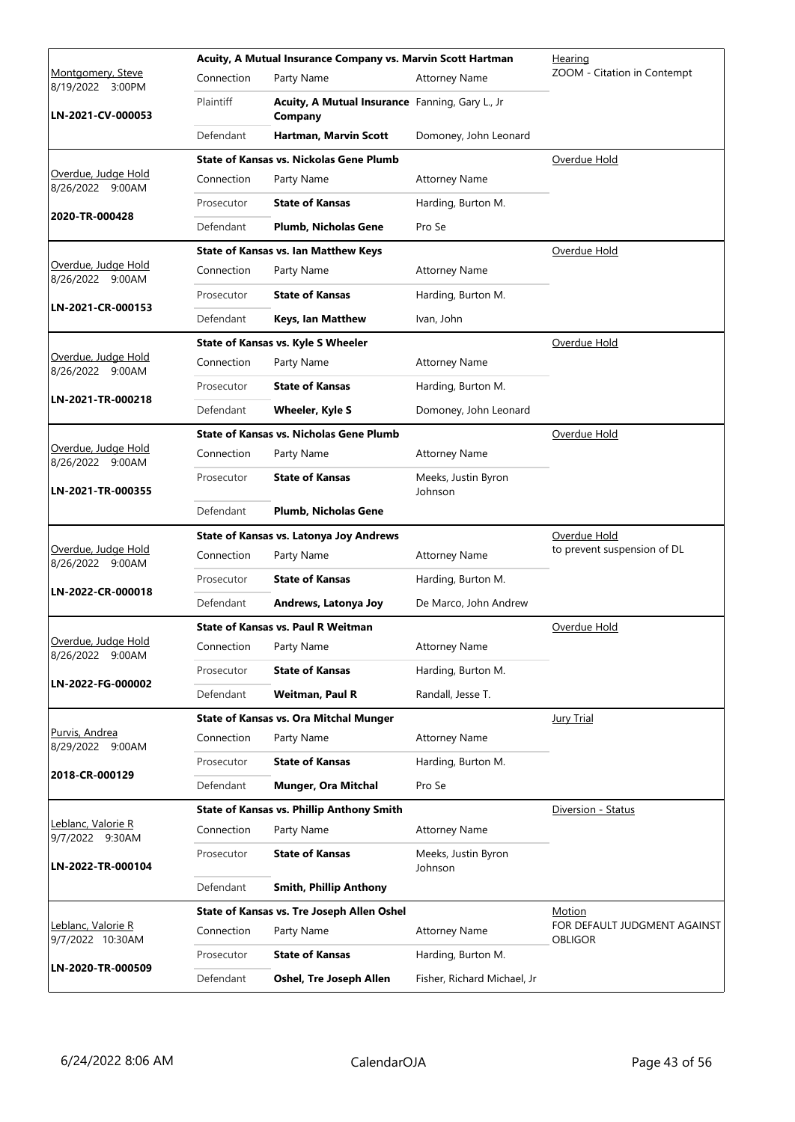|                                                |            | Acuity, A Mutual Insurance Company vs. Marvin Scott Hartman |                                | Hearing                      |
|------------------------------------------------|------------|-------------------------------------------------------------|--------------------------------|------------------------------|
| Montgomery, Steve<br>8/19/2022 3:00PM          | Connection | Party Name                                                  | <b>Attorney Name</b>           | ZOOM - Citation in Contempt  |
| LN-2021-CV-000053                              | Plaintiff  | Acuity, A Mutual Insurance Fanning, Gary L., Jr<br>Company  |                                |                              |
|                                                | Defendant  | Hartman, Marvin Scott                                       | Domoney, John Leonard          |                              |
|                                                |            | State of Kansas vs. Nickolas Gene Plumb                     |                                | Overdue Hold                 |
| Overdue, Judge Hold<br>8/26/2022 9:00AM        | Connection | Party Name                                                  | <b>Attorney Name</b>           |                              |
|                                                | Prosecutor | <b>State of Kansas</b>                                      | Harding, Burton M.             |                              |
| 2020-TR-000428                                 | Defendant  | <b>Plumb, Nicholas Gene</b>                                 | Pro Se                         |                              |
|                                                |            | <b>State of Kansas vs. Ian Matthew Keys</b>                 |                                | Overdue Hold                 |
| Overdue, Judge Hold<br>8/26/2022 9:00AM        | Connection | Party Name                                                  | <b>Attorney Name</b>           |                              |
|                                                | Prosecutor | <b>State of Kansas</b>                                      | Harding, Burton M.             |                              |
| LN-2021-CR-000153                              | Defendant  | Keys, Ian Matthew                                           | Ivan, John                     |                              |
|                                                |            | State of Kansas vs. Kyle S Wheeler                          |                                | Overdue Hold                 |
| Overdue, Judge Hold<br>8/26/2022 9:00AM        | Connection | Party Name                                                  | <b>Attorney Name</b>           |                              |
|                                                | Prosecutor | <b>State of Kansas</b>                                      | Harding, Burton M.             |                              |
| LN-2021-TR-000218                              | Defendant  | <b>Wheeler, Kyle S</b>                                      | Domoney, John Leonard          |                              |
|                                                |            | <b>State of Kansas vs. Nicholas Gene Plumb</b>              |                                | Overdue Hold                 |
| Overdue, Judge Hold<br>8/26/2022 9:00AM        | Connection | Party Name                                                  | <b>Attorney Name</b>           |                              |
| LN-2021-TR-000355                              | Prosecutor | <b>State of Kansas</b>                                      | Meeks, Justin Byron<br>Johnson |                              |
|                                                | Defendant  | Plumb, Nicholas Gene                                        |                                |                              |
|                                                |            | <b>State of Kansas vs. Latonya Joy Andrews</b>              |                                | Overdue Hold                 |
| Overdue, Judge Hold<br>8/26/2022 9:00AM        | Connection | Party Name                                                  | <b>Attorney Name</b>           | to prevent suspension of DL  |
|                                                | Prosecutor | <b>State of Kansas</b>                                      | Harding, Burton M.             |                              |
| LN-2022-CR-000018                              | Defendant  | Andrews, Latonya Joy                                        | De Marco, John Andrew          |                              |
|                                                |            | State of Kansas vs. Paul R Weitman                          |                                | Overdue Hold                 |
| <u>Overdue, Judge Hold</u><br>8/26/2022 9:00AM |            | Connection Party Name                                       | <b>Attorney Name</b>           |                              |
|                                                | Prosecutor | <b>State of Kansas</b>                                      | Harding, Burton M.             |                              |
| LN-2022-FG-000002                              | Defendant  | <b>Weitman, Paul R</b>                                      | Randall, Jesse T.              |                              |
|                                                |            | <b>State of Kansas vs. Ora Mitchal Munger</b>               |                                | <b>Jury Trial</b>            |
| Purvis, Andrea<br>8/29/2022 9:00AM             | Connection | Party Name                                                  | <b>Attorney Name</b>           |                              |
|                                                | Prosecutor | <b>State of Kansas</b>                                      | Harding, Burton M.             |                              |
| 2018-CR-000129                                 | Defendant  | <b>Munger, Ora Mitchal</b>                                  | Pro Se                         |                              |
|                                                |            | <b>State of Kansas vs. Phillip Anthony Smith</b>            |                                | Diversion - Status           |
| Leblanc, Valorie R<br>9/7/2022 9:30AM          | Connection | Party Name                                                  | <b>Attorney Name</b>           |                              |
| LN-2022-TR-000104                              | Prosecutor | <b>State of Kansas</b>                                      | Meeks, Justin Byron<br>Johnson |                              |
|                                                | Defendant  | <b>Smith, Phillip Anthony</b>                               |                                |                              |
|                                                |            | State of Kansas vs. Tre Joseph Allen Oshel                  |                                | Motion                       |
| Leblanc, Valorie R                             |            | Party Name                                                  | <b>Attorney Name</b>           | FOR DEFAULT JUDGMENT AGAINST |
|                                                | Connection |                                                             |                                |                              |
| 9/7/2022 10:30AM<br>LN-2020-TR-000509          | Prosecutor | <b>State of Kansas</b>                                      | Harding, Burton M.             | OBLIGOR                      |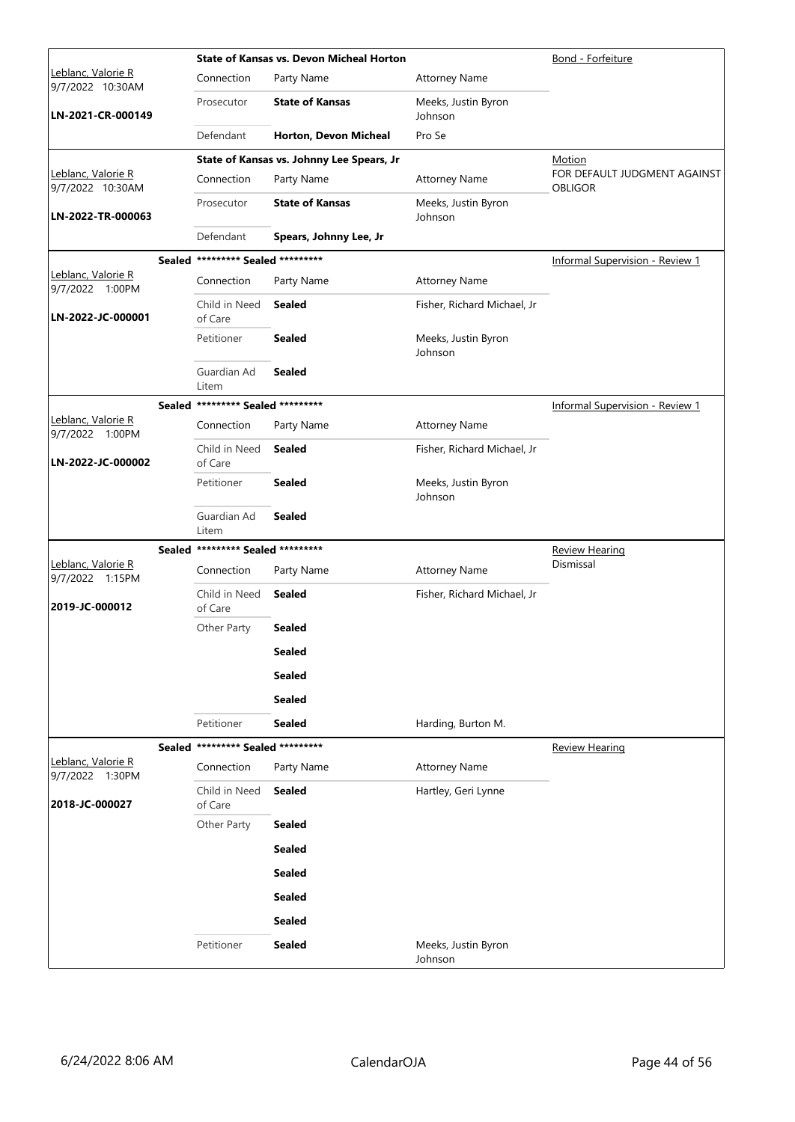|                                        |                                   | <b>State of Kansas vs. Devon Micheal Horton</b> |                                | Bond - Forfeiture                              |
|----------------------------------------|-----------------------------------|-------------------------------------------------|--------------------------------|------------------------------------------------|
| Leblanc, Valorie R<br>9/7/2022 10:30AM | Connection                        | Party Name                                      | <b>Attorney Name</b>           |                                                |
| LN-2021-CR-000149                      | Prosecutor                        | <b>State of Kansas</b>                          | Meeks, Justin Byron<br>Johnson |                                                |
|                                        | Defendant                         | Horton, Devon Micheal                           | Pro Se                         |                                                |
|                                        |                                   | State of Kansas vs. Johnny Lee Spears, Jr       |                                | Motion                                         |
| Leblanc, Valorie R<br>9/7/2022 10:30AM | Connection                        | Party Name                                      | <b>Attorney Name</b>           | FOR DEFAULT JUDGMENT AGAINST<br><b>OBLIGOR</b> |
| LN-2022-TR-000063                      | Prosecutor                        | <b>State of Kansas</b>                          | Meeks, Justin Byron<br>Johnson |                                                |
|                                        | Defendant                         | Spears, Johnny Lee, Jr                          |                                |                                                |
|                                        | Sealed ********* Sealed ********* |                                                 |                                | <b>Informal Supervision - Review 1</b>         |
| Leblanc, Valorie R<br>9/7/2022 1:00PM  | Connection                        | Party Name                                      | <b>Attorney Name</b>           |                                                |
| LN-2022-JC-000001                      | Child in Need<br>of Care          | <b>Sealed</b>                                   | Fisher, Richard Michael, Jr    |                                                |
|                                        | Petitioner                        | <b>Sealed</b>                                   | Meeks, Justin Byron<br>Johnson |                                                |
|                                        | Guardian Ad<br>Litem              | <b>Sealed</b>                                   |                                |                                                |
|                                        | Sealed ********* Sealed ********* |                                                 |                                | <b>Informal Supervision - Review 1</b>         |
| Leblanc, Valorie R<br>9/7/2022 1:00PM  | Connection                        | Party Name                                      | <b>Attorney Name</b>           |                                                |
| LN-2022-JC-000002                      | Child in Need<br>of Care          | <b>Sealed</b>                                   | Fisher, Richard Michael, Jr    |                                                |
|                                        | Petitioner                        | <b>Sealed</b>                                   | Meeks, Justin Byron<br>Johnson |                                                |
|                                        | Guardian Ad<br>Litem              | <b>Sealed</b>                                   |                                |                                                |
|                                        | Sealed ********* Sealed ********* |                                                 |                                | <b>Review Hearing</b>                          |
| Leblanc, Valorie R<br>9/7/2022 1:15PM  | Connection                        | Party Name                                      | <b>Attorney Name</b>           | Dismissal                                      |
| 2019-JC-000012                         | Child in Need<br>of Care          | <b>Sealed</b>                                   | Fisher, Richard Michael, Jr    |                                                |
|                                        | Other Party                       | <b>Sealed</b>                                   |                                |                                                |
|                                        |                                   | <b>Sealed</b>                                   |                                |                                                |
|                                        |                                   | <b>Sealed</b>                                   |                                |                                                |
|                                        |                                   | <b>Sealed</b>                                   |                                |                                                |
|                                        | Petitioner                        | <b>Sealed</b>                                   | Harding, Burton M.             |                                                |
|                                        | Sealed ********* Sealed ********* |                                                 |                                | <b>Review Hearing</b>                          |
| Leblanc, Valorie R<br>9/7/2022 1:30PM  | Connection                        | Party Name                                      | <b>Attorney Name</b>           |                                                |
| 2018-JC-000027                         | Child in Need<br>of Care          | <b>Sealed</b>                                   | Hartley, Geri Lynne            |                                                |
|                                        | Other Party                       | <b>Sealed</b>                                   |                                |                                                |
|                                        |                                   | <b>Sealed</b>                                   |                                |                                                |
|                                        |                                   | <b>Sealed</b>                                   |                                |                                                |
|                                        |                                   | <b>Sealed</b>                                   |                                |                                                |
|                                        |                                   | <b>Sealed</b>                                   |                                |                                                |
|                                        | Petitioner                        | <b>Sealed</b>                                   | Meeks, Justin Byron<br>Johnson |                                                |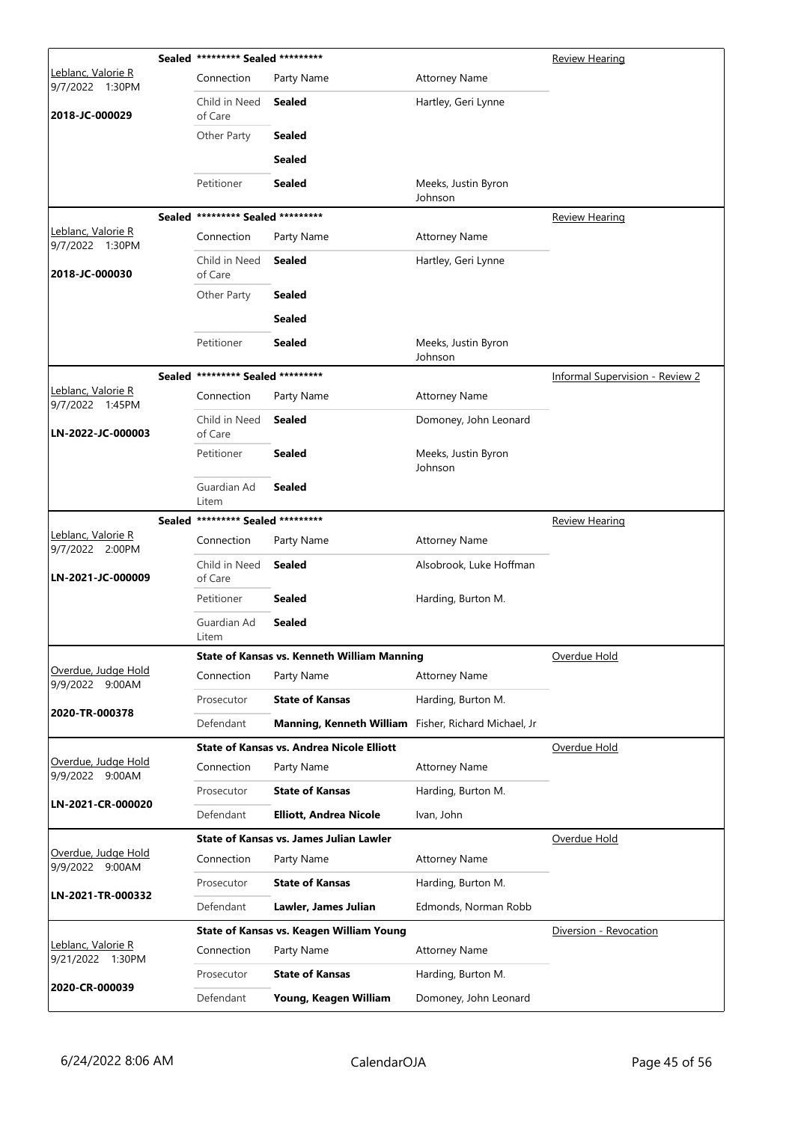|                                        | Sealed ********* Sealed ********* |                                                      |                                | <b>Review Hearing</b>                  |
|----------------------------------------|-----------------------------------|------------------------------------------------------|--------------------------------|----------------------------------------|
| Leblanc, Valorie R<br>9/7/2022 1:30PM  | Connection                        | Party Name                                           | <b>Attorney Name</b>           |                                        |
| 2018-JC-000029                         | Child in Need<br>of Care          | Sealed                                               | Hartley, Geri Lynne            |                                        |
|                                        | Other Party                       | <b>Sealed</b>                                        |                                |                                        |
|                                        |                                   | <b>Sealed</b>                                        |                                |                                        |
|                                        | Petitioner                        | <b>Sealed</b>                                        | Meeks, Justin Byron<br>Johnson |                                        |
|                                        | Sealed ********* Sealed ********* |                                                      |                                | <u>Review Hearing</u>                  |
| Leblanc, Valorie R<br>9/7/2022 1:30PM  | Connection                        | Party Name                                           | <b>Attorney Name</b>           |                                        |
| 2018-JC-000030                         | Child in Need<br>of Care          | Sealed                                               | Hartley, Geri Lynne            |                                        |
|                                        | Other Party                       | <b>Sealed</b>                                        |                                |                                        |
|                                        |                                   | <b>Sealed</b>                                        |                                |                                        |
|                                        | Petitioner                        | <b>Sealed</b>                                        | Meeks, Justin Byron<br>Johnson |                                        |
|                                        | Sealed ********* Sealed ********* |                                                      |                                | <b>Informal Supervision - Review 2</b> |
| Leblanc, Valorie R<br>9/7/2022 1:45PM  | Connection                        | Party Name                                           | <b>Attorney Name</b>           |                                        |
| LN-2022-JC-000003                      | Child in Need<br>of Care          | Sealed                                               | Domoney, John Leonard          |                                        |
|                                        | Petitioner                        | <b>Sealed</b>                                        | Meeks, Justin Byron<br>Johnson |                                        |
|                                        | Guardian Ad<br>Litem              | <b>Sealed</b>                                        |                                |                                        |
|                                        | Sealed ********* Sealed ********* |                                                      |                                | <u>Review Hearing</u>                  |
| Leblanc, Valorie R<br>9/7/2022 2:00PM  | Connection                        | Party Name                                           | <b>Attorney Name</b>           |                                        |
| LN-2021-JC-000009                      | Child in Need<br>of Care          | Sealed                                               | Alsobrook, Luke Hoffman        |                                        |
|                                        | Petitioner                        | <b>Sealed</b>                                        | Harding, Burton M.             |                                        |
|                                        | Guardian Ad<br>Litem              | <b>Sealed</b>                                        |                                |                                        |
|                                        |                                   | State of Kansas vs. Kenneth William Manning          |                                | Overdue Hold                           |
| Overdue, Judge Hold<br>9/9/2022 9:00AM | Connection                        | Party Name                                           | <b>Attorney Name</b>           |                                        |
| 2020-TR-000378                         | Prosecutor                        | <b>State of Kansas</b>                               | Harding, Burton M.             |                                        |
|                                        | Defendant                         | Manning, Kenneth William Fisher, Richard Michael, Jr |                                |                                        |
|                                        |                                   | State of Kansas vs. Andrea Nicole Elliott            |                                | Overdue Hold                           |
| Overdue, Judge Hold<br>9/9/2022 9:00AM | Connection                        | Party Name                                           | <b>Attorney Name</b>           |                                        |
| LN-2021-CR-000020                      | Prosecutor                        | <b>State of Kansas</b>                               | Harding, Burton M.             |                                        |
|                                        | Defendant                         | <b>Elliott, Andrea Nicole</b>                        | Ivan, John                     |                                        |
|                                        |                                   | State of Kansas vs. James Julian Lawler              |                                | Overdue Hold                           |
| Overdue, Judge Hold<br>9/9/2022 9:00AM | Connection                        | Party Name                                           | <b>Attorney Name</b>           |                                        |
| LN-2021-TR-000332                      | Prosecutor                        | <b>State of Kansas</b>                               | Harding, Burton M.             |                                        |
|                                        | Defendant                         | Lawler, James Julian                                 | Edmonds, Norman Robb           |                                        |
|                                        |                                   | State of Kansas vs. Keagen William Young             |                                | Diversion - Revocation                 |
| Leblanc, Valorie R<br>9/21/2022 1:30PM | Connection                        | Party Name                                           | <b>Attorney Name</b>           |                                        |
| 2020-CR-000039                         | Prosecutor                        | <b>State of Kansas</b>                               | Harding, Burton M.             |                                        |
|                                        | Defendant                         | Young, Keagen William                                | Domoney, John Leonard          |                                        |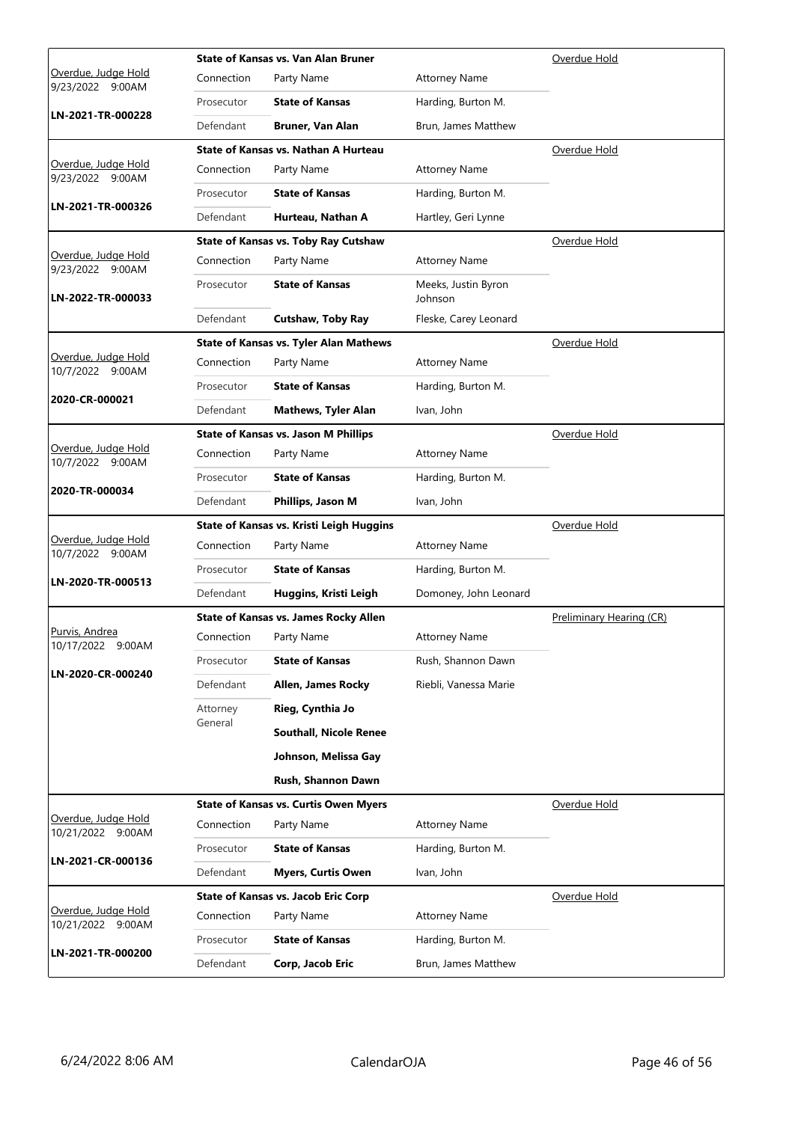|                                                |            | State of Kansas vs. Van Alan Bruner             |                                | Overdue Hold             |
|------------------------------------------------|------------|-------------------------------------------------|--------------------------------|--------------------------|
| <u>Overdue, Judge Hold</u><br>9/23/2022 9:00AM | Connection | Party Name                                      | <b>Attorney Name</b>           |                          |
|                                                | Prosecutor | <b>State of Kansas</b>                          | Harding, Burton M.             |                          |
| LN-2021-TR-000228                              | Defendant  | Bruner, Van Alan                                | Brun, James Matthew            |                          |
|                                                |            | State of Kansas vs. Nathan A Hurteau            |                                | Overdue Hold             |
| Overdue, Judge Hold<br>9/23/2022 9:00AM        | Connection | Party Name                                      | <b>Attorney Name</b>           |                          |
|                                                | Prosecutor | <b>State of Kansas</b>                          | Harding, Burton M.             |                          |
| LN-2021-TR-000326                              | Defendant  | Hurteau, Nathan A                               | Hartley, Geri Lynne            |                          |
|                                                |            | <b>State of Kansas vs. Toby Ray Cutshaw</b>     |                                | Overdue Hold             |
| Overdue, Judge Hold<br>9/23/2022 9:00AM        | Connection | Party Name                                      | <b>Attorney Name</b>           |                          |
| LN-2022-TR-000033                              | Prosecutor | <b>State of Kansas</b>                          | Meeks, Justin Byron<br>Johnson |                          |
|                                                | Defendant  | Cutshaw, Toby Ray                               | Fleske, Carey Leonard          |                          |
|                                                |            | <b>State of Kansas vs. Tyler Alan Mathews</b>   |                                | Overdue Hold             |
| Overdue, Judge Hold<br>10/7/2022 9:00AM        | Connection | Party Name                                      | <b>Attorney Name</b>           |                          |
|                                                | Prosecutor | <b>State of Kansas</b>                          | Harding, Burton M.             |                          |
| 2020-CR-000021                                 | Defendant  | <b>Mathews, Tyler Alan</b>                      | Ivan, John                     |                          |
|                                                |            | <b>State of Kansas vs. Jason M Phillips</b>     |                                | Overdue Hold             |
| Overdue, Judge Hold<br>10/7/2022 9:00AM        | Connection | Party Name                                      | <b>Attorney Name</b>           |                          |
|                                                | Prosecutor | <b>State of Kansas</b>                          | Harding, Burton M.             |                          |
| 2020-TR-000034                                 | Defendant  | Phillips, Jason M                               | Ivan, John                     |                          |
|                                                |            | <b>State of Kansas vs. Kristi Leigh Huggins</b> |                                | Overdue Hold             |
| Overdue, Judge Hold<br>10/7/2022 9:00AM        | Connection | Party Name                                      | <b>Attorney Name</b>           |                          |
| LN-2020-TR-000513                              | Prosecutor | <b>State of Kansas</b>                          | Harding, Burton M.             |                          |
|                                                | Defendant  | Huggins, Kristi Leigh                           | Domoney, John Leonard          |                          |
|                                                |            | <b>State of Kansas vs. James Rocky Allen</b>    |                                | Preliminary Hearing (CR) |
| <u>Purvis, Andrea</u><br>10/17/2022 9:00AM     | Connection | Party Name                                      | <b>Attorney Name</b>           |                          |
| LN-2020-CR-000240                              | Prosecutor | <b>State of Kansas</b>                          | Rush, Shannon Dawn             |                          |
|                                                | Defendant  | <b>Allen, James Rocky</b>                       | Riebli, Vanessa Marie          |                          |
|                                                | Attorney   | Rieg, Cynthia Jo                                |                                |                          |
|                                                | General    | <b>Southall, Nicole Renee</b>                   |                                |                          |
|                                                |            | Johnson, Melissa Gay                            |                                |                          |
|                                                |            | Rush, Shannon Dawn                              |                                |                          |
|                                                |            | <b>State of Kansas vs. Curtis Owen Myers</b>    |                                | Overdue Hold             |
| Overdue, Judge Hold<br>10/21/2022 9:00AM       | Connection | Party Name                                      | <b>Attorney Name</b>           |                          |
| LN-2021-CR-000136                              | Prosecutor | <b>State of Kansas</b>                          | Harding, Burton M.             |                          |
|                                                | Defendant  | <b>Myers, Curtis Owen</b>                       | Ivan, John                     |                          |
|                                                |            | <b>State of Kansas vs. Jacob Eric Corp</b>      |                                | Overdue Hold             |
| Overdue, Judge Hold<br>10/21/2022 9:00AM       | Connection | Party Name                                      | <b>Attorney Name</b>           |                          |
|                                                |            |                                                 |                                |                          |
| LN-2021-TR-000200                              | Prosecutor | <b>State of Kansas</b>                          | Harding, Burton M.             |                          |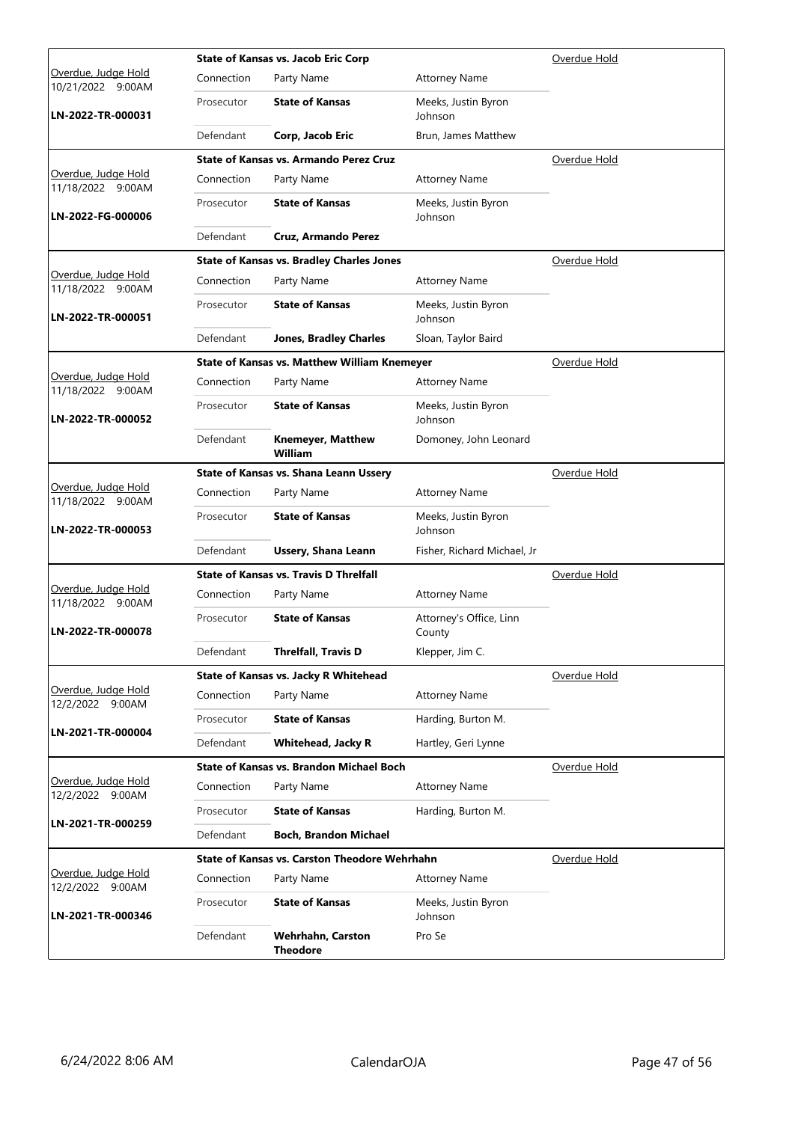|                                          |            | <b>State of Kansas vs. Jacob Eric Corp</b>           |                                   | Overdue Hold |
|------------------------------------------|------------|------------------------------------------------------|-----------------------------------|--------------|
| Overdue, Judge Hold<br>10/21/2022 9:00AM | Connection | Party Name                                           | <b>Attorney Name</b>              |              |
| LN-2022-TR-000031                        | Prosecutor | <b>State of Kansas</b>                               | Meeks, Justin Byron<br>Johnson    |              |
|                                          | Defendant  | Corp, Jacob Eric                                     | Brun, James Matthew               |              |
|                                          |            | <b>State of Kansas vs. Armando Perez Cruz</b>        |                                   | Overdue Hold |
| Overdue, Judge Hold<br>11/18/2022 9:00AM | Connection | Party Name                                           | <b>Attorney Name</b>              |              |
| LN-2022-FG-000006                        | Prosecutor | <b>State of Kansas</b>                               | Meeks, Justin Byron<br>Johnson    |              |
|                                          | Defendant  | <b>Cruz, Armando Perez</b>                           |                                   |              |
|                                          |            | <b>State of Kansas vs. Bradley Charles Jones</b>     |                                   | Overdue Hold |
| Overdue, Judge Hold<br>11/18/2022 9:00AM | Connection | Party Name                                           | <b>Attorney Name</b>              |              |
| LN-2022-TR-000051                        | Prosecutor | <b>State of Kansas</b>                               | Meeks, Justin Byron<br>Johnson    |              |
|                                          | Defendant  | <b>Jones, Bradley Charles</b>                        | Sloan, Taylor Baird               |              |
|                                          |            | State of Kansas vs. Matthew William Knemeyer         |                                   | Overdue Hold |
| Overdue, Judge Hold<br>11/18/2022 9:00AM | Connection | Party Name                                           | <b>Attorney Name</b>              |              |
| LN-2022-TR-000052                        | Prosecutor | <b>State of Kansas</b>                               | Meeks, Justin Byron<br>Johnson    |              |
|                                          | Defendant  | <b>Knemeyer, Matthew</b><br>William                  | Domoney, John Leonard             |              |
|                                          |            | State of Kansas vs. Shana Leann Ussery               |                                   | Overdue Hold |
| Overdue, Judge Hold<br>11/18/2022 9:00AM | Connection | Party Name                                           | <b>Attorney Name</b>              |              |
| LN-2022-TR-000053                        | Prosecutor | <b>State of Kansas</b>                               | Meeks, Justin Byron<br>Johnson    |              |
|                                          | Defendant  | Ussery, Shana Leann                                  | Fisher, Richard Michael, Jr       |              |
|                                          |            | <b>State of Kansas vs. Travis D Threlfall</b>        |                                   | Overdue Hold |
| Overdue, Judge Hold<br>11/18/2022 9:00AM | Connection | Party Name                                           | <b>Attorney Name</b>              |              |
| LN-2022-TR-000078                        | Prosecutor | <b>State of Kansas</b>                               | Attorney's Office, Linn<br>County |              |
|                                          | Defendant  | <b>Threlfall, Travis D</b>                           | Klepper, Jim C.                   |              |
|                                          |            | State of Kansas vs. Jacky R Whitehead                |                                   | Overdue Hold |
| Overdue, Judge Hold<br>12/2/2022 9:00AM  | Connection | Party Name                                           | <b>Attorney Name</b>              |              |
|                                          | Prosecutor | <b>State of Kansas</b>                               | Harding, Burton M.                |              |
| LN-2021-TR-000004                        | Defendant  | <b>Whitehead, Jacky R</b>                            | Hartley, Geri Lynne               |              |
|                                          |            | <b>State of Kansas vs. Brandon Michael Boch</b>      |                                   | Overdue Hold |
| Overdue, Judge Hold<br>12/2/2022 9:00AM  | Connection | Party Name                                           | <b>Attorney Name</b>              |              |
|                                          | Prosecutor | <b>State of Kansas</b>                               | Harding, Burton M.                |              |
| LN-2021-TR-000259                        | Defendant  | <b>Boch, Brandon Michael</b>                         |                                   |              |
|                                          |            | <b>State of Kansas vs. Carston Theodore Wehrhahn</b> |                                   | Overdue Hold |
| Overdue, Judge Hold<br>12/2/2022 9:00AM  | Connection | Party Name                                           | <b>Attorney Name</b>              |              |
| LN-2021-TR-000346                        | Prosecutor | <b>State of Kansas</b>                               | Meeks, Justin Byron<br>Johnson    |              |
|                                          | Defendant  | Wehrhahn, Carston<br><b>Theodore</b>                 | Pro Se                            |              |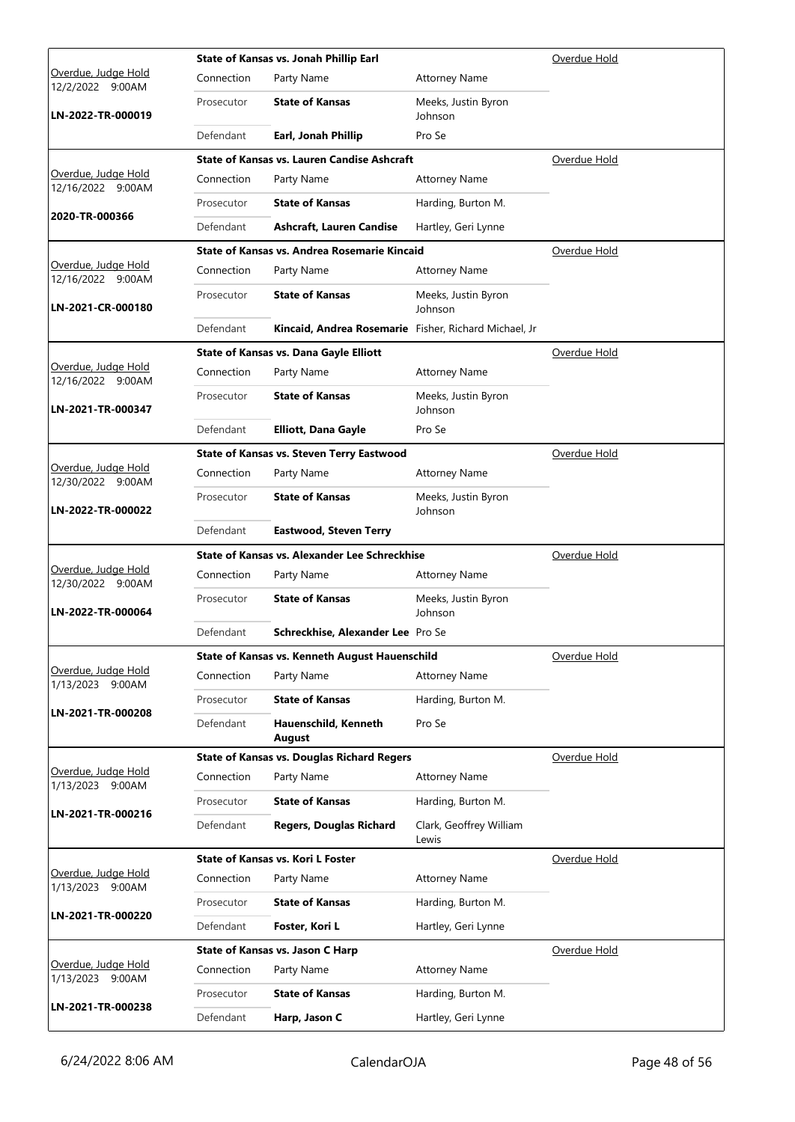|                                          |            | State of Kansas vs. Jonah Phillip Earl                |                                  | Overdue Hold        |
|------------------------------------------|------------|-------------------------------------------------------|----------------------------------|---------------------|
| Overdue, Judge Hold<br>12/2/2022 9:00AM  | Connection | Party Name                                            | <b>Attorney Name</b>             |                     |
| LN-2022-TR-000019                        | Prosecutor | <b>State of Kansas</b>                                | Meeks, Justin Byron<br>Johnson   |                     |
|                                          | Defendant  | Earl, Jonah Phillip                                   | Pro Se                           |                     |
|                                          |            | <b>State of Kansas vs. Lauren Candise Ashcraft</b>    |                                  | Overdue Hold        |
| Overdue, Judge Hold<br>12/16/2022 9:00AM | Connection | Party Name                                            | <b>Attorney Name</b>             |                     |
|                                          | Prosecutor | <b>State of Kansas</b>                                | Harding, Burton M.               |                     |
| 2020-TR-000366                           | Defendant  | <b>Ashcraft, Lauren Candise</b>                       | Hartley, Geri Lynne              |                     |
|                                          |            | State of Kansas vs. Andrea Rosemarie Kincaid          |                                  | Overdue Hold        |
| Overdue, Judge Hold<br>12/16/2022 9:00AM | Connection | Party Name                                            | <b>Attorney Name</b>             |                     |
| LN-2021-CR-000180                        | Prosecutor | <b>State of Kansas</b>                                | Meeks, Justin Byron<br>Johnson   |                     |
|                                          | Defendant  | Kincaid, Andrea Rosemarie Fisher, Richard Michael, Jr |                                  |                     |
|                                          |            | State of Kansas vs. Dana Gayle Elliott                |                                  | Overdue Hold        |
| Overdue, Judge Hold<br>12/16/2022 9:00AM | Connection | Party Name                                            | <b>Attorney Name</b>             |                     |
| LN-2021-TR-000347                        | Prosecutor | <b>State of Kansas</b>                                | Meeks, Justin Byron<br>Johnson   |                     |
|                                          | Defendant  | <b>Elliott, Dana Gayle</b>                            | Pro Se                           |                     |
|                                          |            | <b>State of Kansas vs. Steven Terry Eastwood</b>      |                                  | Overdue Hold        |
| Overdue, Judge Hold<br>12/30/2022 9:00AM | Connection | Party Name                                            | <b>Attorney Name</b>             |                     |
| LN-2022-TR-000022                        | Prosecutor | <b>State of Kansas</b>                                | Meeks, Justin Byron<br>Johnson   |                     |
|                                          | Defendant  | <b>Eastwood, Steven Terry</b>                         |                                  |                     |
|                                          |            | State of Kansas vs. Alexander Lee Schreckhise         |                                  | Overdue Hold        |
| Overdue, Judge Hold<br>12/30/2022 9:00AM | Connection | Party Name                                            | <b>Attorney Name</b>             |                     |
|                                          |            |                                                       |                                  |                     |
| LN-2022-TR-000064                        | Prosecutor | <b>State of Kansas</b>                                | Meeks, Justin Byron<br>Johnson   |                     |
|                                          | Defendant  | Schreckhise, Alexander Lee Pro Se                     |                                  |                     |
|                                          |            | <b>State of Kansas vs. Kenneth August Hauenschild</b> |                                  | Overdue Hold        |
| Overdue, Judge Hold<br>1/13/2023 9:00AM  | Connection | Party Name                                            | <b>Attorney Name</b>             |                     |
|                                          | Prosecutor | <b>State of Kansas</b>                                | Harding, Burton M.               |                     |
| LN-2021-TR-000208                        | Defendant  | Hauenschild, Kenneth<br><b>August</b>                 | Pro Se                           |                     |
|                                          |            | <b>State of Kansas vs. Douglas Richard Regers</b>     |                                  | Overdue Hold        |
| Overdue, Judge Hold<br>1/13/2023 9:00AM  | Connection | Party Name                                            | <b>Attorney Name</b>             |                     |
|                                          | Prosecutor | <b>State of Kansas</b>                                | Harding, Burton M.               |                     |
| LN-2021-TR-000216                        | Defendant  | Regers, Douglas Richard                               | Clark, Geoffrey William<br>Lewis |                     |
|                                          |            | <b>State of Kansas vs. Kori L Foster</b>              |                                  | <u>Overdue Hold</u> |
| Overdue, Judge Hold<br>1/13/2023 9:00AM  | Connection | Party Name                                            | <b>Attorney Name</b>             |                     |
|                                          | Prosecutor | <b>State of Kansas</b>                                | Harding, Burton M.               |                     |
| LN-2021-TR-000220                        | Defendant  | Foster, Kori L                                        | Hartley, Geri Lynne              |                     |
|                                          |            | State of Kansas vs. Jason C Harp                      |                                  | Overdue Hold        |
| Overdue, Judge Hold                      | Connection | Party Name                                            | <b>Attorney Name</b>             |                     |
| 1/13/2023 9:00AM<br>LN-2021-TR-000238    | Prosecutor | <b>State of Kansas</b>                                | Harding, Burton M.               |                     |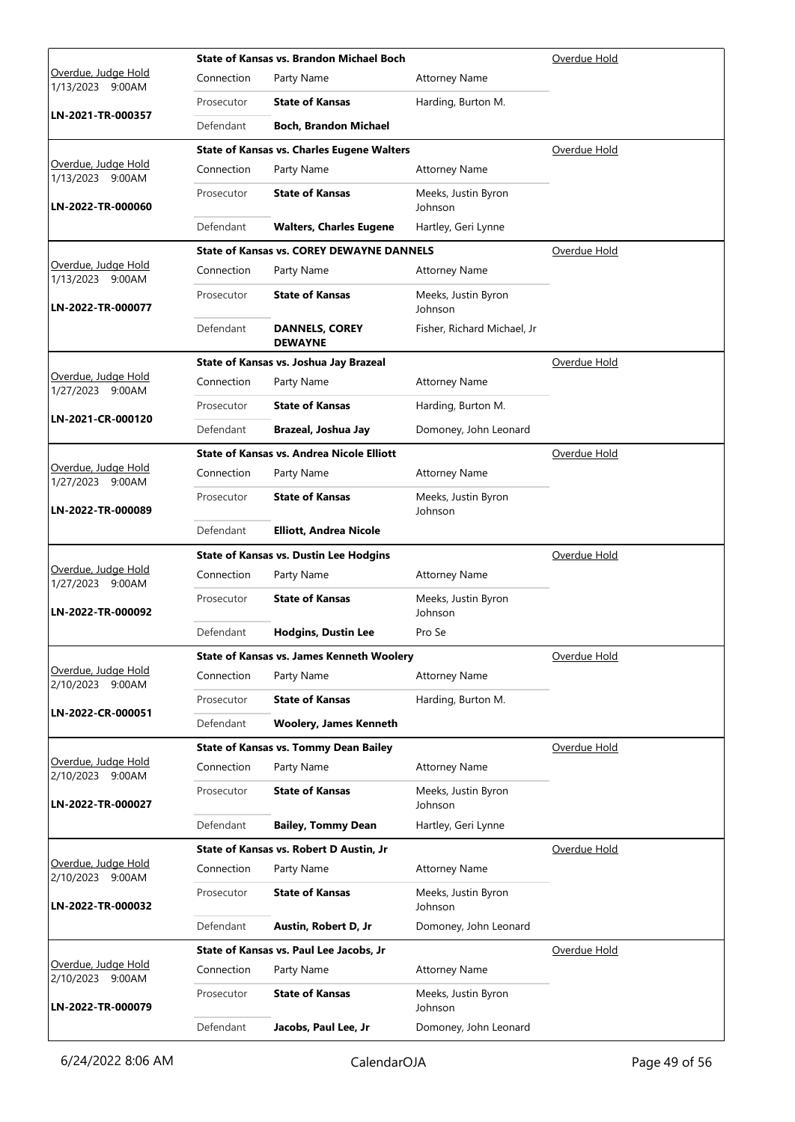|                                         |            | <b>State of Kansas vs. Brandon Michael Boch</b>   |                                | Overdue Hold |
|-----------------------------------------|------------|---------------------------------------------------|--------------------------------|--------------|
| Overdue, Judge Hold<br>1/13/2023 9:00AM | Connection | Party Name                                        | <b>Attorney Name</b>           |              |
|                                         | Prosecutor | <b>State of Kansas</b>                            | Harding, Burton M.             |              |
| LN-2021-TR-000357                       | Defendant  | <b>Boch, Brandon Michael</b>                      |                                |              |
|                                         |            | <b>State of Kansas vs. Charles Eugene Walters</b> |                                | Overdue Hold |
| Overdue, Judge Hold<br>1/13/2023 9:00AM | Connection | Party Name                                        | <b>Attorney Name</b>           |              |
| LN-2022-TR-000060                       | Prosecutor | <b>State of Kansas</b>                            | Meeks, Justin Byron<br>Johnson |              |
|                                         | Defendant  | <b>Walters, Charles Eugene</b>                    | Hartley, Geri Lynne            |              |
|                                         |            | <b>State of Kansas vs. COREY DEWAYNE DANNELS</b>  |                                | Overdue Hold |
| Overdue, Judge Hold<br>1/13/2023 9:00AM | Connection | Party Name                                        | <b>Attorney Name</b>           |              |
| LN-2022-TR-000077                       | Prosecutor | <b>State of Kansas</b>                            | Meeks, Justin Byron<br>Johnson |              |
|                                         | Defendant  | <b>DANNELS, COREY</b><br><b>DEWAYNE</b>           | Fisher, Richard Michael, Jr    |              |
|                                         |            | State of Kansas vs. Joshua Jay Brazeal            |                                | Overdue Hold |
| Overdue, Judge Hold<br>1/27/2023 9:00AM | Connection | Party Name                                        | <b>Attorney Name</b>           |              |
|                                         | Prosecutor | <b>State of Kansas</b>                            | Harding, Burton M.             |              |
| LN-2021-CR-000120                       | Defendant  | Brazeal, Joshua Jay                               | Domoney, John Leonard          |              |
|                                         |            | <b>State of Kansas vs. Andrea Nicole Elliott</b>  |                                | Overdue Hold |
| Overdue, Judge Hold<br>1/27/2023 9:00AM | Connection | Party Name                                        | <b>Attorney Name</b>           |              |
| LN-2022-TR-000089                       | Prosecutor | <b>State of Kansas</b>                            | Meeks, Justin Byron<br>Johnson |              |
|                                         | Defendant  | <b>Elliott, Andrea Nicole</b>                     |                                |              |
|                                         |            | <b>State of Kansas vs. Dustin Lee Hodgins</b>     |                                | Overdue Hold |
|                                         |            |                                                   |                                |              |
| Overdue, Judge Hold<br>1/27/2023 9:00AM | Connection | Party Name                                        | <b>Attorney Name</b>           |              |
| LN-2022-TR-000092                       | Prosecutor | <b>State of Kansas</b>                            | Meeks, Justin Byron<br>Johnson |              |
|                                         | Defendant  | <b>Hodgins, Dustin Lee</b>                        | Pro Se                         |              |
|                                         |            | <b>State of Kansas vs. James Kenneth Woolery</b>  |                                | Overdue Hold |
| Overdue, Judge Hold<br>2/10/2023 9:00AM | Connection | Party Name                                        | <b>Attorney Name</b>           |              |
|                                         | Prosecutor | <b>State of Kansas</b>                            | Harding, Burton M.             |              |
| LN-2022-CR-000051                       | Defendant  | <b>Woolery, James Kenneth</b>                     |                                |              |
|                                         |            | <b>State of Kansas vs. Tommy Dean Bailey</b>      |                                | Overdue Hold |
| Overdue, Judge Hold<br>2/10/2023 9:00AM | Connection | Party Name                                        | <b>Attorney Name</b>           |              |
| LN-2022-TR-000027                       | Prosecutor | <b>State of Kansas</b>                            | Meeks, Justin Byron<br>Johnson |              |
|                                         | Defendant  | <b>Bailey, Tommy Dean</b>                         | Hartley, Geri Lynne            |              |
|                                         |            | State of Kansas vs. Robert D Austin, Jr           |                                | Overdue Hold |
| Overdue, Judge Hold<br>2/10/2023 9:00AM | Connection | Party Name                                        | <b>Attorney Name</b>           |              |
| LN-2022-TR-000032                       | Prosecutor | <b>State of Kansas</b>                            | Meeks, Justin Byron<br>Johnson |              |
|                                         | Defendant  | Austin, Robert D, Jr                              | Domoney, John Leonard          |              |
|                                         |            | State of Kansas vs. Paul Lee Jacobs, Jr           |                                | Overdue Hold |
| Overdue, Judge Hold<br>2/10/2023 9:00AM | Connection | Party Name                                        | <b>Attorney Name</b>           |              |
| LN-2022-TR-000079                       | Prosecutor | <b>State of Kansas</b>                            | Meeks, Justin Byron<br>Johnson |              |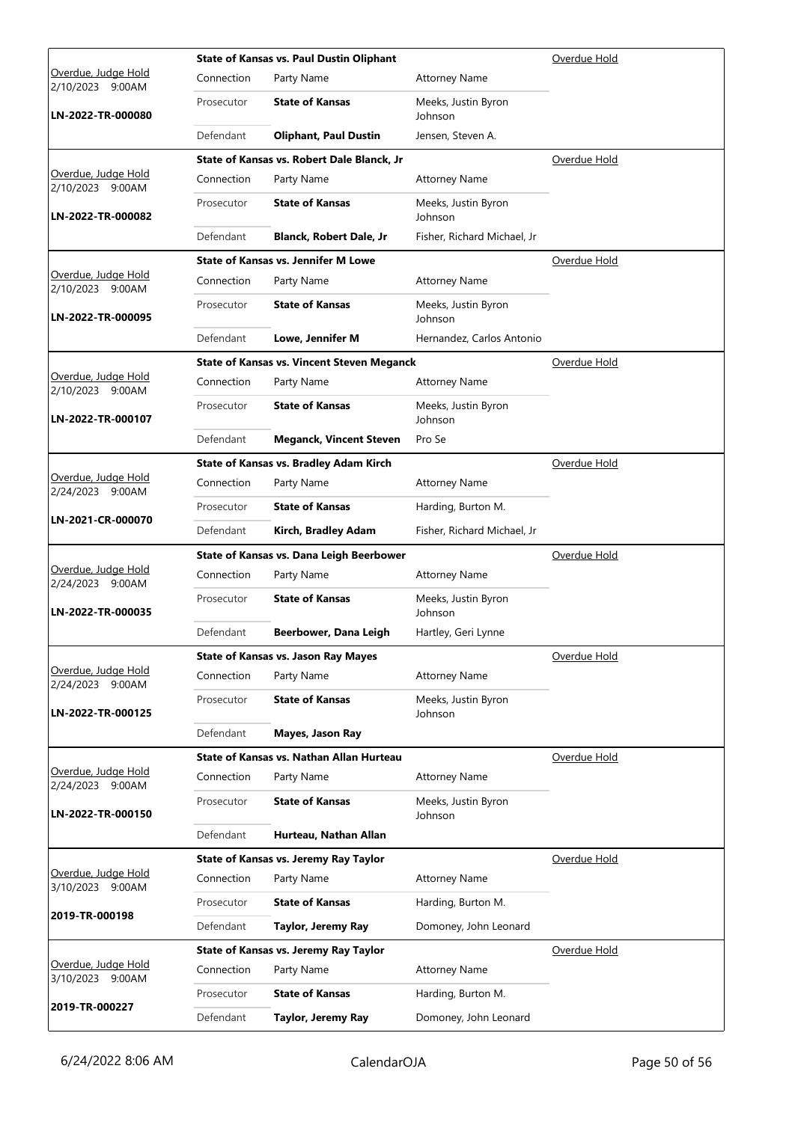|                                            | <b>State of Kansas vs. Paul Dustin Oliphant</b> |                                                   |                                | Overdue Hold        |
|--------------------------------------------|-------------------------------------------------|---------------------------------------------------|--------------------------------|---------------------|
| Overdue, Judge Hold<br>2/10/2023<br>9:00AM | Connection                                      | Party Name                                        | <b>Attorney Name</b>           |                     |
| LN-2022-TR-000080                          | Prosecutor                                      | <b>State of Kansas</b>                            | Meeks, Justin Byron<br>Johnson |                     |
|                                            | Defendant                                       | <b>Oliphant, Paul Dustin</b>                      | Jensen, Steven A.              |                     |
|                                            |                                                 | State of Kansas vs. Robert Dale Blanck, Jr        |                                | Overdue Hold        |
| Overdue, Judge Hold<br>2/10/2023 9:00AM    | Connection                                      | Party Name                                        | <b>Attorney Name</b>           |                     |
| LN-2022-TR-000082                          | Prosecutor                                      | <b>State of Kansas</b>                            | Meeks, Justin Byron<br>Johnson |                     |
|                                            | Defendant                                       | <b>Blanck, Robert Dale, Jr</b>                    | Fisher, Richard Michael, Jr    |                     |
|                                            |                                                 | <b>State of Kansas vs. Jennifer M Lowe</b>        | Overdue Hold                   |                     |
| Overdue, Judge Hold<br>2/10/2023<br>9:00AM | Connection                                      | Party Name                                        | <b>Attorney Name</b>           |                     |
| LN-2022-TR-000095                          | Prosecutor                                      | <b>State of Kansas</b>                            | Meeks, Justin Byron<br>Johnson |                     |
|                                            | Defendant                                       | Lowe, Jennifer M                                  | Hernandez, Carlos Antonio      |                     |
|                                            |                                                 | <b>State of Kansas vs. Vincent Steven Meganck</b> |                                | Overdue Hold        |
| Overdue, Judge Hold<br>2/10/2023 9:00AM    | Connection                                      | Party Name                                        | <b>Attorney Name</b>           |                     |
| LN-2022-TR-000107                          | Prosecutor                                      | <b>State of Kansas</b>                            | Meeks, Justin Byron<br>Johnson |                     |
|                                            | Defendant                                       | <b>Meganck, Vincent Steven</b>                    | Pro Se                         |                     |
|                                            |                                                 | State of Kansas vs. Bradley Adam Kirch            |                                | Overdue Hold        |
| Overdue, Judge Hold<br>2/24/2023 9:00AM    | Connection                                      | Party Name                                        | <b>Attorney Name</b>           |                     |
| LN-2021-CR-000070                          | Prosecutor                                      | <b>State of Kansas</b>                            | Harding, Burton M.             |                     |
|                                            | Defendant                                       | Kirch, Bradley Adam                               | Fisher, Richard Michael, Jr    |                     |
|                                            |                                                 | State of Kansas vs. Dana Leigh Beerbower          |                                | Overdue Hold        |
| Overdue, Judge Hold<br>2/24/2023 9:00AM    | Connection                                      | Party Name                                        | <b>Attorney Name</b>           |                     |
| LN-2022-TR-000035                          | Prosecutor                                      | <b>State of Kansas</b>                            | Meeks, Justin Byron<br>Johnson |                     |
|                                            | Defendant                                       | Beerbower, Dana Leigh                             | Hartley, Geri Lynne            |                     |
|                                            |                                                 | <b>State of Kansas vs. Jason Ray Mayes</b>        |                                | Overdue Hold        |
| Overdue, Judge Hold<br>2/24/2023 9:00AM    | Connection                                      | Party Name                                        | <b>Attorney Name</b>           |                     |
| LN-2022-TR-000125                          | Prosecutor                                      | <b>State of Kansas</b>                            | Meeks, Justin Byron<br>Johnson |                     |
|                                            | Defendant                                       | Mayes, Jason Ray                                  |                                |                     |
|                                            |                                                 | State of Kansas vs. Nathan Allan Hurteau          |                                | Overdue Hold        |
| Overdue, Judge Hold<br>2/24/2023 9:00AM    | Connection                                      | Party Name                                        | <b>Attorney Name</b>           |                     |
| LN-2022-TR-000150                          | Prosecutor                                      | <b>State of Kansas</b>                            | Meeks, Justin Byron<br>Johnson |                     |
|                                            | Defendant                                       | Hurteau, Nathan Allan                             |                                |                     |
| Overdue, Judge Hold                        |                                                 | State of Kansas vs. Jeremy Ray Taylor             |                                | <u>Overdue Hold</u> |
| 3/10/2023<br>9:00AM                        | Connection                                      | Party Name                                        | <b>Attorney Name</b>           |                     |
| 2019-TR-000198                             | Prosecutor                                      | <b>State of Kansas</b>                            | Harding, Burton M.             |                     |
|                                            | Defendant                                       | Taylor, Jeremy Ray                                | Domoney, John Leonard          |                     |
|                                            |                                                 | State of Kansas vs. Jeremy Ray Taylor             |                                | Overdue Hold        |
| Overdue, Judge Hold<br>3/10/2023 9:00AM    | Connection                                      | Party Name                                        | <b>Attorney Name</b>           |                     |
|                                            | Prosecutor                                      | <b>State of Kansas</b>                            | Harding, Burton M.             |                     |
| 2019-TR-000227                             | Defendant                                       | Taylor, Jeremy Ray                                | Domoney, John Leonard          |                     |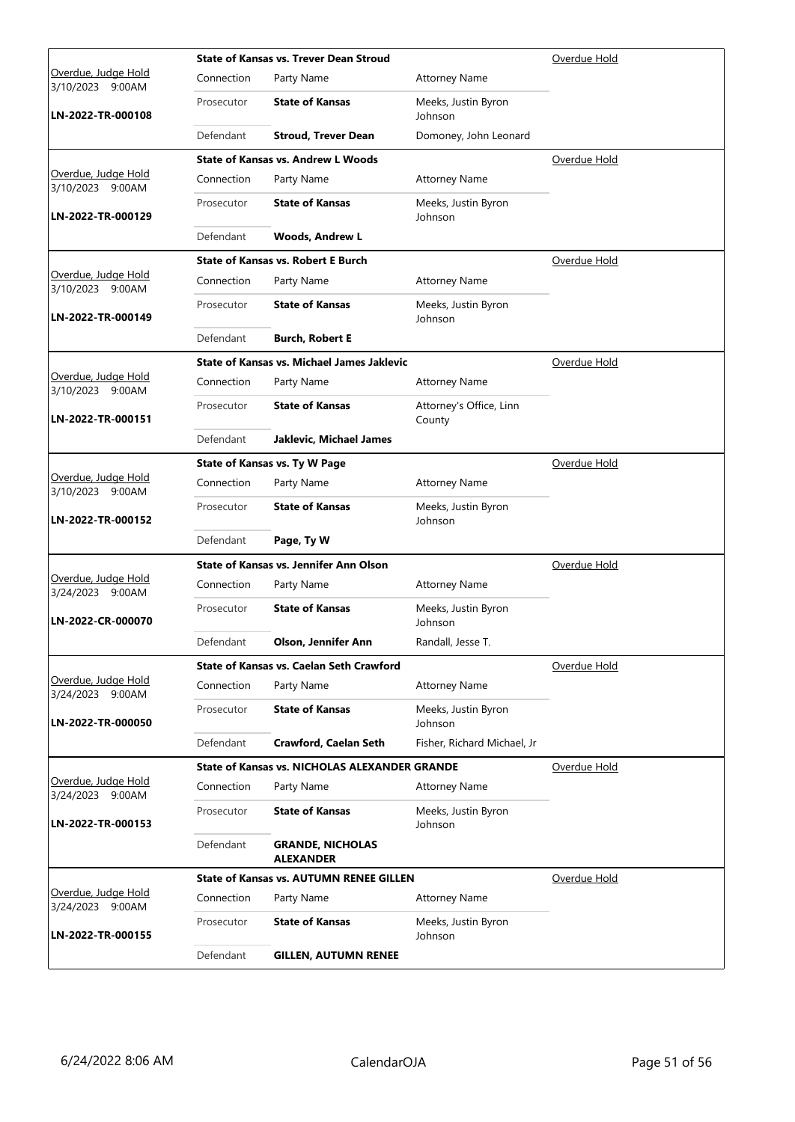|                                         | <b>State of Kansas vs. Trever Dean Stroud</b> |                                                      |                                   | Overdue Hold |
|-----------------------------------------|-----------------------------------------------|------------------------------------------------------|-----------------------------------|--------------|
| Overdue, Judge Hold<br>3/10/2023 9:00AM | Connection                                    | Party Name                                           | <b>Attorney Name</b>              |              |
| LN-2022-TR-000108                       | Prosecutor                                    | <b>State of Kansas</b>                               | Meeks, Justin Byron<br>Johnson    |              |
|                                         | Defendant                                     | <b>Stroud, Trever Dean</b>                           | Domoney, John Leonard             |              |
|                                         |                                               | <b>State of Kansas vs. Andrew L Woods</b>            |                                   | Overdue Hold |
| Overdue, Judge Hold<br>3/10/2023 9:00AM | Connection                                    | Party Name                                           | <b>Attorney Name</b>              |              |
| LN-2022-TR-000129                       | Prosecutor                                    | <b>State of Kansas</b>                               | Meeks, Justin Byron<br>Johnson    |              |
|                                         | Defendant                                     | <b>Woods, Andrew L</b>                               |                                   |              |
|                                         |                                               | <b>State of Kansas vs. Robert E Burch</b>            |                                   | Overdue Hold |
| Overdue, Judge Hold<br>3/10/2023 9:00AM | Connection                                    | Party Name                                           | <b>Attorney Name</b>              |              |
| LN-2022-TR-000149                       | Prosecutor                                    | <b>State of Kansas</b>                               | Meeks, Justin Byron<br>Johnson    |              |
|                                         | Defendant                                     | <b>Burch, Robert E</b>                               |                                   |              |
|                                         |                                               | <b>State of Kansas vs. Michael James Jaklevic</b>    |                                   | Overdue Hold |
| Overdue, Judge Hold<br>3/10/2023 9:00AM | Connection                                    | Party Name                                           | <b>Attorney Name</b>              |              |
| LN-2022-TR-000151                       | Prosecutor                                    | <b>State of Kansas</b>                               | Attorney's Office, Linn<br>County |              |
|                                         | Defendant                                     | Jaklevic, Michael James                              |                                   |              |
|                                         |                                               | <b>State of Kansas vs. Ty W Page</b>                 |                                   | Overdue Hold |
| Overdue, Judge Hold<br>3/10/2023 9:00AM | Connection                                    | Party Name                                           | <b>Attorney Name</b>              |              |
| LN-2022-TR-000152                       | Prosecutor                                    | <b>State of Kansas</b>                               | Meeks, Justin Byron<br>Johnson    |              |
|                                         | Defendant                                     | Page, Ty W                                           |                                   |              |
|                                         |                                               | State of Kansas vs. Jennifer Ann Olson               |                                   | Overdue Hold |
| Overdue, Judge Hold<br>3/24/2023 9:00AM | Connection                                    | Party Name                                           | <b>Attorney Name</b>              |              |
| LN-2022-CR-000070                       | Prosecutor                                    | <b>State of Kansas</b>                               | Meeks, Justin Byron<br>Johnson    |              |
|                                         | Defendant                                     | <b>Olson, Jennifer Ann</b>                           | Randall, Jesse T.                 |              |
|                                         |                                               | <b>State of Kansas vs. Caelan Seth Crawford</b>      |                                   | Overdue Hold |
| Overdue, Judge Hold<br>3/24/2023 9:00AM | Connection                                    | Party Name                                           | <b>Attorney Name</b>              |              |
| LN-2022-TR-000050                       | Prosecutor                                    | <b>State of Kansas</b>                               | Meeks, Justin Byron<br>Johnson    |              |
|                                         | Defendant                                     | <b>Crawford, Caelan Seth</b>                         | Fisher, Richard Michael, Jr       |              |
|                                         |                                               | <b>State of Kansas vs. NICHOLAS ALEXANDER GRANDE</b> |                                   | Overdue Hold |
| Overdue, Judge Hold<br>3/24/2023 9:00AM | Connection                                    | Party Name                                           | <b>Attorney Name</b>              |              |
| LN-2022-TR-000153                       | Prosecutor                                    | <b>State of Kansas</b>                               | Meeks, Justin Byron<br>Johnson    |              |
|                                         | Defendant                                     | <b>GRANDE, NICHOLAS</b><br><b>ALEXANDER</b>          |                                   |              |
|                                         |                                               | <b>State of Kansas vs. AUTUMN RENEE GILLEN</b>       |                                   | Overdue Hold |
| Overdue, Judge Hold<br>3/24/2023 9:00AM | Connection                                    | Party Name                                           | <b>Attorney Name</b>              |              |
| LN-2022-TR-000155                       | Prosecutor                                    | <b>State of Kansas</b>                               | Meeks, Justin Byron<br>Johnson    |              |
|                                         | Defendant                                     | <b>GILLEN, AUTUMN RENEE</b>                          |                                   |              |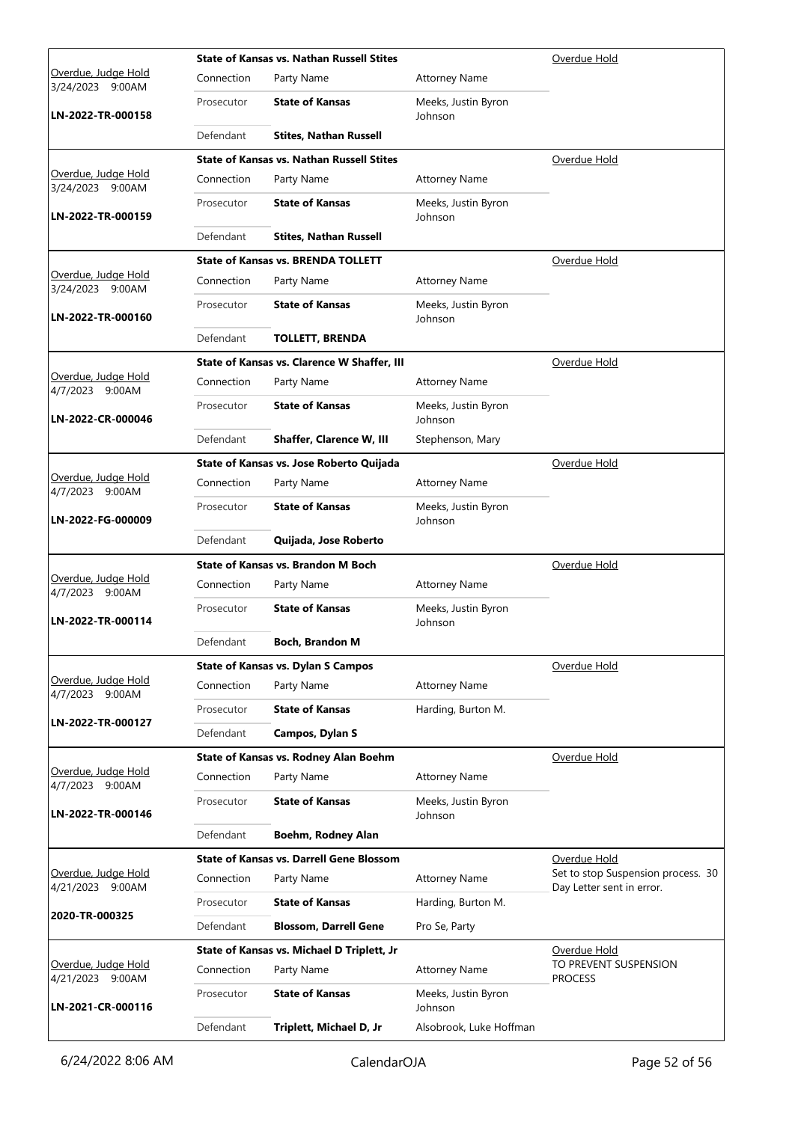|                                               | <b>State of Kansas vs. Nathan Russell Stites</b> |                                                  |                                | Overdue Hold                                                    |
|-----------------------------------------------|--------------------------------------------------|--------------------------------------------------|--------------------------------|-----------------------------------------------------------------|
| Overdue, Judge Hold<br>3/24/2023 9:00AM       | Connection                                       | Party Name                                       | <b>Attorney Name</b>           |                                                                 |
| LN-2022-TR-000158                             | Prosecutor                                       | <b>State of Kansas</b>                           | Meeks, Justin Byron<br>Johnson |                                                                 |
|                                               | Defendant                                        | <b>Stites, Nathan Russell</b>                    |                                |                                                                 |
|                                               |                                                  | <b>State of Kansas vs. Nathan Russell Stites</b> |                                | Overdue Hold                                                    |
| Overdue, Judge Hold<br>3/24/2023 9:00AM       | Connection                                       | Party Name                                       | <b>Attorney Name</b>           |                                                                 |
| LN-2022-TR-000159                             | Prosecutor                                       | <b>State of Kansas</b>                           | Meeks, Justin Byron<br>Johnson |                                                                 |
|                                               | Defendant                                        | <b>Stites, Nathan Russell</b>                    |                                |                                                                 |
|                                               |                                                  | <b>State of Kansas vs. BRENDA TOLLETT</b>        |                                | Overdue Hold                                                    |
| Overdue, Judge Hold<br>3/24/2023 9:00AM       | Connection                                       | Party Name                                       | <b>Attorney Name</b>           |                                                                 |
| LN-2022-TR-000160                             | Prosecutor                                       | <b>State of Kansas</b>                           | Meeks, Justin Byron<br>Johnson |                                                                 |
|                                               | Defendant                                        | <b>TOLLETT, BRENDA</b>                           |                                |                                                                 |
|                                               |                                                  | State of Kansas vs. Clarence W Shaffer, III      |                                | Overdue Hold                                                    |
| Overdue, Judge Hold<br>4/7/2023 9:00AM        | Connection                                       | Party Name                                       | <b>Attorney Name</b>           |                                                                 |
| LN-2022-CR-000046                             | Prosecutor                                       | <b>State of Kansas</b>                           | Meeks, Justin Byron<br>Johnson |                                                                 |
|                                               | Defendant                                        | Shaffer, Clarence W, III                         | Stephenson, Mary               |                                                                 |
|                                               |                                                  | State of Kansas vs. Jose Roberto Quijada         |                                | Overdue Hold                                                    |
| Overdue, Judge Hold<br>4/7/2023 9:00AM        | Connection                                       | Party Name                                       | <b>Attorney Name</b>           |                                                                 |
| LN-2022-FG-000009                             | Prosecutor                                       | <b>State of Kansas</b>                           | Meeks, Justin Byron<br>Johnson |                                                                 |
|                                               | Defendant                                        | Quijada, Jose Roberto                            |                                |                                                                 |
|                                               |                                                  | <b>State of Kansas vs. Brandon M Boch</b>        |                                | Overdue Hold                                                    |
| Overdue, Judge Hold<br>4/7/2023<br>9:00AM     | Connection                                       | Party Name                                       | <b>Attorney Name</b>           |                                                                 |
| LN-2022-TR-000114                             | Prosecutor                                       | <b>State of Kansas</b>                           | Meeks, Justin Byron<br>Johnson |                                                                 |
|                                               | Defendant                                        | <b>Boch, Brandon M</b>                           |                                |                                                                 |
|                                               |                                                  | <b>State of Kansas vs. Dylan S Campos</b>        |                                | Overdue Hold                                                    |
| Overdue, Judge Hold<br>4/7/2023 9:00AM        | Connection                                       | Party Name                                       | <b>Attorney Name</b>           |                                                                 |
|                                               | Prosecutor                                       | <b>State of Kansas</b>                           | Harding, Burton M.             |                                                                 |
| LN-2022-TR-000127                             | Defendant                                        | Campos, Dylan S                                  |                                |                                                                 |
|                                               |                                                  | State of Kansas vs. Rodney Alan Boehm            |                                | Overdue Hold                                                    |
| <u>Overdue, Judge Hold</u><br>4/7/2023 9:00AM | Connection                                       | Party Name                                       | <b>Attorney Name</b>           |                                                                 |
| LN-2022-TR-000146                             | Prosecutor                                       | <b>State of Kansas</b>                           | Meeks, Justin Byron<br>Johnson |                                                                 |
|                                               | Defendant                                        | Boehm, Rodney Alan                               |                                |                                                                 |
|                                               | <b>State of Kansas vs. Darrell Gene Blossom</b>  |                                                  |                                | Overdue Hold                                                    |
| Overdue, Judge Hold<br>4/21/2023 9:00AM       | Connection                                       | Party Name                                       | <b>Attorney Name</b>           | Set to stop Suspension process. 30<br>Day Letter sent in error. |
|                                               | Prosecutor                                       | <b>State of Kansas</b>                           | Harding, Burton M.             |                                                                 |
| 2020-TR-000325                                | Defendant                                        | <b>Blossom, Darrell Gene</b>                     | Pro Se, Party                  |                                                                 |
|                                               |                                                  | State of Kansas vs. Michael D Triplett, Jr       |                                | Overdue Hold                                                    |
| Overdue, Judge Hold<br>4/21/2023 9:00AM       | Connection                                       | Party Name                                       | <b>Attorney Name</b>           | TO PREVENT SUSPENSION<br><b>PROCESS</b>                         |
| LN-2021-CR-000116                             | Prosecutor                                       | <b>State of Kansas</b>                           | Meeks, Justin Byron<br>Johnson |                                                                 |
|                                               | Defendant                                        | Triplett, Michael D, Jr                          | Alsobrook, Luke Hoffman        |                                                                 |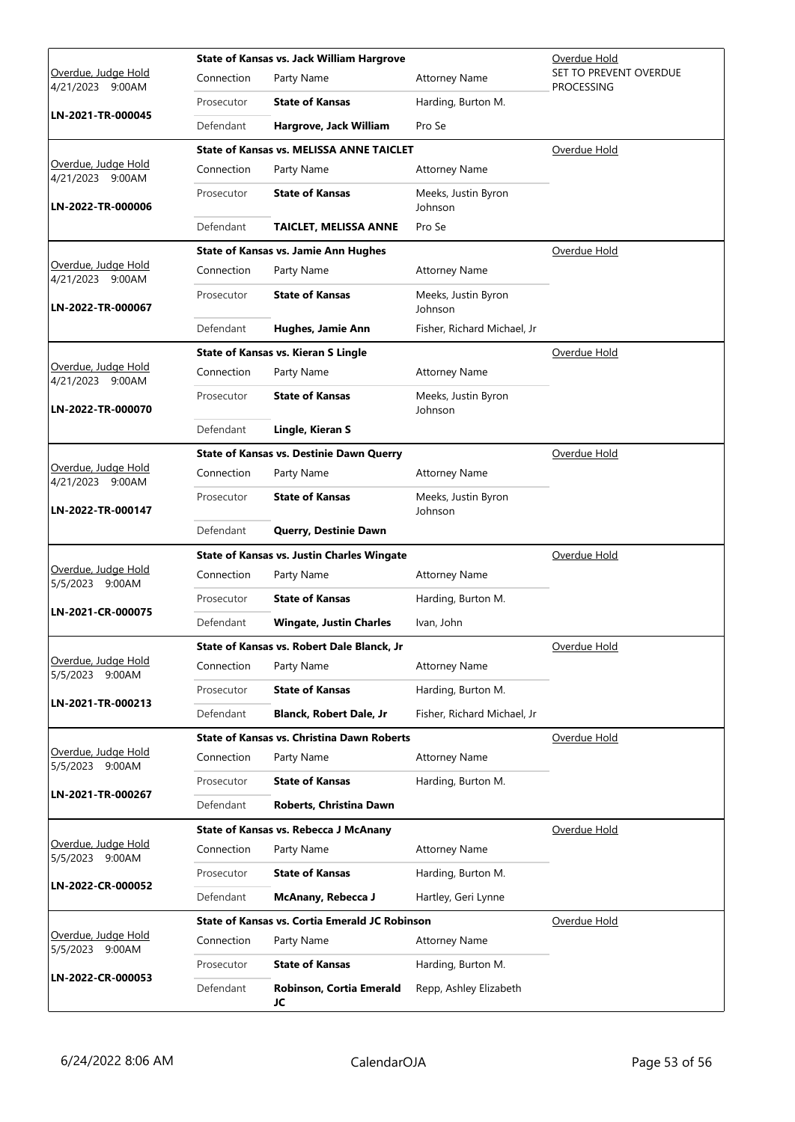|                                         |            | <b>State of Kansas vs. Jack William Hargrove</b>  |                                | Overdue Hold                                |
|-----------------------------------------|------------|---------------------------------------------------|--------------------------------|---------------------------------------------|
| Overdue, Judge Hold<br>4/21/2023 9:00AM | Connection | Party Name                                        | <b>Attorney Name</b>           | SET TO PREVENT OVERDUE<br><b>PROCESSING</b> |
|                                         | Prosecutor | <b>State of Kansas</b>                            | Harding, Burton M.             |                                             |
| LN-2021-TR-000045                       | Defendant  | Hargrove, Jack William                            | Pro Se                         |                                             |
|                                         |            | <b>State of Kansas vs. MELISSA ANNE TAICLET</b>   |                                | Overdue Hold                                |
| Overdue, Judge Hold<br>4/21/2023 9:00AM | Connection | Party Name                                        | <b>Attorney Name</b>           |                                             |
| LN-2022-TR-000006                       | Prosecutor | <b>State of Kansas</b>                            | Meeks, Justin Byron<br>Johnson |                                             |
|                                         | Defendant  | <b>TAICLET, MELISSA ANNE</b>                      | Pro Se                         |                                             |
|                                         |            | <b>State of Kansas vs. Jamie Ann Hughes</b>       | Overdue Hold                   |                                             |
| Overdue, Judge Hold<br>4/21/2023 9:00AM | Connection | Party Name                                        | <b>Attorney Name</b>           |                                             |
| LN-2022-TR-000067                       | Prosecutor | <b>State of Kansas</b>                            | Meeks, Justin Byron<br>Johnson |                                             |
|                                         | Defendant  | Hughes, Jamie Ann                                 | Fisher, Richard Michael, Jr    |                                             |
|                                         |            | <b>State of Kansas vs. Kieran S Lingle</b>        |                                | Overdue Hold                                |
| Overdue, Judge Hold<br>4/21/2023 9:00AM | Connection | Party Name                                        | <b>Attorney Name</b>           |                                             |
| LN-2022-TR-000070                       | Prosecutor | <b>State of Kansas</b>                            | Meeks, Justin Byron<br>Johnson |                                             |
|                                         | Defendant  | Lingle, Kieran S                                  |                                |                                             |
|                                         |            | <b>State of Kansas vs. Destinie Dawn Querry</b>   |                                | Overdue Hold                                |
| Overdue, Judge Hold<br>4/21/2023 9:00AM | Connection | Party Name                                        | <b>Attorney Name</b>           |                                             |
| LN-2022-TR-000147                       | Prosecutor | <b>State of Kansas</b>                            | Meeks, Justin Byron<br>Johnson |                                             |
|                                         | Defendant  | Querry, Destinie Dawn                             |                                |                                             |
| Overdue, Judge Hold<br>5/5/2023 9:00AM  |            | <b>State of Kansas vs. Justin Charles Wingate</b> |                                | Overdue Hold                                |
|                                         | Connection | Party Name                                        | <b>Attorney Name</b>           |                                             |
|                                         | Prosecutor | <b>State of Kansas</b>                            | Harding, Burton M.             |                                             |
| LN-2021-CR-000075                       | Defendant  | <b>Wingate, Justin Charles</b>                    | Ivan, John                     |                                             |
|                                         |            | State of Kansas vs. Robert Dale Blanck, Jr        |                                | Overdue Hold                                |
| Overdue, Judge Hold<br>5/5/2023 9:00AM  | Connection | Party Name                                        | <b>Attorney Name</b>           |                                             |
|                                         | Prosecutor | <b>State of Kansas</b>                            | Harding, Burton M.             |                                             |
| LN-2021-TR-000213                       | Defendant  | Blanck, Robert Dale, Jr                           | Fisher, Richard Michael, Jr    |                                             |
|                                         |            | <b>State of Kansas vs. Christina Dawn Roberts</b> |                                | Overdue Hold                                |
| Overdue, Judge Hold<br>5/5/2023 9:00AM  | Connection | Party Name                                        | <b>Attorney Name</b>           |                                             |
|                                         | Prosecutor | <b>State of Kansas</b>                            | Harding, Burton M.             |                                             |
| LN-2021-TR-000267                       | Defendant  | Roberts, Christina Dawn                           |                                |                                             |
|                                         |            | State of Kansas vs. Rebecca J McAnany             |                                | Overdue Hold                                |
| Overdue, Judge Hold<br>5/5/2023 9:00AM  | Connection | Party Name                                        | <b>Attorney Name</b>           |                                             |
|                                         | Prosecutor | <b>State of Kansas</b>                            | Harding, Burton M.             |                                             |
| LN-2022-CR-000052                       | Defendant  | <b>McAnany, Rebecca J</b>                         | Hartley, Geri Lynne            |                                             |
|                                         |            | State of Kansas vs. Cortia Emerald JC Robinson    |                                | Overdue Hold                                |
| Overdue, Judge Hold<br>5/5/2023 9:00AM  | Connection | Party Name                                        | <b>Attorney Name</b>           |                                             |
|                                         | Prosecutor | <b>State of Kansas</b>                            | Harding, Burton M.             |                                             |
| LN-2022-CR-000053                       | Defendant  | Robinson, Cortia Emerald<br>JC                    | Repp, Ashley Elizabeth         |                                             |
|                                         |            |                                                   |                                |                                             |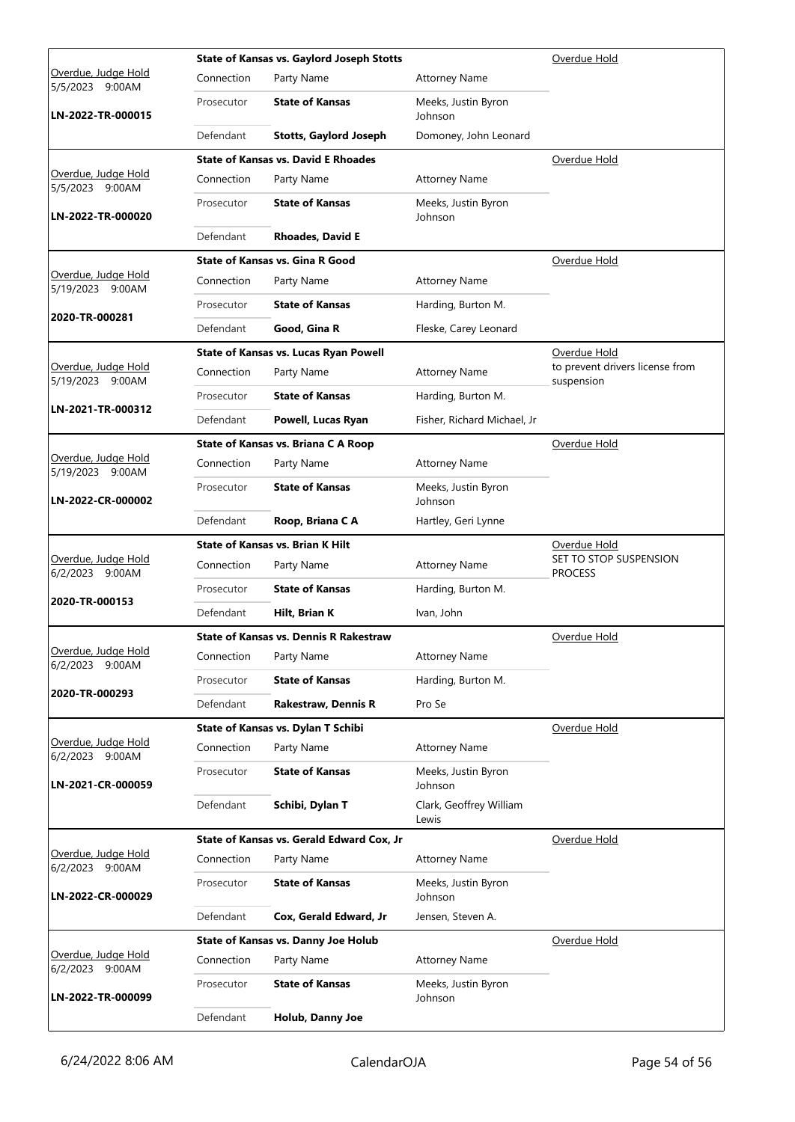|                                         | <b>State of Kansas vs. Gaylord Joseph Stotts</b> |                                               |                                  | Overdue Hold                                  |
|-----------------------------------------|--------------------------------------------------|-----------------------------------------------|----------------------------------|-----------------------------------------------|
| Overdue, Judge Hold<br>5/5/2023 9:00AM  | Connection                                       | Party Name                                    | <b>Attorney Name</b>             |                                               |
| LN-2022-TR-000015                       | Prosecutor                                       | <b>State of Kansas</b>                        | Meeks, Justin Byron<br>Johnson   |                                               |
|                                         | Defendant                                        | <b>Stotts, Gaylord Joseph</b>                 | Domoney, John Leonard            |                                               |
|                                         |                                                  | <b>State of Kansas vs. David E Rhoades</b>    |                                  | Overdue Hold                                  |
| Overdue, Judge Hold<br>5/5/2023 9:00AM  | Connection                                       | Party Name                                    | <b>Attorney Name</b>             |                                               |
| LN-2022-TR-000020                       | Prosecutor                                       | <b>State of Kansas</b>                        | Meeks, Justin Byron<br>Johnson   |                                               |
|                                         | Defendant                                        | <b>Rhoades, David E</b>                       |                                  |                                               |
|                                         |                                                  | <b>State of Kansas vs. Gina R Good</b>        | Overdue Hold                     |                                               |
| Overdue, Judge Hold<br>5/19/2023 9:00AM | Connection                                       | Party Name                                    | <b>Attorney Name</b>             |                                               |
|                                         | Prosecutor                                       | <b>State of Kansas</b>                        | Harding, Burton M.               |                                               |
| 2020-TR-000281                          | Defendant                                        | Good, Gina R                                  | Fleske, Carey Leonard            |                                               |
|                                         |                                                  | State of Kansas vs. Lucas Ryan Powell         |                                  | Overdue Hold                                  |
| Overdue, Judge Hold<br>5/19/2023 9:00AM | Connection                                       | Party Name                                    | <b>Attorney Name</b>             | to prevent drivers license from<br>suspension |
|                                         | Prosecutor                                       | <b>State of Kansas</b>                        | Harding, Burton M.               |                                               |
| LN-2021-TR-000312                       | Defendant                                        | Powell, Lucas Ryan                            | Fisher, Richard Michael, Jr      |                                               |
|                                         |                                                  | State of Kansas vs. Briana C A Roop           |                                  | Overdue Hold                                  |
| Overdue, Judge Hold<br>5/19/2023 9:00AM | Connection                                       | Party Name                                    | <b>Attorney Name</b>             |                                               |
| LN-2022-CR-000002                       | Prosecutor                                       | <b>State of Kansas</b>                        | Meeks, Justin Byron<br>Johnson   |                                               |
|                                         | Defendant                                        | Roop, Briana C A                              | Hartley, Geri Lynne              |                                               |
|                                         | <b>State of Kansas vs. Brian K Hilt</b>          |                                               |                                  | Overdue Hold                                  |
| Overdue, Judge Hold<br>6/2/2023 9:00AM  | Connection                                       | Party Name                                    | <b>Attorney Name</b>             | SET TO STOP SUSPENSION<br><b>PROCESS</b>      |
|                                         | Prosecutor                                       | <b>State of Kansas</b>                        | Harding, Burton M.               |                                               |
| 2020-TR-000153                          | Defendant                                        | Hilt, Brian K                                 | Ivan, John                       |                                               |
|                                         |                                                  | <b>State of Kansas vs. Dennis R Rakestraw</b> |                                  | Overdue Hold                                  |
|                                         |                                                  |                                               |                                  |                                               |
| Overdue, Judge Hold                     | Connection                                       | Party Name                                    | <b>Attorney Name</b>             |                                               |
| 6/2/2023<br>9:00AM                      | Prosecutor                                       | <b>State of Kansas</b>                        | Harding, Burton M.               |                                               |
| 2020-TR-000293                          | Defendant                                        | <b>Rakestraw, Dennis R</b>                    | Pro Se                           |                                               |
|                                         |                                                  | State of Kansas vs. Dylan T Schibi            |                                  | Overdue Hold                                  |
| Overdue, Judge Hold                     | Connection                                       | Party Name                                    | <b>Attorney Name</b>             |                                               |
| 6/2/2023 9:00AM<br>LN-2021-CR-000059    | Prosecutor                                       | <b>State of Kansas</b>                        | Meeks, Justin Byron<br>Johnson   |                                               |
|                                         | Defendant                                        | Schibi, Dylan T                               | Clark, Geoffrey William<br>Lewis |                                               |
|                                         |                                                  | State of Kansas vs. Gerald Edward Cox, Jr     |                                  | Overdue Hold                                  |
| Overdue, Judge Hold                     | Connection                                       | Party Name                                    | <b>Attorney Name</b>             |                                               |
| 6/2/2023 9:00AM<br>LN-2022-CR-000029    | Prosecutor                                       | <b>State of Kansas</b>                        | Meeks, Justin Byron<br>Johnson   |                                               |
|                                         | Defendant                                        | Cox, Gerald Edward, Jr                        | Jensen, Steven A.                |                                               |
|                                         |                                                  | State of Kansas vs. Danny Joe Holub           |                                  | Overdue Hold                                  |
| Overdue, Judge Hold<br>6/2/2023 9:00AM  | Connection                                       | Party Name                                    | <b>Attorney Name</b>             |                                               |
| LN-2022-TR-000099                       | Prosecutor                                       | <b>State of Kansas</b>                        | Meeks, Justin Byron<br>Johnson   |                                               |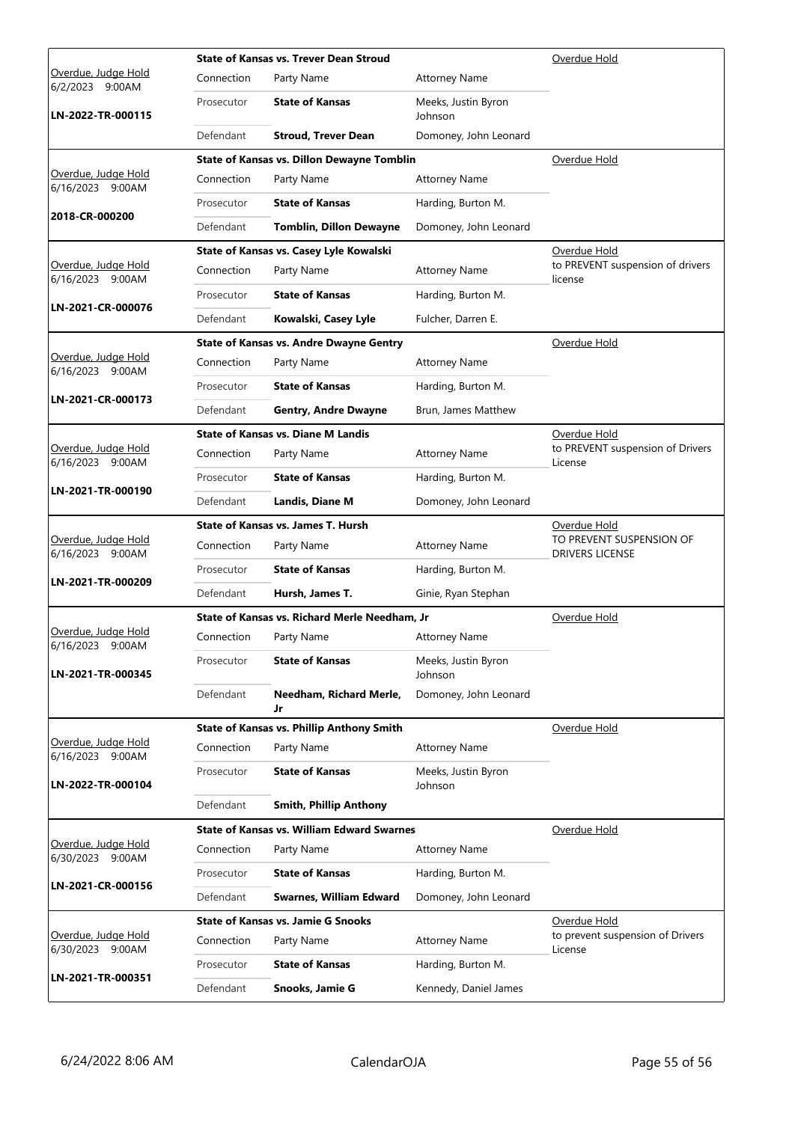|                                                              | <b>State of Kansas vs. Trever Dean Stroud</b>     |                                                  |                                | Overdue Hold                                       |
|--------------------------------------------------------------|---------------------------------------------------|--------------------------------------------------|--------------------------------|----------------------------------------------------|
| Overdue, Judge Hold<br>6/2/2023 9:00AM                       | Connection                                        | Party Name                                       | <b>Attorney Name</b>           |                                                    |
| LN-2022-TR-000115                                            | Prosecutor                                        | <b>State of Kansas</b>                           | Meeks, Justin Byron<br>Johnson |                                                    |
|                                                              | Defendant                                         | <b>Stroud, Trever Dean</b>                       | Domoney, John Leonard          |                                                    |
|                                                              |                                                   | State of Kansas vs. Dillon Dewayne Tomblin       | Overdue Hold                   |                                                    |
| Overdue, Judge Hold<br>6/16/2023 9:00AM                      | Connection                                        | Party Name                                       | <b>Attorney Name</b>           |                                                    |
|                                                              | Prosecutor                                        | <b>State of Kansas</b>                           | Harding, Burton M.             |                                                    |
| 2018-CR-000200                                               | Defendant                                         | <b>Tomblin, Dillon Dewayne</b>                   | Domoney, John Leonard          |                                                    |
|                                                              |                                                   | State of Kansas vs. Casey Lyle Kowalski          | Overdue Hold                   |                                                    |
| Overdue, Judge Hold<br>6/16/2023 9:00AM                      | Connection                                        | Party Name                                       | <b>Attorney Name</b>           | to PREVENT suspension of drivers<br>license        |
|                                                              | Prosecutor                                        | <b>State of Kansas</b>                           | Harding, Burton M.             |                                                    |
| LN-2021-CR-000076                                            | Defendant                                         | Kowalski, Casey Lyle                             | Fulcher, Darren E.             |                                                    |
|                                                              |                                                   | <b>State of Kansas vs. Andre Dwayne Gentry</b>   |                                | Overdue Hold                                       |
| Overdue, Judge Hold<br>6/16/2023 9:00AM                      | Connection                                        | Party Name                                       | <b>Attorney Name</b>           |                                                    |
|                                                              | Prosecutor                                        | <b>State of Kansas</b>                           | Harding, Burton M.             |                                                    |
| LN-2021-CR-000173                                            | Defendant                                         | <b>Gentry, Andre Dwayne</b>                      | Brun, James Matthew            |                                                    |
|                                                              |                                                   | <b>State of Kansas vs. Diane M Landis</b>        |                                | Overdue Hold                                       |
| Overdue, Judge Hold<br>6/16/2023 9:00AM<br>LN-2021-TR-000190 | Connection                                        | Party Name                                       | <b>Attorney Name</b>           | to PREVENT suspension of Drivers<br>License        |
|                                                              | Prosecutor                                        | <b>State of Kansas</b>                           | Harding, Burton M.             |                                                    |
|                                                              | Defendant                                         | Landis, Diane M                                  | Domoney, John Leonard          |                                                    |
|                                                              |                                                   | <b>State of Kansas vs. James T. Hursh</b>        | Overdue Hold                   |                                                    |
| Overdue, Judge Hold<br>6/16/2023 9:00AM                      | Connection                                        | Party Name                                       | <b>Attorney Name</b>           | TO PREVENT SUSPENSION OF<br><b>DRIVERS LICENSE</b> |
|                                                              | Prosecutor                                        | <b>State of Kansas</b>                           | Harding, Burton M.             |                                                    |
| LN-2021-TR-000209                                            | Defendant                                         | Hursh, James T.                                  | Ginie, Ryan Stephan            |                                                    |
|                                                              | State of Kansas vs. Richard Merle Needham, Jr     |                                                  |                                | <u>Overdue Hold</u>                                |
| Overdue, Judge Hold<br>6/16/2023 9:00AM                      | Connection                                        | Party Name                                       | <b>Attorney Name</b>           |                                                    |
| LN-2021-TR-000345                                            | Prosecutor                                        | <b>State of Kansas</b>                           | Meeks, Justin Byron<br>Johnson |                                                    |
|                                                              | Defendant                                         | Needham, Richard Merle,<br>Jr                    | Domoney, John Leonard          |                                                    |
|                                                              |                                                   | <b>State of Kansas vs. Phillip Anthony Smith</b> |                                | Overdue Hold                                       |
| Overdue, Judge Hold<br>6/16/2023 9:00AM                      | Connection                                        | Party Name                                       | <b>Attorney Name</b>           |                                                    |
| LN-2022-TR-000104                                            | Prosecutor                                        | <b>State of Kansas</b>                           | Meeks, Justin Byron<br>Johnson |                                                    |
|                                                              | Defendant                                         | <b>Smith, Phillip Anthony</b>                    |                                |                                                    |
|                                                              | <b>State of Kansas vs. William Edward Swarnes</b> |                                                  |                                | Overdue Hold                                       |
| Overdue, Judge Hold<br>6/30/2023 9:00AM                      | Connection                                        | Party Name                                       | <b>Attorney Name</b>           |                                                    |
|                                                              | Prosecutor                                        | <b>State of Kansas</b>                           | Harding, Burton M.             |                                                    |
| LN-2021-CR-000156                                            | Defendant                                         | <b>Swarnes, William Edward</b>                   | Domoney, John Leonard          |                                                    |
|                                                              |                                                   | <b>State of Kansas vs. Jamie G Snooks</b>        |                                | Overdue Hold                                       |
| Overdue, Judge Hold<br>6/30/2023 9:00AM                      | Connection                                        | Party Name                                       | <b>Attorney Name</b>           | to prevent suspension of Drivers<br>License        |
|                                                              | Prosecutor                                        | <b>State of Kansas</b>                           | Harding, Burton M.             |                                                    |
| LN-2021-TR-000351                                            | Defendant                                         | Snooks, Jamie G                                  | Kennedy, Daniel James          |                                                    |